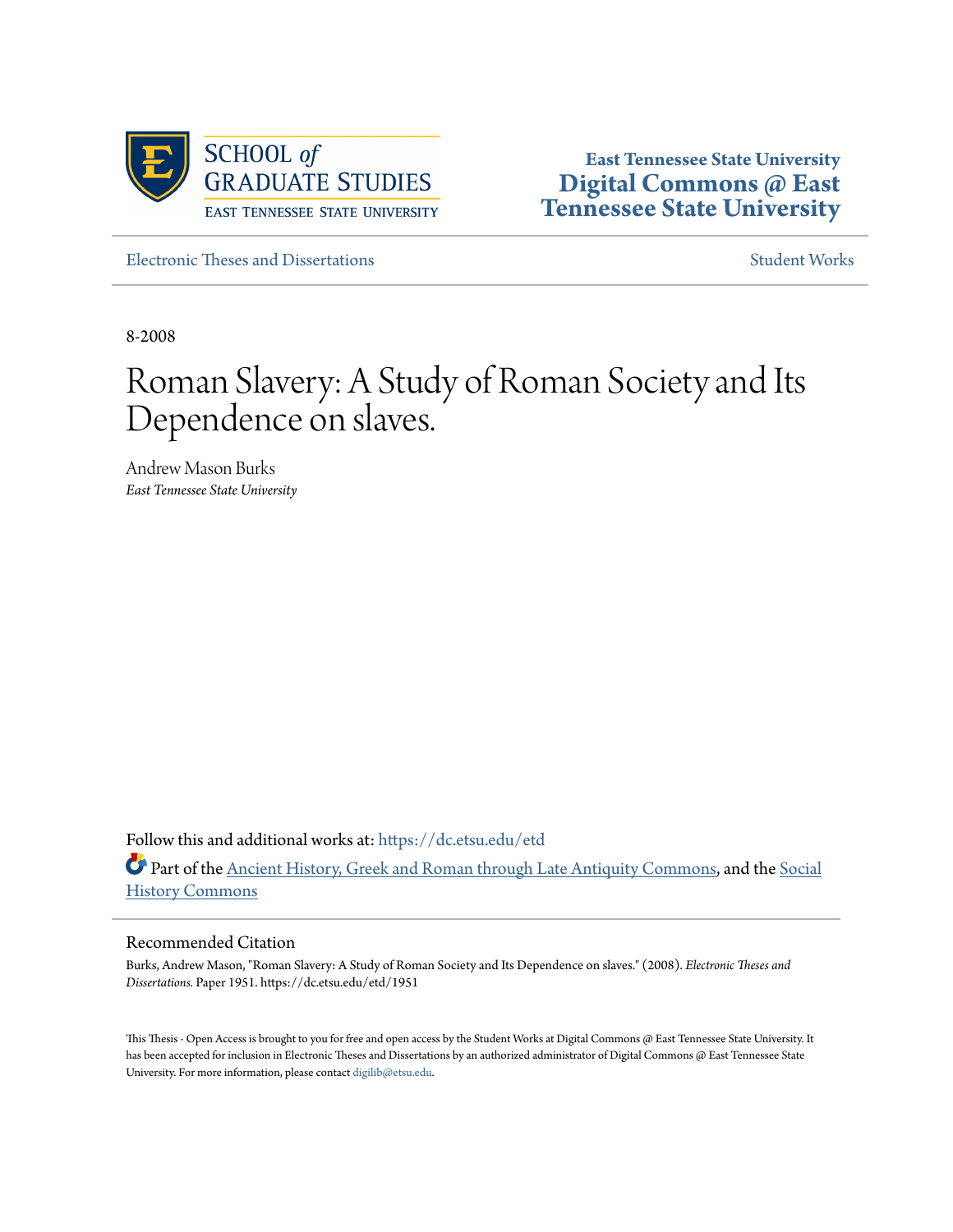

**East Tennessee State University [Digital Commons @ East](https://dc.etsu.edu?utm_source=dc.etsu.edu%2Fetd%2F1951&utm_medium=PDF&utm_campaign=PDFCoverPages) [Tennessee State University](https://dc.etsu.edu?utm_source=dc.etsu.edu%2Fetd%2F1951&utm_medium=PDF&utm_campaign=PDFCoverPages)**

[Electronic Theses and Dissertations](https://dc.etsu.edu/etd?utm_source=dc.etsu.edu%2Fetd%2F1951&utm_medium=PDF&utm_campaign=PDFCoverPages) [Student Works](https://dc.etsu.edu/student-works?utm_source=dc.etsu.edu%2Fetd%2F1951&utm_medium=PDF&utm_campaign=PDFCoverPages)

8-2008

# Roman Slavery: A Study of Roman Society and Its Dependence on slaves.

Andrew Mason Burks *East Tennessee State University*

Follow this and additional works at: [https://dc.etsu.edu/etd](https://dc.etsu.edu/etd?utm_source=dc.etsu.edu%2Fetd%2F1951&utm_medium=PDF&utm_campaign=PDFCoverPages) Part of the [Ancient History, Greek and Roman through Late Antiquity Commons](http://network.bepress.com/hgg/discipline/447?utm_source=dc.etsu.edu%2Fetd%2F1951&utm_medium=PDF&utm_campaign=PDFCoverPages), and the [Social](http://network.bepress.com/hgg/discipline/506?utm_source=dc.etsu.edu%2Fetd%2F1951&utm_medium=PDF&utm_campaign=PDFCoverPages) [History Commons](http://network.bepress.com/hgg/discipline/506?utm_source=dc.etsu.edu%2Fetd%2F1951&utm_medium=PDF&utm_campaign=PDFCoverPages)

# Recommended Citation

Burks, Andrew Mason, "Roman Slavery: A Study of Roman Society and Its Dependence on slaves." (2008). *Electronic Theses and Dissertations.* Paper 1951. https://dc.etsu.edu/etd/1951

This Thesis - Open Access is brought to you for free and open access by the Student Works at Digital Commons @ East Tennessee State University. It has been accepted for inclusion in Electronic Theses and Dissertations by an authorized administrator of Digital Commons @ East Tennessee State University. For more information, please contact [digilib@etsu.edu.](mailto:digilib@etsu.edu)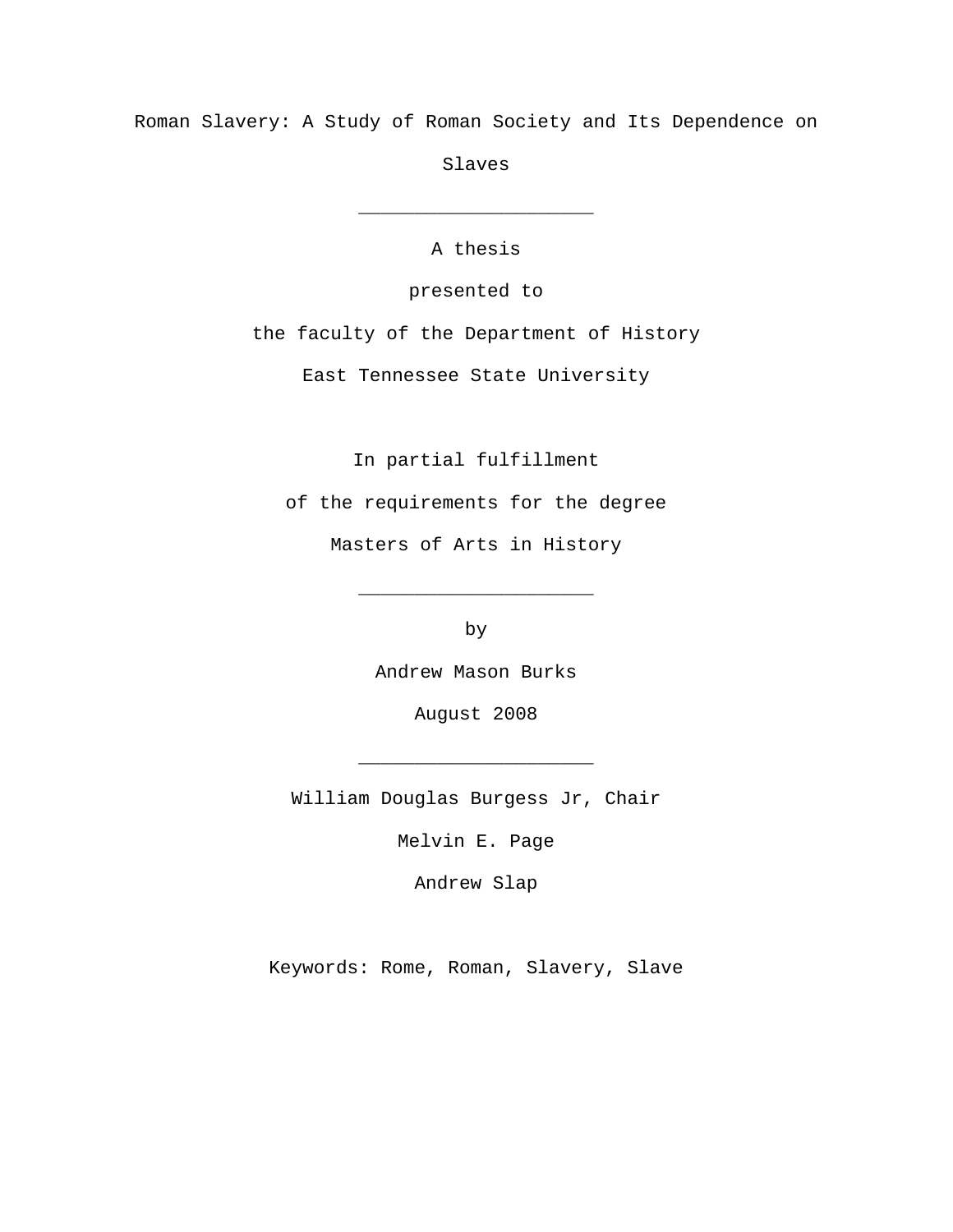Roman Slavery: A Study of Roman Society and Its Dependence on

Slaves

A thesis

\_\_\_\_\_\_\_\_\_\_\_\_\_\_\_\_\_\_\_\_\_

presented to

the faculty of the Department of History

East Tennessee State University

In partial fulfillment

of the requirements for the degree

Masters of Arts in History

by

\_\_\_\_\_\_\_\_\_\_\_\_\_\_\_\_\_\_\_\_\_

Andrew Mason Burks

August 2008

William Douglas Burgess Jr, Chair

\_\_\_\_\_\_\_\_\_\_\_\_\_\_\_\_\_\_\_\_\_

Melvin E. Page

Andrew Slap

Keywords: Rome, Roman, Slavery, Slave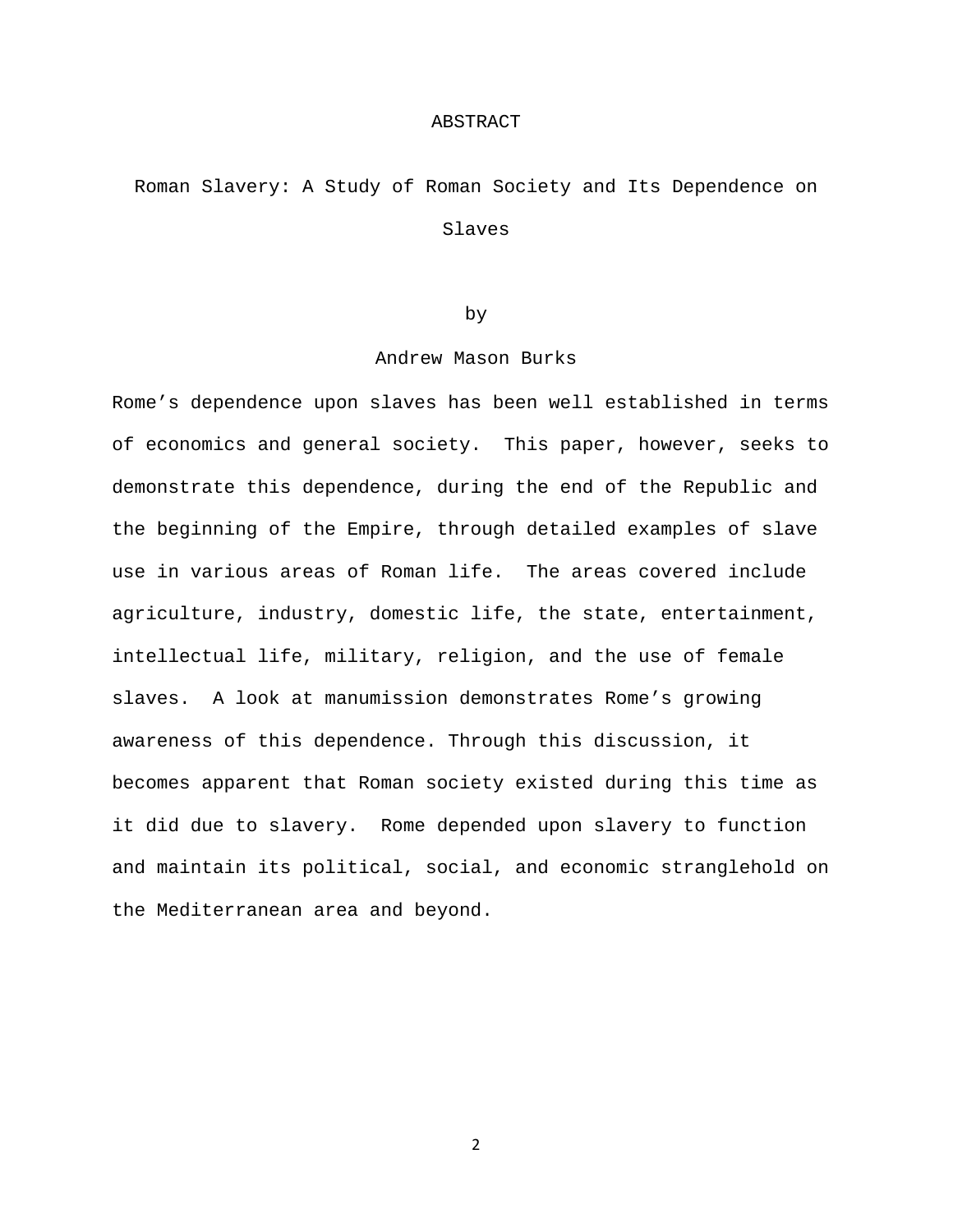#### ABSTRACT

Roman Slavery: A Study of Roman Society and Its Dependence on Slaves

## by

# Andrew Mason Burks

Rome's dependence upon slaves has been well established in terms of economics and general society. This paper, however, seeks to demonstrate this dependence, during the end of the Republic and the beginning of the Empire, through detailed examples of slave use in various areas of Roman life. The areas covered include agriculture, industry, domestic life, the state, entertainment, intellectual life, military, religion, and the use of female slaves. A look at manumission demonstrates Rome's growing awareness of this dependence. Through this discussion, it becomes apparent that Roman society existed during this time as it did due to slavery. Rome depended upon slavery to function and maintain its political, social, and economic stranglehold on the Mediterranean area and beyond.

2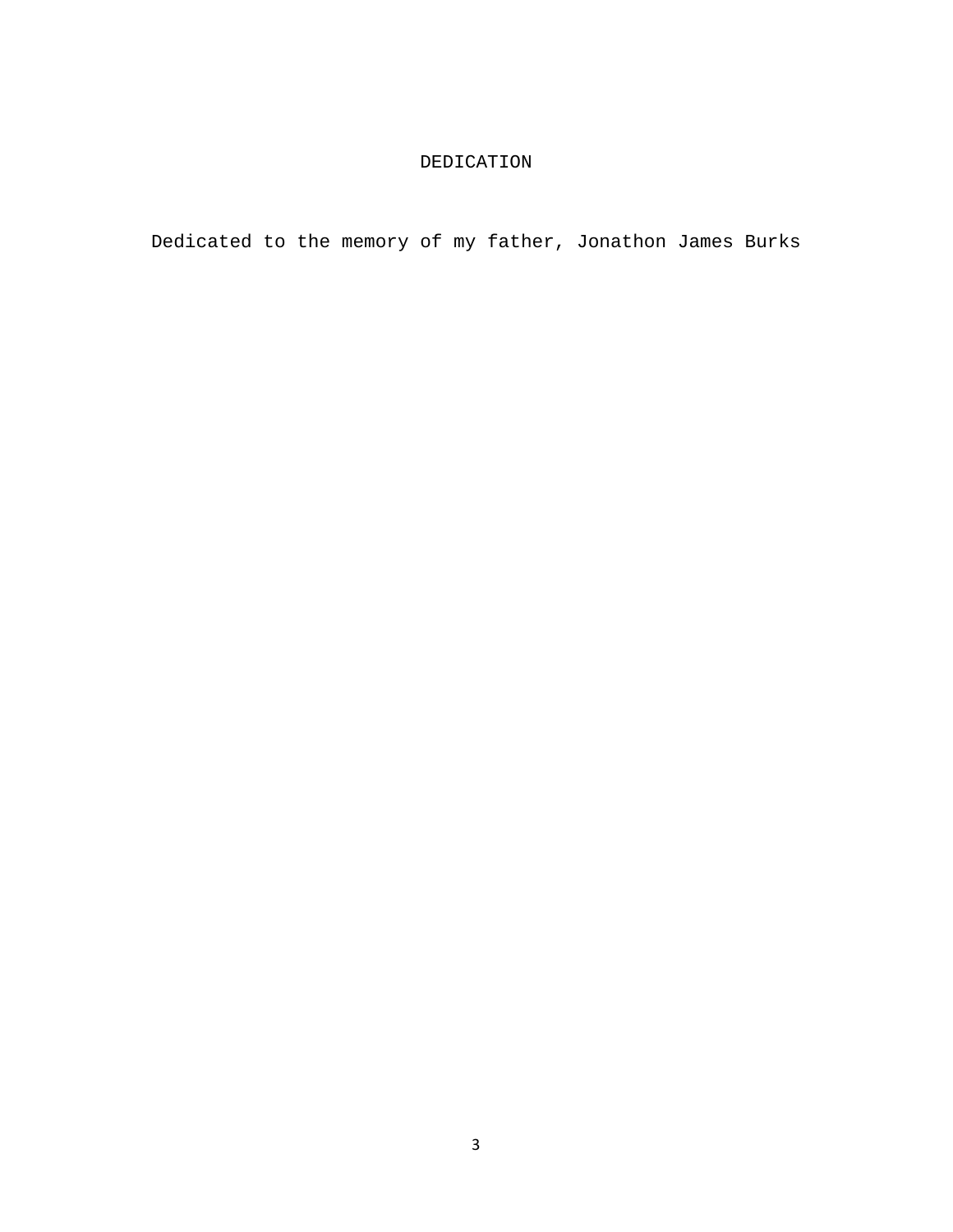# DEDICATION

Dedicated to the memory of my father, Jonathon James Burks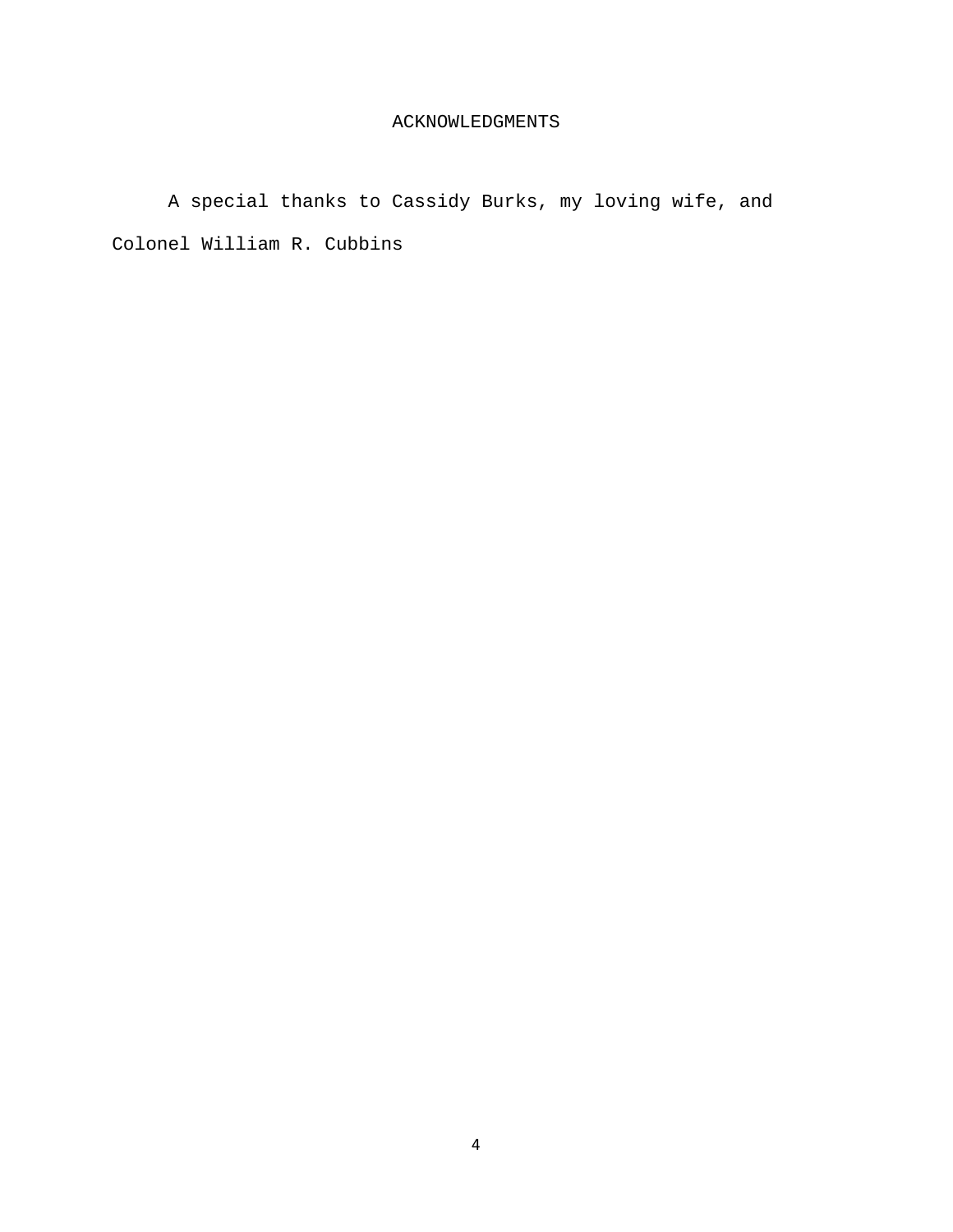# ACKNOWLEDGMENTS

A special thanks to Cassidy Burks, my loving wife, and Colonel William R. Cubbins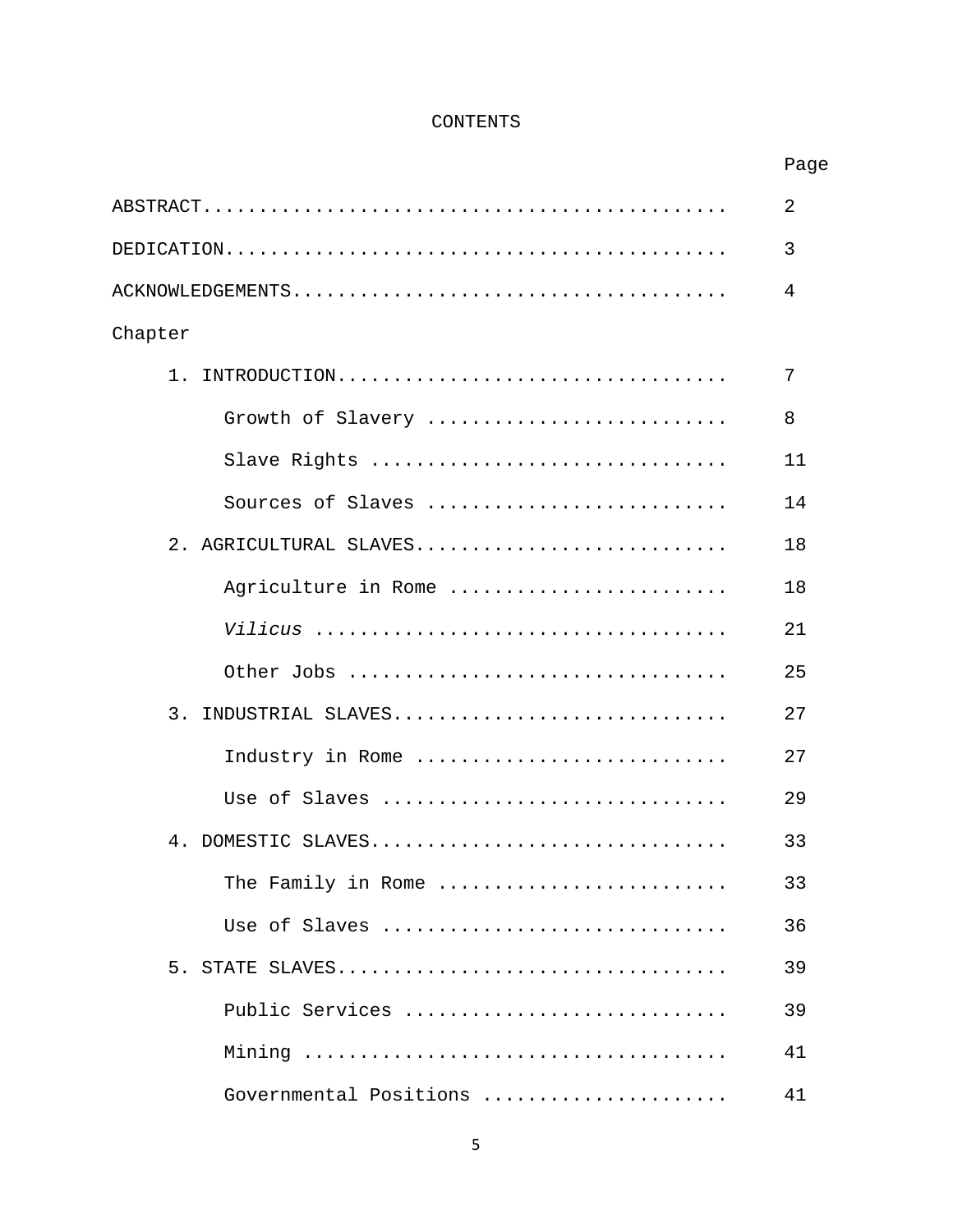# CONTENTS

|                                       | Page |
|---------------------------------------|------|
|                                       | 2    |
|                                       | 3    |
|                                       | 4    |
| Chapter                               |      |
| INTRODUCTION<br>$1$ .                 | 7    |
| Growth of Slavery                     | 8    |
| Slave Rights                          | 11   |
| Sources of Slaves                     | 14   |
| 2 <sup>1</sup><br>AGRICULTURAL SLAVES | 18   |
| Agriculture in Rome                   | 18   |
|                                       | 21   |
| Other Jobs                            | 25   |
| 3.<br>INDUSTRIAL SLAVES               | 27   |
| Industry in Rome                      | 27   |
| Use of Slaves                         | 29   |
| 4. DOMESTIC SLAVES                    | 33   |
| The Family in Rome                    | 33   |
| Use of Slaves                         | 36   |
| 5. STATE SLAVES                       | 39   |
| Public Services                       | 39   |
|                                       | 41   |
| Governmental Positions                | 41   |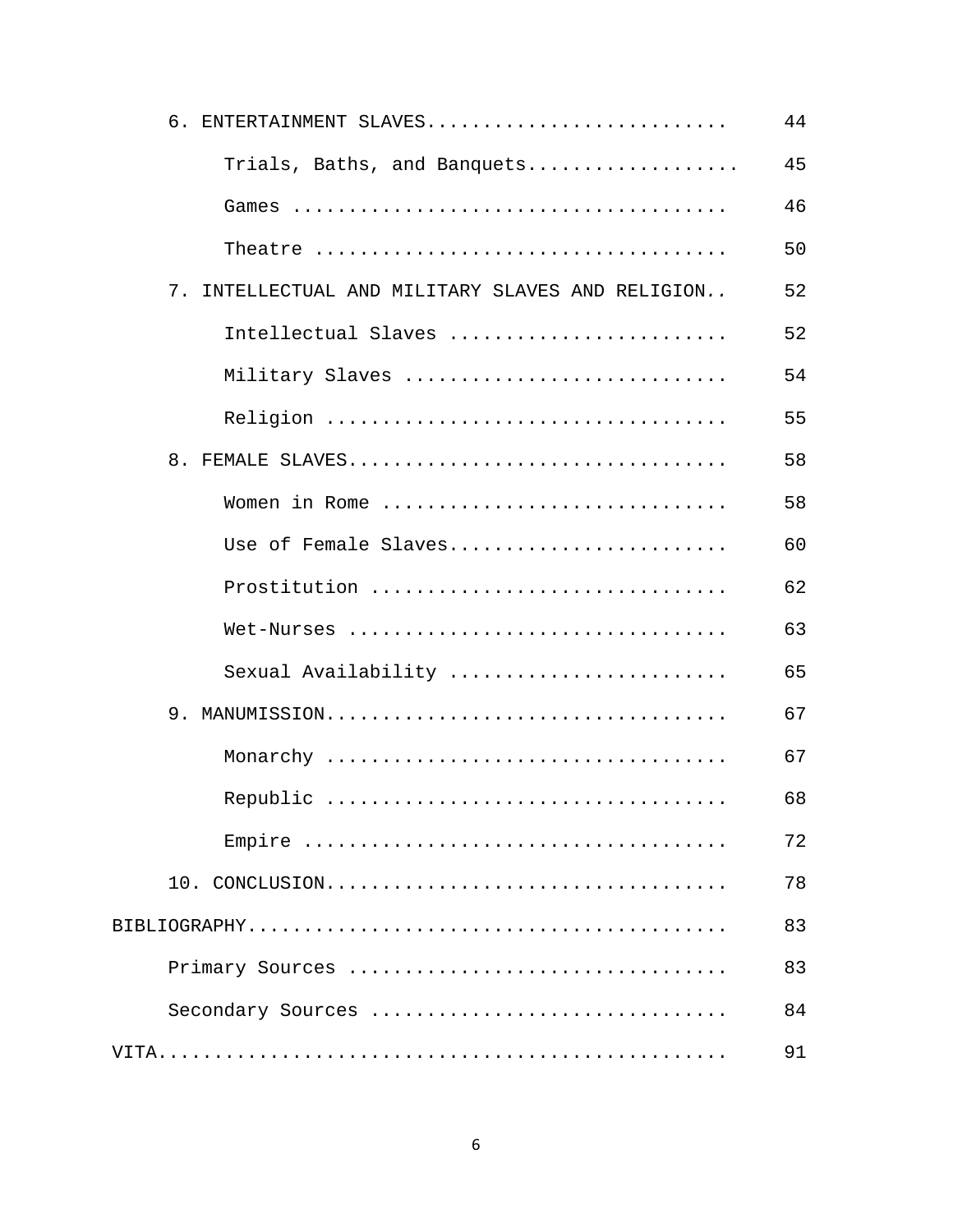|    | 6. ENTERTAINMENT SLAVES                       | 44 |
|----|-----------------------------------------------|----|
|    | Trials, Baths, and Banquets                   | 45 |
|    |                                               | 46 |
|    |                                               | 50 |
| 7. | INTELLECTUAL AND MILITARY SLAVES AND RELIGION | 52 |
|    | Intellectual Slaves                           | 52 |
|    | Military Slaves                               | 54 |
|    |                                               | 55 |
|    | 8. FEMALE SLAVES                              | 58 |
|    | Women in Rome                                 | 58 |
|    | Use of Female Slaves                          | 60 |
|    | Prostitution                                  | 62 |
|    | Wet-Nurses                                    | 63 |
|    | Sexual Availability                           | 65 |
|    |                                               | 67 |
|    |                                               | 67 |
|    |                                               | 68 |
|    |                                               | 72 |
|    |                                               | 78 |
|    |                                               | 83 |
|    | Primary Sources                               | 83 |
|    | Secondary Sources                             | 84 |
|    |                                               | 91 |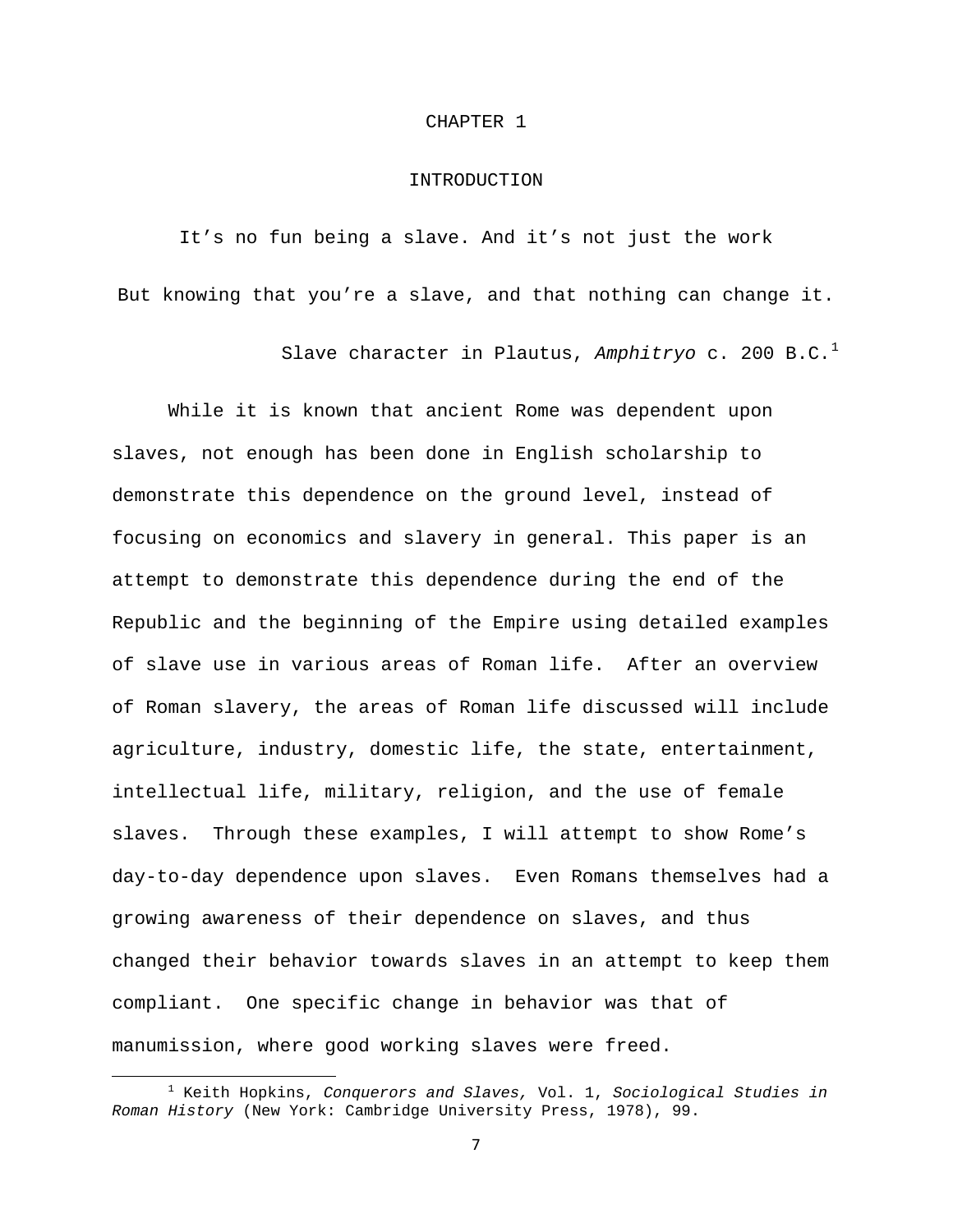#### CHAPTER 1

#### INTRODUCTION

It's no fun being a slave. And it's not just the work But knowing that you're a slave, and that nothing can change it.

Slave character in Plautus, Amphitryo c. 200 B.C.<sup>[1](#page-7-0)</sup>

 While it is known that ancient Rome was dependent upon slaves, not enough has been done in English scholarship to demonstrate this dependence on the ground level, instead of focusing on economics and slavery in general. This paper is an attempt to demonstrate this dependence during the end of the Republic and the beginning of the Empire using detailed examples of slave use in various areas of Roman life. After an overview of Roman slavery, the areas of Roman life discussed will include agriculture, industry, domestic life, the state, entertainment, intellectual life, military, religion, and the use of female slaves. Through these examples, I will attempt to show Rome's day-to-day dependence upon slaves. Even Romans themselves had a growing awareness of their dependence on slaves, and thus changed their behavior towards slaves in an attempt to keep them compliant. One specific change in behavior was that of manumission, where good working slaves were freed.

<span id="page-7-0"></span> <sup>1</sup> Keith Hopkins, *Conquerors and Slaves,* Vol. 1, *Sociological Studies in Roman History* (New York: Cambridge University Press, 1978), 99.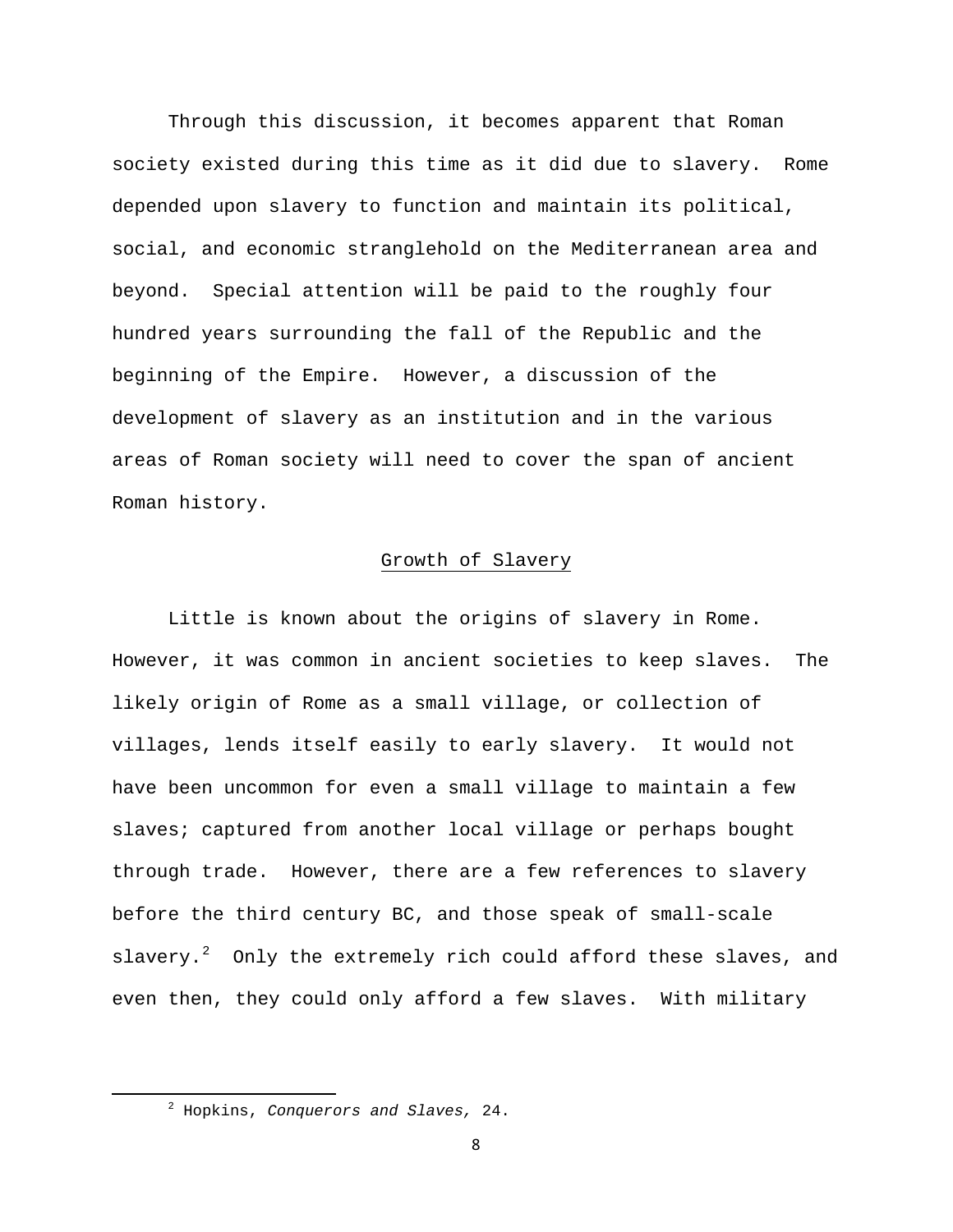Through this discussion, it becomes apparent that Roman society existed during this time as it did due to slavery. Rome depended upon slavery to function and maintain its political, social, and economic stranglehold on the Mediterranean area and beyond. Special attention will be paid to the roughly four hundred years surrounding the fall of the Republic and the beginning of the Empire. However, a discussion of the development of slavery as an institution and in the various areas of Roman society will need to cover the span of ancient Roman history.

# Growth of Slavery

Little is known about the origins of slavery in Rome. However, it was common in ancient societies to keep slaves. The likely origin of Rome as a small village, or collection of villages, lends itself easily to early slavery. It would not have been uncommon for even a small village to maintain a few slaves; captured from another local village or perhaps bought through trade. However, there are a few references to slavery before the third century BC, and those speak of small-scale slavery. $2$  Only the extremely rich could afford these slaves, and even then, they could only afford a few slaves. With military

<span id="page-8-0"></span> <sup>2</sup> Hopkins, *Conquerors and Slaves,* 24.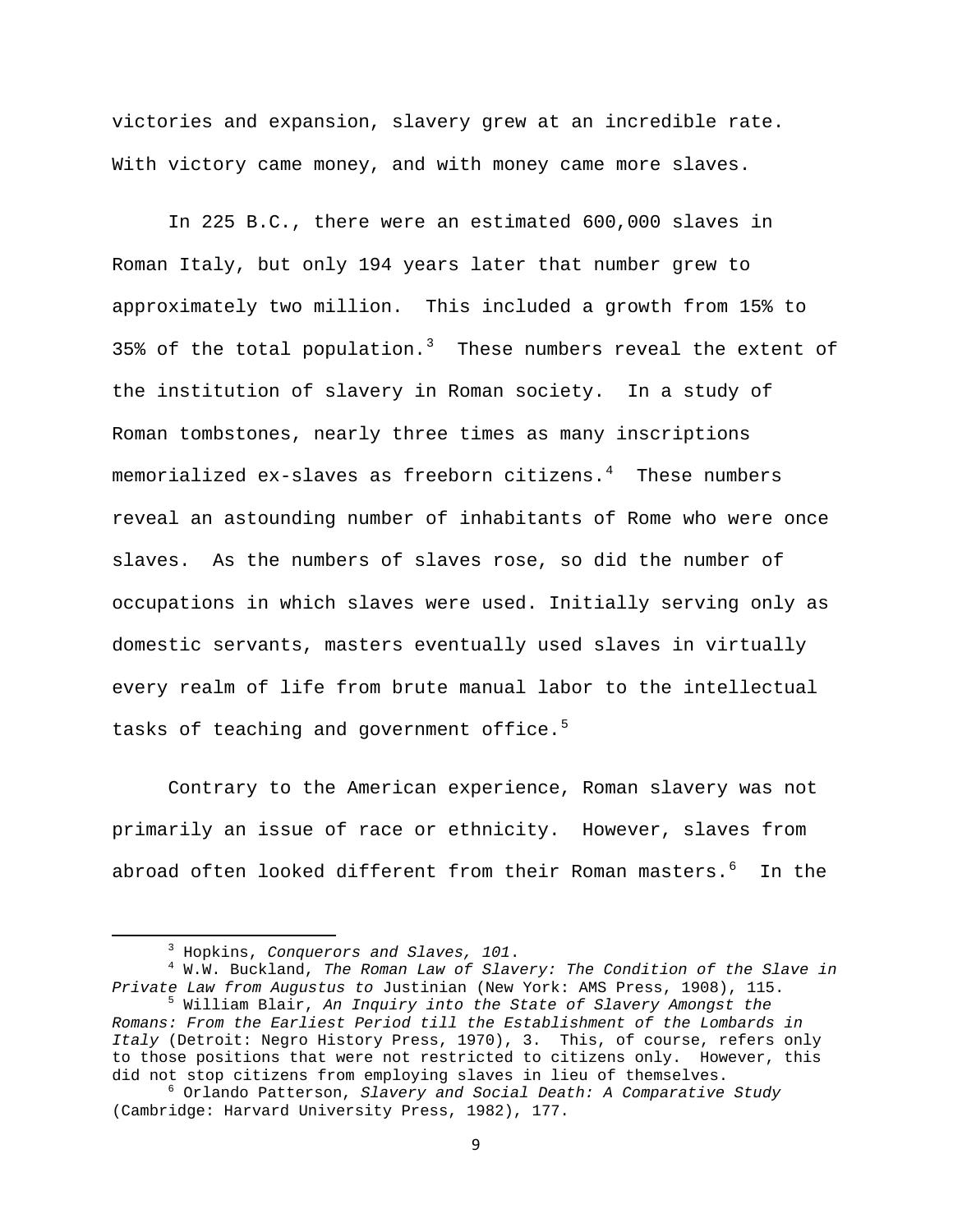victories and expansion, slavery grew at an incredible rate. With victory came money, and with money came more slaves.

In 225 B.C., there were an estimated 600,000 slaves in Roman Italy, but only 194 years later that number grew to approximately two million. This included a growth from 15% to [3](#page-9-0)5% of the total population.<sup>3</sup> These numbers reveal the extent of the institution of slavery in Roman society. In a study of Roman tombstones, nearly three times as many inscriptions memorialized ex-slaves as freeborn citizens. $4$  These numbers reveal an astounding number of inhabitants of Rome who were once slaves. As the numbers of slaves rose, so did the number of occupations in which slaves were used. Initially serving only as domestic servants, masters eventually used slaves in virtually every realm of life from brute manual labor to the intellectual tasks of teaching and government office.<sup>[5](#page-9-2)</sup>

 Contrary to the American experience, Roman slavery was not primarily an issue of race or ethnicity. However, slaves from abroad often looked different from their Roman masters.<sup>[6](#page-9-3)</sup> In the

 $\frac{3}{3}$  Hopking Conguard Hopkins, *Conquerors and Slaves, 101*. 4

<span id="page-9-1"></span><span id="page-9-0"></span>W.W. Buckland, *The Roman Law of Slavery: The Condition of the Slave in Private Law from Augustus to Justinian (New York: AMS Press, 1908), 115.* 

<span id="page-9-2"></span> $^5$  William Blair, *An Inquiry into the State of Slavery Amongst the Romans: From the Earliest Period till the Establishment of the Lombards in Italy* (Detroit: Negro History Press, 1970), 3. This, of course, refers only to those positions that were not restricted to citizens only. However, this did not stop citizens from employing slaves in lieu of themselves.

<span id="page-9-3"></span>Orlando Patterson, *Slavery and Social Death: A Comparative Study*  (Cambridge: Harvard University Press, 1982), 177.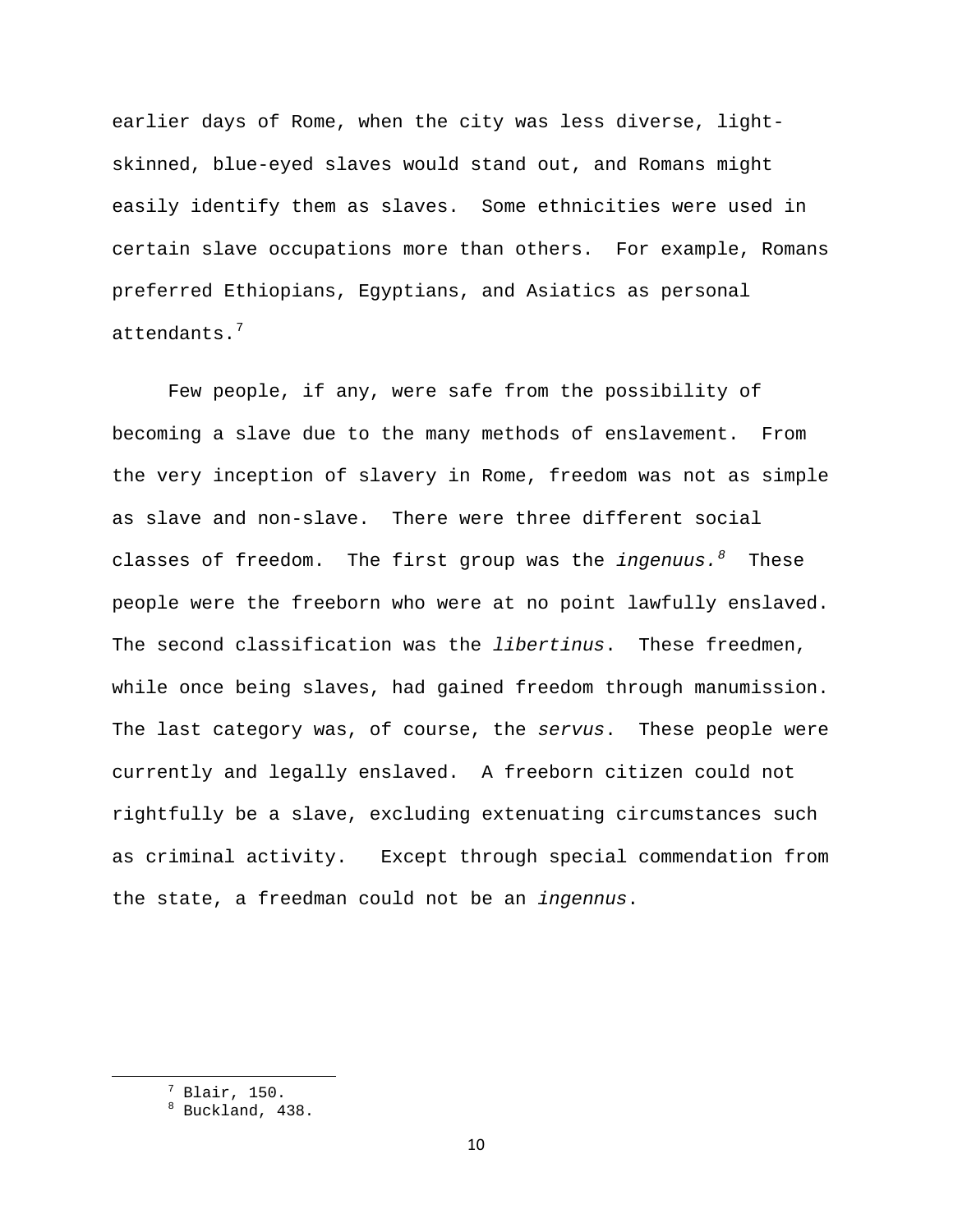earlier days of Rome, when the city was less diverse, lightskinned, blue-eyed slaves would stand out, and Romans might easily identify them as slaves. Some ethnicities were used in certain slave occupations more than others. For example, Romans preferred Ethiopians, Egyptians, and Asiatics as personal attendants.<sup>[7](#page-10-0)</sup>

Few people, if any, were safe from the possibility of becoming a slave due to the many methods of enslavement. From the very inception of slavery in Rome, freedom was not as simple as slave and non-slave. There were three different social classes of freedom. The first group was the *ingenuus.[8](#page-10-1)* These people were the freeborn who were at no point lawfully enslaved. The second classification was the *libertinus*. These freedmen, while once being slaves, had gained freedom through manumission. The last category was, of course, the *servus*. These people were currently and legally enslaved. A freeborn citizen could not rightfully be a slave, excluding extenuating circumstances such as criminal activity. Except through special commendation from the state, a freedman could not be an *ingennus*.

<span id="page-10-1"></span><span id="page-10-0"></span> <sup>7</sup> Blair, 150.

<sup>8</sup> Buckland, 438.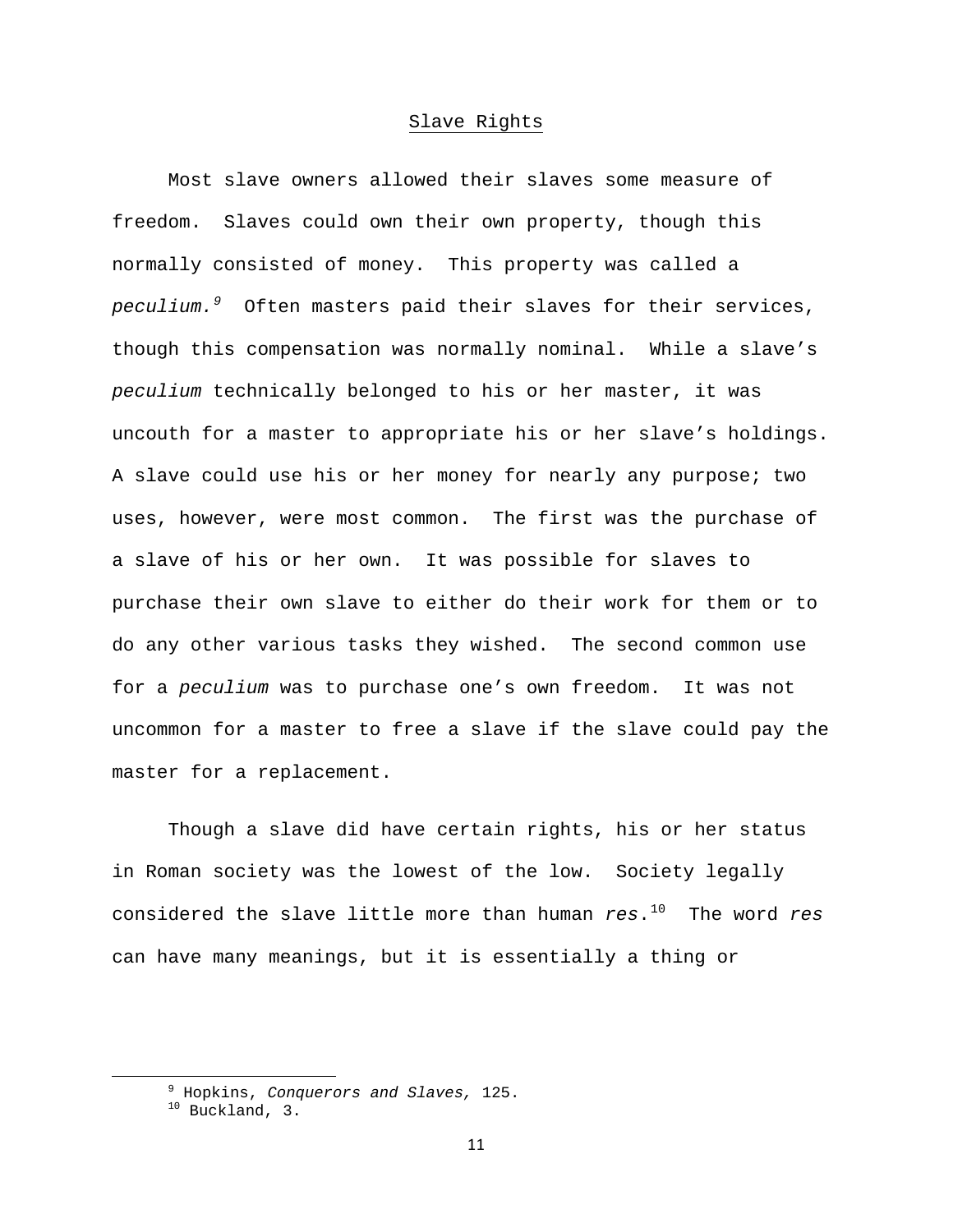# Slave Rights

 Most slave owners allowed their slaves some measure of freedom. Slaves could own their own property, though this normally consisted of money. This property was called a *peculium.[9](#page-11-0)* Often masters paid their slaves for their services, though this compensation was normally nominal. While a slave's *peculium* technically belonged to his or her master, it was uncouth for a master to appropriate his or her slave's holdings. A slave could use his or her money for nearly any purpose; two uses, however, were most common. The first was the purchase of a slave of his or her own. It was possible for slaves to purchase their own slave to either do their work for them or to do any other various tasks they wished. The second common use for a *peculium* was to purchase one's own freedom. It was not uncommon for a master to free a slave if the slave could pay the master for a replacement.

 Though a slave did have certain rights, his or her status in Roman society was the lowest of the low. Society legally considered the slave little more than human *res*.[10](#page-11-1) The word *res* can have many meanings, but it is essentially a thing or

<span id="page-11-1"></span><span id="page-11-0"></span><sup>&</sup>lt;sup>9</sup> Hopking Conquero <sup>9</sup> Hopkins, *Conquerors and Slaves,* 125.<br><sup>10</sup> Buckland, 3.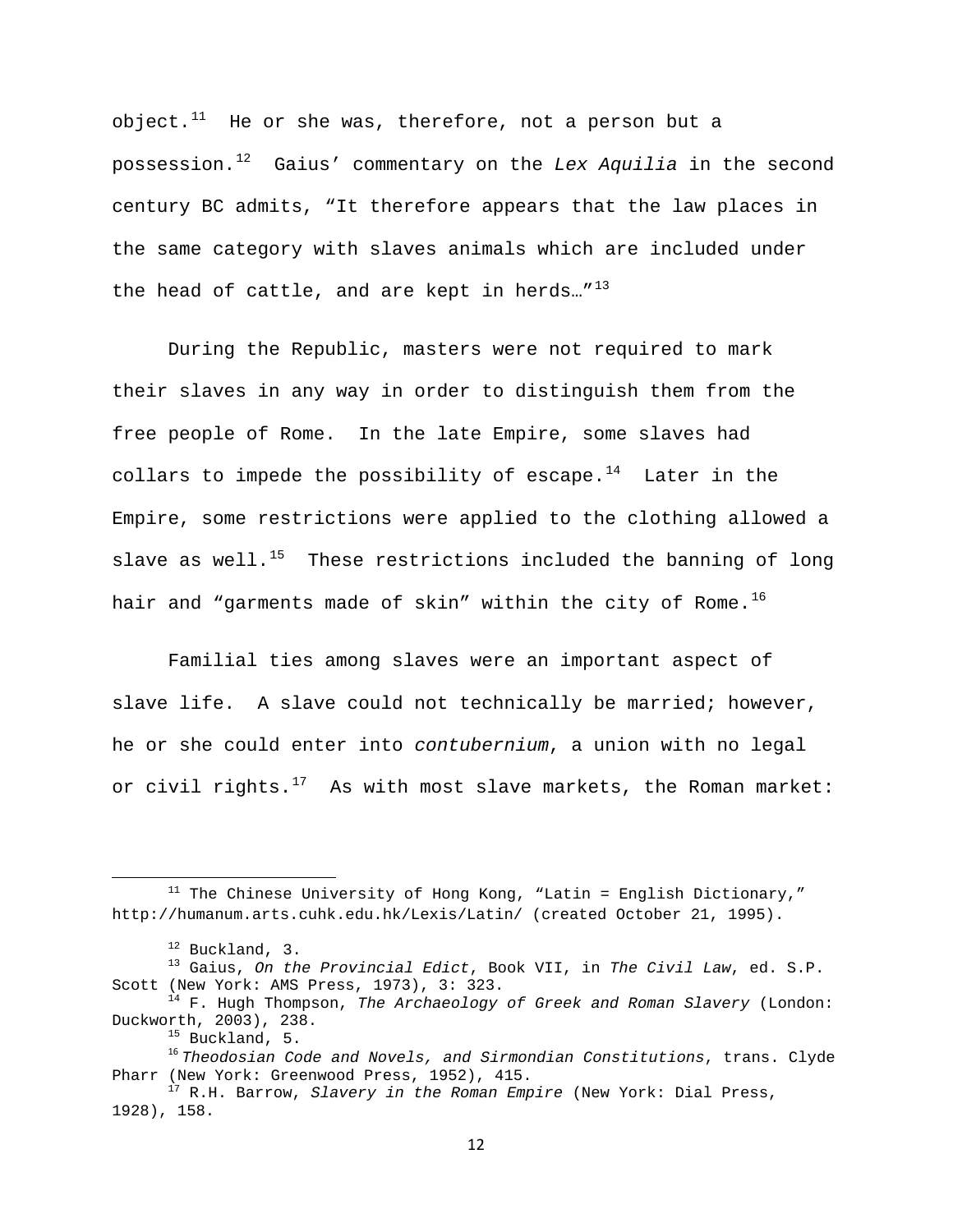object. $11$  He or she was, therefore, not a person but a possession.[12](#page-12-1) Gaius' commentary on the *Lex Aquilia* in the second century BC admits, "It therefore appears that the law places in the same category with slaves animals which are included under the head of cattle, and are kept in herds..." $^{13}$  $^{13}$  $^{13}$ 

 During the Republic, masters were not required to mark their slaves in any way in order to distinguish them from the free people of Rome. In the late Empire, some slaves had collars to impede the possibility of escape.<sup>[14](#page-12-3)</sup> Later in the Empire, some restrictions were applied to the clothing allowed a slave as well.<sup>[15](#page-12-4)</sup> These restrictions included the banning of long hair and "garments made of skin" within the city of Rome.<sup>[16](#page-12-5)</sup>

Familial ties among slaves were an important aspect of slave life. A slave could not technically be married; however, he or she could enter into *contubernium*, a union with no legal or civil rights. $17$  As with most slave markets, the Roman market:

<span id="page-12-0"></span> $11$  The Chinese University of Hong Kong, "Latin = English Dictionary," http://humanum.arts.cuhk.edu.hk/Lexis/Latin/ (created October 21, 1995).

<span id="page-12-2"></span><span id="page-12-1"></span><sup>12</sup> Buckland, 3. 13 Gaius, *On the Provincial Edict*, Book VII, in *The Civil Law*, ed. S.P.

<span id="page-12-3"></span><sup>&</sup>lt;sup>14</sup> F. Hugh Thompson, *The Archaeology of Greek and Roman Slavery* (London: Duckworth, 2003), 238.<br><sup>15</sup> Buckland, 5.

<span id="page-12-5"></span><span id="page-12-4"></span><sup>16</sup> *Theodosian Code and Novels, and Sirmondian Constitutions*, trans. Clyde Pharr (New York: Greenwood Press, 1952), 415.<br><sup>17</sup> R.H. Barrow, *Slavery in the Roman Empire* (New York: Dial Press,

<span id="page-12-6"></span><sup>1928),</sup> 158.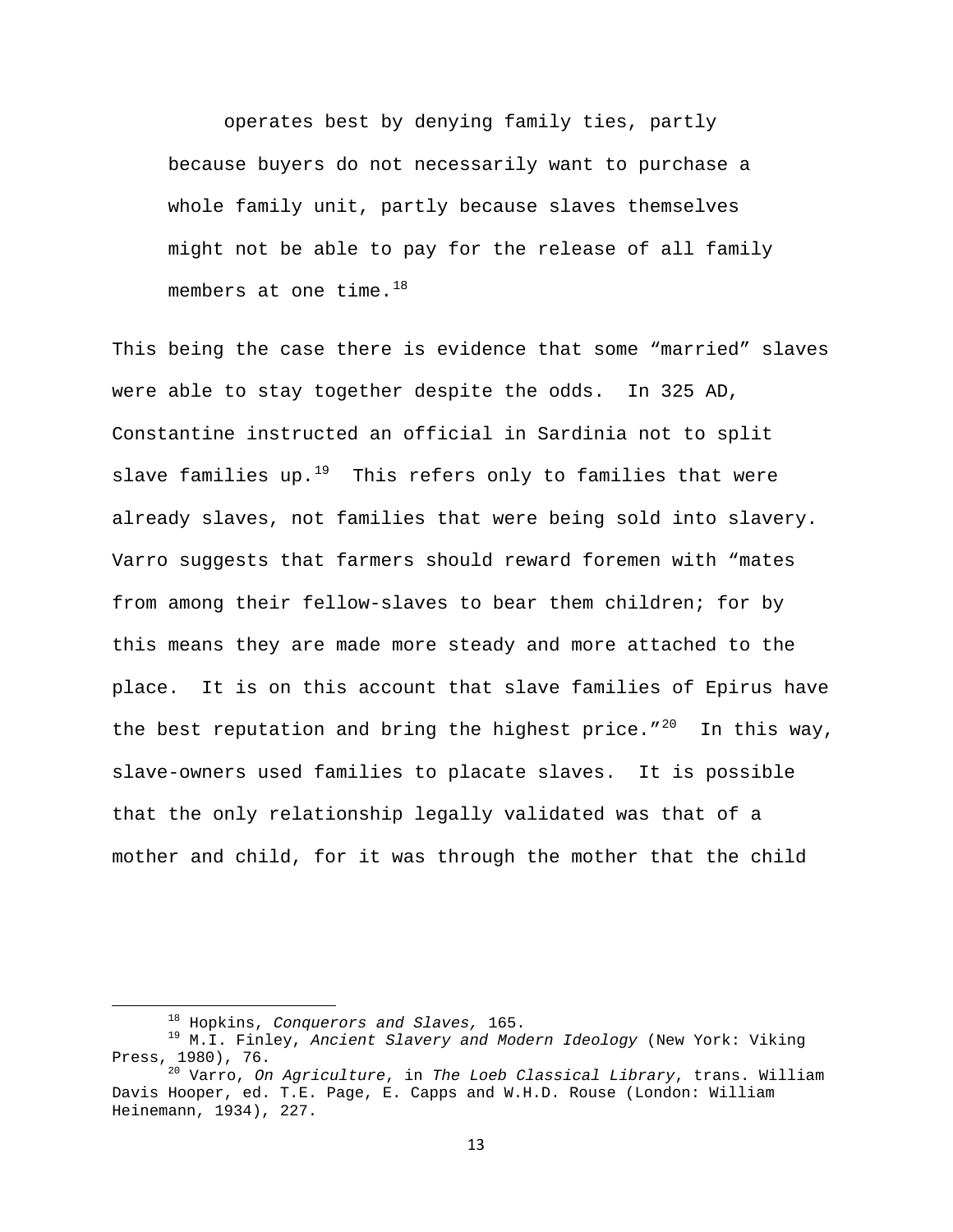operates best by denying family ties, partly because buyers do not necessarily want to purchase a whole family unit, partly because slaves themselves might not be able to pay for the release of all family members at one time.  $18$ 

This being the case there is evidence that some "married" slaves were able to stay together despite the odds. In 325 AD, Constantine instructed an official in Sardinia not to split slave families up.<sup>[19](#page-13-1)</sup> This refers only to families that were already slaves, not families that were being sold into slavery. Varro suggests that farmers should reward foremen with "mates from among their fellow-slaves to bear them children; for by this means they are made more steady and more attached to the place. It is on this account that slave families of Epirus have the best reputation and bring the highest price.  $7^{20}$  $7^{20}$  $7^{20}$  In this way, slave-owners used families to placate slaves. It is possible that the only relationship legally validated was that of a mother and child, for it was through the mother that the child

<span id="page-13-1"></span><span id="page-13-0"></span><sup>&</sup>lt;sup>18</sup> Hopkins, *Conquerors and Slaves*, 165.<br><sup>19</sup> M.I. Finley, *Ancient Slavery and Modern Ideology* (New York: Viking<br>Press, 1980), 76.

<span id="page-13-2"></span><sup>&</sup>lt;sup>20</sup> Varro, *On Agriculture*, in *The Loeb Classical Library*, trans. William Davis Hooper, ed. T.E. Page, E. Capps and W.H.D. Rouse (London: William Heinemann, 1934), 227.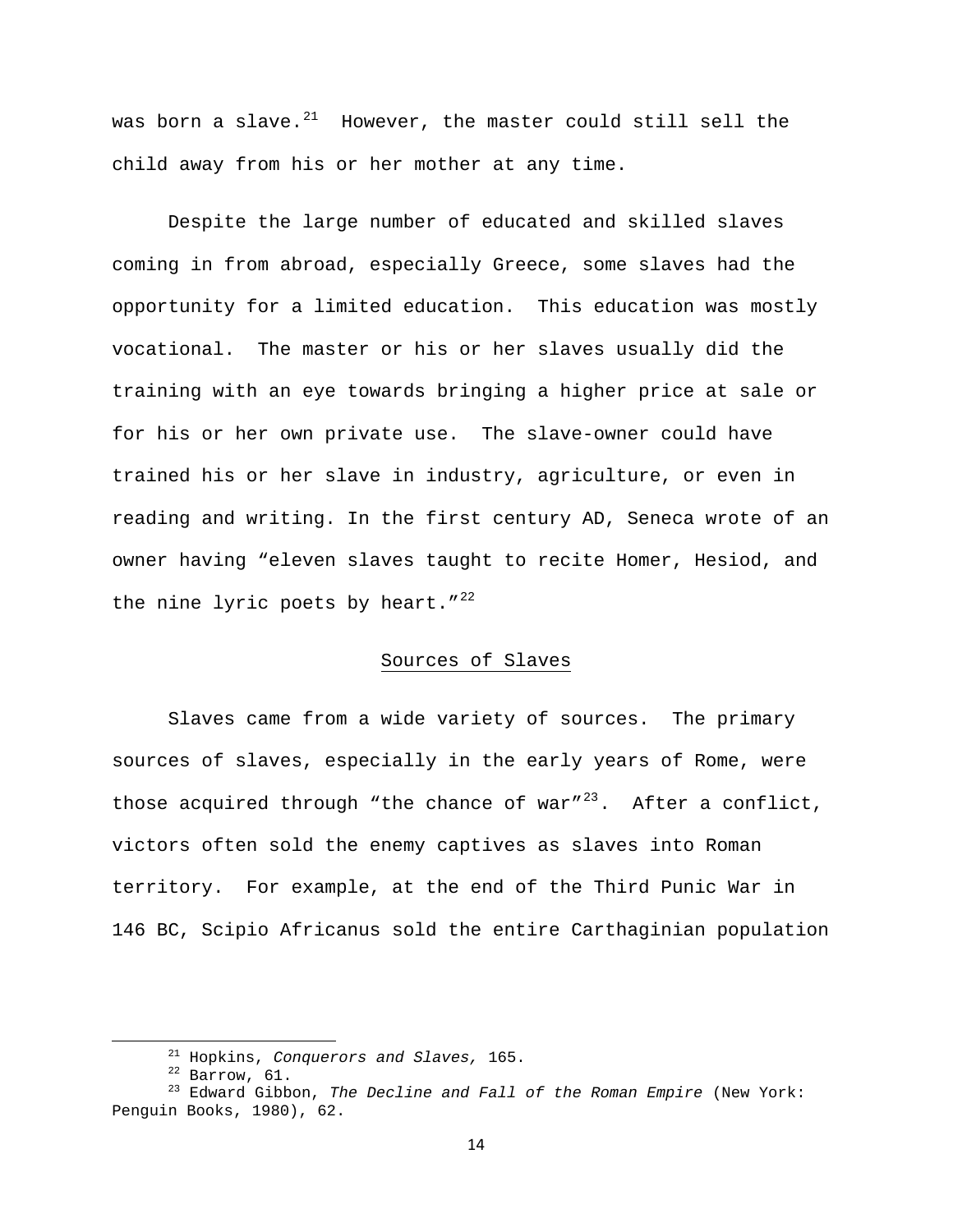was born a slave. $21$  However, the master could still sell the child away from his or her mother at any time.

 Despite the large number of educated and skilled slaves coming in from abroad, especially Greece, some slaves had the opportunity for a limited education. This education was mostly vocational. The master or his or her slaves usually did the training with an eye towards bringing a higher price at sale or for his or her own private use. The slave-owner could have trained his or her slave in industry, agriculture, or even in reading and writing. In the first century AD, Seneca wrote of an owner having "eleven slaves taught to recite Homer, Hesiod, and the nine lyric poets by heart." $^{22}$  $^{22}$  $^{22}$ 

# Sources of Slaves

Slaves came from a wide variety of sources. The primary sources of slaves, especially in the early years of Rome, were those acquired through "the chance of war"<sup>[23](#page-14-2)</sup>. After a conflict, victors often sold the enemy captives as slaves into Roman territory. For example, at the end of the Third Punic War in 146 BC, Scipio Africanus sold the entire Carthaginian population

<span id="page-14-2"></span><span id="page-14-1"></span><span id="page-14-0"></span><sup>&</sup>lt;sup>21</sup> Hopkins, *Conquerors and Slaves,* 165.<br><sup>22</sup> Barrow, 61.<br><sup>23</sup> Edward Gibbon, *The Decline and Fall of the Roman Empire* (New York: Penguin Books, 1980), 62.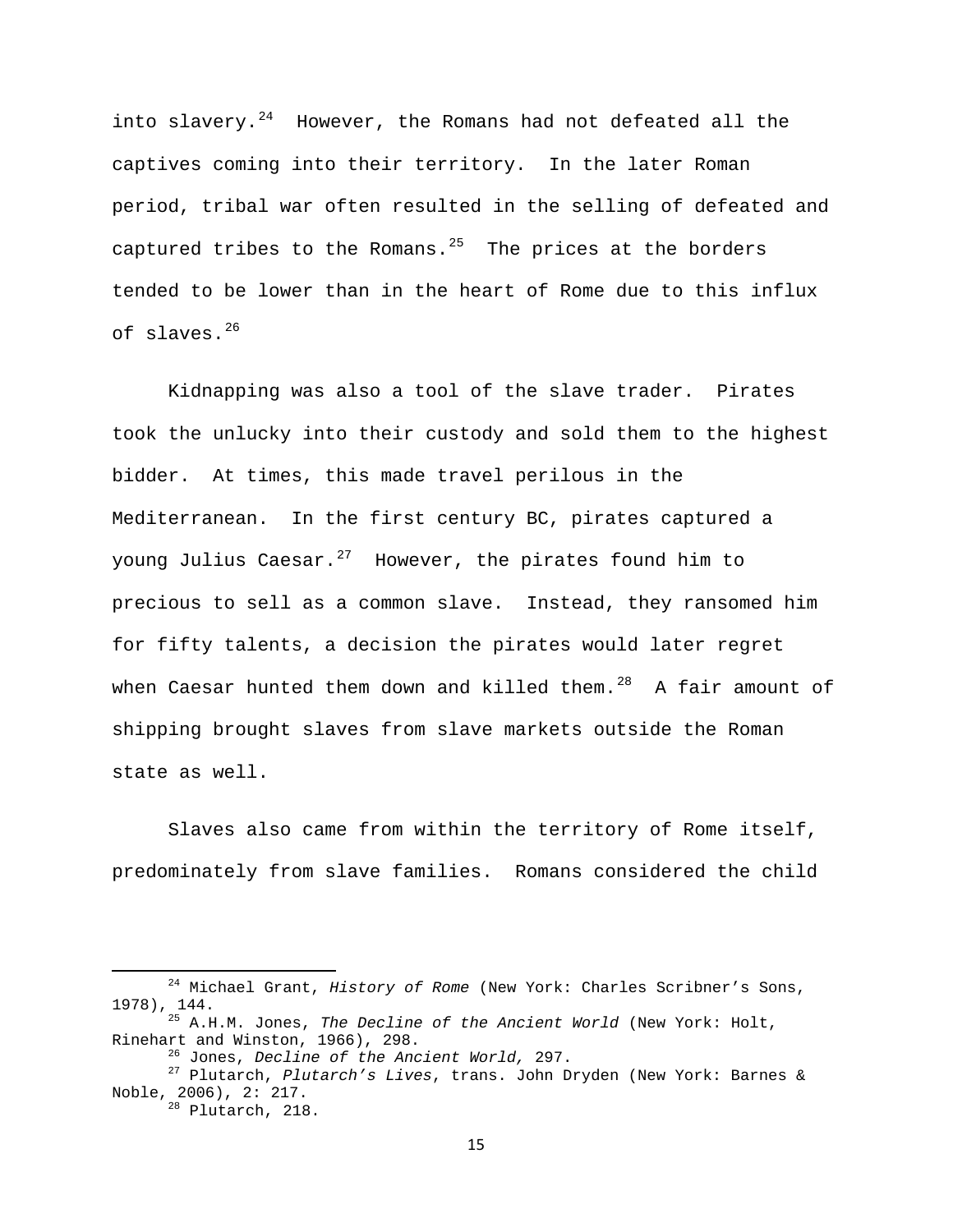into slavery. $24$  However, the Romans had not defeated all the captives coming into their territory. In the later Roman period, tribal war often resulted in the selling of defeated and captured tribes to the Romans. $25$  The prices at the borders tended to be lower than in the heart of Rome due to this influx of slaves.[26](#page-15-2)

Kidnapping was also a tool of the slave trader. Pirates took the unlucky into their custody and sold them to the highest bidder. At times, this made travel perilous in the Mediterranean. In the first century BC, pirates captured a young Julius Caesar. $27$  However, the pirates found him to precious to sell as a common slave. Instead, they ransomed him for fifty talents, a decision the pirates would later regret when Caesar hunted them down and killed them. $28$  A fair amount of shipping brought slaves from slave markets outside the Roman state as well.

Slaves also came from within the territory of Rome itself, predominately from slave families. Romans considered the child

<span id="page-15-0"></span> 24 Michael Grant, *History of Rome* (New York: Charles Scribner's Sons, 1978), 144. 25 A.H.M. Jones, *The Decline of the Ancient World* (New York: Holt,

<span id="page-15-1"></span>Rinehart and Winston, 1966), 298. 26 Jones, *Decline of the Ancient World,* 297. 27 Plutarch, *Plutarch's Lives*, trans. John Dryden (New York: Barnes &

<span id="page-15-4"></span><span id="page-15-3"></span><span id="page-15-2"></span>Noble, 2006), 2: 217.<br><sup>28</sup> Plutarch, 218.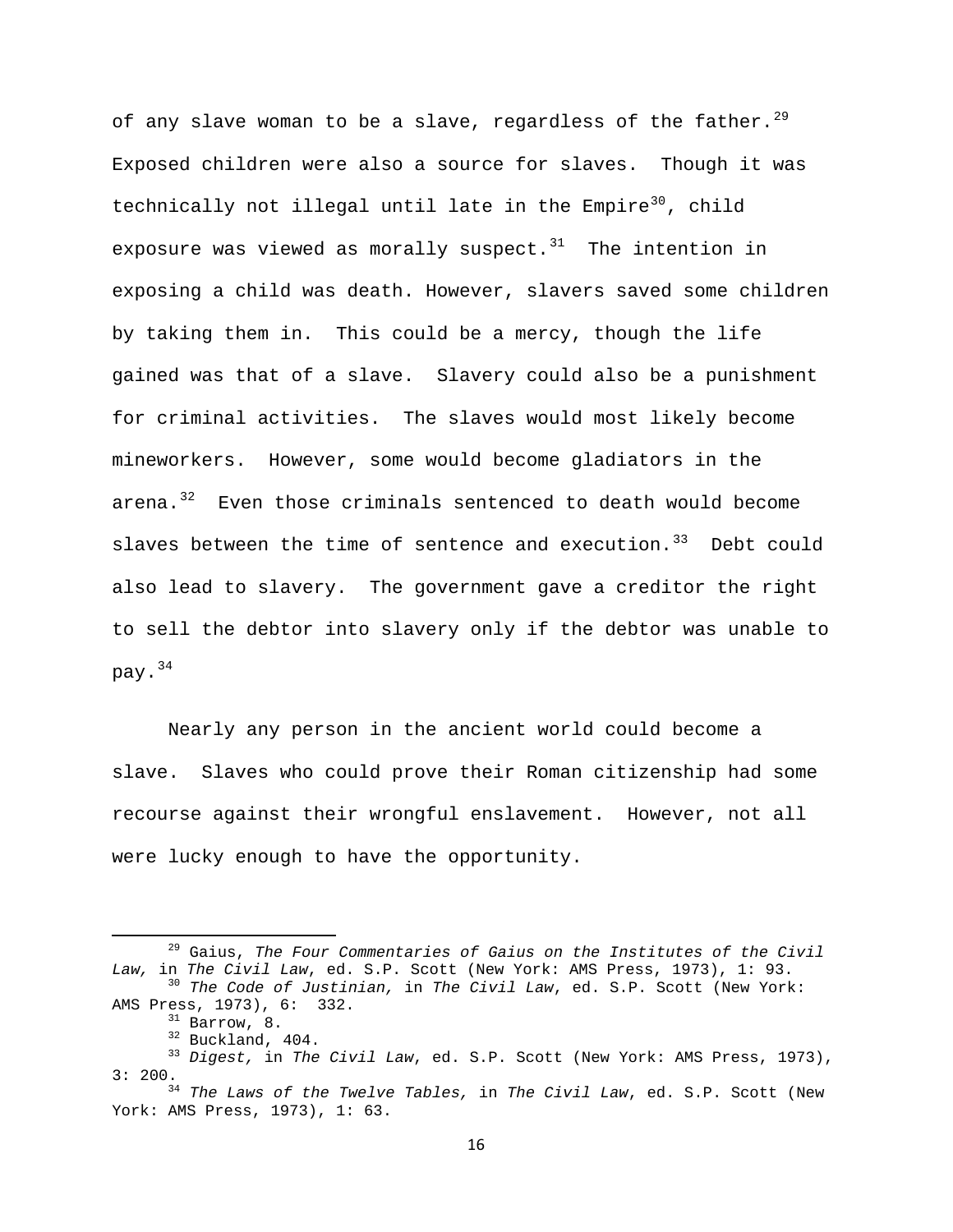of any slave woman to be a slave, regardless of the father.<sup>[29](#page-16-0)</sup> Exposed children were also a source for slaves. Though it was technically not illegal until late in the Empire<sup>[30](#page-16-1)</sup>, child exposure was viewed as morally suspect. $31$  The intention in exposing a child was death. However, slavers saved some children by taking them in. This could be a mercy, though the life gained was that of a slave. Slavery could also be a punishment for criminal activities. The slaves would most likely become mineworkers. However, some would become gladiators in the arena.<sup>[32](#page-16-3)</sup> Even those criminals sentenced to death would become slaves between the time of sentence and execution. $33$  Debt could also lead to slavery. The government gave a creditor the right to sell the debtor into slavery only if the debtor was unable to pay.[34](#page-16-5)

Nearly any person in the ancient world could become a slave. Slaves who could prove their Roman citizenship had some recourse against their wrongful enslavement. However, not all were lucky enough to have the opportunity.

<span id="page-16-0"></span> 29 Gaius, *The Four Commentaries of Gaius on the Institutes of the Civil Law,* in *The Civil Law*, ed. S.P. Scott (New York: AMS Press, 1973), 1: 93. 30 *The Code of Justinian,* in *The Civil Law*, ed. S.P. Scott (New York:

<span id="page-16-3"></span><span id="page-16-2"></span><span id="page-16-1"></span>AMS Press, 1973), 6: 332.<br><sup>31</sup> Barrow, 8.<br><sup>32</sup> Buckland, 404.<br><sup>33</sup> *Digest,* in *The Civil Law*, ed. S.P. Scott (New York: AMS Press, 1973),<br>3: 200.

<span id="page-16-5"></span><span id="page-16-4"></span><sup>&</sup>lt;sup>34</sup> The Laws of the Twelve Tables, in The Civil Law, ed. S.P. Scott (New York: AMS Press, 1973), 1: 63.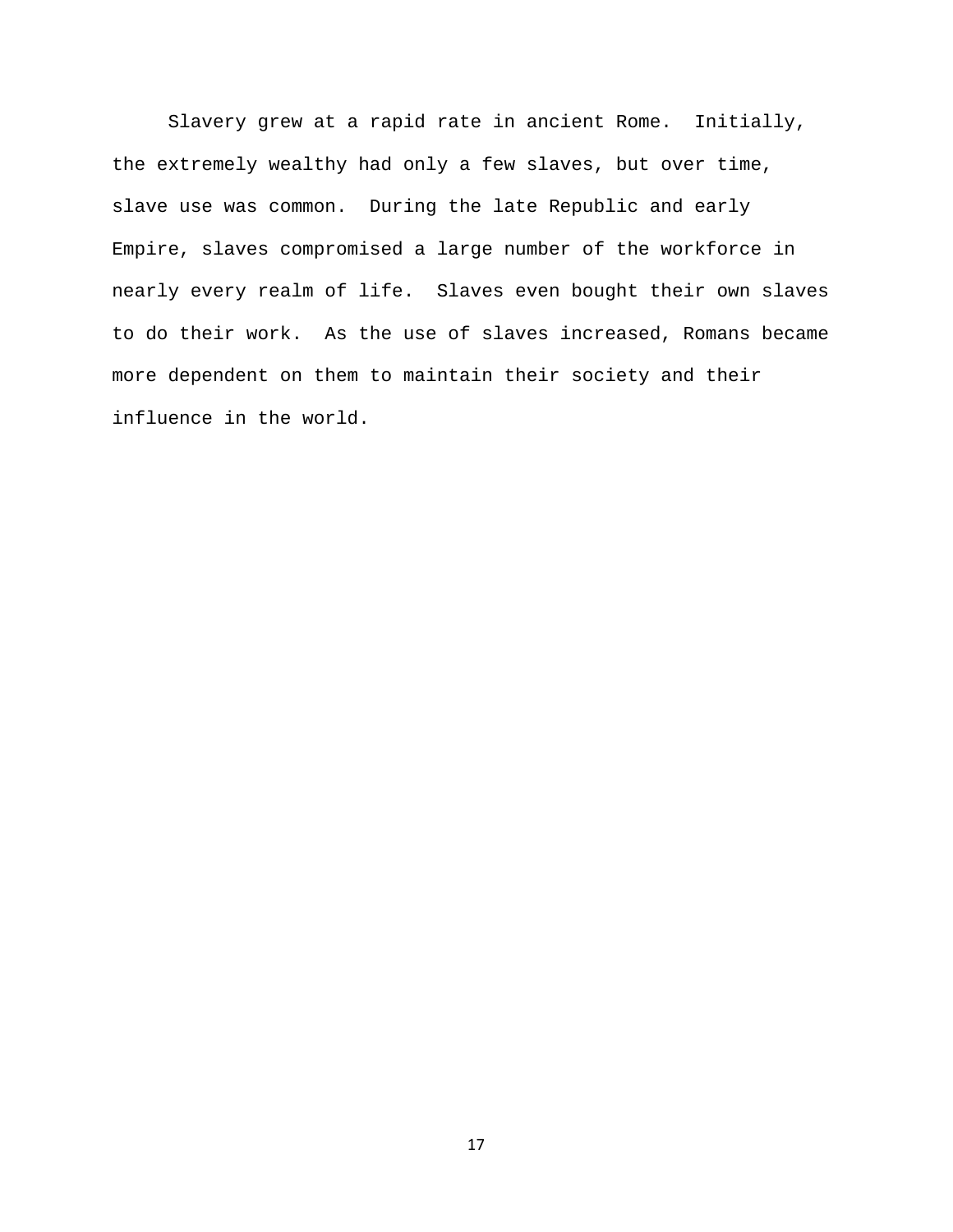Slavery grew at a rapid rate in ancient Rome. Initially, the extremely wealthy had only a few slaves, but over time, slave use was common. During the late Republic and early Empire, slaves compromised a large number of the workforce in nearly every realm of life. Slaves even bought their own slaves to do their work. As the use of slaves increased, Romans became more dependent on them to maintain their society and their influence in the world.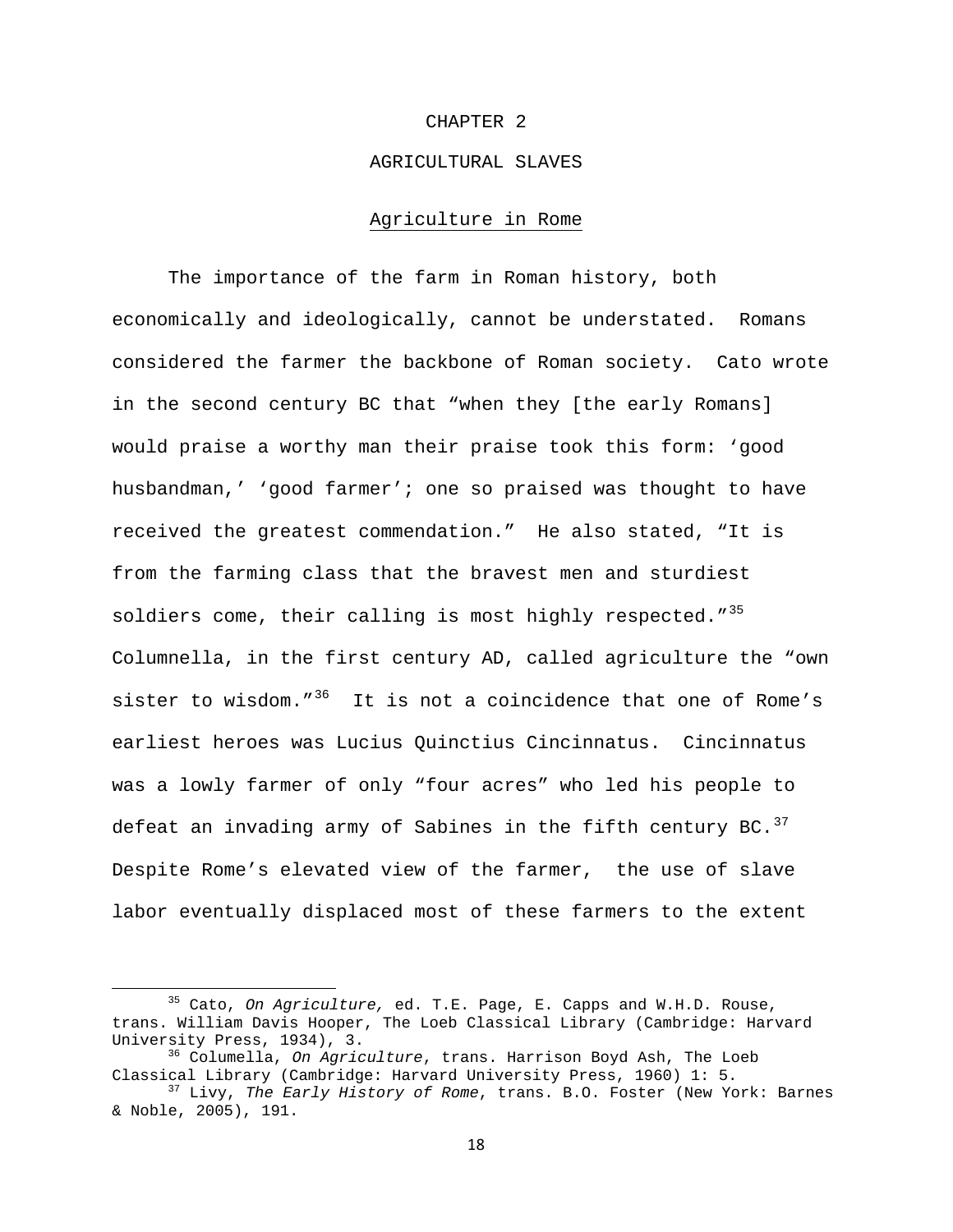#### CHAPTER 2

## AGRICULTURAL SLAVES

# Agriculture in Rome

 The importance of the farm in Roman history, both economically and ideologically, cannot be understated. Romans considered the farmer the backbone of Roman society. Cato wrote in the second century BC that "when they [the early Romans] would praise a worthy man their praise took this form: 'good husbandman,' 'good farmer'; one so praised was thought to have received the greatest commendation." He also stated, "It is from the farming class that the bravest men and sturdiest soldiers come, their calling is most highly respected."<sup>[35](#page-18-0)</sup> Columnella, in the first century AD, called agriculture the "own sister to wisdom." $36$  It is not a coincidence that one of Rome's earliest heroes was Lucius Quinctius Cincinnatus. Cincinnatus was a lowly farmer of only "four acres" who led his people to defeat an invading army of Sabines in the fifth century BC.  $37$ Despite Rome's elevated view of the farmer, the use of slave labor eventually displaced most of these farmers to the extent

<span id="page-18-0"></span> 35 Cato, *On Agriculture,* ed. T.E. Page, E. Capps and W.H.D. Rouse, trans. William Davis Hooper, The Loeb Classical Library (Cambridge: Harvard University Press, 1934), 3.<br><sup>36</sup> Columella, *On Agriculture*, trans. Harrison Boyd Ash, The Loeb

<span id="page-18-1"></span>Classical Library (Cambridge: Harvard University Press, 1960) 1: 5.<br><sup>37</sup> Livy, *The Early History of Rome*, trans. B.O. Foster (New York: Barnes

<span id="page-18-2"></span><sup>&</sup>amp; Noble, 2005), 191.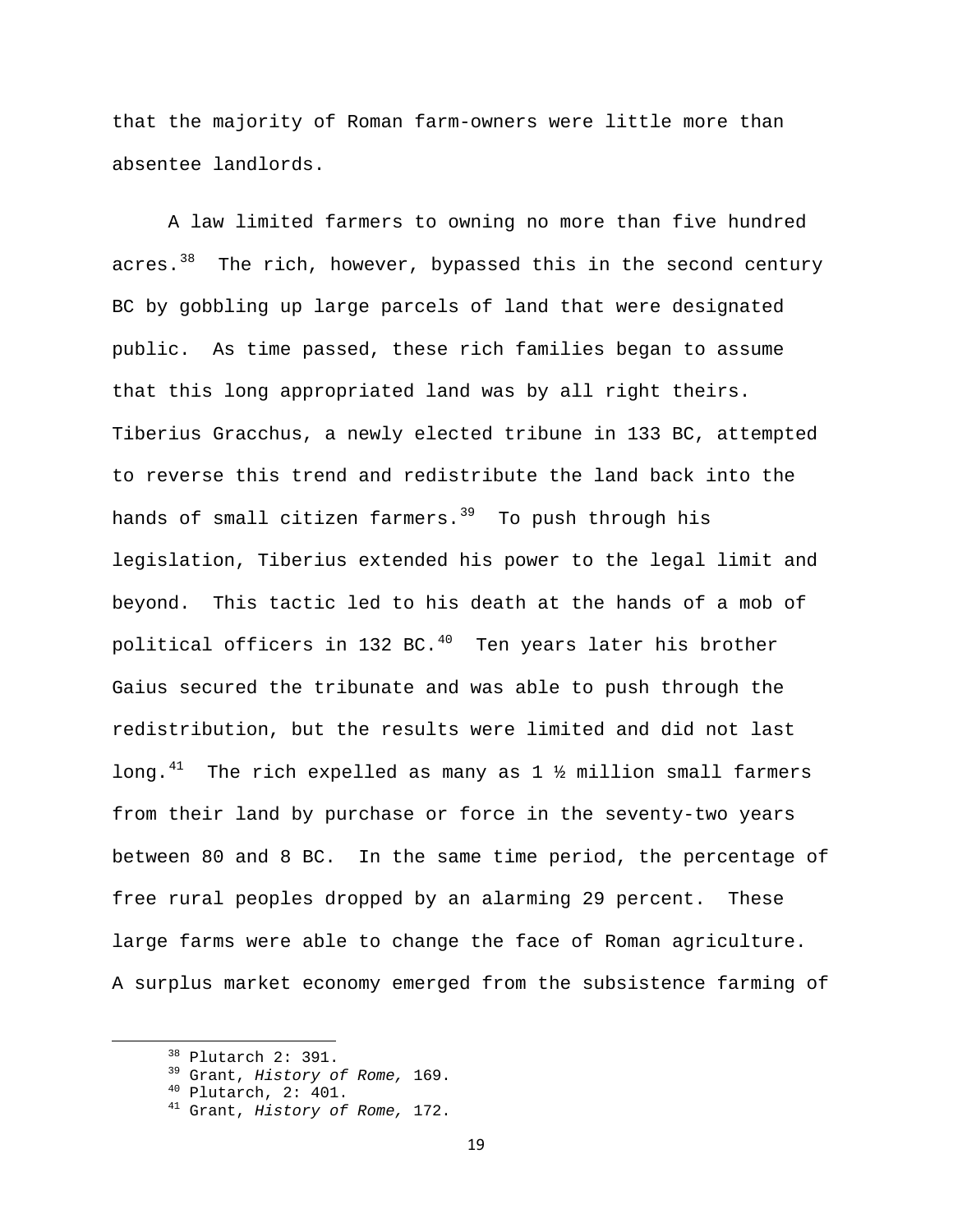that the majority of Roman farm-owners were little more than absentee landlords.

 A law limited farmers to owning no more than five hundred acres. $38$  The rich, however, bypassed this in the second century BC by gobbling up large parcels of land that were designated public. As time passed, these rich families began to assume that this long appropriated land was by all right theirs. Tiberius Gracchus, a newly elected tribune in 133 BC, attempted to reverse this trend and redistribute the land back into the hands of small citizen farmers.<sup>[39](#page-19-1)</sup> To push through his legislation, Tiberius extended his power to the legal limit and beyond. This tactic led to his death at the hands of a mob of political officers in 132 BC. $^{40}$  $^{40}$  $^{40}$  Ten years later his brother Gaius secured the tribunate and was able to push through the redistribution, but the results were limited and did not last long.<sup>[41](#page-19-3)</sup> The rich expelled as many as  $1\frac{1}{2}$  million small farmers from their land by purchase or force in the seventy-two years between 80 and 8 BC. In the same time period, the percentage of free rural peoples dropped by an alarming 29 percent. These large farms were able to change the face of Roman agriculture. A surplus market economy emerged from the subsistence farming of

<span id="page-19-3"></span>

<span id="page-19-2"></span><span id="page-19-1"></span><span id="page-19-0"></span> 38 Plutarch 2: 391. 39 Grant, *History of Rome,* 169. 40 Plutarch, 2: 401. 41 Grant, *History of Rome,* 172.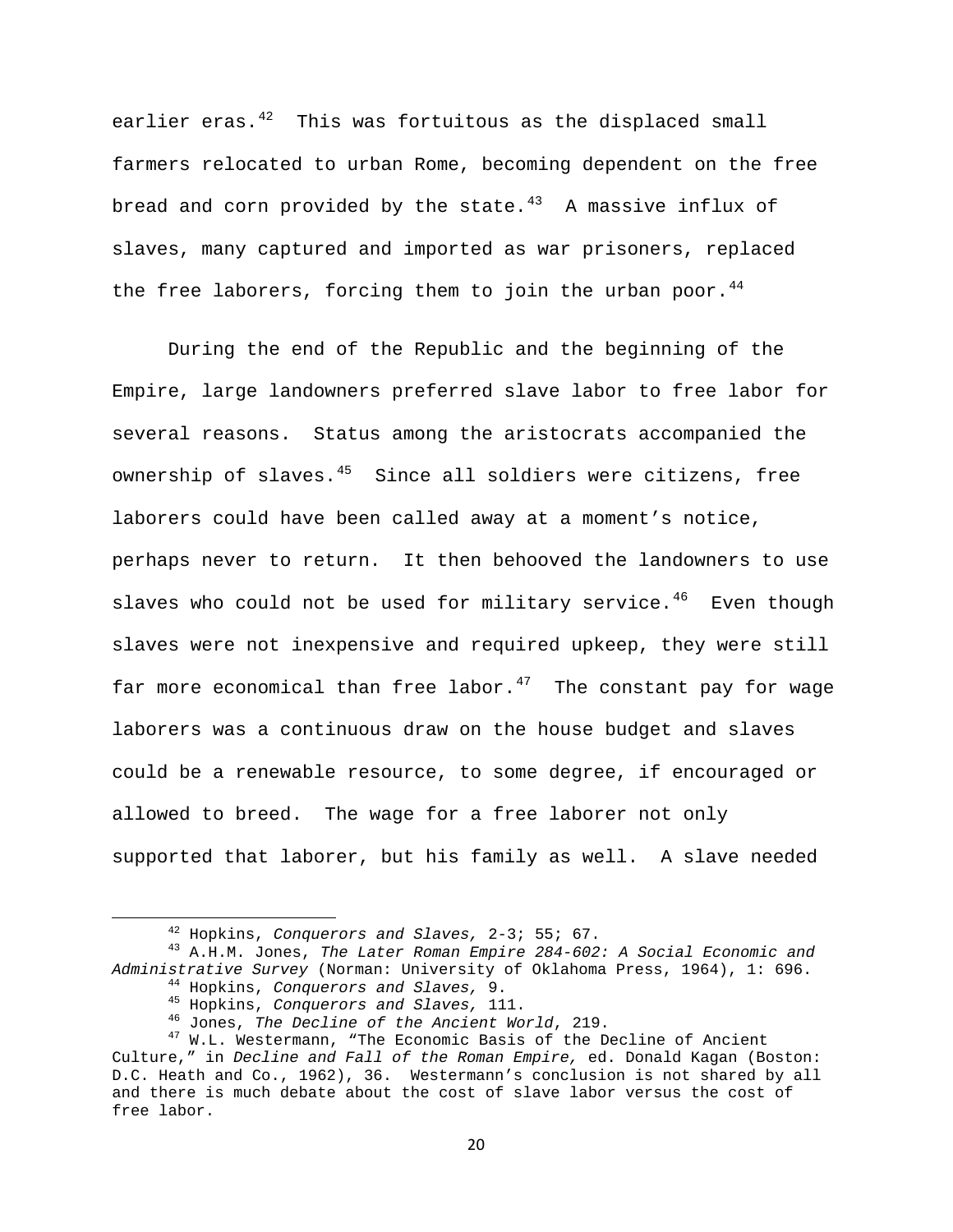earlier eras. $42$  This was fortuitous as the displaced small farmers relocated to urban Rome, becoming dependent on the free bread and corn provided by the state. $43$  A massive influx of slaves, many captured and imported as war prisoners, replaced the free laborers, forcing them to join the urban poor.  $44$ 

 During the end of the Republic and the beginning of the Empire, large landowners preferred slave labor to free labor for several reasons. Status among the aristocrats accompanied the ownership of slaves.<sup>[45](#page-20-3)</sup> Since all soldiers were citizens, free laborers could have been called away at a moment's notice, perhaps never to return. It then behooved the landowners to use slaves who could not be used for military service.<sup>[46](#page-20-4)</sup> Even though slaves were not inexpensive and required upkeep, they were still far more economical than free labor.<sup>[47](#page-20-5)</sup> The constant pay for wage laborers was a continuous draw on the house budget and slaves could be a renewable resource, to some degree, if encouraged or allowed to breed. The wage for a free laborer not only supported that laborer, but his family as well. A slave needed

<span id="page-20-2"></span><span id="page-20-1"></span><span id="page-20-0"></span> 42 Hopkins, *Conquerors and Slaves,* 2-3; 55; 67. 43 A.H.M. Jones, *The Later Roman Empire 284-602: A Social Economic and*  Administrative Survey (Norman: University of Oklahoma Press, 1964), 1: 696.<br>
<sup>44</sup> Hopkins, Conquerors and Slaves, 9.<br>
<sup>45</sup> Hopkins, Conquerors and Slaves, 111.<br>
<sup>46</sup> Jones, The Decline of the Ancient World, 219.<br>
<sup>47</sup> W.L.

<span id="page-20-5"></span><span id="page-20-4"></span><span id="page-20-3"></span>Culture," in *Decline and Fall of the Roman Empire,* ed. Donald Kagan (Boston: D.C. Heath and Co., 1962), 36. Westermann's conclusion is not shared by all and there is much debate about the cost of slave labor versus the cost of free labor.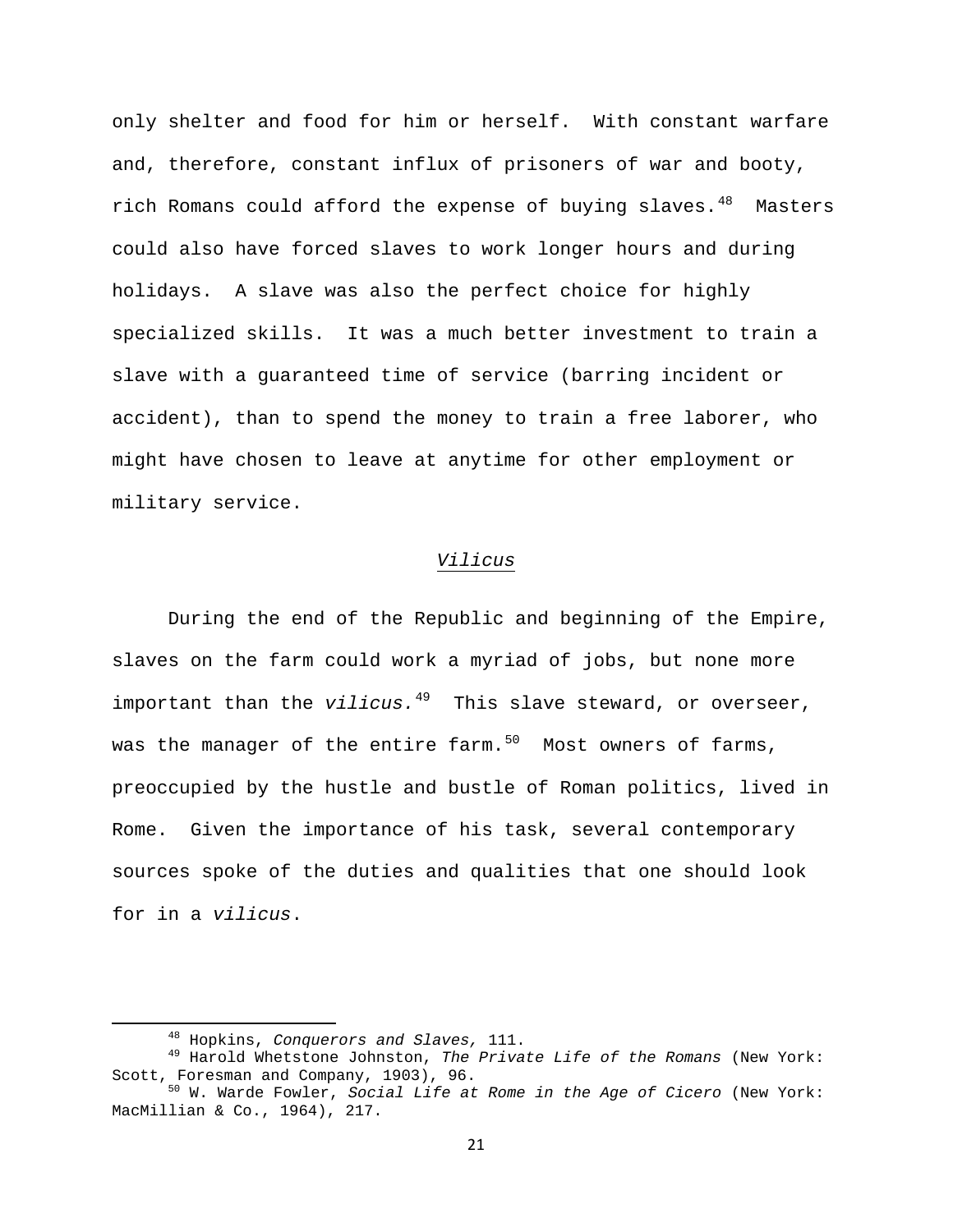only shelter and food for him or herself. With constant warfare and, therefore, constant influx of prisoners of war and booty, rich Romans could afford the expense of buying slaves. $48$  Masters could also have forced slaves to work longer hours and during holidays. A slave was also the perfect choice for highly specialized skills. It was a much better investment to train a slave with a guaranteed time of service (barring incident or accident), than to spend the money to train a free laborer, who might have chosen to leave at anytime for other employment or military service.

# *Vilicus*

During the end of the Republic and beginning of the Empire, slaves on the farm could work a myriad of jobs, but none more important than the *vilicus*.<sup>[49](#page-21-1)</sup> This slave steward, or overseer, was the manager of the entire farm. $50$  Most owners of farms, preoccupied by the hustle and bustle of Roman politics, lived in Rome. Given the importance of his task, several contemporary sources spoke of the duties and qualities that one should look for in a *vilicus*.

<span id="page-21-1"></span><span id="page-21-0"></span> 48 Hopkins, *Conquerors and Slaves,* 111. 49 Harold Whetstone Johnston, *The Private Life of the Romans* (New York:

<span id="page-21-2"></span><sup>&</sup>lt;sup>50</sup> W. Warde Fowler, Social Life at Rome in the Age of Cicero (New York: MacMillian & Co., 1964), 217.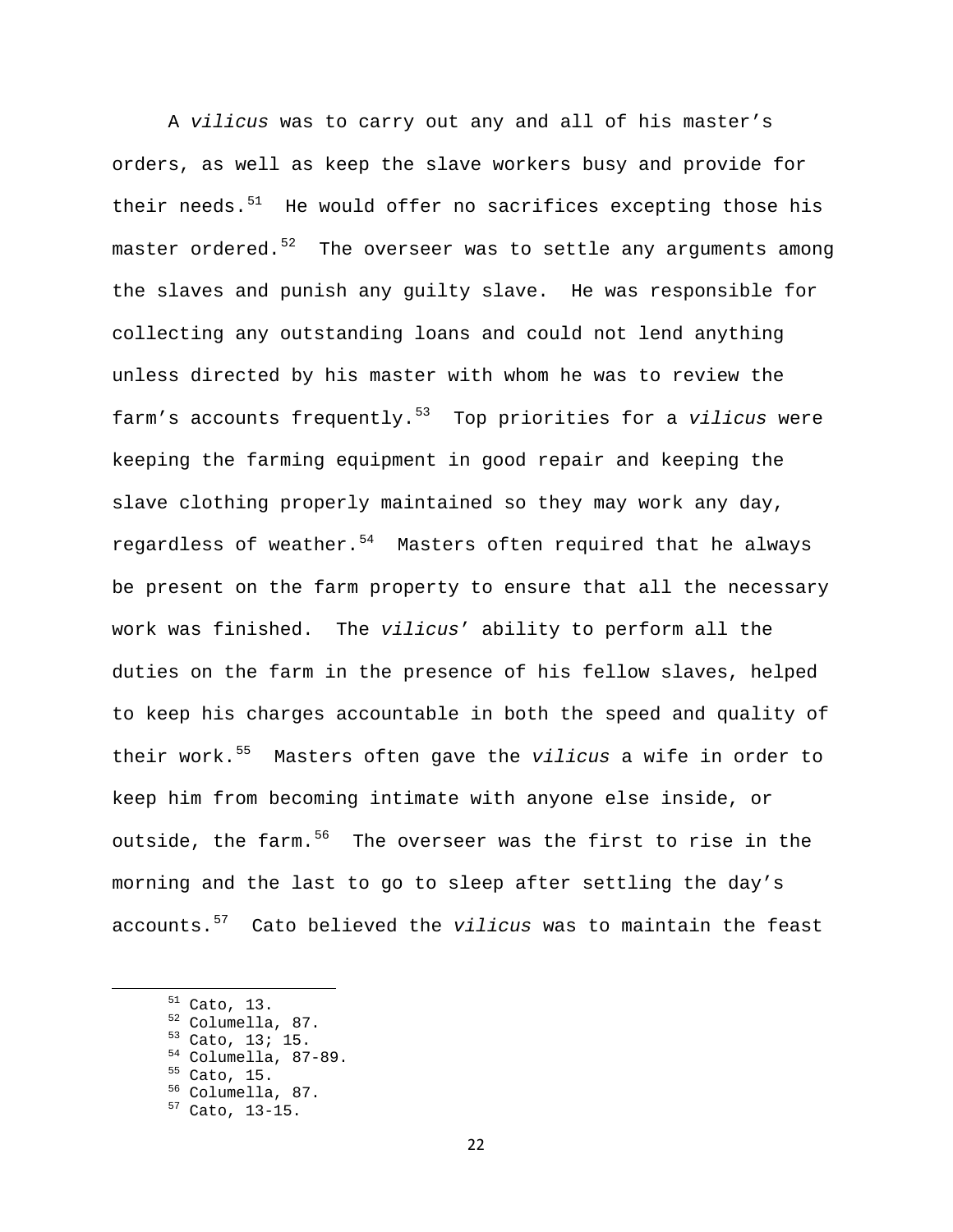A *vilicus* was to carry out any and all of his master's orders, as well as keep the slave workers busy and provide for their needs. $51$  He would offer no sacrifices excepting those his master ordered. $52$  The overseer was to settle any arguments among the slaves and punish any guilty slave. He was responsible for collecting any outstanding loans and could not lend anything unless directed by his master with whom he was to review the farm's accounts frequently.[53](#page-22-2) Top priorities for a *vilicus* were keeping the farming equipment in good repair and keeping the slave clothing properly maintained so they may work any day, regardless of weather.<sup>[54](#page-22-3)</sup> Masters often required that he always be present on the farm property to ensure that all the necessary work was finished. The *vilicus*' ability to perform all the duties on the farm in the presence of his fellow slaves, helped to keep his charges accountable in both the speed and quality of their work.[55](#page-22-4) Masters often gave the *vilicus* a wife in order to keep him from becoming intimate with anyone else inside, or outside, the farm.<sup>[56](#page-22-5)</sup> The overseer was the first to rise in the morning and the last to go to sleep after settling the day's accounts.[57](#page-22-6) Cato believed the *vilicus* was to maintain the feast

- 
- 
- 
- <span id="page-22-6"></span><span id="page-22-5"></span><span id="page-22-4"></span><span id="page-22-3"></span><span id="page-22-2"></span><span id="page-22-1"></span><span id="page-22-0"></span>51 Cato, 13.<br>
<sup>52</sup> Columella, 87.<br>
<sup>53</sup> Cato, 13; 15.<br>
<sup>54</sup> Columella, 87-89.<br>
<sup>55</sup> Cato, 15.<br>
<sup>56</sup> Columella, 87.<br>
<sup>57</sup> Cato, 13-15.
	-
	-
	-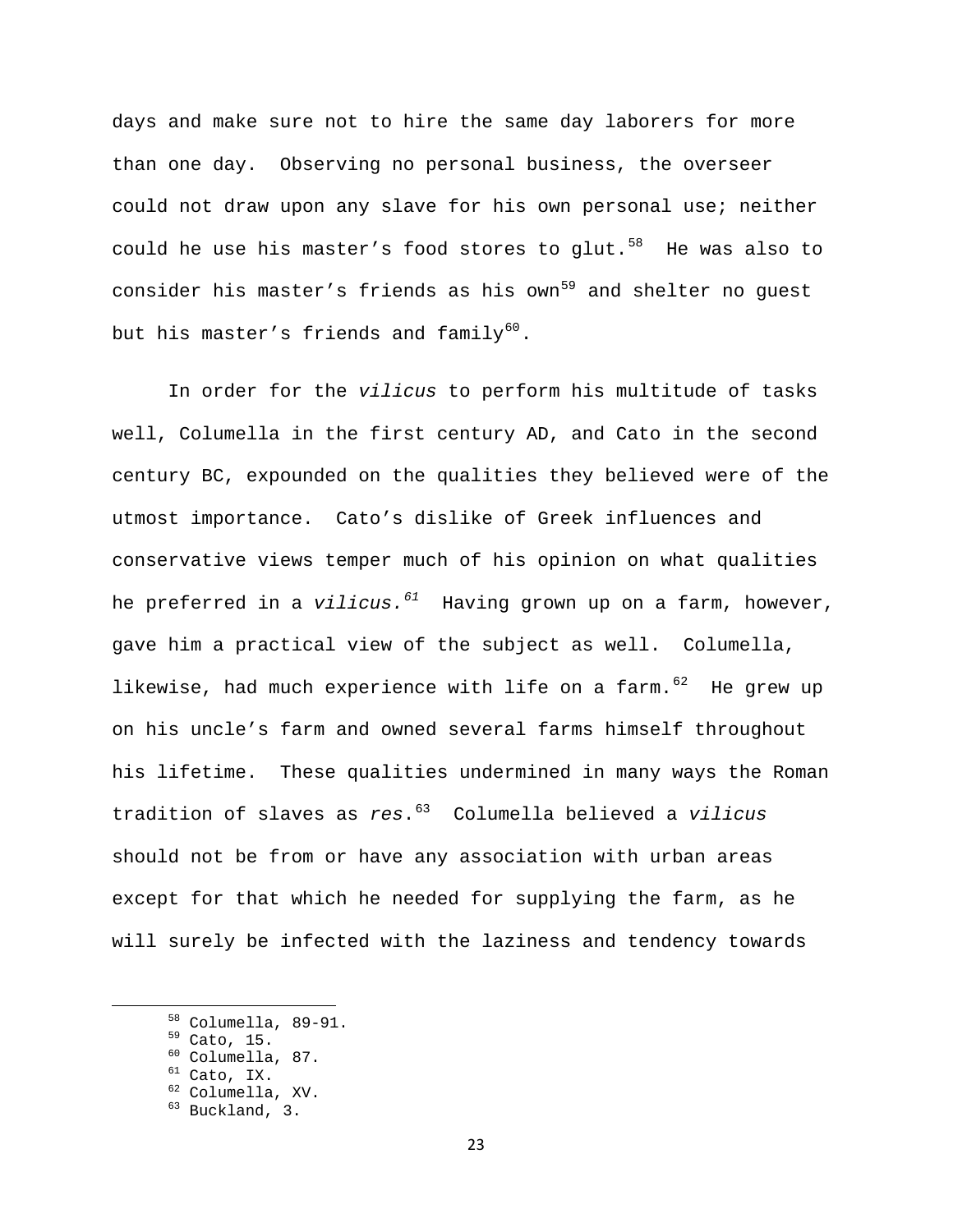days and make sure not to hire the same day laborers for more than one day. Observing no personal business, the overseer could not draw upon any slave for his own personal use; neither could he use his master's food stores to glut. $58$  He was also to consider his master's friends as his own<sup>[59](#page-23-1)</sup> and shelter no guest but his master's friends and family<sup>[60](#page-23-2)</sup>.

In order for the *vilicus* to perform his multitude of tasks well, Columella in the first century AD, and Cato in the second century BC, expounded on the qualities they believed were of the utmost importance. Cato's dislike of Greek influences and conservative views temper much of his opinion on what qualities he preferred in a *vilicus.[61](#page-23-3)* Having grown up on a farm, however, gave him a practical view of the subject as well. Columella, likewise, had much experience with life on a farm.  $62$  He grew up on his uncle's farm and owned several farms himself throughout his lifetime. These qualities undermined in many ways the Roman tradition of slaves as *res*.[63](#page-23-5) Columella believed a *vilicus*  should not be from or have any association with urban areas except for that which he needed for supplying the farm, as he will surely be infected with the laziness and tendency towards

<span id="page-23-1"></span><span id="page-23-0"></span><sup>&</sup>lt;sup>58</sup> Columella, 89-91.<br>
<sup>59</sup> Cato, 15.<br>
<sup>60</sup> Columella, 87.<br>
<sup>61</sup> Cato, IX.<br>
<sup>62</sup> Columella, XV.<br>
<sup>63</sup> Buckland, 3.

<span id="page-23-2"></span>

<span id="page-23-4"></span><span id="page-23-3"></span>

<span id="page-23-5"></span>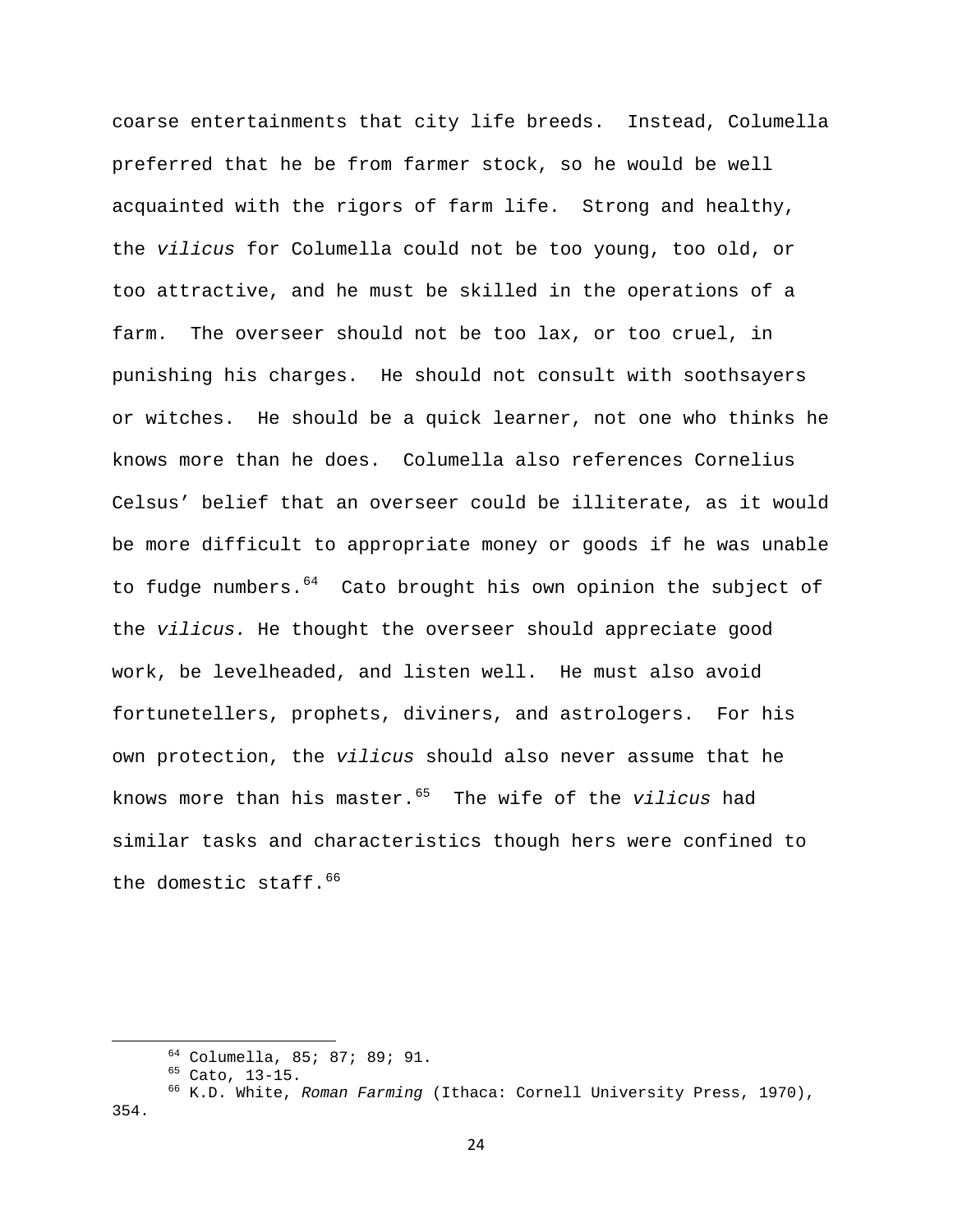coarse entertainments that city life breeds. Instead, Columella preferred that he be from farmer stock, so he would be well acquainted with the rigors of farm life. Strong and healthy, the *vilicus* for Columella could not be too young, too old, or too attractive, and he must be skilled in the operations of a farm. The overseer should not be too lax, or too cruel, in punishing his charges. He should not consult with soothsayers or witches. He should be a quick learner, not one who thinks he knows more than he does. Columella also references Cornelius Celsus' belief that an overseer could be illiterate, as it would be more difficult to appropriate money or goods if he was unable to fudge numbers.<sup>[64](#page-24-0)</sup> Cato brought his own opinion the subject of the *vilicus.* He thought the overseer should appreciate good work, be levelheaded, and listen well. He must also avoid fortunetellers, prophets, diviners, and astrologers. For his own protection, the *vilicus* should also never assume that he knows more than his master.[65](#page-24-1) The wife of the *vilicus* had similar tasks and characteristics though hers were confined to the domestic staff.  $66$ 

<span id="page-24-2"></span><span id="page-24-1"></span><span id="page-24-0"></span><sup>&</sup>lt;sup>64</sup> Columella, 85; 87; 89; 91.<br><sup>65</sup> Cato, 13-15.<br><sup>66</sup> K.D. White, *Roman Farming* (Ithaca: Cornell University Press, 1970), 354.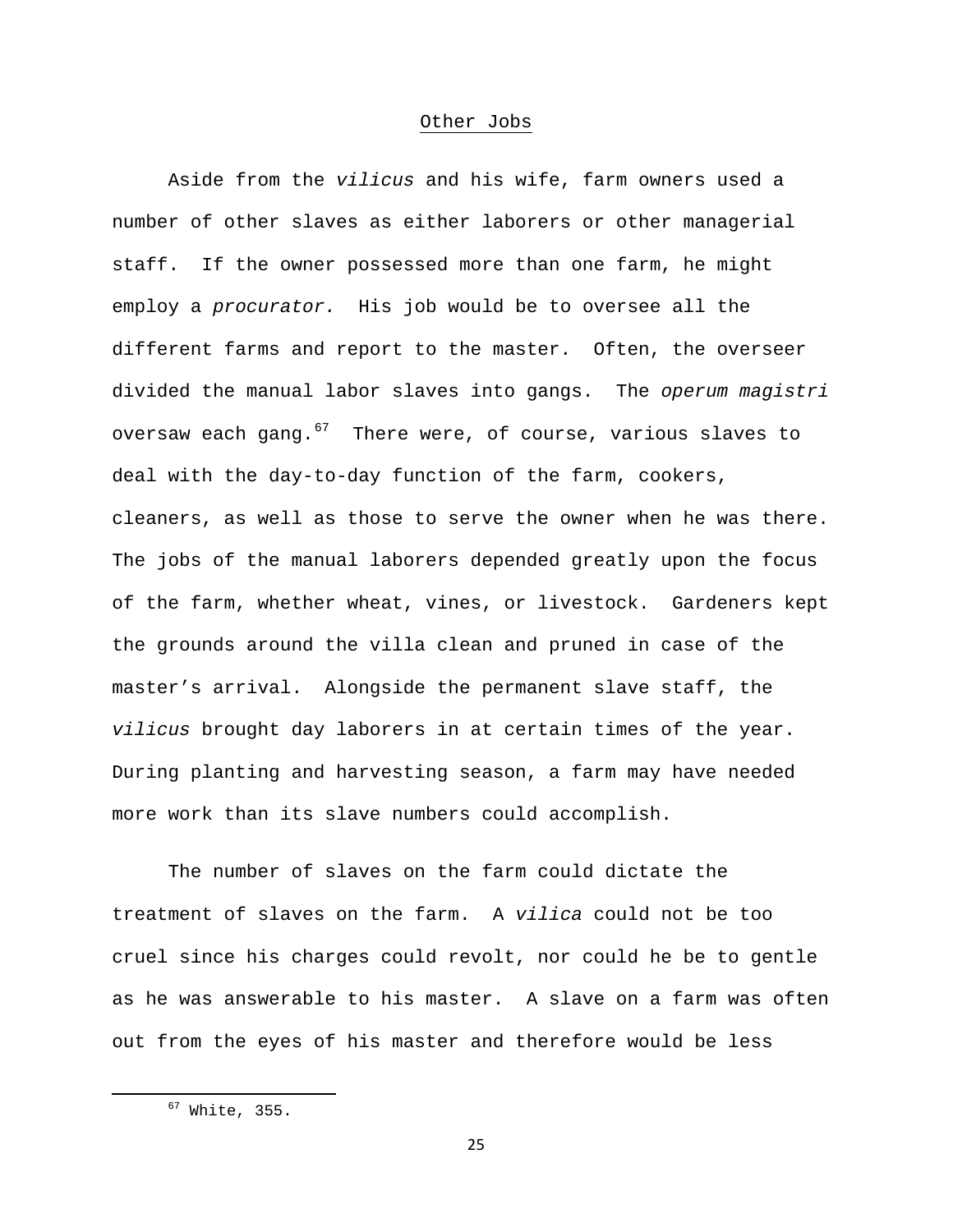## Other Jobs

Aside from the *vilicus* and his wife, farm owners used a number of other slaves as either laborers or other managerial staff. If the owner possessed more than one farm, he might employ a *procurator.* His job would be to oversee all the different farms and report to the master. Often, the overseer divided the manual labor slaves into gangs. The *operum magistri* oversaw each gang. $67$  There were, of course, various slaves to deal with the day-to-day function of the farm, cookers, cleaners, as well as those to serve the owner when he was there. The jobs of the manual laborers depended greatly upon the focus of the farm, whether wheat, vines, or livestock. Gardeners kept the grounds around the villa clean and pruned in case of the master's arrival. Alongside the permanent slave staff, the *vilicus* brought day laborers in at certain times of the year. During planting and harvesting season, a farm may have needed more work than its slave numbers could accomplish.

The number of slaves on the farm could dictate the treatment of slaves on the farm. A *vilica* could not be too cruel since his charges could revolt, nor could he be to gentle as he was answerable to his master. A slave on a farm was often out from the eyes of his master and therefore would be less

25

<span id="page-25-0"></span> $67$  White, 355.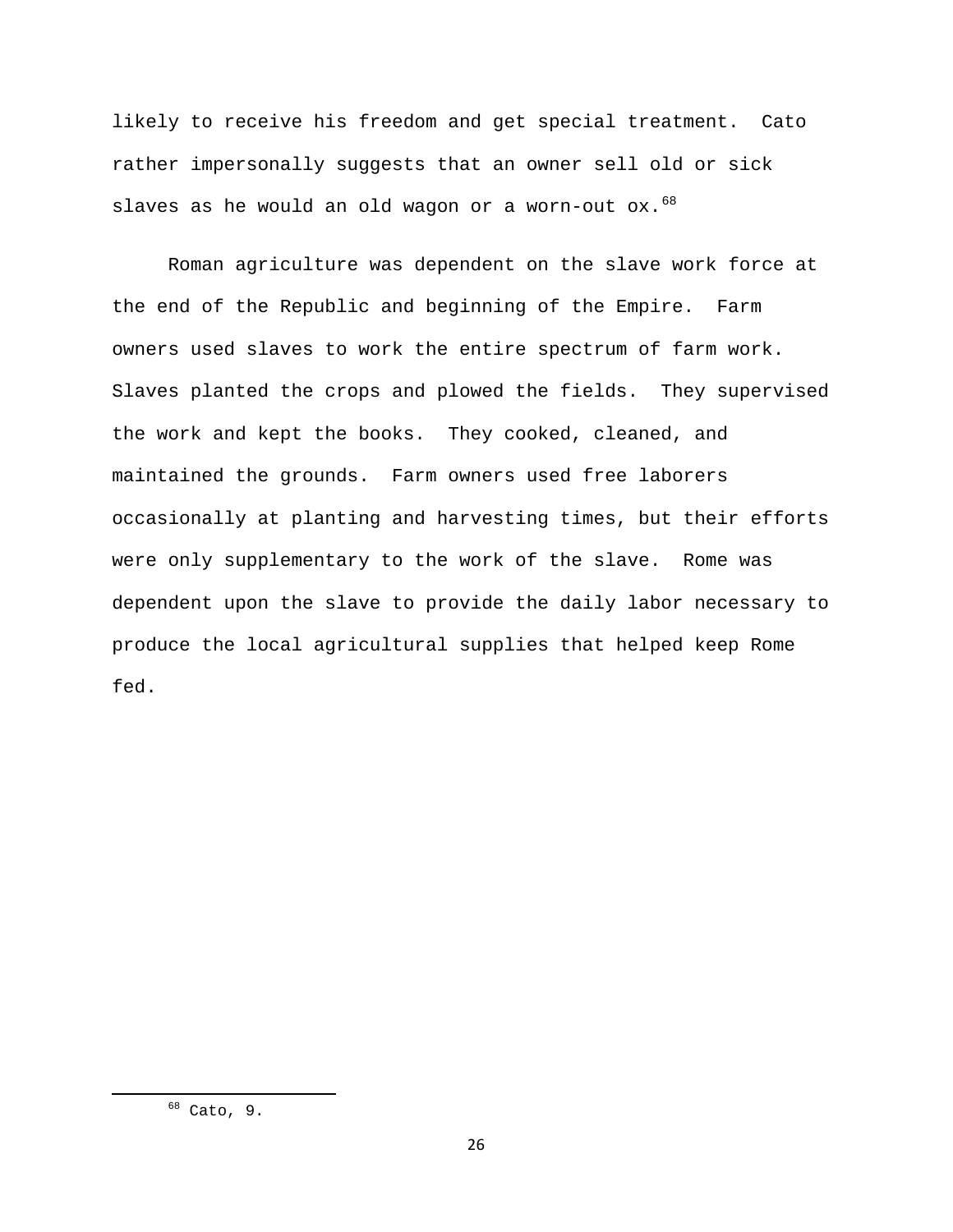likely to receive his freedom and get special treatment. Cato rather impersonally suggests that an owner sell old or sick slaves as he would an old wagon or a worn-out  $ox.^{68}$  $ox.^{68}$  $ox.^{68}$ 

Roman agriculture was dependent on the slave work force at the end of the Republic and beginning of the Empire. Farm owners used slaves to work the entire spectrum of farm work. Slaves planted the crops and plowed the fields. They supervised the work and kept the books. They cooked, cleaned, and maintained the grounds. Farm owners used free laborers occasionally at planting and harvesting times, but their efforts were only supplementary to the work of the slave. Rome was dependent upon the slave to provide the daily labor necessary to produce the local agricultural supplies that helped keep Rome fed.

<span id="page-26-0"></span> $68$  Cato, 9.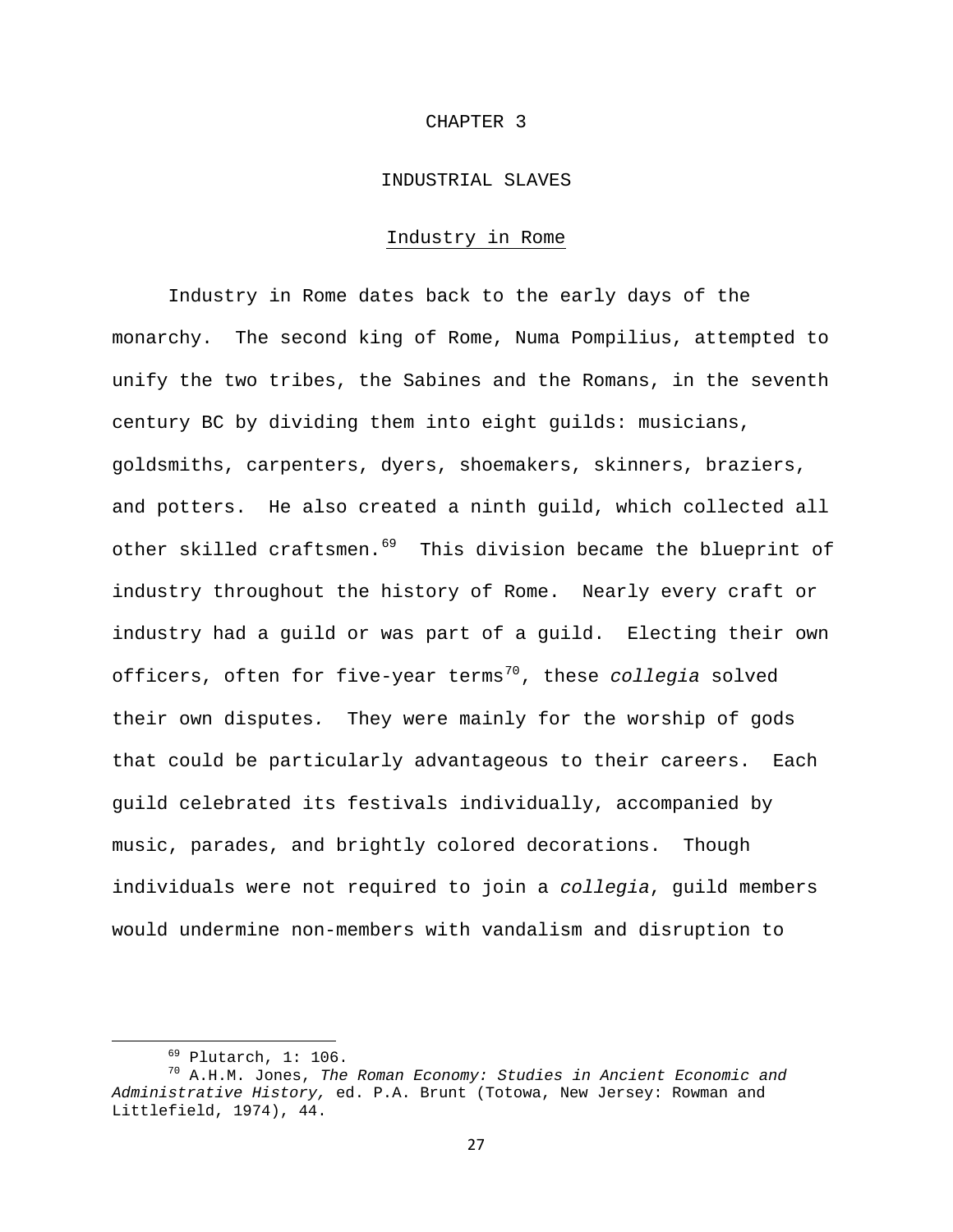#### CHAPTER 3

## INDUSTRIAL SLAVES

## Industry in Rome

Industry in Rome dates back to the early days of the monarchy. The second king of Rome, Numa Pompilius, attempted to unify the two tribes, the Sabines and the Romans, in the seventh century BC by dividing them into eight guilds: musicians, goldsmiths, carpenters, dyers, shoemakers, skinners, braziers, and potters. He also created a ninth guild, which collected all other skilled craftsmen.<sup>[69](#page-27-0)</sup> This division became the blueprint of industry throughout the history of Rome. Nearly every craft or industry had a guild or was part of a guild. Electing their own officers, often for five-year terms<sup>[70](#page-27-1)</sup>, these *collegia* solved their own disputes*.* They were mainly for the worship of gods that could be particularly advantageous to their careers. Each guild celebrated its festivals individually, accompanied by music, parades, and brightly colored decorations. Though individuals were not required to join a *collegia*, guild members would undermine non-members with vandalism and disruption to

<span id="page-27-1"></span><span id="page-27-0"></span> 69 Plutarch, 1: 106. 70 A.H.M. Jones, *The Roman Economy: Studies in Ancient Economic and Administrative History,* ed. P.A. Brunt (Totowa, New Jersey: Rowman and Littlefield, 1974), 44.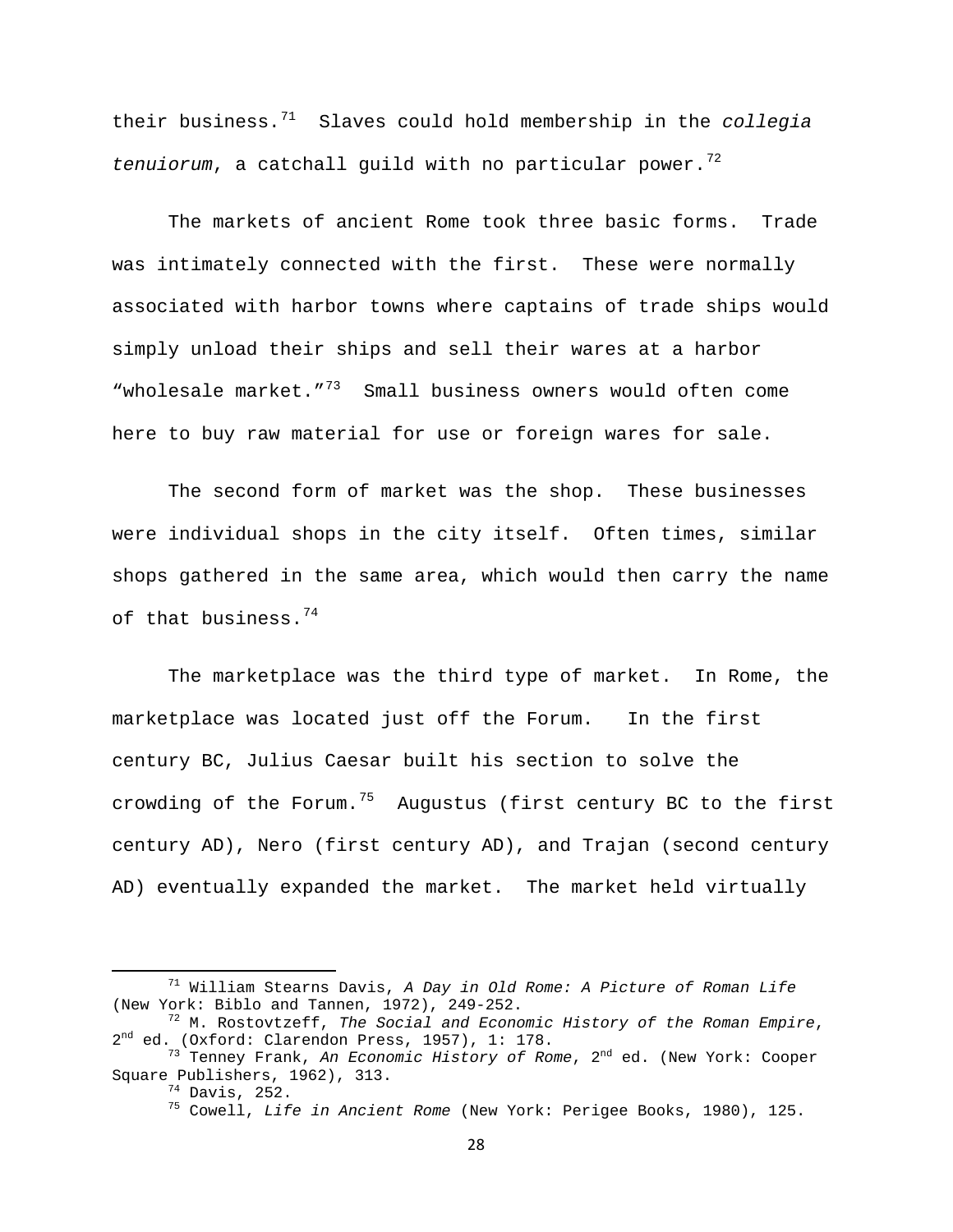their business.[71](#page-28-0) Slaves could hold membership in the *collegia*  tenuiorum, a catchall guild with no particular power.<sup>[72](#page-28-1)</sup>

The markets of ancient Rome took three basic forms. Trade was intimately connected with the first. These were normally associated with harbor towns where captains of trade ships would simply unload their ships and sell their wares at a harbor "wholesale market."[73](#page-28-2) Small business owners would often come here to buy raw material for use or foreign wares for sale.

The second form of market was the shop. These businesses were individual shops in the city itself. Often times, similar shops gathered in the same area, which would then carry the name of that business.  $74$ 

The marketplace was the third type of market. In Rome, the marketplace was located just off the Forum. In the first century BC, Julius Caesar built his section to solve the crowding of the Forum.<sup>[75](#page-28-4)</sup> Augustus (first century BC to the first century AD), Nero (first century AD), and Trajan (second century AD) eventually expanded the market. The market held virtually

<span id="page-28-0"></span> 71 William Stearns Davis, *A Day in Old Rome: A Picture of Roman Life*

<span id="page-28-1"></span><sup>(</sup>New York: Biblo and Tannen, 1972), 249-252.<br><sup>72</sup> M. Rostovtzeff, *The Social and Economic History of the Roman Empire*,<br>2<sup>nd</sup> ed. (Oxford: Clarendon Press, 1957), 1: 178.

<span id="page-28-4"></span><span id="page-28-3"></span><span id="page-28-2"></span><sup>&</sup>lt;sup>73</sup> Tenney Frank, An *Economic History of Rome*, 2<sup>nd</sup> ed. (New York: Cooper Square Publishers, 1962), 313.

ondersmers, 252.<br><sup>74</sup> Davis, 252.<br><sup>75</sup> Cowell, *Life in Ancient Rome* (New York: Perigee Books, 1980), 125.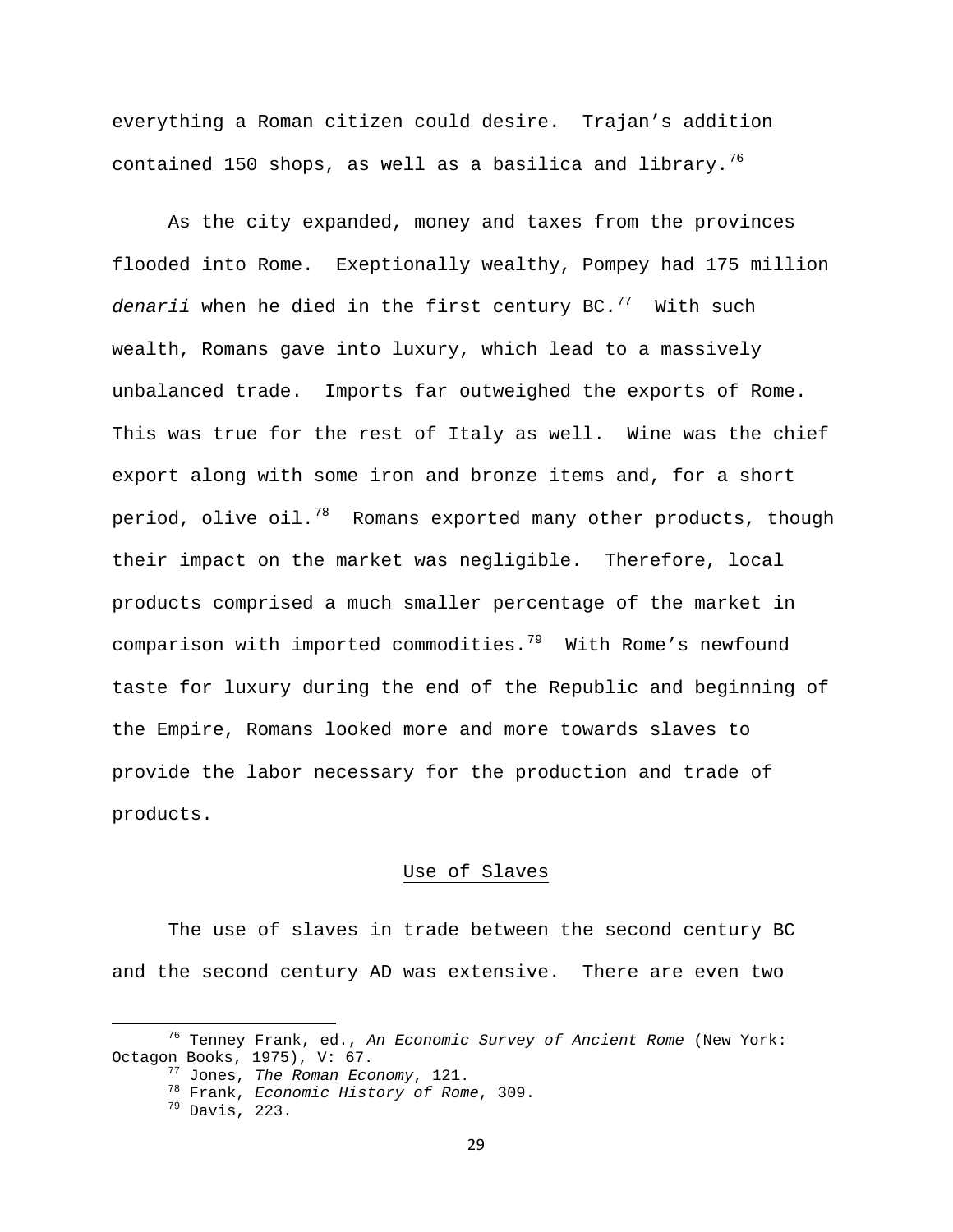everything a Roman citizen could desire. Trajan's addition contained 150 shops, as well as a basilica and library.<sup>[76](#page-29-0)</sup>

As the city expanded, money and taxes from the provinces flooded into Rome. Exeptionally wealthy, Pompey had 175 million *denarii* when he died in the first century BC.[77](#page-29-1)With such wealth, Romans gave into luxury, which lead to a massively unbalanced trade. Imports far outweighed the exports of Rome. This was true for the rest of Italy as well. Wine was the chief export along with some iron and bronze items and, for a short period, olive oil.<sup>[78](#page-29-2)</sup> Romans exported many other products, though their impact on the market was negligible. Therefore, local products comprised a much smaller percentage of the market in comparison with imported commodities.<sup>[79](#page-29-3)</sup> With Rome's newfound taste for luxury during the end of the Republic and beginning of the Empire, Romans looked more and more towards slaves to provide the labor necessary for the production and trade of products.

# Use of Slaves

The use of slaves in trade between the second century BC and the second century AD was extensive. There are even two

<span id="page-29-3"></span><span id="page-29-2"></span><span id="page-29-1"></span><span id="page-29-0"></span> 76 Tenney Frank, ed., *An Economic Survey of Ancient Rome* (New York:

<sup>&</sup>lt;sup>77</sup> Jones, The Roman Economy, 121.<br><sup>78</sup> Frank, *Economic History of Rome*, 309.<br><sup>79</sup> Davis, 223.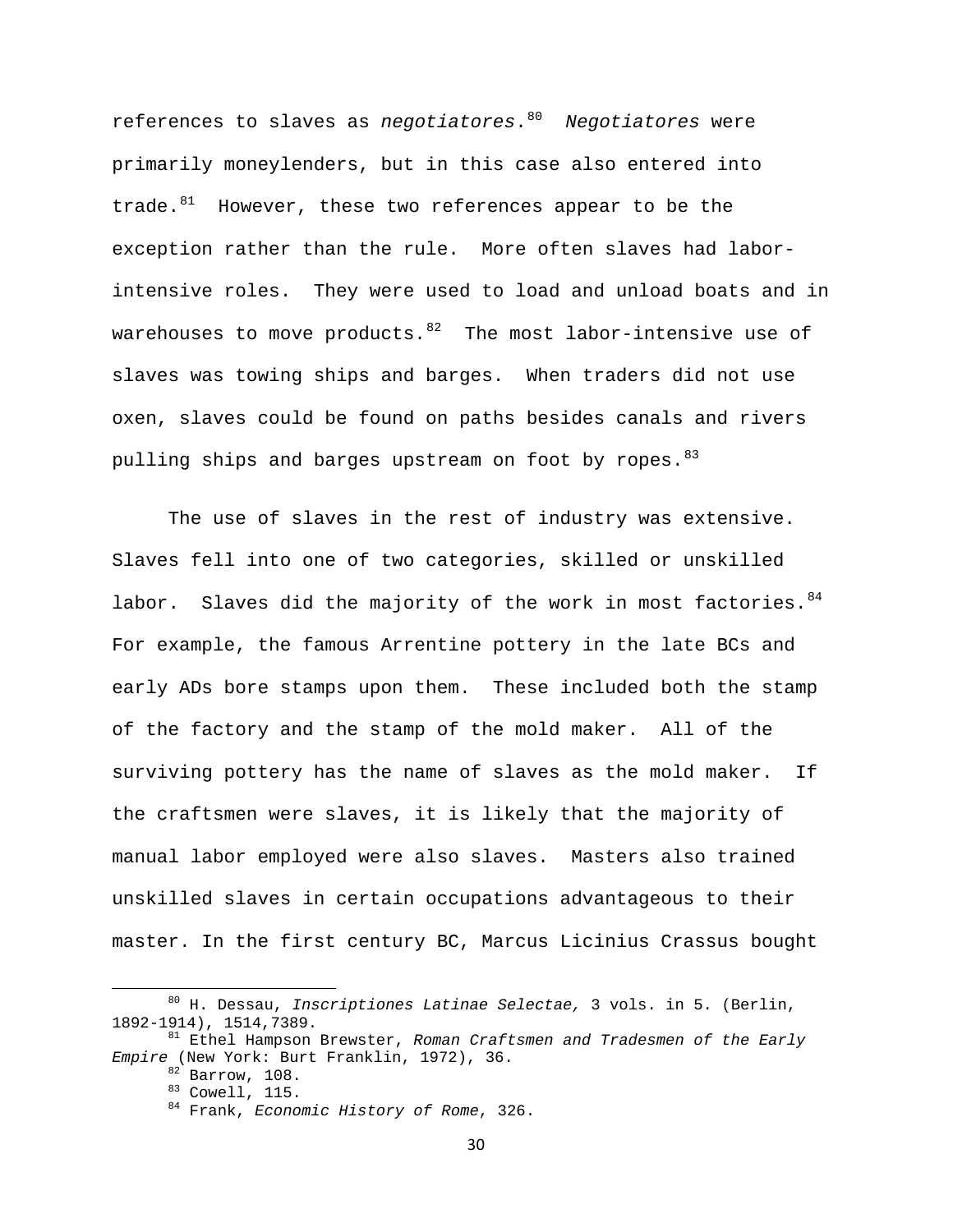references to slaves as *negotiatores*.[80](#page-30-0) *Negotiatores* were primarily moneylenders, but in this case also entered into trade. $81$  However, these two references appear to be the exception rather than the rule. More often slaves had laborintensive roles. They were used to load and unload boats and in warehouses to move products. $82$  The most labor-intensive use of slaves was towing ships and barges. When traders did not use oxen, slaves could be found on paths besides canals and rivers pulling ships and barges upstream on foot by ropes. [83](#page-30-3)

 The use of slaves in the rest of industry was extensive. Slaves fell into one of two categories, skilled or unskilled labor. Slaves did the majority of the work in most factories.  $84$ For example, the famous Arrentine pottery in the late BCs and early ADs bore stamps upon them. These included both the stamp of the factory and the stamp of the mold maker. All of the surviving pottery has the name of slaves as the mold maker. If the craftsmen were slaves, it is likely that the majority of manual labor employed were also slaves. Masters also trained unskilled slaves in certain occupations advantageous to their master. In the first century BC, Marcus Licinius Crassus bought

<span id="page-30-0"></span> 80 H. Dessau, *Inscriptiones Latinae Selectae,* 3 vols. in 5. (Berlin, 1892-1914), 1514,7389. 81 Ethel Hampson Brewster, *Roman Craftsmen and Tradesmen of the Early* 

<span id="page-30-4"></span><span id="page-30-3"></span><span id="page-30-2"></span><span id="page-30-1"></span>*Empire* (New York: Burt Franklin, 1972), 36.

<sup>&</sup>lt;sup>83</sup> Cowell, 115.<br><sup>84</sup> Frank, *Economic History of Rome*, 326.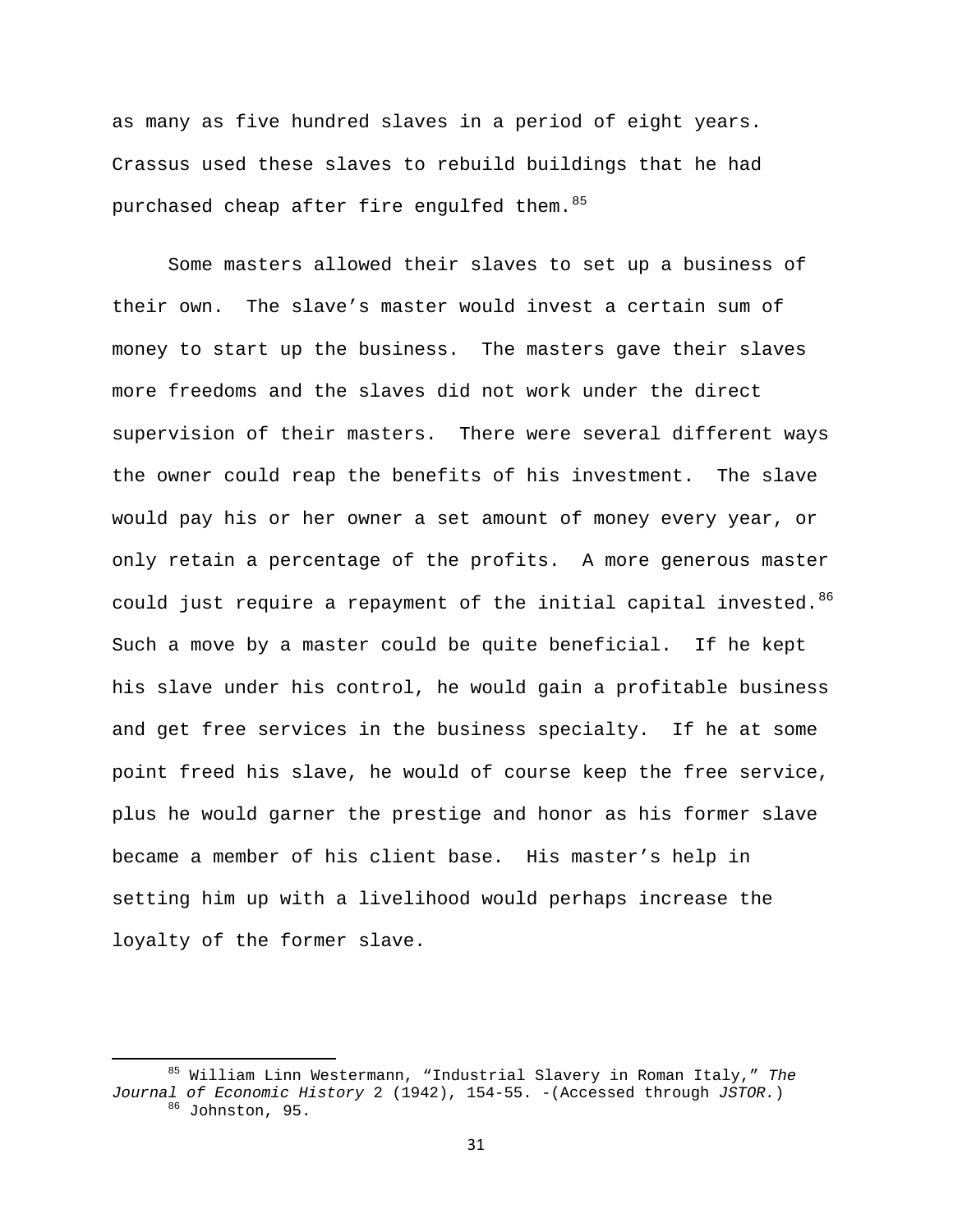as many as five hundred slaves in a period of eight years. Crassus used these slaves to rebuild buildings that he had purchased cheap after fire engulfed them. [85](#page-31-0)

 Some masters allowed their slaves to set up a business of their own. The slave's master would invest a certain sum of money to start up the business. The masters gave their slaves more freedoms and the slaves did not work under the direct supervision of their masters. There were several different ways the owner could reap the benefits of his investment. The slave would pay his or her owner a set amount of money every year, or only retain a percentage of the profits. A more generous master could just require a repayment of the initial capital invested.<sup>[86](#page-31-1)</sup> Such a move by a master could be quite beneficial. If he kept his slave under his control, he would gain a profitable business and get free services in the business specialty. If he at some point freed his slave, he would of course keep the free service, plus he would garner the prestige and honor as his former slave became a member of his client base. His master's help in setting him up with a livelihood would perhaps increase the loyalty of the former slave.

<span id="page-31-1"></span><span id="page-31-0"></span> 85 William Linn Westermann, "Industrial Slavery in Roman Italy," *The Journal of Economic History* 2 (1942), 154-55. -(Accessed through *JSTOR.*) <sup>86</sup> Johnston, 95.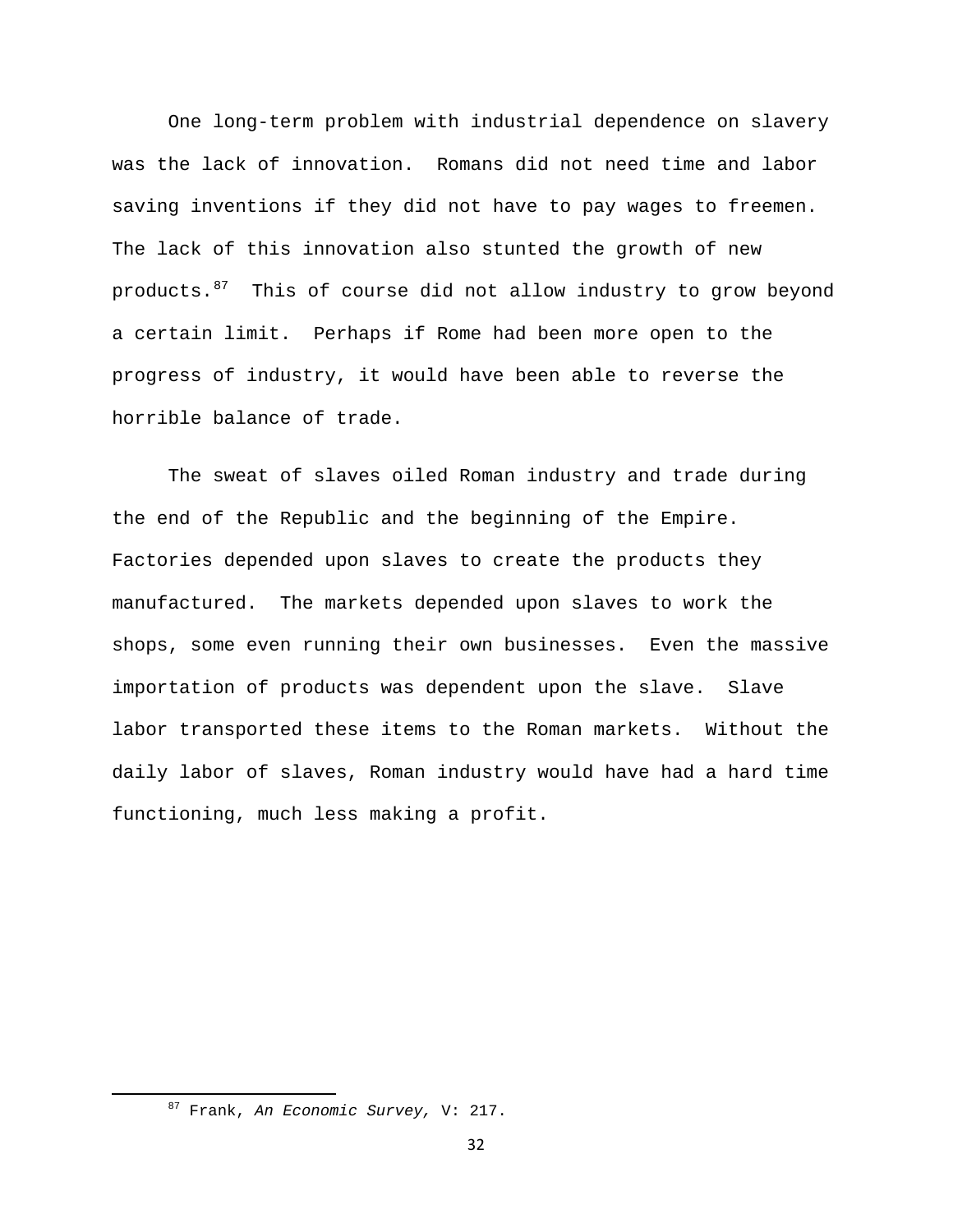One long-term problem with industrial dependence on slavery was the lack of innovation. Romans did not need time and labor saving inventions if they did not have to pay wages to freemen. The lack of this innovation also stunted the growth of new products.<sup>[87](#page-32-0)</sup> This of course did not allow industry to grow beyond a certain limit. Perhaps if Rome had been more open to the progress of industry, it would have been able to reverse the horrible balance of trade.

The sweat of slaves oiled Roman industry and trade during the end of the Republic and the beginning of the Empire. Factories depended upon slaves to create the products they manufactured. The markets depended upon slaves to work the shops, some even running their own businesses. Even the massive importation of products was dependent upon the slave. Slave labor transported these items to the Roman markets. Without the daily labor of slaves, Roman industry would have had a hard time functioning, much less making a profit.

<span id="page-32-0"></span> 87 Frank, *An Economic Survey,* V: 217.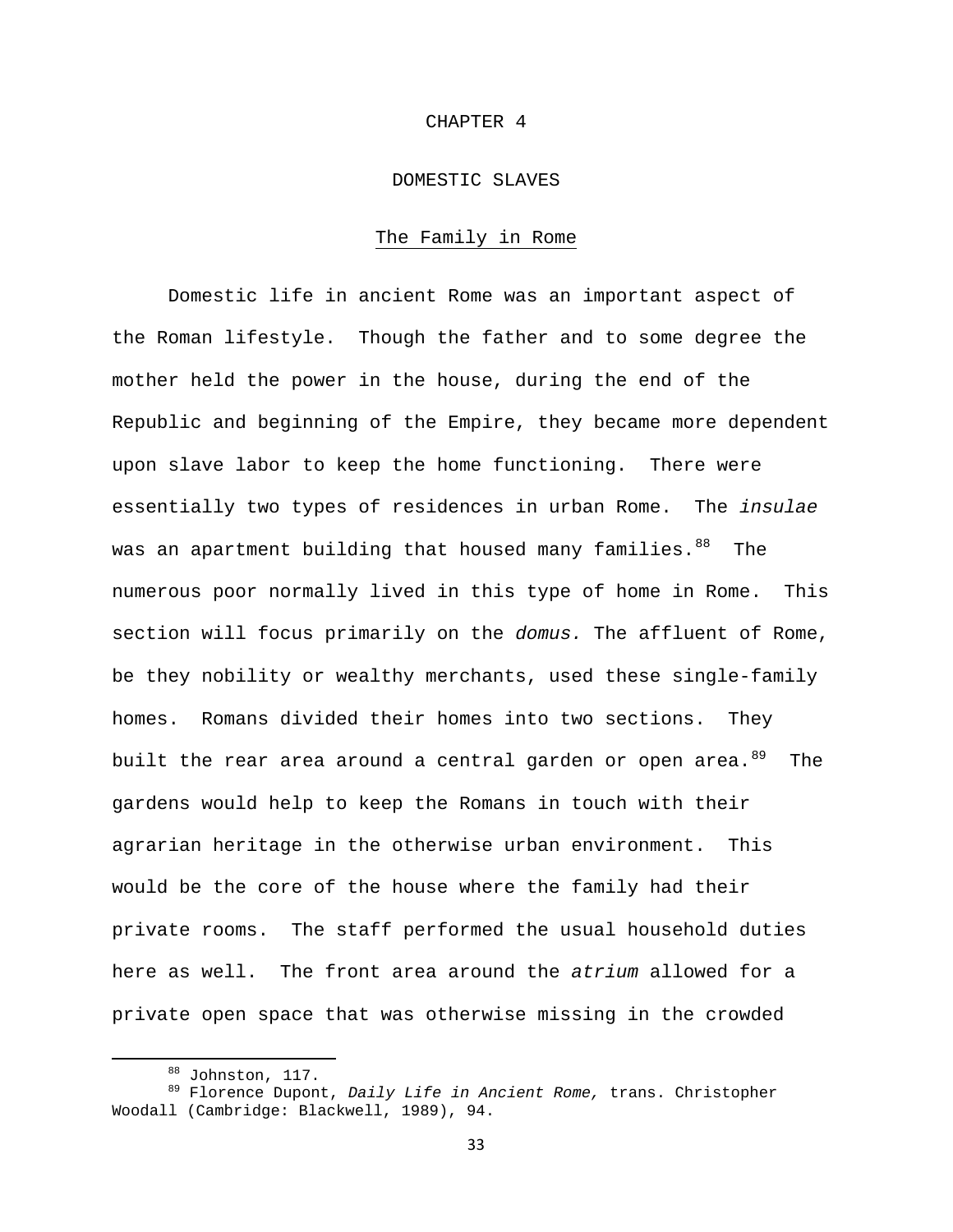#### CHAPTER 4

# DOMESTIC SLAVES

## The Family in Rome

 Domestic life in ancient Rome was an important aspect of the Roman lifestyle. Though the father and to some degree the mother held the power in the house, during the end of the Republic and beginning of the Empire, they became more dependent upon slave labor to keep the home functioning. There were essentially two types of residences in urban Rome. The *insulae* was an apartment building that housed many families.<sup>[88](#page-33-0)</sup> The numerous poor normally lived in this type of home in Rome. This section will focus primarily on the *domus.* The affluent of Rome, be they nobility or wealthy merchants, used these single-family homes. Romans divided their homes into two sections. They built the rear area around a central garden or open area.<sup>[89](#page-33-1)</sup> The gardens would help to keep the Romans in touch with their agrarian heritage in the otherwise urban environment. This would be the core of the house where the family had their private rooms. The staff performed the usual household duties here as well. The front area around the *atrium* allowed for a private open space that was otherwise missing in the crowded

<span id="page-33-1"></span><span id="page-33-0"></span><sup>&</sup>lt;sup>88</sup> Johnston, 117.<br><sup>89</sup> Florence Dupont, *Daily Life in Ancient Rome,* trans. Christopher Woodall (Cambridge: Blackwell, 1989), 94.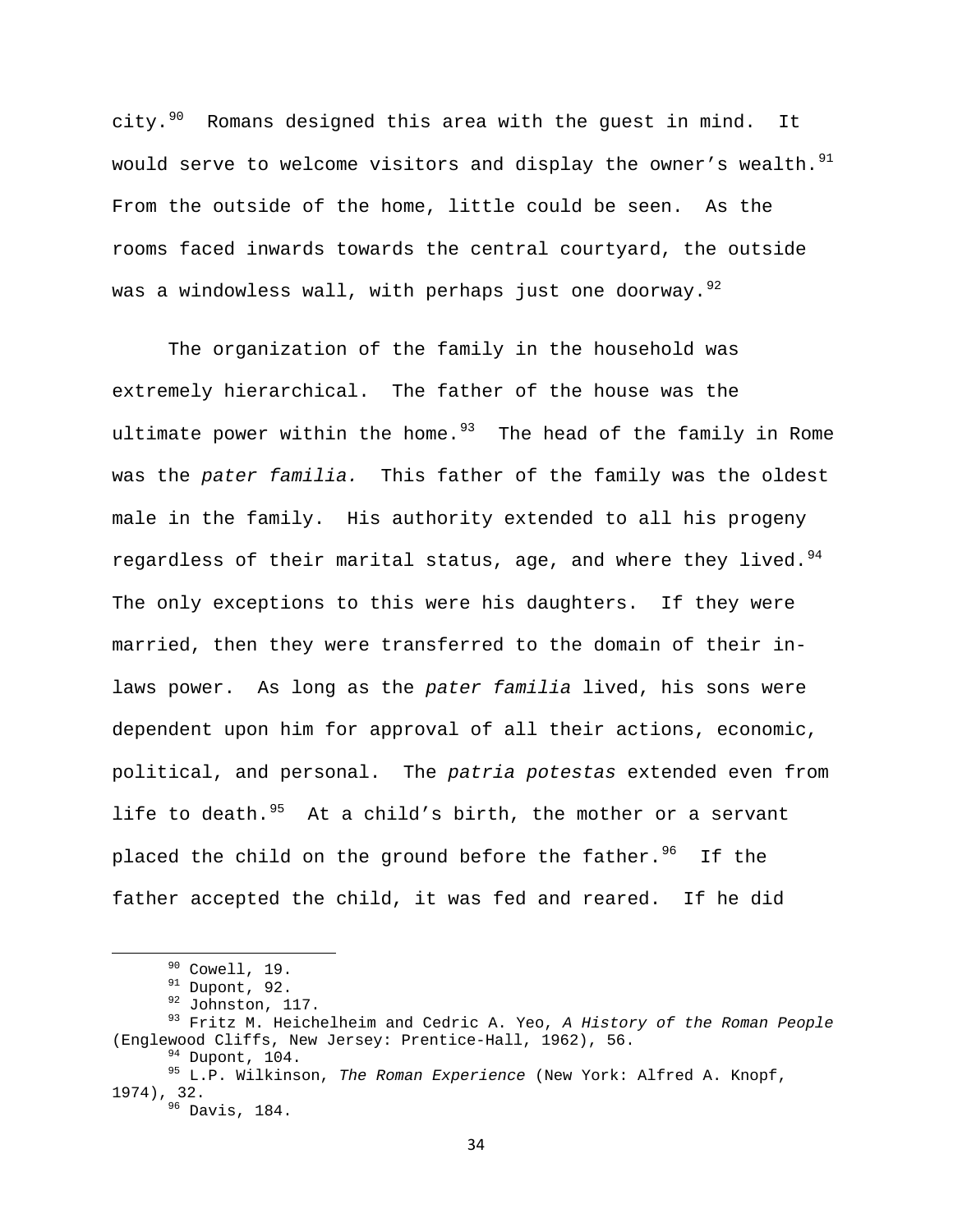city. $90$  Romans designed this area with the guest in mind. It would serve to welcome visitors and display the owner's wealth.<sup>[91](#page-34-1)</sup> From the outside of the home, little could be seen. As the rooms faced inwards towards the central courtyard, the outside was a windowless wall, with perhaps just one doorway.<sup>[92](#page-34-2)</sup>

 The organization of the family in the household was extremely hierarchical. The father of the house was the ultimate power within the home. $93$  The head of the family in Rome was the *pater familia.* This father of the family was the oldest male in the family. His authority extended to all his progeny regardless of their marital status, age, and where they lived.  $94$ The only exceptions to this were his daughters. If they were married, then they were transferred to the domain of their inlaws power. As long as the *pater familia* lived, his sons were dependent upon him for approval of all their actions, economic, political, and personal. The *patria potestas* extended even from life to death. $95$  At a child's birth, the mother or a servant placed the child on the ground before the father.  $96$  If the father accepted the child, it was fed and reared. If he did

<span id="page-34-2"></span><span id="page-34-1"></span><span id="page-34-0"></span><sup>&</sup>lt;sup>90</sup> Cowell, 19.<br><sup>91</sup> Dupont, 92.<br><sup>92</sup> Johnston, 117.<br><sup>93</sup> Fritz M. Heichelheim and Cedric A. Yeo, *A History of the Roman People* (Englewood Cliffs, New Jersey: Prentice-Hall, 1962), 56.<br><sup>94</sup> Dupont, 104.<br><sup>95</sup> L.P. Wilkinson, *The Roman Experience* (New York: Alfred A. Knopf,

<span id="page-34-6"></span><span id="page-34-5"></span><span id="page-34-4"></span><span id="page-34-3"></span><sup>1974), 32.&</sup>lt;br><sup>96</sup> Davis, 184.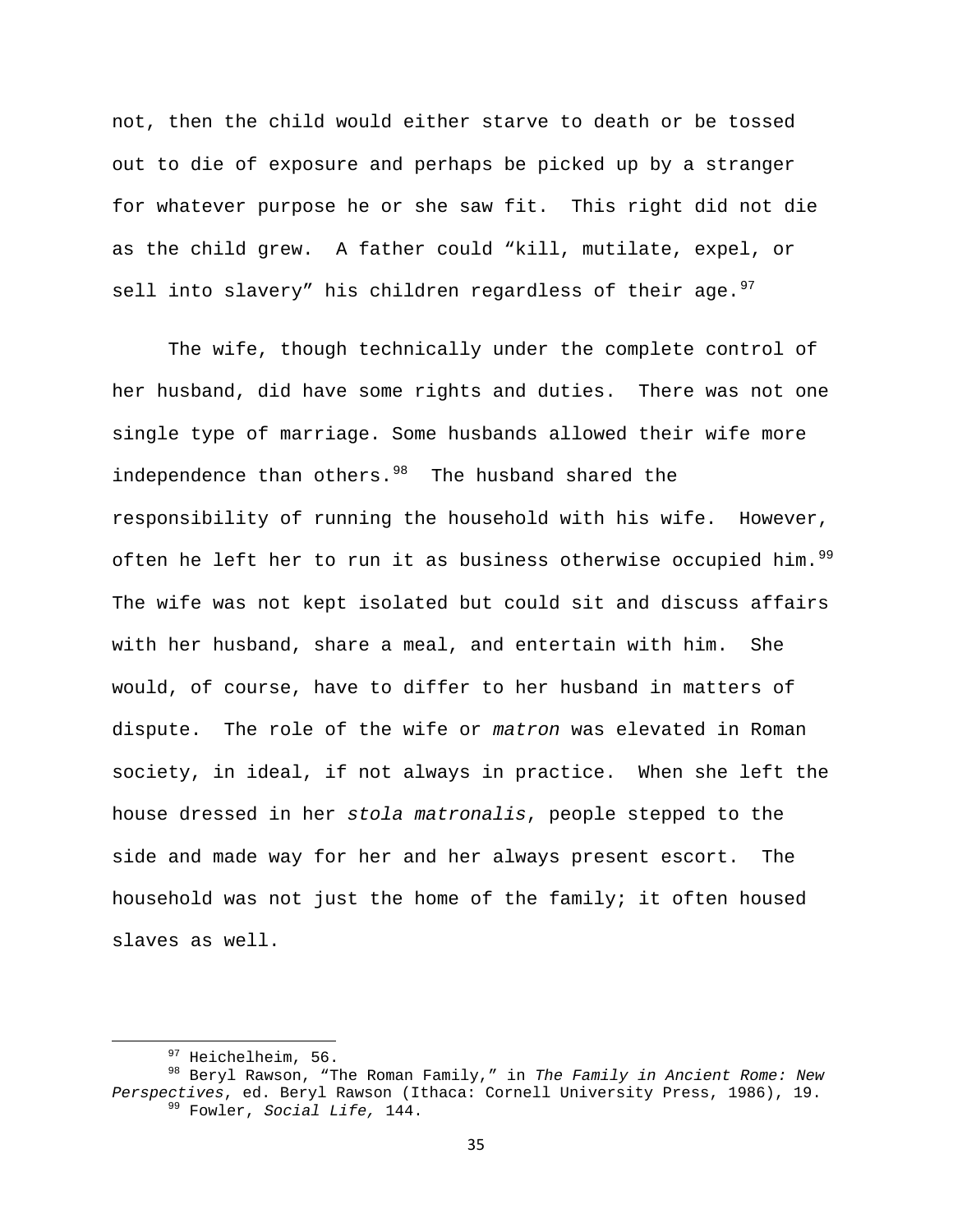not, then the child would either starve to death or be tossed out to die of exposure and perhaps be picked up by a stranger for whatever purpose he or she saw fit. This right did not die as the child grew. A father could "kill, mutilate, expel, or sell into slavery" his children regardless of their age.  $97$ 

 The wife, though technically under the complete control of her husband, did have some rights and duties. There was not one single type of marriage. Some husbands allowed their wife more independence than others.<sup>[98](#page-35-1)</sup> The husband shared the responsibility of running the household with his wife. However, often he left her to run it as business otherwise occupied him.<sup>[99](#page-35-2)</sup> The wife was not kept isolated but could sit and discuss affairs with her husband, share a meal, and entertain with him. She would, of course, have to differ to her husband in matters of dispute. The role of the wife or *matron* was elevated in Roman society, in ideal, if not always in practice. When she left the house dressed in her *stola matronalis*, people stepped to the side and made way for her and her always present escort. The household was not just the home of the family; it often housed slaves as well.

<span id="page-35-2"></span><span id="page-35-1"></span><span id="page-35-0"></span><sup>&</sup>lt;sup>97</sup> Heichelheim, 56.<br><sup>98</sup> Beryl Rawson, "The Roman Family," in *The Family in Ancient Rome: New Perspectives*, ed. Beryl Rawson (Ithaca: Cornell University Press, 1986), 19.<br><sup>99</sup> Fowler, *Social Life*, 144.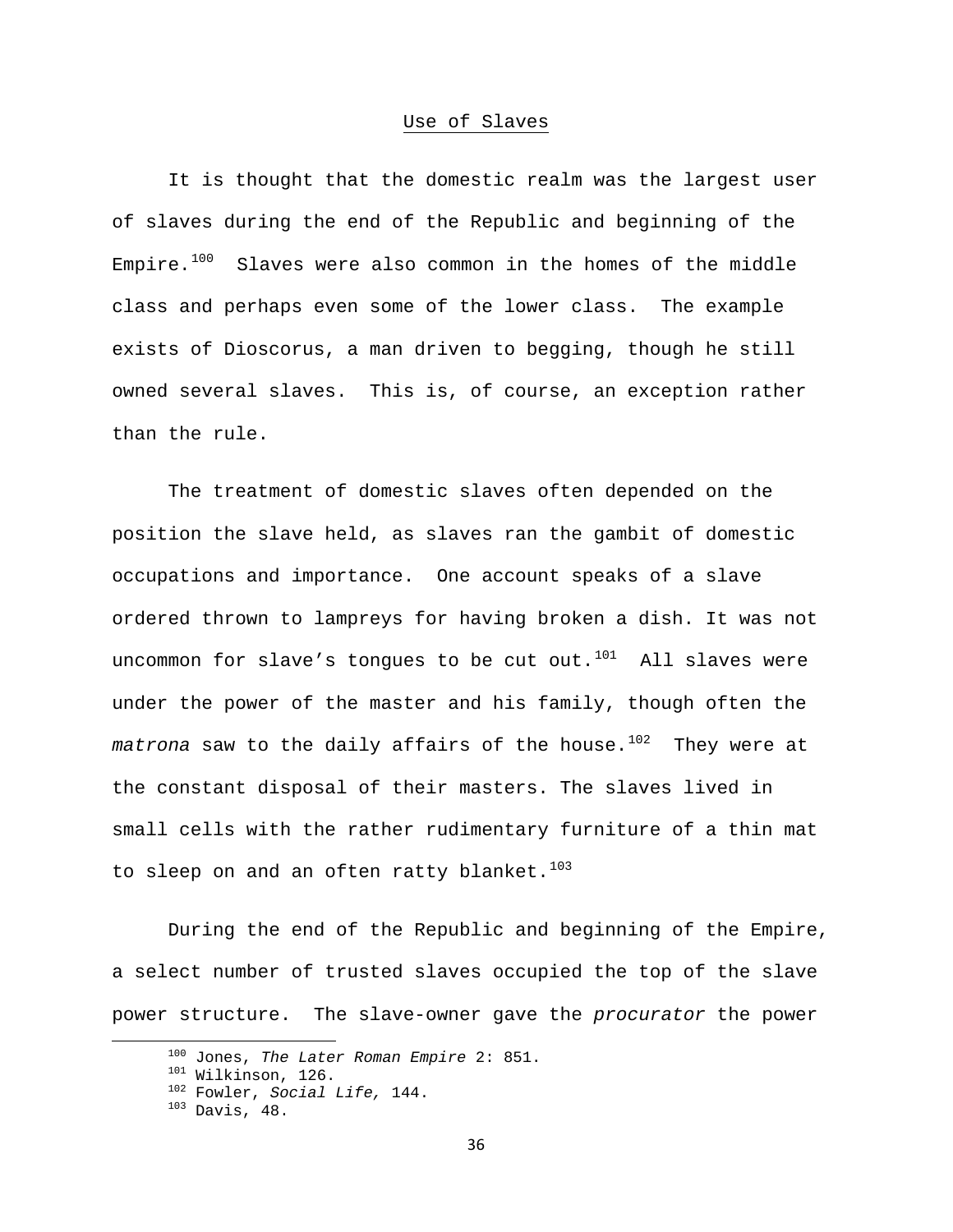# Use of Slaves

 It is thought that the domestic realm was the largest user of slaves during the end of the Republic and beginning of the Empire. $100$  Slaves were also common in the homes of the middle class and perhaps even some of the lower class. The example exists of Dioscorus, a man driven to begging, though he still owned several slaves. This is, of course, an exception rather than the rule.

The treatment of domestic slaves often depended on the position the slave held, as slaves ran the gambit of domestic occupations and importance. One account speaks of a slave ordered thrown to lampreys for having broken a dish. It was not uncommon for slave's tongues to be cut out. $101$  All slaves were under the power of the master and his family, though often the matrona saw to the daily affairs of the house.<sup>[102](#page-36-2)</sup> They were at the constant disposal of their masters. The slaves lived in small cells with the rather rudimentary furniture of a thin mat to sleep on and an often ratty blanket.<sup>[103](#page-36-3)</sup>

During the end of the Republic and beginning of the Empire, a select number of trusted slaves occupied the top of the slave power structure. The slave-owner gave the *procurator* the power

<span id="page-36-1"></span><span id="page-36-0"></span><sup>&</sup>lt;sup>100</sup> Jones, *The Later Roman Empire* 2: 851.<br><sup>101</sup> Wilkinson, 126.<br><sup>102</sup> Fowler, *Social Life*, 144.<br><sup>103</sup> Davis, 48.

<span id="page-36-3"></span><span id="page-36-2"></span>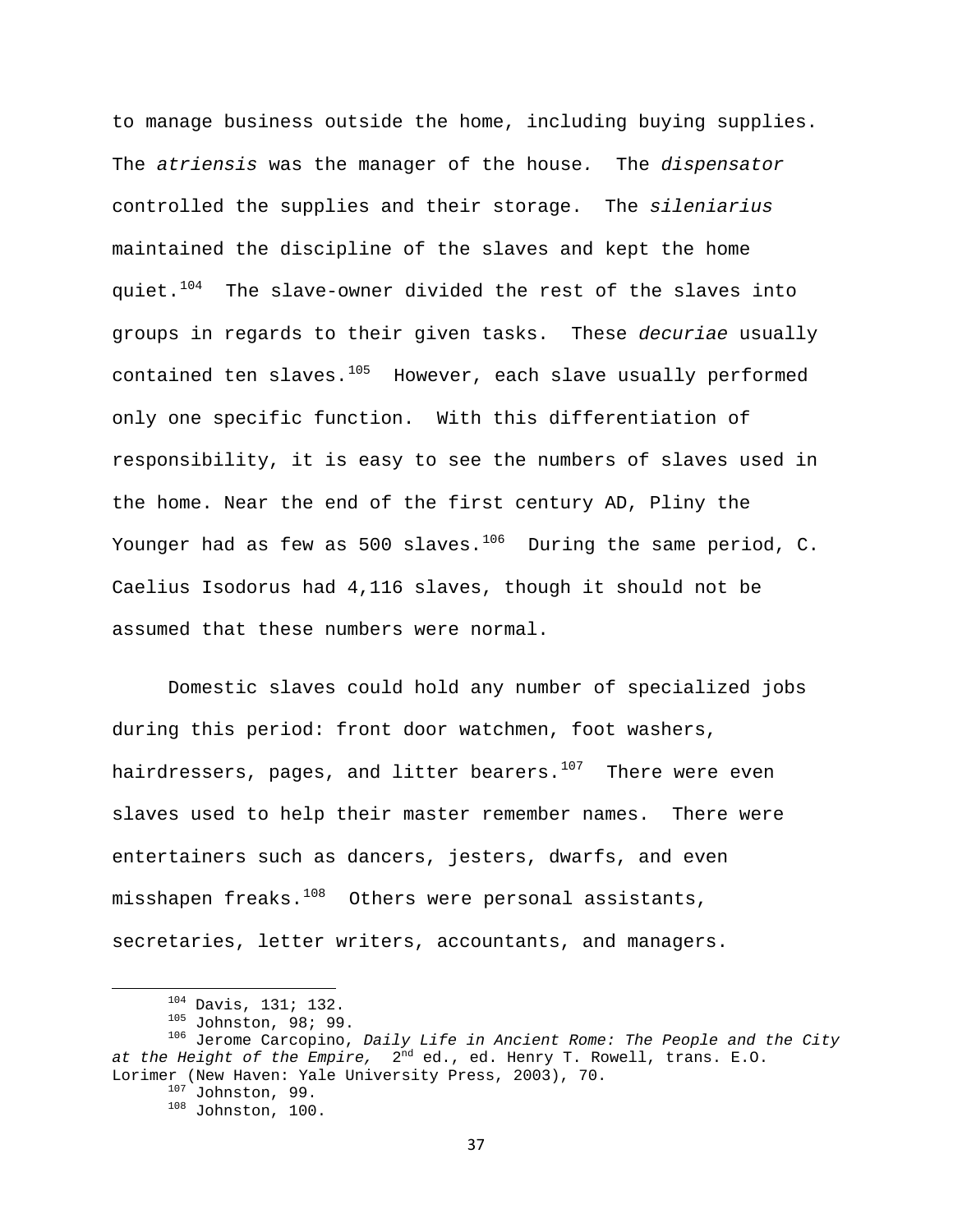to manage business outside the home, including buying supplies. The *atriensis* was the manager of the house*.* The *dispensator*  controlled the supplies and their storage. The *sileniarius* maintained the discipline of the slaves and kept the home quiet.<sup>[104](#page-37-0)</sup> The slave-owner divided the rest of the slaves into groups in regards to their given tasks. These *decuriae* usually contained ten slaves.<sup>[105](#page-37-1)</sup> However, each slave usually performed only one specific function. With this differentiation of responsibility, it is easy to see the numbers of slaves used in the home. Near the end of the first century AD, Pliny the Younger had as few as 500 slaves.<sup>[106](#page-37-2)</sup> During the same period, C. Caelius Isodorus had 4,116 slaves, though it should not be assumed that these numbers were normal.

Domestic slaves could hold any number of specialized jobs during this period: front door watchmen, foot washers, hairdressers, pages, and litter bearers. $107$  There were even slaves used to help their master remember names. There were entertainers such as dancers, jesters, dwarfs, and even misshapen freaks. $108$  Others were personal assistants, secretaries, letter writers, accountants, and managers.

<span id="page-37-4"></span><span id="page-37-3"></span><span id="page-37-2"></span><span id="page-37-1"></span><span id="page-37-0"></span><sup>&</sup>lt;sup>104</sup> Davis, 131; 132.<br><sup>105</sup> Johnston, 98; 99.<br><sup>106</sup> Jerome Carcopino, *Daily Life in Ancient Rome: The People and the City at the Height of the Empire,* 2nd ed., ed. Henry T. Rowell, trans. E.O. Lorimer (New Haven: Yale University Press, 2003), 70.<br><sup>107</sup> Johnston, 99.<br><sup>108</sup> Johnston, 100.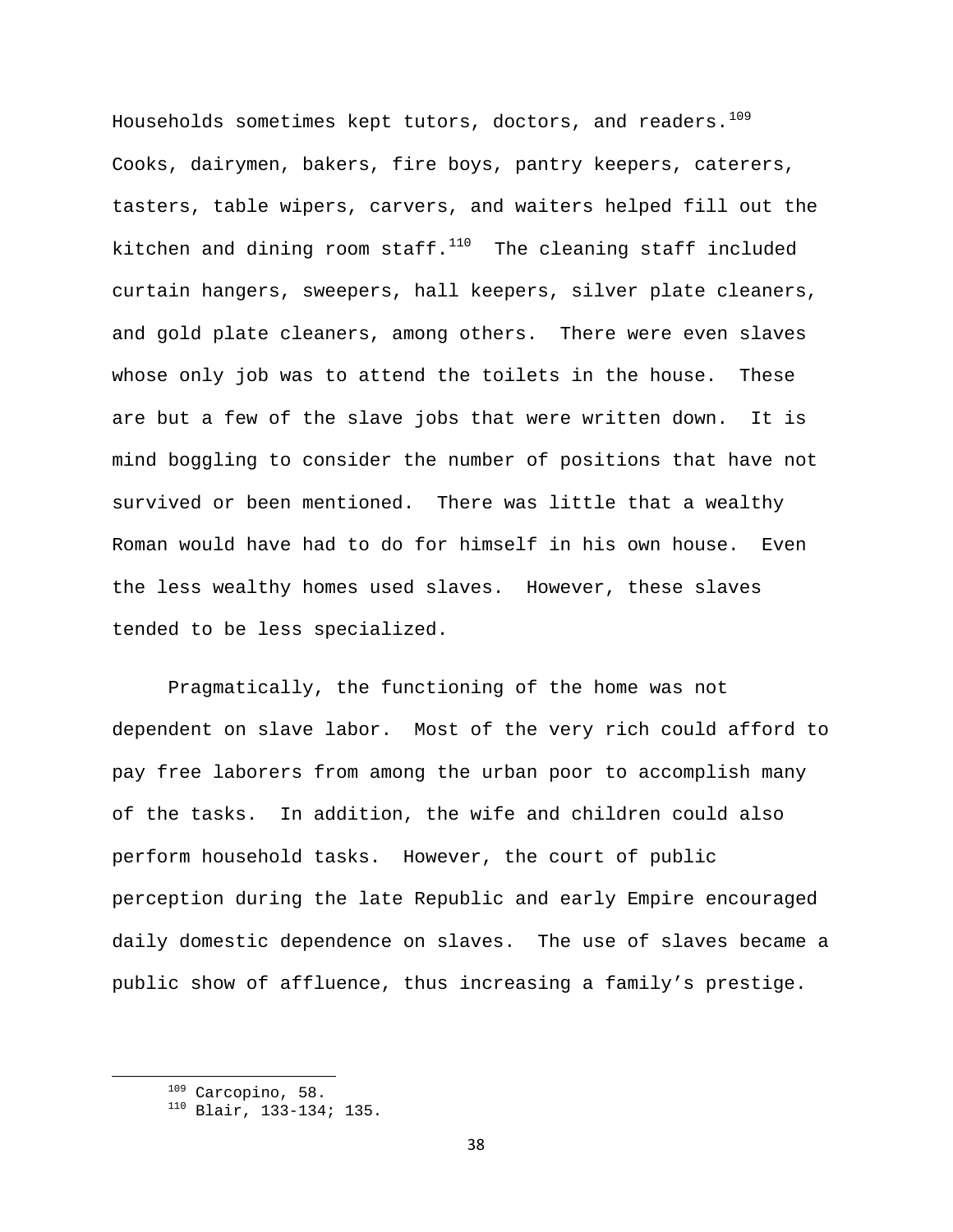Households sometimes kept tutors, doctors, and readers.  $109$ Cooks, dairymen, bakers, fire boys, pantry keepers, caterers, tasters, table wipers, carvers, and waiters helped fill out the kitchen and dining room staff. $110$  The cleaning staff included curtain hangers, sweepers, hall keepers, silver plate cleaners, and gold plate cleaners, among others. There were even slaves whose only job was to attend the toilets in the house. These are but a few of the slave jobs that were written down. It is mind boggling to consider the number of positions that have not survived or been mentioned. There was little that a wealthy Roman would have had to do for himself in his own house. Even the less wealthy homes used slaves. However, these slaves tended to be less specialized.

Pragmatically, the functioning of the home was not dependent on slave labor. Most of the very rich could afford to pay free laborers from among the urban poor to accomplish many of the tasks. In addition, the wife and children could also perform household tasks. However, the court of public perception during the late Republic and early Empire encouraged daily domestic dependence on slaves. The use of slaves became a public show of affluence, thus increasing a family's prestige.

<span id="page-38-1"></span><span id="page-38-0"></span><sup>&</sup>lt;sup>109</sup> Carcopino, 58.<br><sup>110</sup> Blair, 133-134; 135.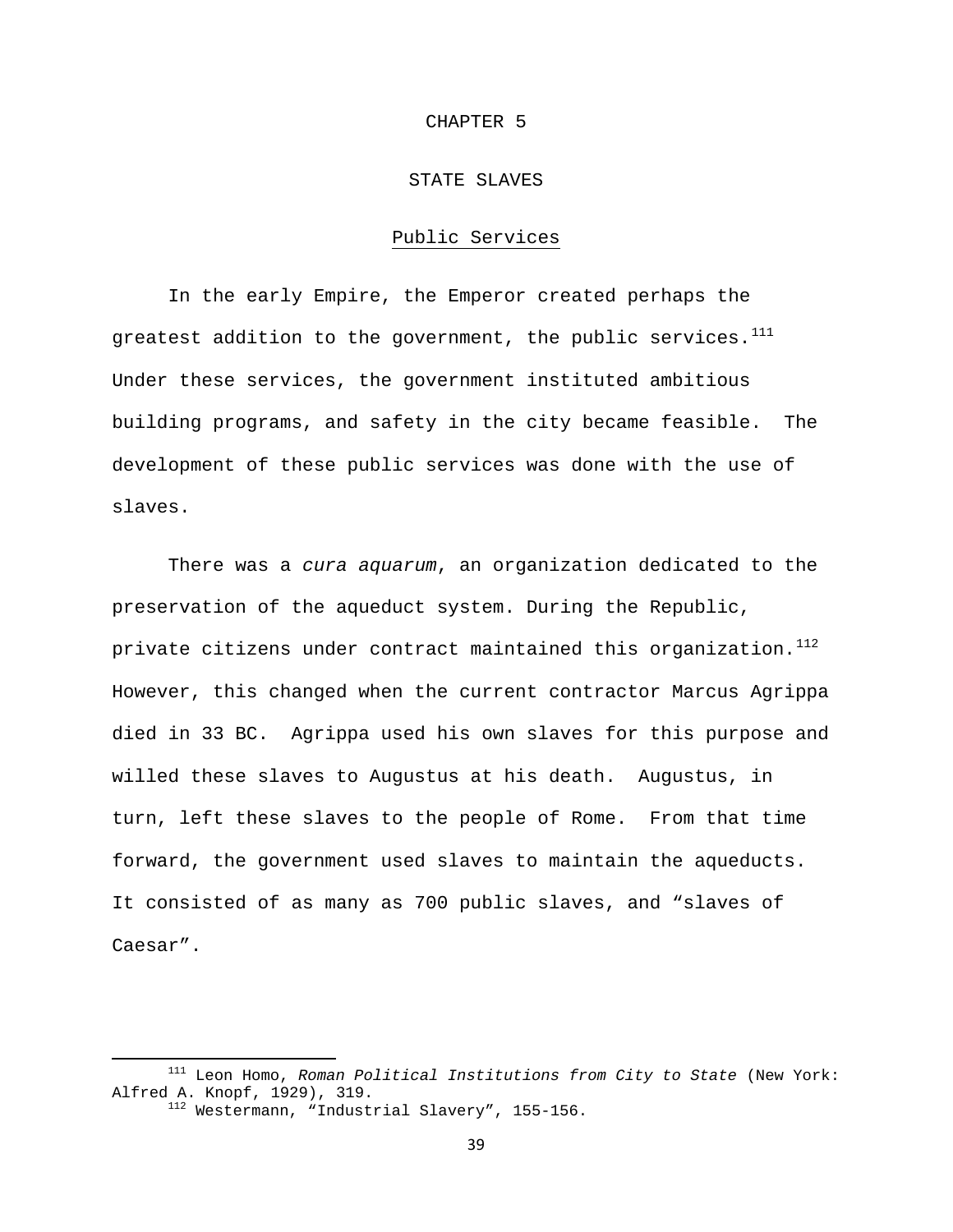### CHAPTER 5

# STATE SLAVES

# Public Services

In the early Empire, the Emperor created perhaps the greatest addition to the government, the public services. $111$ Under these services, the government instituted ambitious building programs, and safety in the city became feasible. The development of these public services was done with the use of slaves.

There was a *cura aquarum*, an organization dedicated to the preservation of the aqueduct system. During the Republic, private citizens under contract maintained this organization.<sup>[112](#page-39-1)</sup> However, this changed when the current contractor Marcus Agrippa died in 33 BC. Agrippa used his own slaves for this purpose and willed these slaves to Augustus at his death. Augustus, in turn, left these slaves to the people of Rome. From that time forward, the government used slaves to maintain the aqueducts. It consisted of as many as 700 public slaves, and "slaves of Caesar".

<span id="page-39-1"></span><span id="page-39-0"></span> 111 Leon Homo, *Roman Political Institutions from City to State* (New York: Alfred A. Knopf, 1929), 319.<br><sup>112</sup> Westermann, "Industrial Slavery", 155-156.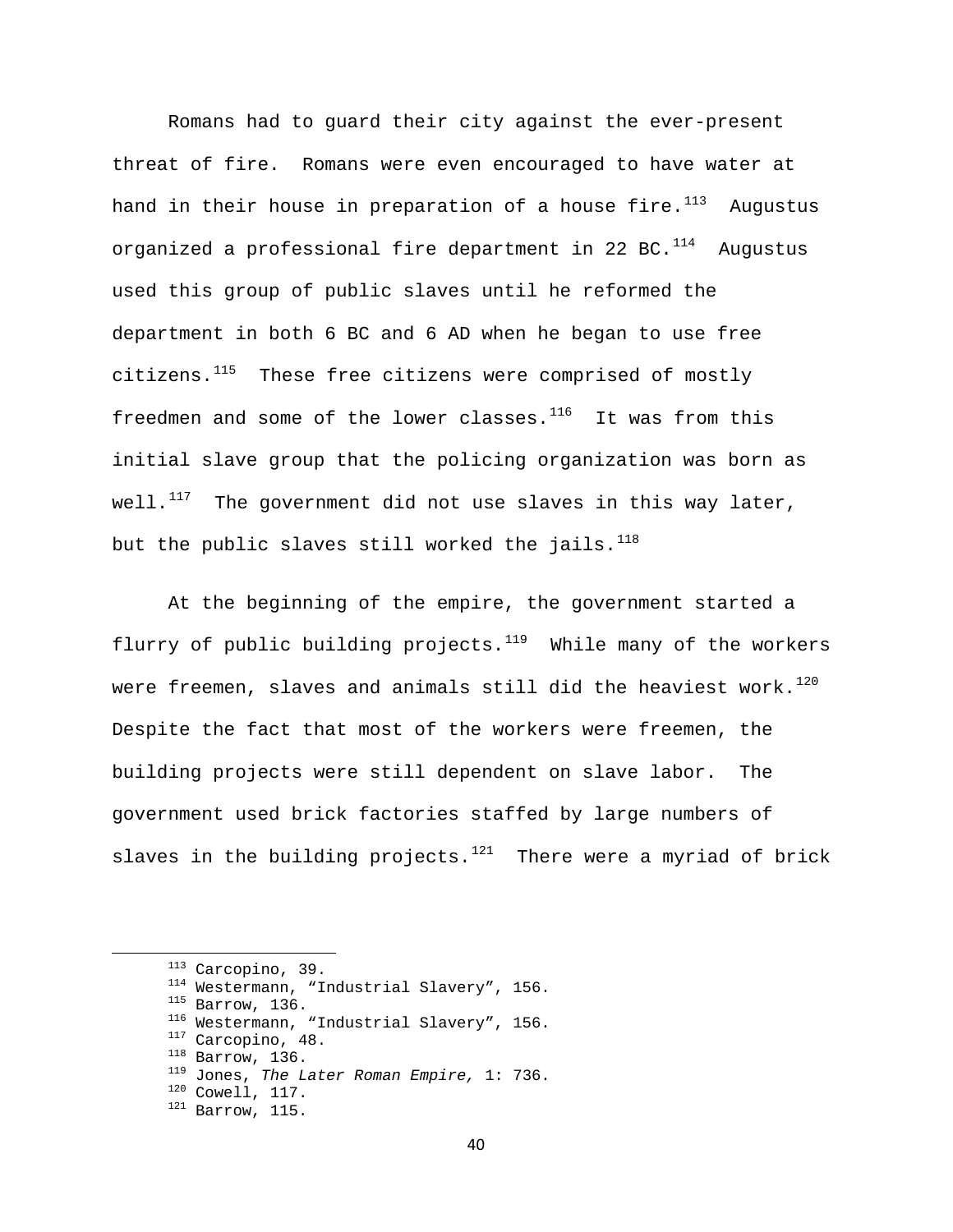Romans had to guard their city against the ever-present threat of fire. Romans were even encouraged to have water at hand in their house in preparation of a house fire. $113$  Augustus organized a professional fire department in 22 BC. $^{114}$  $^{114}$  $^{114}$  Augustus used this group of public slaves until he reformed the department in both 6 BC and 6 AD when he began to use free citizens.<sup>[115](#page-40-2)</sup> These free citizens were comprised of mostly freedmen and some of the lower classes. $116$  It was from this initial slave group that the policing organization was born as well. $117$  The government did not use slaves in this way later, but the public slaves still worked the jails. $^{118}$  $^{118}$  $^{118}$ 

At the beginning of the empire, the government started a flurry of public building projects. $119$  While many of the workers were freemen, slaves and animals still did the heaviest work.<sup>[120](#page-40-7)</sup> Despite the fact that most of the workers were freemen, the building projects were still dependent on slave labor. The government used brick factories staffed by large numbers of slaves in the building projects.<sup>[121](#page-40-8)</sup> There were a myriad of brick

<span id="page-40-8"></span><span id="page-40-7"></span><span id="page-40-6"></span><span id="page-40-5"></span><span id="page-40-4"></span><span id="page-40-3"></span><span id="page-40-2"></span><span id="page-40-1"></span><span id="page-40-0"></span><sup>&</sup>lt;sup>113</sup> Carcopino, 39.<br>
<sup>114</sup> Westermann, "Industrial Slavery", 156.<br>
<sup>115</sup> Barrow, 136.<br>
<sup>116</sup> Westermann, "Industrial Slavery", 156.<br>
<sup>117</sup> Carcopino, 48.<br>
<sup>118</sup> Barrow, 136.<br>
<sup>118</sup> Jones, *The Later Roman Empire*, 1: 736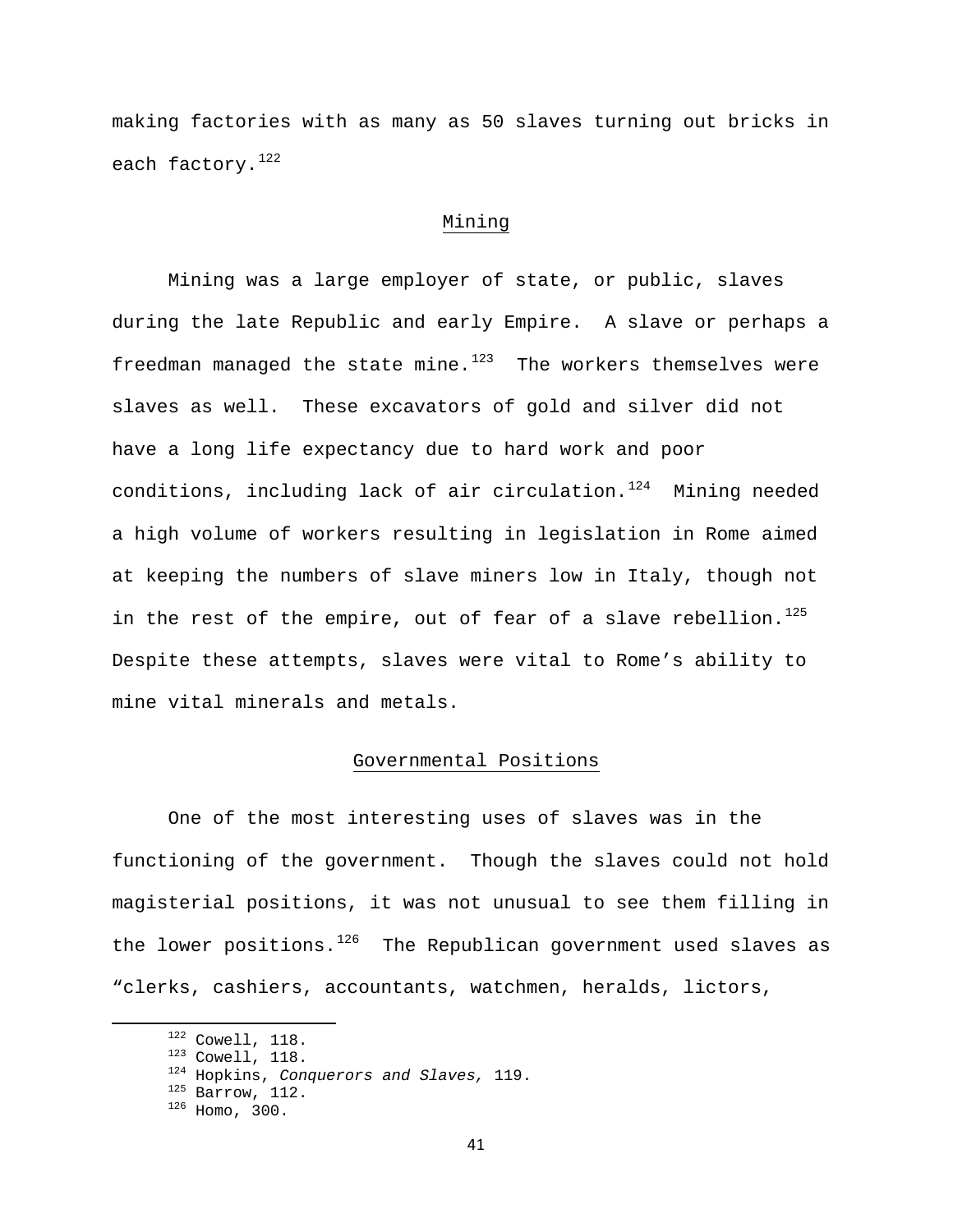making factories with as many as 50 slaves turning out bricks in each factory.<sup>[122](#page-41-0)</sup>

# Mining

Mining was a large employer of state, or public, slaves during the late Republic and early Empire. A slave or perhaps a freedman managed the state mine. $123$  The workers themselves were slaves as well. These excavators of gold and silver did not have a long life expectancy due to hard work and poor conditions, including lack of air circulation. $124$  Mining needed a high volume of workers resulting in legislation in Rome aimed at keeping the numbers of slave miners low in Italy, though not in the rest of the empire, out of fear of a slave rebellion.<sup>[125](#page-41-3)</sup> Despite these attempts, slaves were vital to Rome's ability to mine vital minerals and metals.

# Governmental Positions

One of the most interesting uses of slaves was in the functioning of the government. Though the slaves could not hold magisterial positions, it was not unusual to see them filling in the lower positions. $126$  The Republican government used slaves as "clerks, cashiers, accountants, watchmen, heralds, lictors,

<span id="page-41-1"></span><span id="page-41-0"></span><sup>1&</sup>lt;sup>22</sup> Cowell, 118.<br><sup>123</sup> Cowell, 118.<br><sup>124</sup> Hopkins, *Conquerors and Slaves*, 119.<br><sup>125</sup> Barrow, 112.<br><sup>126</sup> Homo, 300.

<span id="page-41-4"></span><span id="page-41-3"></span><span id="page-41-2"></span>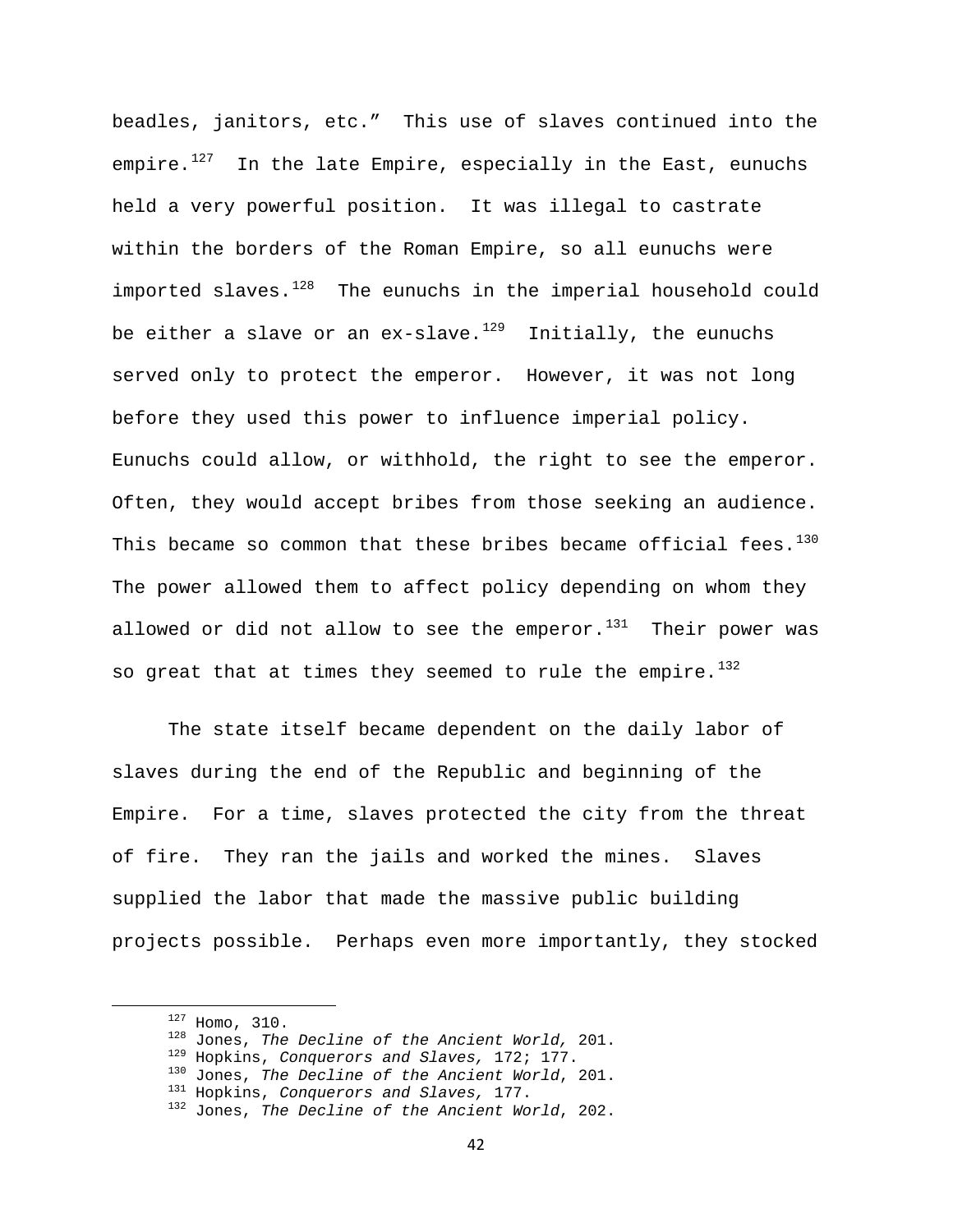beadles, janitors, etc." This use of slaves continued into the empire. $127$  In the late Empire, especially in the East, eunuchs held a very powerful position. It was illegal to castrate within the borders of the Roman Empire, so all eunuchs were imported slaves. $128$  The eunuchs in the imperial household could be either a slave or an ex-slave.<sup>[129](#page-42-2)</sup> Initially, the eunuchs served only to protect the emperor. However, it was not long before they used this power to influence imperial policy. Eunuchs could allow, or withhold, the right to see the emperor. Often, they would accept bribes from those seeking an audience. This became so common that these bribes became official fees. $130$ The power allowed them to affect policy depending on whom they allowed or did not allow to see the emperor. $131$  Their power was so great that at times they seemed to rule the empire.<sup>[132](#page-42-5)</sup>

The state itself became dependent on the daily labor of slaves during the end of the Republic and beginning of the Empire. For a time, slaves protected the city from the threat of fire. They ran the jails and worked the mines. Slaves supplied the labor that made the massive public building projects possible. Perhaps even more importantly, they stocked

<span id="page-42-2"></span><span id="page-42-1"></span><span id="page-42-0"></span><sup>&</sup>lt;sup>127</sup> Homo, 310.<br><sup>128</sup> Jones, *The Decline of the Ancient World*, 201.<br><sup>129</sup> Hopkins, *Conquerors and Slaves*, 172; 177.<br><sup>130</sup> Jones, *The Decline of the Ancient World*, 201.<br><sup>131</sup> Hopkins, *Conquerors and Slaves*, 177.<br><sup></sup>

<span id="page-42-3"></span>

<span id="page-42-5"></span><span id="page-42-4"></span>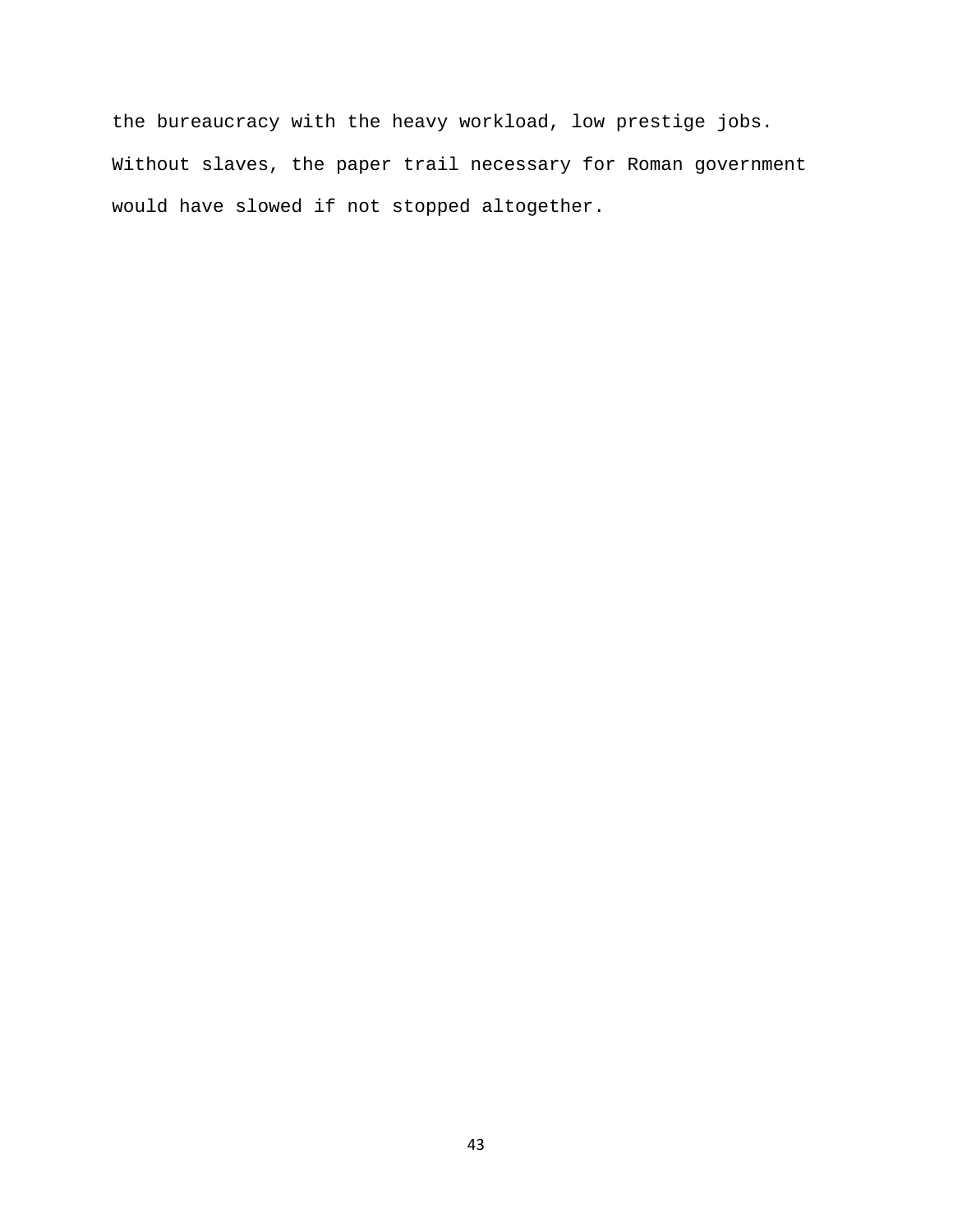the bureaucracy with the heavy workload, low prestige jobs. Without slaves, the paper trail necessary for Roman government would have slowed if not stopped altogether.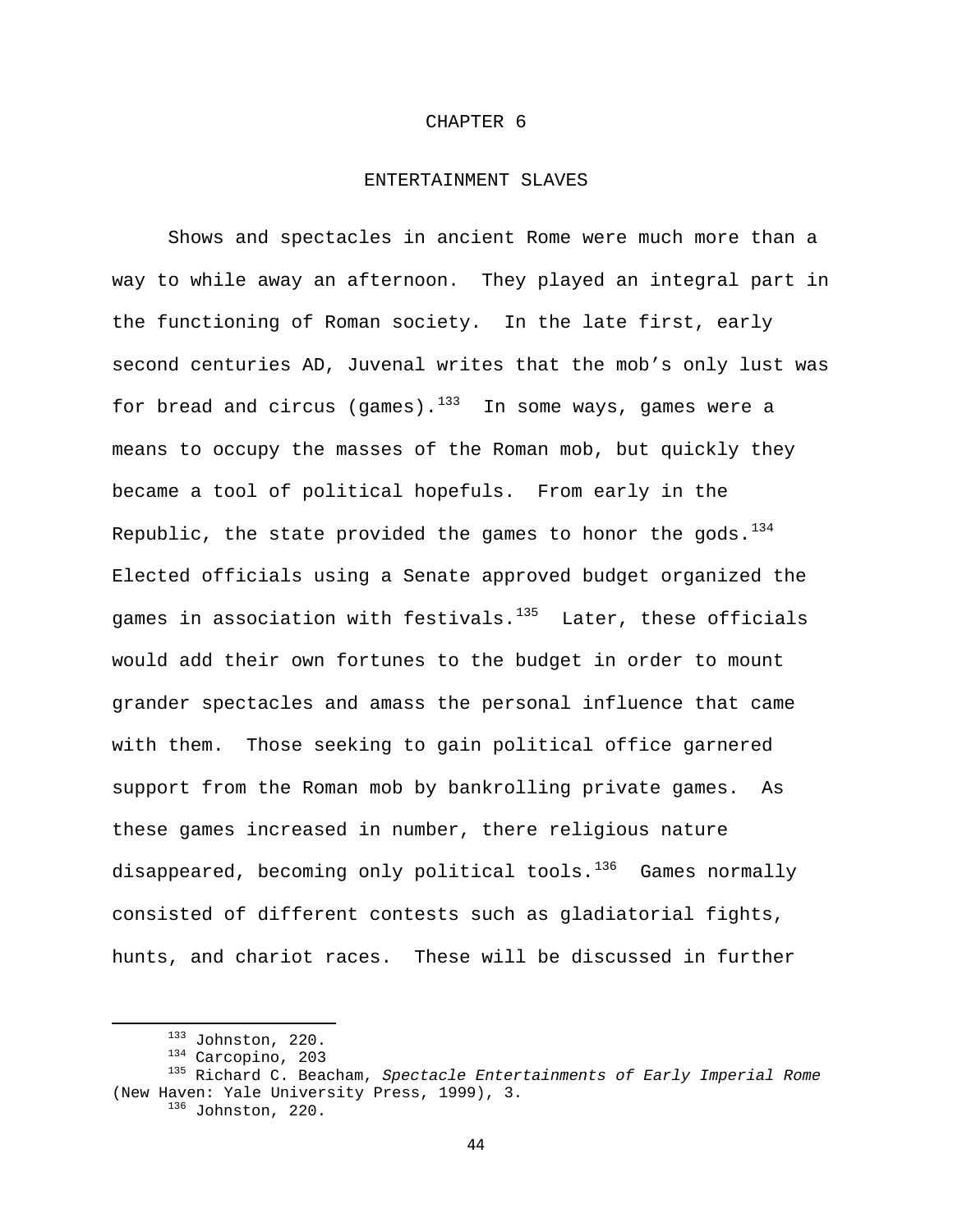### CHAPTER 6

## ENTERTAINMENT SLAVES

Shows and spectacles in ancient Rome were much more than a way to while away an afternoon. They played an integral part in the functioning of Roman society. In the late first, early second centuries AD, Juvenal writes that the mob's only lust was for bread and circus (games). $133$  In some ways, games were a means to occupy the masses of the Roman mob, but quickly they became a tool of political hopefuls. From early in the Republic, the state provided the games to honor the gods.  $134$ Elected officials using a Senate approved budget organized the games in association with festivals. $135$  Later, these officials would add their own fortunes to the budget in order to mount grander spectacles and amass the personal influence that came with them. Those seeking to gain political office garnered support from the Roman mob by bankrolling private games. As these games increased in number, there religious nature disappeared, becoming only political tools.<sup>[136](#page-44-3)</sup> Games normally consisted of different contests such as gladiatorial fights, hunts, and chariot races. These will be discussed in further

44

<span id="page-44-3"></span><span id="page-44-2"></span><span id="page-44-1"></span><span id="page-44-0"></span> 133 Johnston, 220. 134 Carcopino, 203 135 Richard C. Beacham, *Spectacle Entertainments of Early Imperial Rome* (New Haven: Yale University Press, 1999), 3.<br><sup>136</sup> Johnston, 220.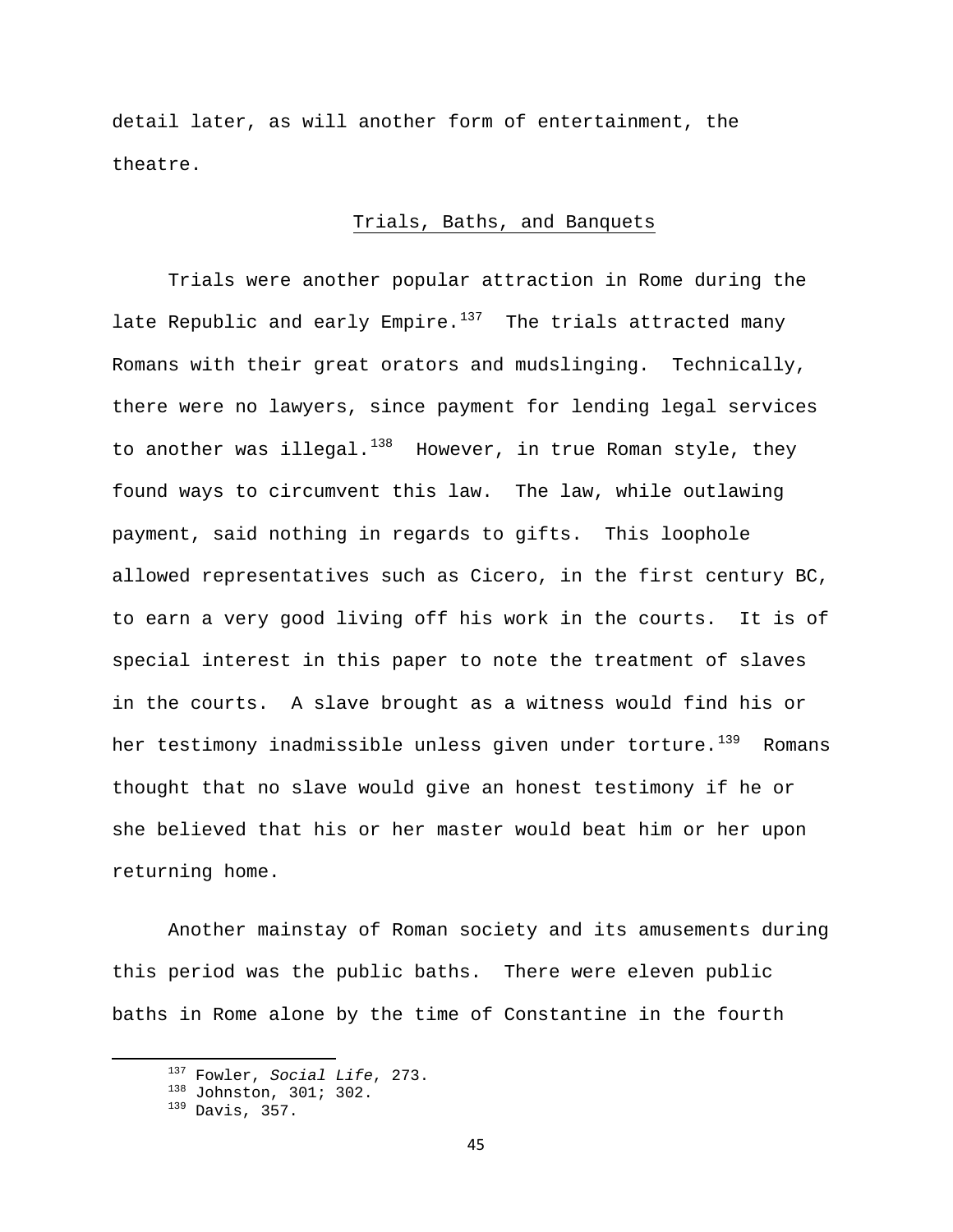detail later, as will another form of entertainment, the theatre.

# Trials, Baths, and Banquets

Trials were another popular attraction in Rome during the late Republic and early Empire. $137$  The trials attracted many Romans with their great orators and mudslinging. Technically, there were no lawyers, since payment for lending legal services to another was illegal. $^{138}$  $^{138}$  $^{138}$  However, in true Roman style, they found ways to circumvent this law. The law, while outlawing payment, said nothing in regards to gifts. This loophole allowed representatives such as Cicero, in the first century BC, to earn a very good living off his work in the courts. It is of special interest in this paper to note the treatment of slaves in the courts. A slave brought as a witness would find his or her testimony inadmissible unless given under torture.<sup>[139](#page-45-2)</sup> Romans thought that no slave would give an honest testimony if he or she believed that his or her master would beat him or her upon returning home.

Another mainstay of Roman society and its amusements during this period was the public baths. There were eleven public baths in Rome alone by the time of Constantine in the fourth

<span id="page-45-1"></span><span id="page-45-0"></span><sup>&</sup>lt;sup>137</sup> Fowler, *Social Life*, 273.<br><sup>138</sup> Johnston, 301; 302.<br><sup>139</sup> Davis, 357.

<span id="page-45-2"></span>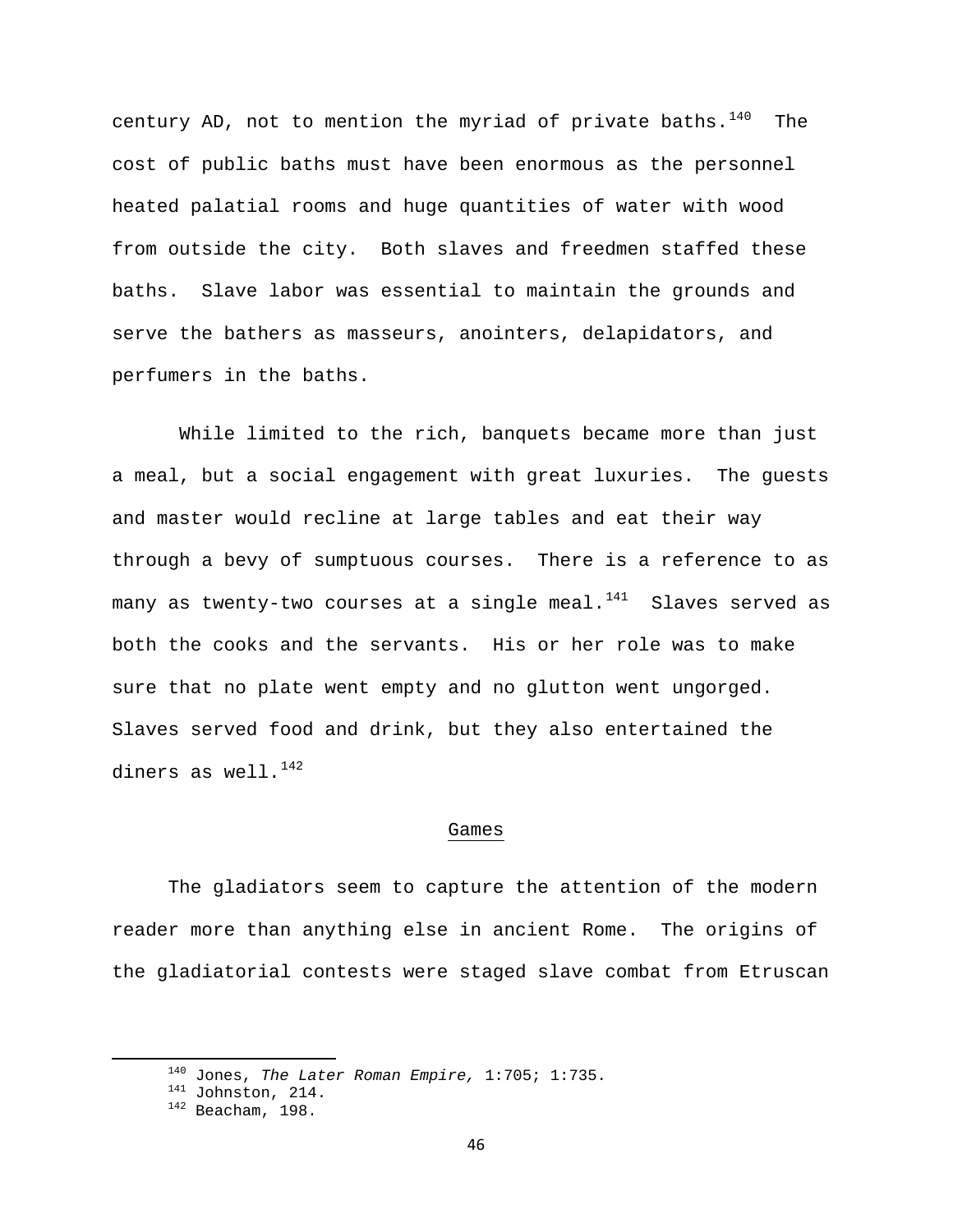century AD, not to mention the myriad of private baths. $140$  The cost of public baths must have been enormous as the personnel heated palatial rooms and huge quantities of water with wood from outside the city. Both slaves and freedmen staffed these baths. Slave labor was essential to maintain the grounds and serve the bathers as masseurs, anointers, delapidators, and perfumers in the baths.

 While limited to the rich, banquets became more than just a meal, but a social engagement with great luxuries. The guests and master would recline at large tables and eat their way through a bevy of sumptuous courses. There is a reference to as many as twenty-two courses at a single meal. $141$  Slaves served as both the cooks and the servants. His or her role was to make sure that no plate went empty and no glutton went ungorged. Slaves served food and drink, but they also entertained the diners as well. $142$ 

## Games

 The gladiators seem to capture the attention of the modern reader more than anything else in ancient Rome. The origins of the gladiatorial contests were staged slave combat from Etruscan

<span id="page-46-1"></span><span id="page-46-0"></span><sup>&</sup>lt;sup>140</sup> Jones, *The Later Roman Empire*, 1:705; 1:735.<br><sup>141</sup> Johnston, 214.<br><sup>142</sup> Beacham, 198.

<span id="page-46-2"></span>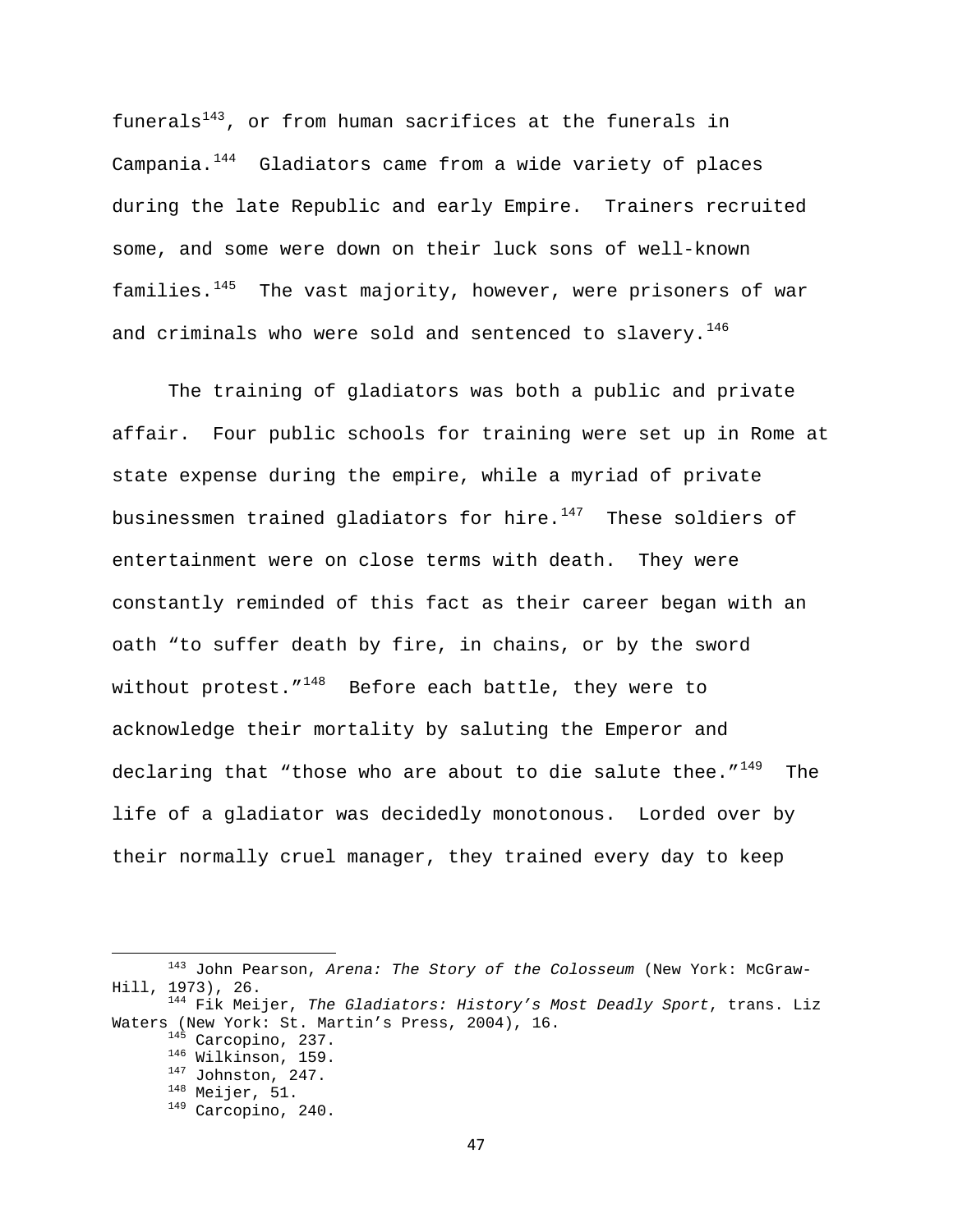funerals<sup>[143](#page-47-0)</sup>, or from human sacrifices at the funerals in Campania.<sup>[144](#page-47-1)</sup> Gladiators came from a wide variety of places during the late Republic and early Empire. Trainers recruited some, and some were down on their luck sons of well-known families. $145$  The vast majority, however, were prisoners of war and criminals who were sold and sentenced to slavery.<sup>[146](#page-47-3)</sup>

 The training of gladiators was both a public and private affair. Four public schools for training were set up in Rome at state expense during the empire, while a myriad of private businessmen trained gladiators for hire. $147$  These soldiers of entertainment were on close terms with death. They were constantly reminded of this fact as their career began with an oath "to suffer death by fire, in chains, or by the sword without protest." $148$  Before each battle, they were to acknowledge their mortality by saluting the Emperor and declaring that "those who are about to die salute thee." $149$  The life of a gladiator was decidedly monotonous. Lorded over by their normally cruel manager, they trained every day to keep

<span id="page-47-0"></span> 143 John Pearson, *Arena: The Story of the Colosseum* (New York: McGraw-Hill, 1973), 26. 144 Fik Meijer, *The Gladiators: History's Most Deadly Sport*, trans. Liz

<span id="page-47-6"></span><span id="page-47-5"></span><span id="page-47-4"></span><span id="page-47-3"></span><span id="page-47-2"></span><span id="page-47-1"></span>Waters (New York: St. Martin's Press, 2004), 16.<br>
<sup>145</sup> Carcopino, 237.<br>
<sup>146</sup> Wilkinson, 159.<br>
<sup>147</sup> Johnston, 247.<br>
<sup>148</sup> Meijer, 51.<br>
<sup>149</sup> Carcopino, 240.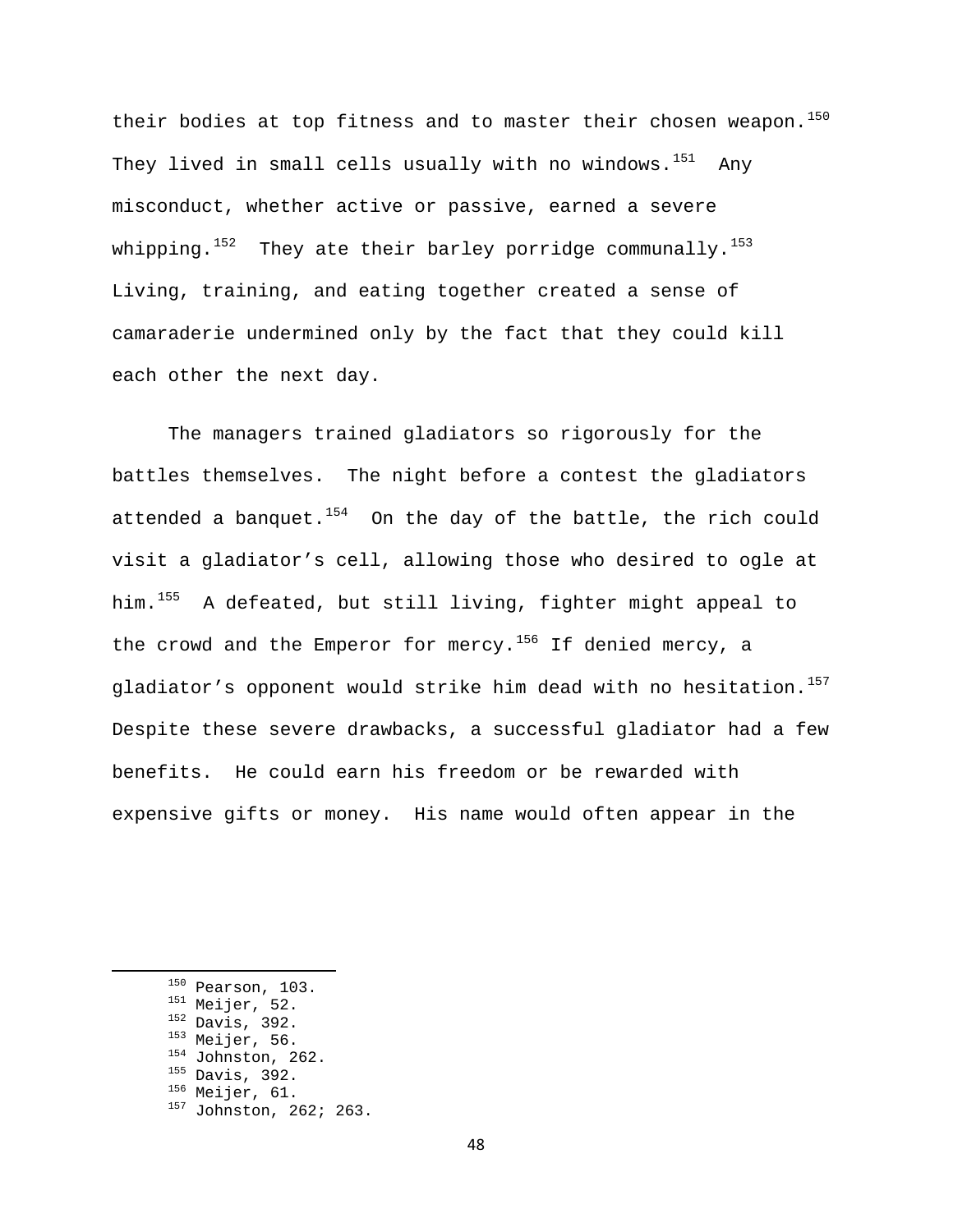their bodies at top fitness and to master their chosen weapon.<sup>[150](#page-48-0)</sup> They lived in small cells usually with no windows.<sup>[151](#page-48-1)</sup> Any misconduct, whether active or passive, earned a severe whipping.<sup>[152](#page-48-2)</sup> They ate their barley porridge communally.<sup>[153](#page-48-3)</sup> Living, training, and eating together created a sense of camaraderie undermined only by the fact that they could kill each other the next day.

 The managers trained gladiators so rigorously for the battles themselves. The night before a contest the gladiators attended a banquet. $154$  On the day of the battle, the rich could visit a gladiator's cell, allowing those who desired to ogle at him.<sup>[155](#page-48-5)</sup> A defeated, but still living, fighter might appeal to the crowd and the Emperor for mercy.<sup>[156](#page-48-6)</sup> If denied mercy, a gladiator's opponent would strike him dead with no hesitation.<sup>[157](#page-48-7)</sup> Despite these severe drawbacks, a successful gladiator had a few benefits. He could earn his freedom or be rewarded with expensive gifts or money. His name would often appear in the

- 
- 
- 
- 
- 
- 
- <span id="page-48-7"></span>
- <span id="page-48-6"></span><span id="page-48-5"></span><span id="page-48-4"></span><span id="page-48-3"></span><span id="page-48-2"></span><span id="page-48-1"></span><span id="page-48-0"></span><sup>150</sup> Pearson, 103.<br><sup>151</sup> Meijer, 52.<br><sup>152</sup> Davis, 392.<br><sup>153</sup> Meijer, 56.<br><sup>154</sup> Johnston, 262.<br><sup>155</sup> Davis, 392.<br><sup>156</sup> Meijer, 61.<br><sup>157</sup> Johnston, 262; 263.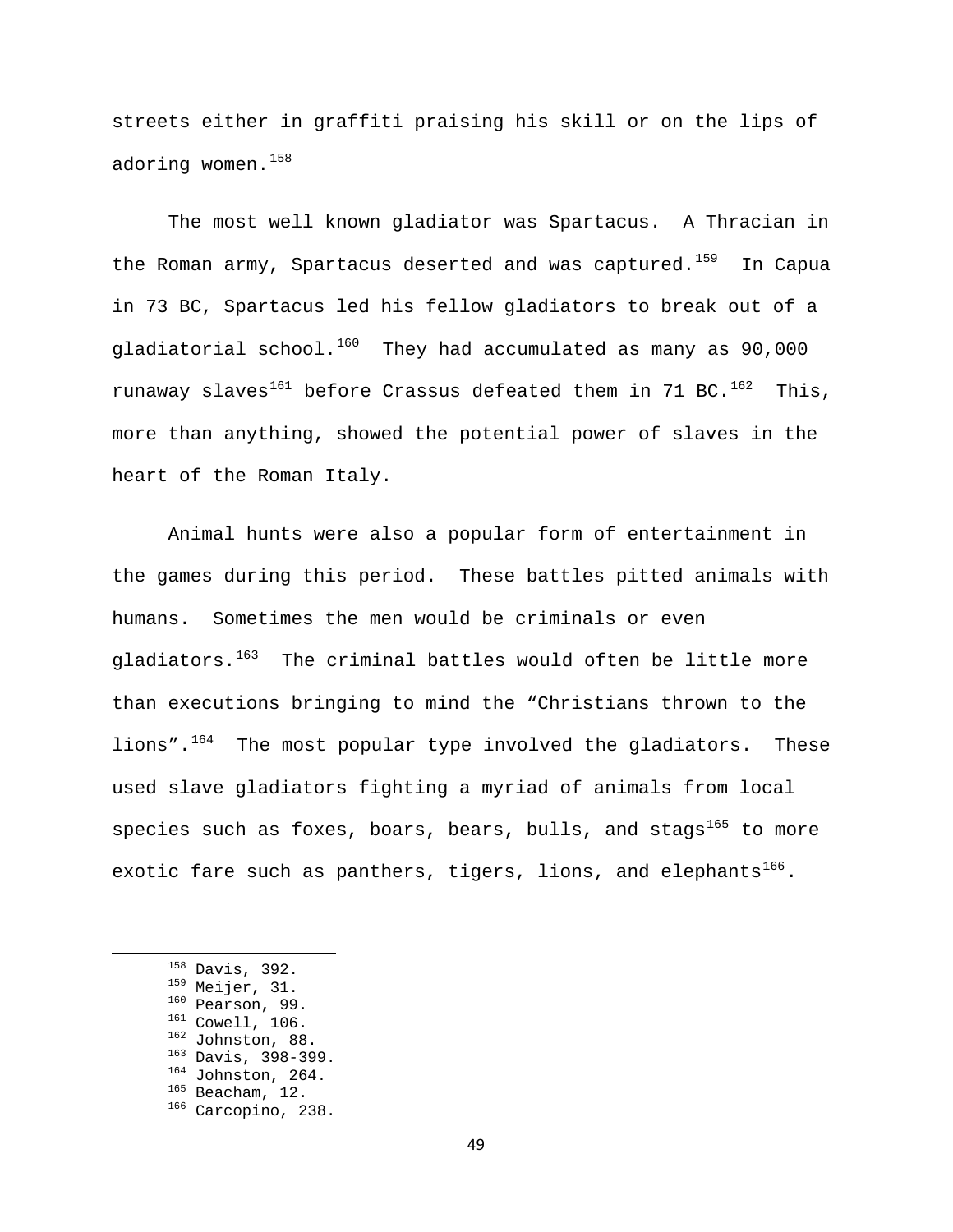streets either in graffiti praising his skill or on the lips of adoring women.<sup>[158](#page-49-0)</sup>

The most well known gladiator was Spartacus. A Thracian in the Roman army, Spartacus deserted and was captured.<sup>[159](#page-49-1)</sup> In Capua in 73 BC, Spartacus led his fellow gladiators to break out of a gladiatorial school.<sup>[160](#page-49-2)</sup> They had accumulated as many as 90,000 runaway slaves<sup>[161](#page-49-3)</sup> before Crassus defeated them in 71 BC.<sup>[162](#page-49-4)</sup> This, more than anything, showed the potential power of slaves in the heart of the Roman Italy.

Animal hunts were also a popular form of entertainment in the games during this period. These battles pitted animals with humans. Sometimes the men would be criminals or even  $q$ ladiators.<sup>[163](#page-49-5)</sup> The criminal battles would often be little more than executions bringing to mind the "Christians thrown to the lions".<sup>[164](#page-49-6)</sup> The most popular type involved the gladiators. These used slave gladiators fighting a myriad of animals from local species such as foxes, boars, bears, bulls, and stags<sup>[165](#page-49-7)</sup> to more exotic fare such as panthers, tigers, lions, and elephants<sup>[166](#page-49-8)</sup>.

- 
- 
- 
- 

- <span id="page-49-8"></span><span id="page-49-7"></span>
- 

<span id="page-49-6"></span><span id="page-49-5"></span><span id="page-49-4"></span><span id="page-49-3"></span><span id="page-49-2"></span><span id="page-49-1"></span><span id="page-49-0"></span><sup>&</sup>lt;sup>158</sup> Davis, 392.<br><sup>159</sup> Meijer, 31.<br><sup>160</sup> Pearson, 99.<br><sup>161</sup> Cowell, 106.<br><sup>162</sup> Johnston, 88.<br><sup>163</sup> Davis, 398-399.<br><sup>164</sup> Johnston, 264.<br><sup>165</sup> Beacham, 12.<br><sup>166</sup> Carcopino, 238.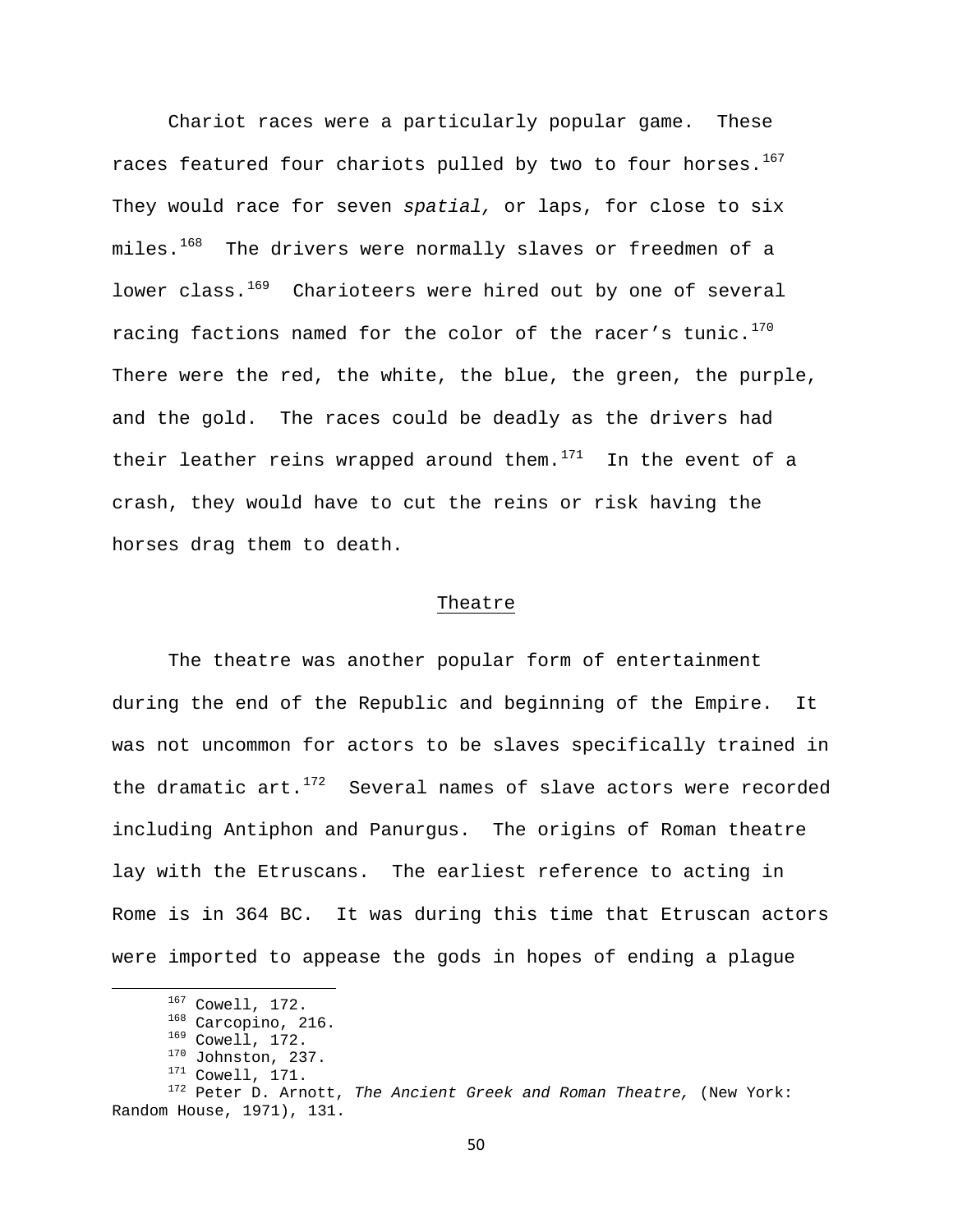Chariot races were a particularly popular game. These races featured four chariots pulled by two to four horses.<sup>[167](#page-50-0)</sup> They would race for seven *spatial,* or laps, for close to six miles.<sup>[168](#page-50-1)</sup> The drivers were normally slaves or freedmen of a lower class.<sup>[169](#page-50-2)</sup> Charioteers were hired out by one of several racing factions named for the color of the racer's tunic.<sup>[170](#page-50-3)</sup> There were the red, the white, the blue, the green, the purple, and the gold. The races could be deadly as the drivers had their leather reins wrapped around them. $171$  In the event of a crash, they would have to cut the reins or risk having the horses drag them to death.

### Theatre

The theatre was another popular form of entertainment during the end of the Republic and beginning of the Empire. It was not uncommon for actors to be slaves specifically trained in the dramatic  $art.^{172}$  $art.^{172}$  $art.^{172}$  Several names of slave actors were recorded including Antiphon and Panurgus. The origins of Roman theatre lay with the Etruscans. The earliest reference to acting in Rome is in 364 BC. It was during this time that Etruscan actors were imported to appease the gods in hopes of ending a plague

50

<span id="page-50-5"></span><span id="page-50-4"></span><span id="page-50-3"></span><span id="page-50-2"></span><span id="page-50-1"></span><span id="page-50-0"></span><sup>167</sup> Cowell, 172.<br><sup>168</sup> Carcopino, 216.<br><sup>169</sup> Cowell, 172.<br><sup>170</sup> Johnston, 237.<br><sup>171</sup> Cowell, 171.<br><sup>172</sup> Peter D. Arnott, *The Ancient Greek and Roman Theatre,* (New York: Random House, 1971), 131.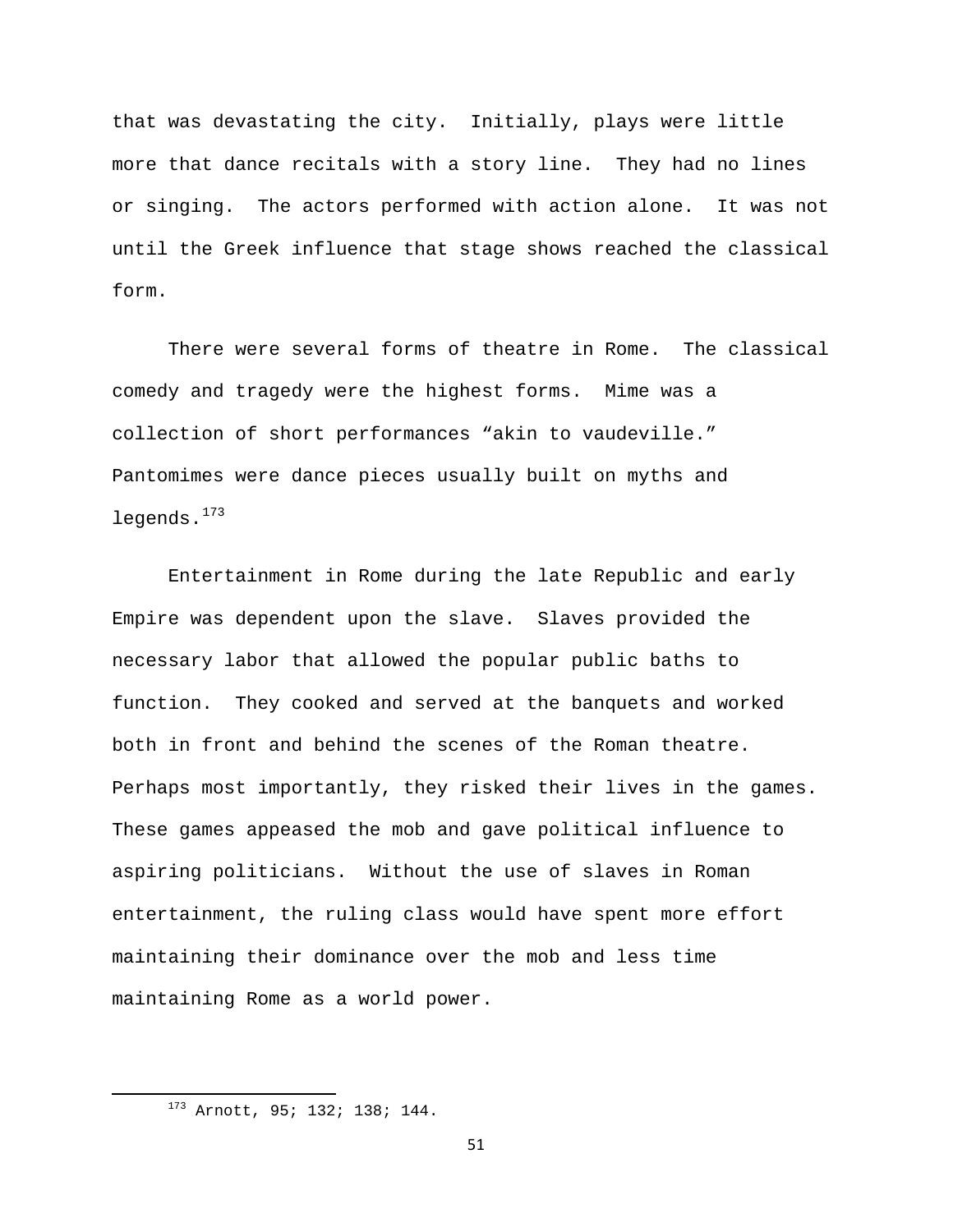that was devastating the city. Initially, plays were little more that dance recitals with a story line. They had no lines or singing. The actors performed with action alone. It was not until the Greek influence that stage shows reached the classical form.

There were several forms of theatre in Rome. The classical comedy and tragedy were the highest forms. Mime was a collection of short performances "akin to vaudeville." Pantomimes were dance pieces usually built on myths and legends.<sup>[173](#page-51-0)</sup>

Entertainment in Rome during the late Republic and early Empire was dependent upon the slave. Slaves provided the necessary labor that allowed the popular public baths to function. They cooked and served at the banquets and worked both in front and behind the scenes of the Roman theatre. Perhaps most importantly, they risked their lives in the games. These games appeased the mob and gave political influence to aspiring politicians. Without the use of slaves in Roman entertainment, the ruling class would have spent more effort maintaining their dominance over the mob and less time maintaining Rome as a world power.

51

<span id="page-51-0"></span> 173 Arnott, 95; 132; 138; 144.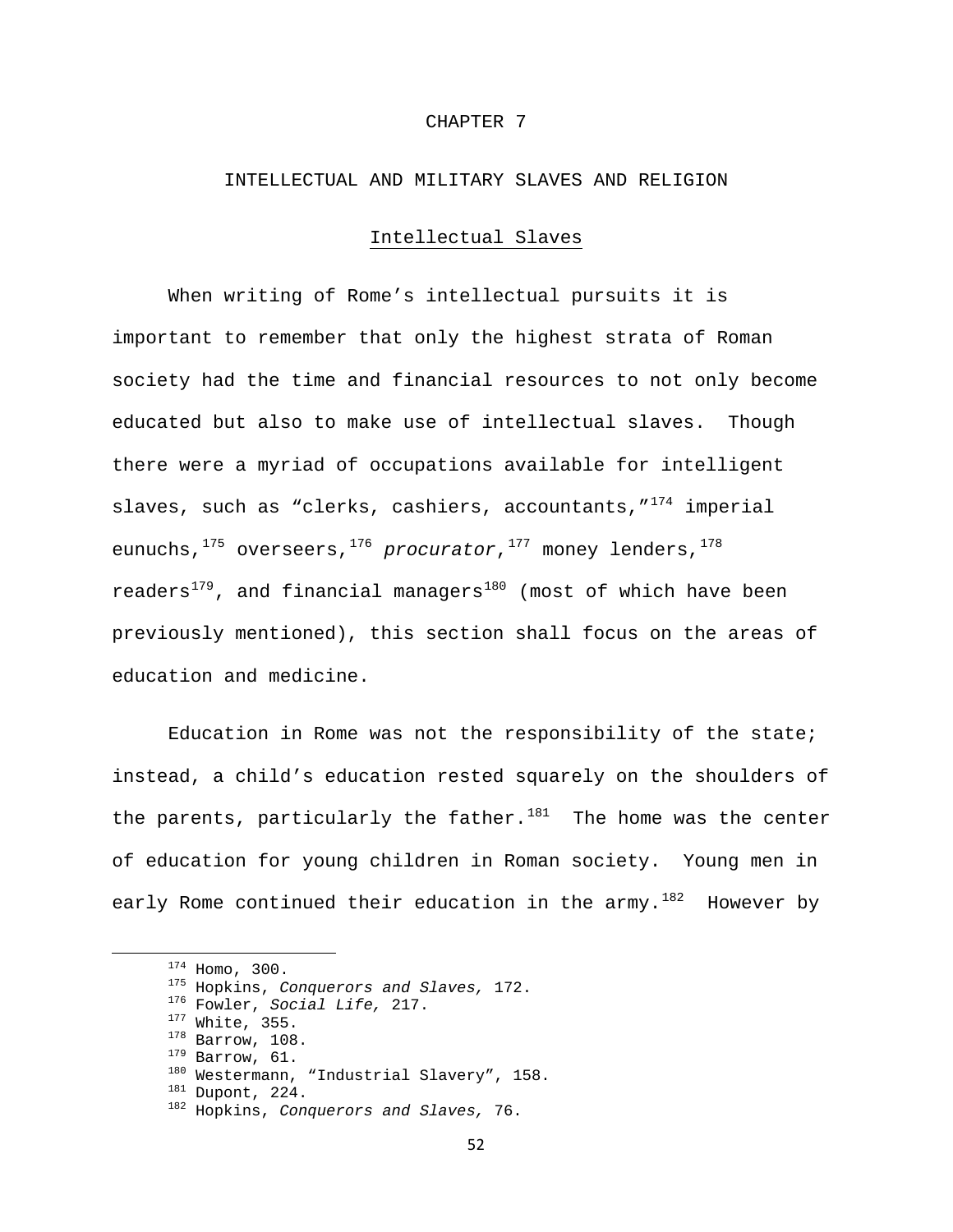### CHAPTER 7

# INTELLECTUAL AND MILITARY SLAVES AND RELIGION

## Intellectual Slaves

When writing of Rome's intellectual pursuits it is important to remember that only the highest strata of Roman society had the time and financial resources to not only become educated but also to make use of intellectual slaves. Though there were a myriad of occupations available for intelligent slaves, such as "clerks, cashiers, accountants,  $1^{74}$  imperial eunuchs,<sup>[175](#page-52-1)</sup> overseers,<sup>[176](#page-52-2)</sup> procurator,<sup>[177](#page-52-3)</sup> money lenders,<sup>[178](#page-52-4)</sup> readers<sup>[179](#page-52-5)</sup>, and financial managers<sup>[180](#page-52-6)</sup> (most of which have been previously mentioned), this section shall focus on the areas of education and medicine.

 Education in Rome was not the responsibility of the state; instead, a child's education rested squarely on the shoulders of the parents, particularly the father. $181$  The home was the center of education for young children in Roman society. Young men in early Rome continued their education in the army. $182$  However by

<span id="page-52-6"></span><span id="page-52-5"></span><span id="page-52-4"></span><span id="page-52-3"></span><span id="page-52-2"></span><span id="page-52-1"></span><span id="page-52-0"></span><sup>&</sup>lt;sup>174</sup> Homo, 300.<br><sup>175</sup> Hopkins, Conquerors and Slaves, 172.<br><sup>176</sup> Fowler, Social Life, 217.<br><sup>177</sup> White, 355.<br><sup>178</sup> Barrow, 108.<br><sup>179</sup> Barrow, 61.<br><sup>189</sup> Barrow, 61.<br><sup>180</sup> Westermann, "Industrial Slavery", 158.<br><sup>181</sup> Dupont

<span id="page-52-8"></span><span id="page-52-7"></span>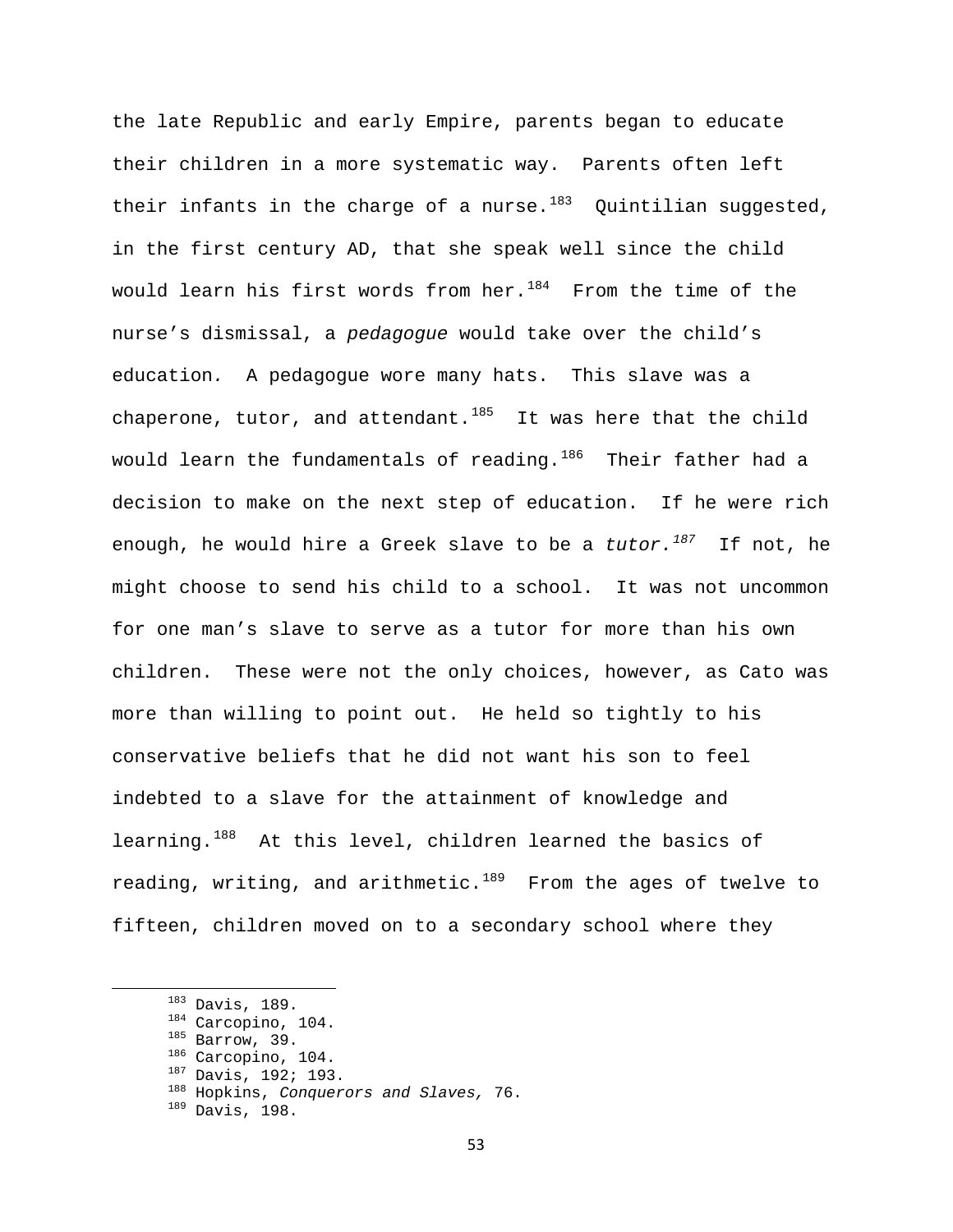the late Republic and early Empire, parents began to educate their children in a more systematic way. Parents often left their infants in the charge of a nurse.<sup>[183](#page-53-0)</sup> Quintilian suggested, in the first century AD, that she speak well since the child would learn his first words from her. $184$  From the time of the nurse's dismissal, a *pedagogue* would take over the child's education*.* A pedagogue wore many hats. This slave was a chaperone, tutor, and attendant. $185$  It was here that the child would learn the fundamentals of reading. $186$  Their father had a decision to make on the next step of education. If he were rich enough, he would hire a Greek slave to be a *tutor.[187](#page-53-4)* If not, he might choose to send his child to a school. It was not uncommon for one man's slave to serve as a tutor for more than his own children. These were not the only choices, however, as Cato was more than willing to point out. He held so tightly to his conservative beliefs that he did not want his son to feel indebted to a slave for the attainment of knowledge and learning.<sup>[188](#page-53-5)</sup> At this level, children learned the basics of reading, writing, and arithmetic. $189$  From the ages of twelve to fifteen, children moved on to a secondary school where they

- 
- <span id="page-53-2"></span>
- 
- 
- <span id="page-53-5"></span><span id="page-53-4"></span><span id="page-53-3"></span>
- <span id="page-53-1"></span><span id="page-53-0"></span>183 Davis, 189.<br><sup>184</sup> Carcopino, 104.<br><sup>185</sup> Barrow, 39.<br><sup>186</sup> Carcopino, 104.<br><sup>187</sup> Davis, 192; 193.<br><sup>188</sup> Hopkins, *Conquerors and Slaves,* 76.<br><sup>189</sup> Davis, 198.
- <span id="page-53-6"></span>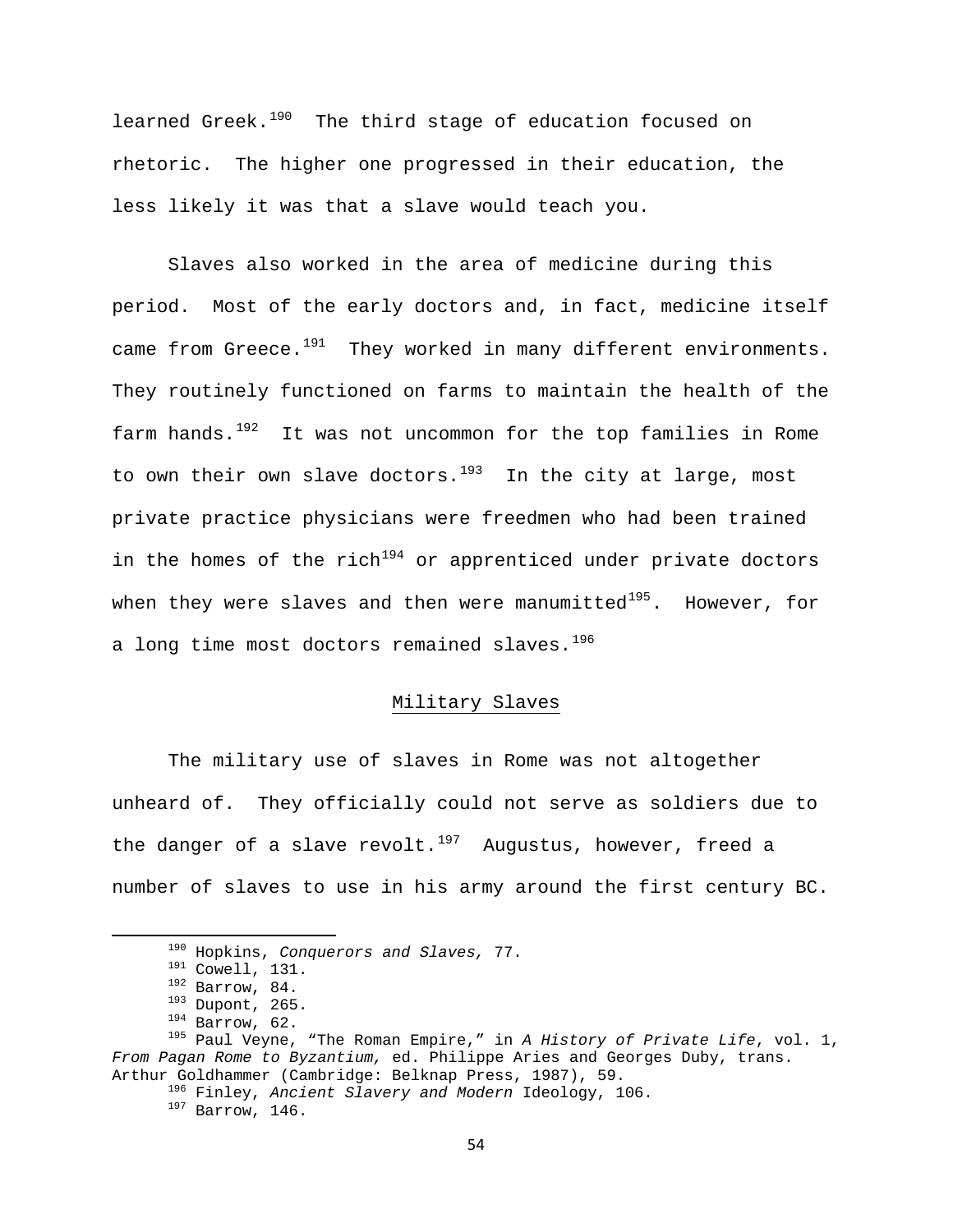learned Greek.<sup>[190](#page-54-0)</sup> The third stage of education focused on rhetoric. The higher one progressed in their education, the less likely it was that a slave would teach you.

 Slaves also worked in the area of medicine during this period. Most of the early doctors and, in fact, medicine itself came from Greece. $191$  They worked in many different environments. They routinely functioned on farms to maintain the health of the farm hands. $192$  It was not uncommon for the top families in Rome to own their own slave doctors. $193$  In the city at large, most private practice physicians were freedmen who had been trained in the homes of the rich<sup>[194](#page-54-4)</sup> or apprenticed under private doctors when they were slaves and then were manumitted $195$ . However, for a long time most doctors remained slaves.<sup>[196](#page-54-6)</sup>

# Military Slaves

 The military use of slaves in Rome was not altogether unheard of. They officially could not serve as soldiers due to the danger of a slave revolt.<sup>[197](#page-54-7)</sup> Augustus, however, freed a number of slaves to use in his army around the first century BC.

<span id="page-54-3"></span><span id="page-54-2"></span><span id="page-54-1"></span><span id="page-54-0"></span><sup>190</sup> Hopkins, *Conquerors and Slaves,* 77.<br>
191 Cowell, 131.<br>
192 Barrow, 84.<br>
193 Dupont, 265.<br>
194 Barrow, 62.<br>
195 Paul Veyne, "The Roman Empire," in *A History of Private Life*, vol. 1, *From Pagan Rome to Byzantium,* ed. Philippe Aries and Georges Duby, trans.

<span id="page-54-7"></span><span id="page-54-6"></span><span id="page-54-5"></span><span id="page-54-4"></span>Arthur Goldhammer (Cambridge: Belknap Press, 1987), 59.<br><sup>196</sup> Finley, *Ancient Slavery and Modern* Ideology, 106.<br><sup>197</sup> Barrow, 146.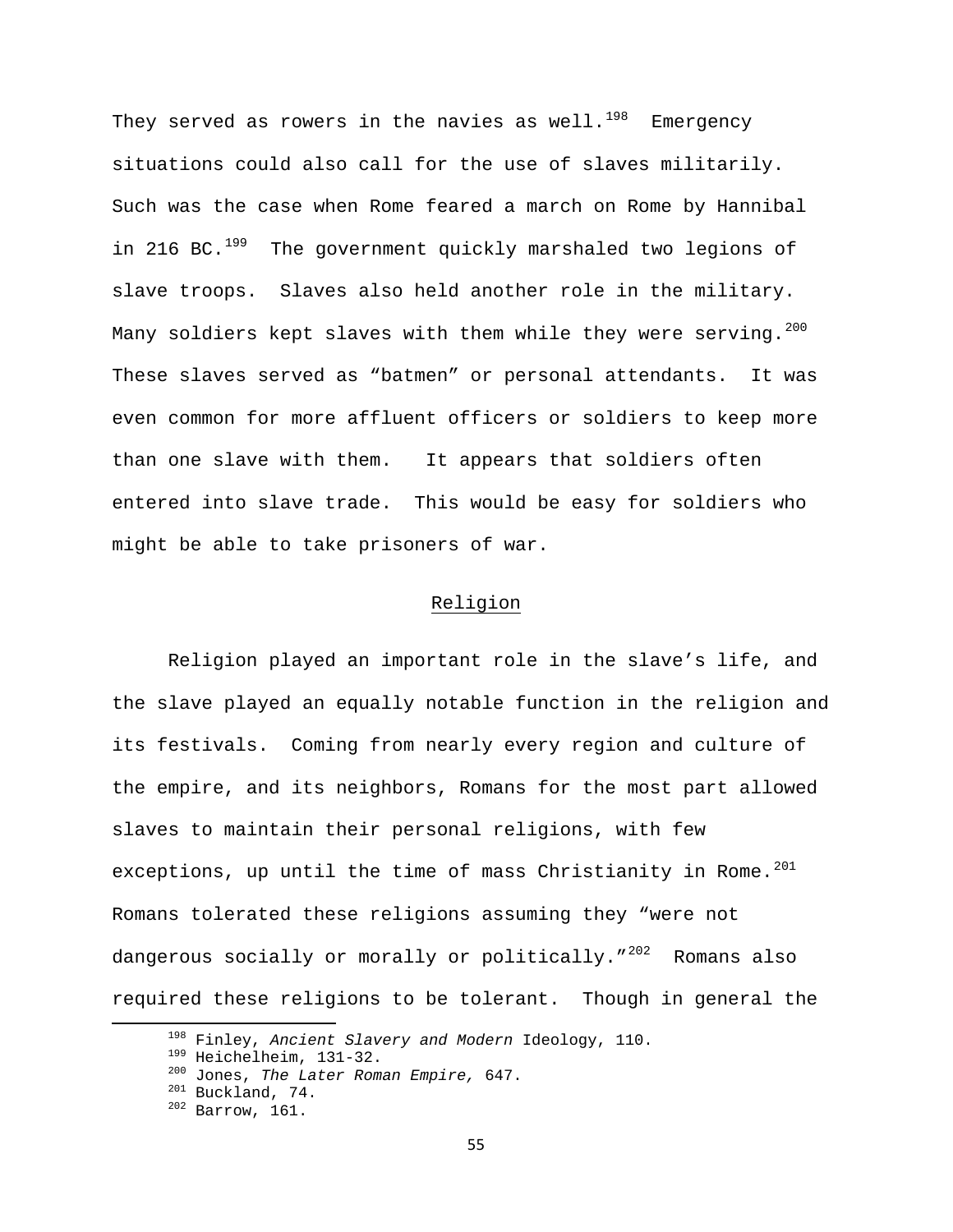They served as rowers in the navies as well.<sup>[198](#page-55-0)</sup> Emergency situations could also call for the use of slaves militarily. Such was the case when Rome feared a march on Rome by Hannibal in 216 BC.<sup>[199](#page-55-1)</sup> The government quickly marshaled two legions of slave troops. Slaves also held another role in the military. Many soldiers kept slaves with them while they were serving.<sup>[200](#page-55-2)</sup> These slaves served as "batmen" or personal attendants. It was even common for more affluent officers or soldiers to keep more than one slave with them. It appears that soldiers often entered into slave trade. This would be easy for soldiers who might be able to take prisoners of war.

# Religion

 Religion played an important role in the slave's life, and the slave played an equally notable function in the religion and its festivals. Coming from nearly every region and culture of the empire, and its neighbors, Romans for the most part allowed slaves to maintain their personal religions, with few exceptions, up until the time of mass Christianity in Rome.  $201$ Romans tolerated these religions assuming they "were not dangerous socially or morally or politically."<sup>[202](#page-55-4)</sup> Romans also required these religions to be tolerant. Though in general the

<span id="page-55-1"></span><span id="page-55-0"></span><sup>&</sup>lt;sup>198</sup> Finley, *Ancient Slavery and Modern Ideology*, 110.<br><sup>199</sup> Heichelheim, 131-32.<br><sup>200</sup> Jones, *The Later Roman Empire*, 647.<br><sup>201</sup> Buckland, 74.<br><sup>202</sup> Barrow, 161.

<span id="page-55-2"></span>

<span id="page-55-4"></span><span id="page-55-3"></span>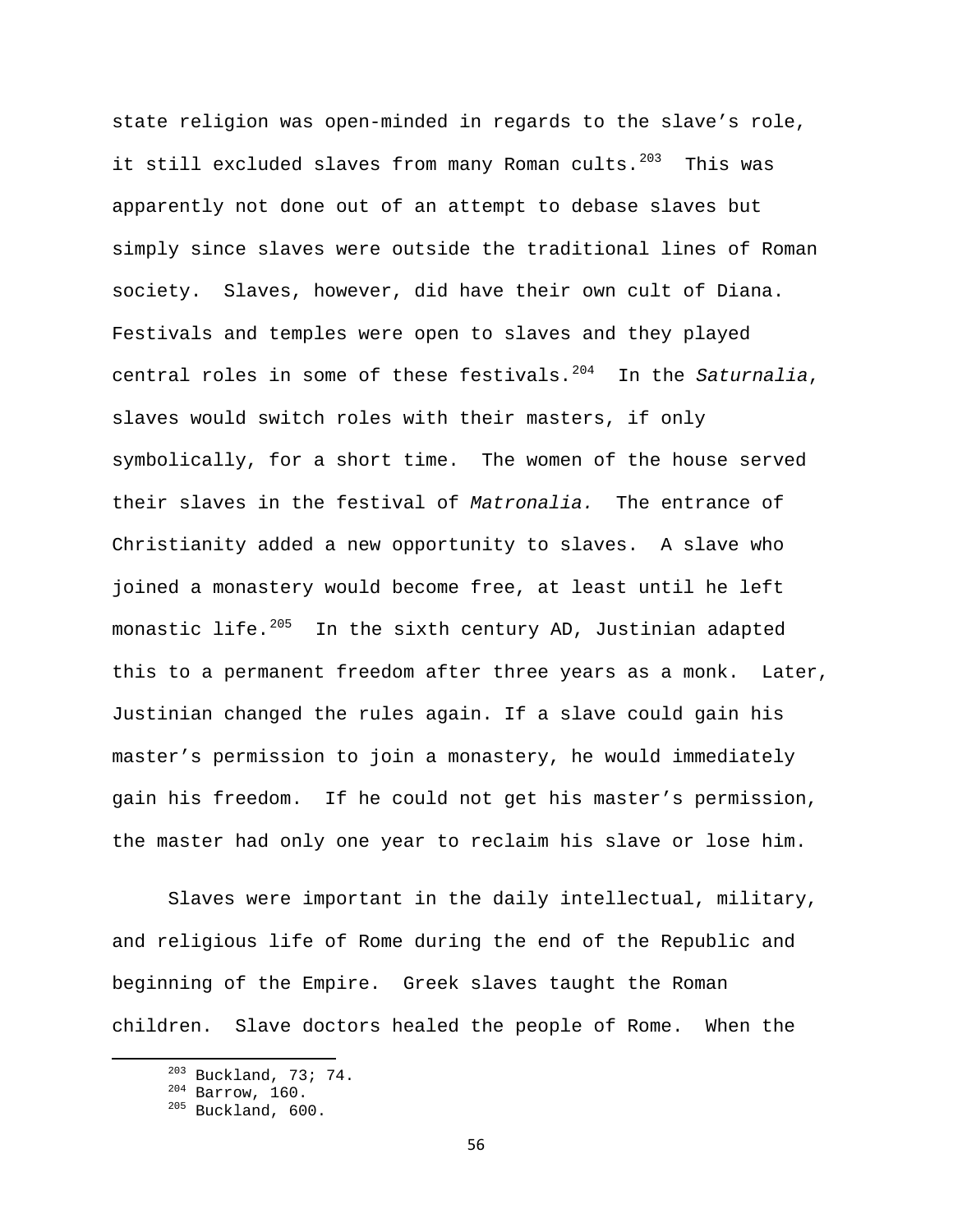state religion was open-minded in regards to the slave's role, it still excluded slaves from many Roman cults.<sup>[203](#page-56-0)</sup> This was apparently not done out of an attempt to debase slaves but simply since slaves were outside the traditional lines of Roman society. Slaves, however, did have their own cult of Diana. Festivals and temples were open to slaves and they played central roles in some of these festivals.<sup>[204](#page-56-1)</sup> In the *Saturnalia*, slaves would switch roles with their masters, if only symbolically, for a short time. The women of the house served their slaves in the festival of *Matronalia.* The entrance of Christianity added a new opportunity to slaves. A slave who joined a monastery would become free, at least until he left monastic life.<sup>[205](#page-56-2)</sup> In the sixth century AD, Justinian adapted this to a permanent freedom after three years as a monk. Later, Justinian changed the rules again. If a slave could gain his master's permission to join a monastery, he would immediately gain his freedom. If he could not get his master's permission, the master had only one year to reclaim his slave or lose him.

 Slaves were important in the daily intellectual, military, and religious life of Rome during the end of the Republic and beginning of the Empire. Greek slaves taught the Roman children. Slave doctors healed the people of Rome. When the

<span id="page-56-2"></span><span id="page-56-1"></span><span id="page-56-0"></span> $^{203}$  Buckland, 73; 74.<br> $^{204}$  Barrow, 160.<br> $^{205}$  Buckland, 600.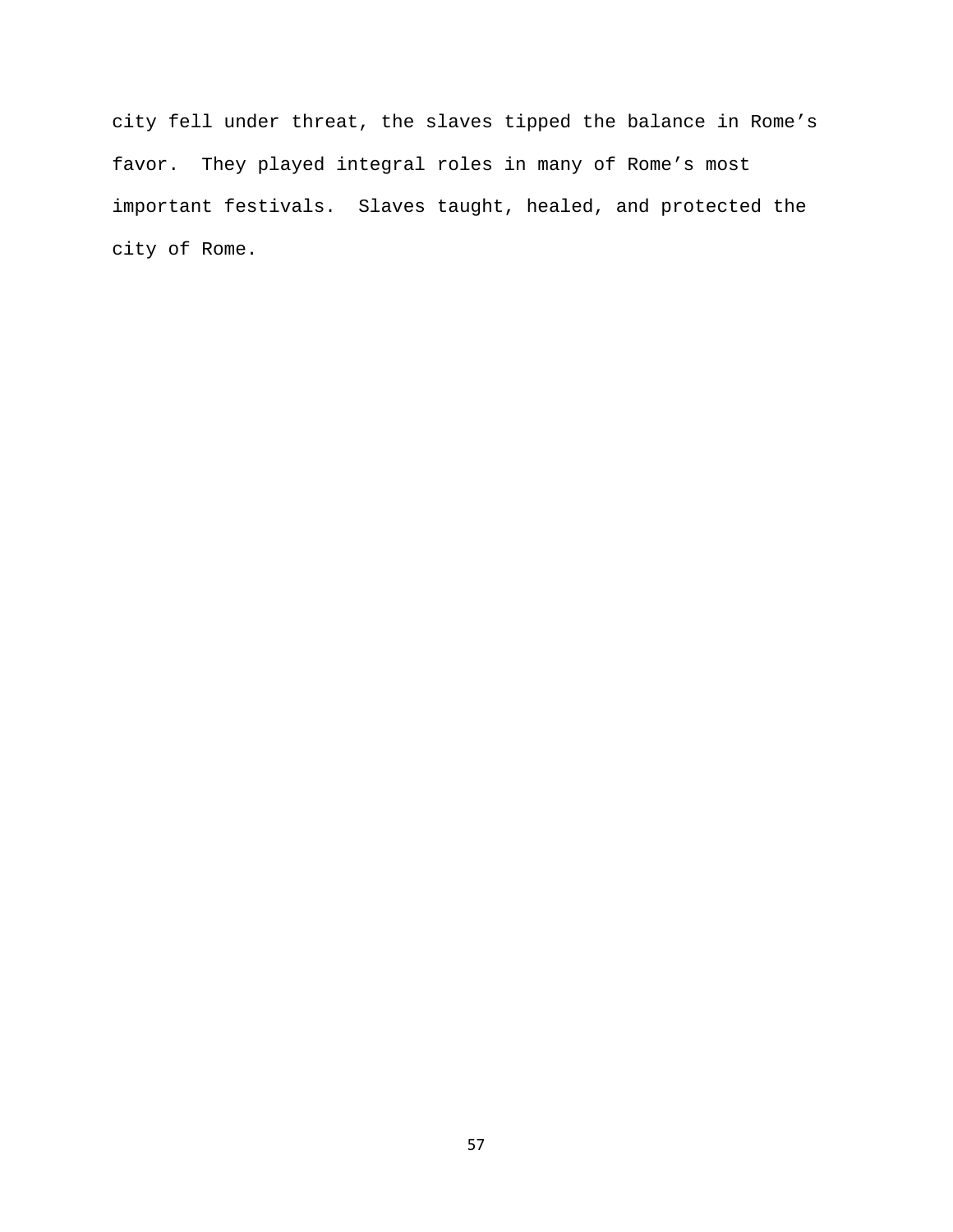city fell under threat, the slaves tipped the balance in Rome's favor. They played integral roles in many of Rome's most important festivals. Slaves taught, healed, and protected the city of Rome.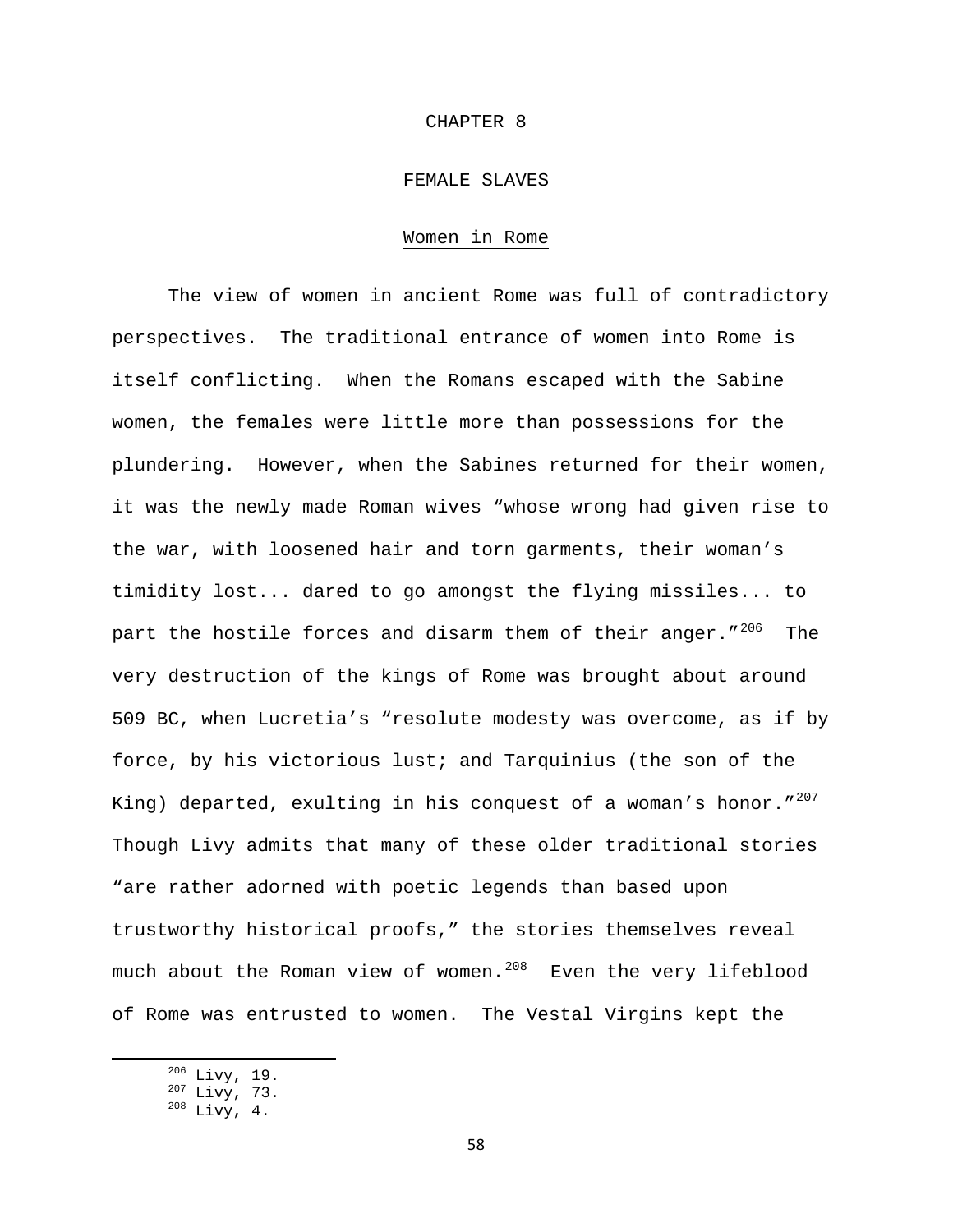### CHAPTER 8

# FEMALE SLAVES

## Women in Rome

The view of women in ancient Rome was full of contradictory perspectives. The traditional entrance of women into Rome is itself conflicting. When the Romans escaped with the Sabine women, the females were little more than possessions for the plundering. However, when the Sabines returned for their women, it was the newly made Roman wives "whose wrong had given rise to the war, with loosened hair and torn garments, their woman's timidity lost... dared to go amongst the flying missiles... to part the hostile forces and disarm them of their anger." $^{206}$  $^{206}$  $^{206}$  The very destruction of the kings of Rome was brought about around 509 BC, when Lucretia's "resolute modesty was overcome, as if by force, by his victorious lust; and Tarquinius (the son of the King) departed, exulting in his conquest of a woman's honor." $^{207}$  $^{207}$  $^{207}$ Though Livy admits that many of these older traditional stories "are rather adorned with poetic legends than based upon trustworthy historical proofs," the stories themselves reveal much about the Roman view of women. $^{208}$  $^{208}$  $^{208}$  Even the very lifeblood of Rome was entrusted to women. The Vestal Virgins kept the

<span id="page-58-2"></span><span id="page-58-1"></span><span id="page-58-0"></span> $\frac{^{206}}{^{207}}$  Livy, 73.<br> $\frac{^{208}}{^{208}}$  Livy, 4.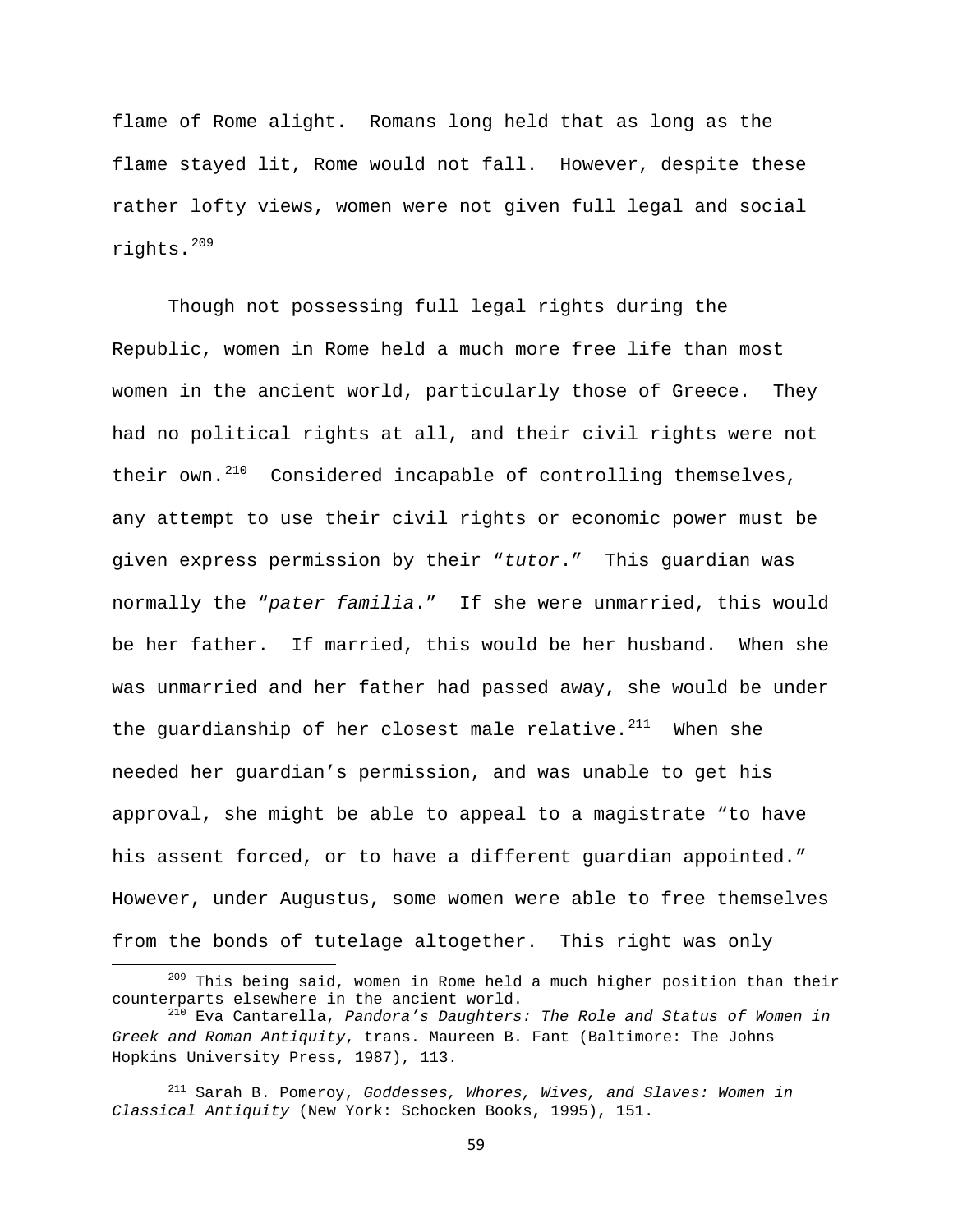flame of Rome alight. Romans long held that as long as the flame stayed lit, Rome would not fall. However, despite these rather lofty views, women were not given full legal and social rights.[209](#page-59-0)

Though not possessing full legal rights during the Republic, women in Rome held a much more free life than most women in the ancient world, particularly those of Greece. They had no political rights at all, and their civil rights were not their own. $^{210}$  $^{210}$  $^{210}$  Considered incapable of controlling themselves, any attempt to use their civil rights or economic power must be given express permission by their "*tutor*." This guardian was normally the "*pater familia*." If she were unmarried, this would be her father. If married, this would be her husband. When she was unmarried and her father had passed away, she would be under the guardianship of her closest male relative. $2^{11}$  When she needed her guardian's permission, and was unable to get his approval, she might be able to appeal to a magistrate "to have his assent forced, or to have a different guardian appointed." However, under Augustus, some women were able to free themselves from the bonds of tutelage altogether. This right was only

59

<span id="page-59-0"></span> $^{209}$  This being said, women in Rome held a much higher position than their counterparts elsewhere in the ancient world.

<span id="page-59-1"></span><sup>&</sup>lt;sup>210</sup> Eva Cantarella, Pandora's Daughters: The Role and Status of Women in *Greek and Roman Antiquity*, trans. Maureen B. Fant (Baltimore: The Johns Hopkins University Press, 1987), 113.

<span id="page-59-2"></span><sup>211</sup> Sarah B. Pomeroy, *Goddesses, Whores, Wives, and Slaves: Women in Classical Antiquity* (New York: Schocken Books, 1995), 151.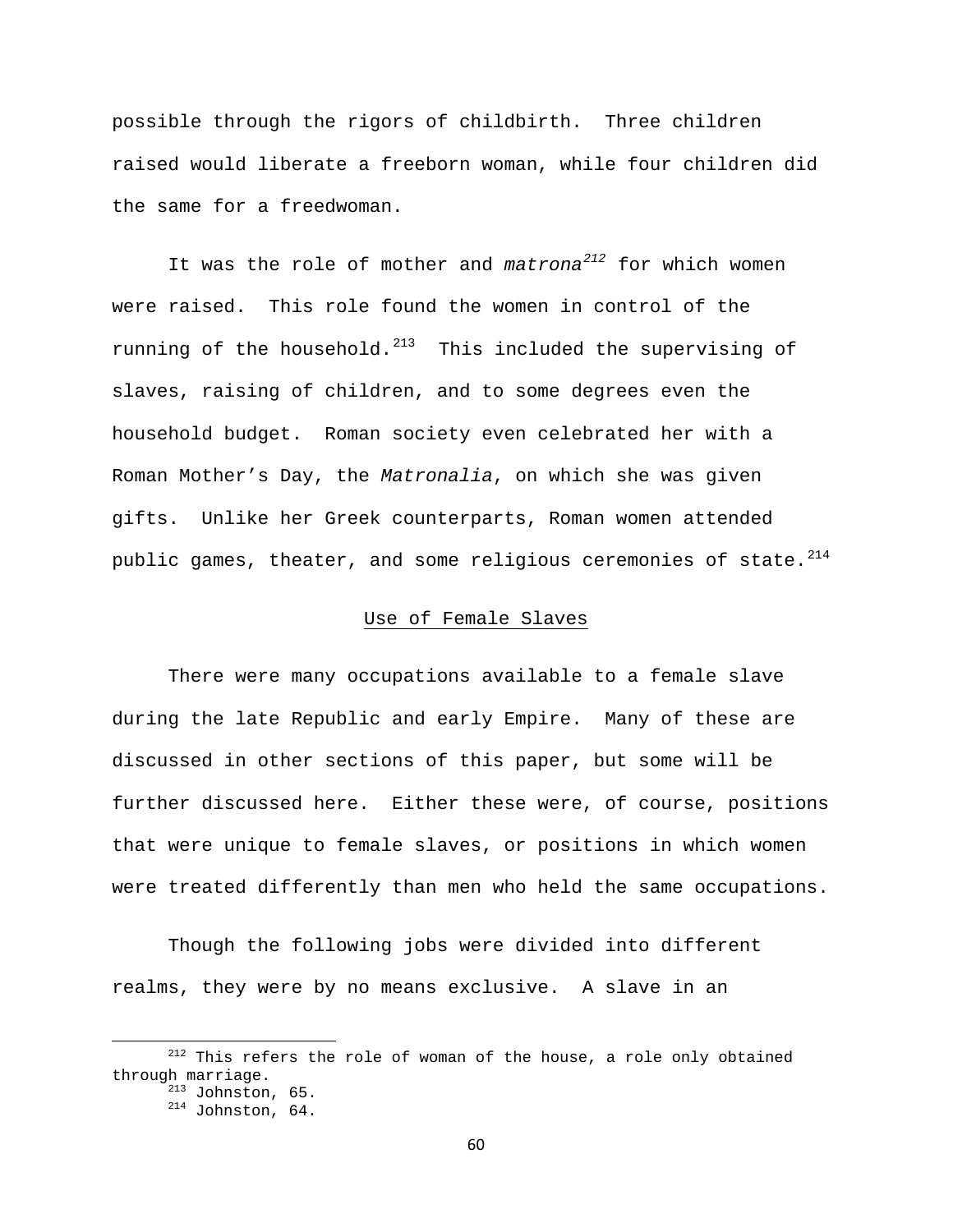possible through the rigors of childbirth. Three children raised would liberate a freeborn woman, while four children did the same for a freedwoman.

It was the role of mother and *matrona[212](#page-60-0)* for which women were raised. This role found the women in control of the running of the household. $^{213}$  $^{213}$  $^{213}$  This included the supervising of slaves, raising of children, and to some degrees even the household budget. Roman society even celebrated her with a Roman Mother's Day, the *Matronalia*, on which she was given gifts. Unlike her Greek counterparts, Roman women attended public games, theater, and some religious ceremonies of state. $^{214}$  $^{214}$  $^{214}$ 

# Use of Female Slaves

There were many occupations available to a female slave during the late Republic and early Empire. Many of these are discussed in other sections of this paper, but some will be further discussed here. Either these were, of course, positions that were unique to female slaves, or positions in which women were treated differently than men who held the same occupations.

Though the following jobs were divided into different realms, they were by no means exclusive. A slave in an

<span id="page-60-2"></span><span id="page-60-1"></span><span id="page-60-0"></span> $212$  This refers the role of woman of the house, a role only obtained through marriage.<br> $^{213}$  Johnston, 65.<br> $^{214}$  Johnston, 64.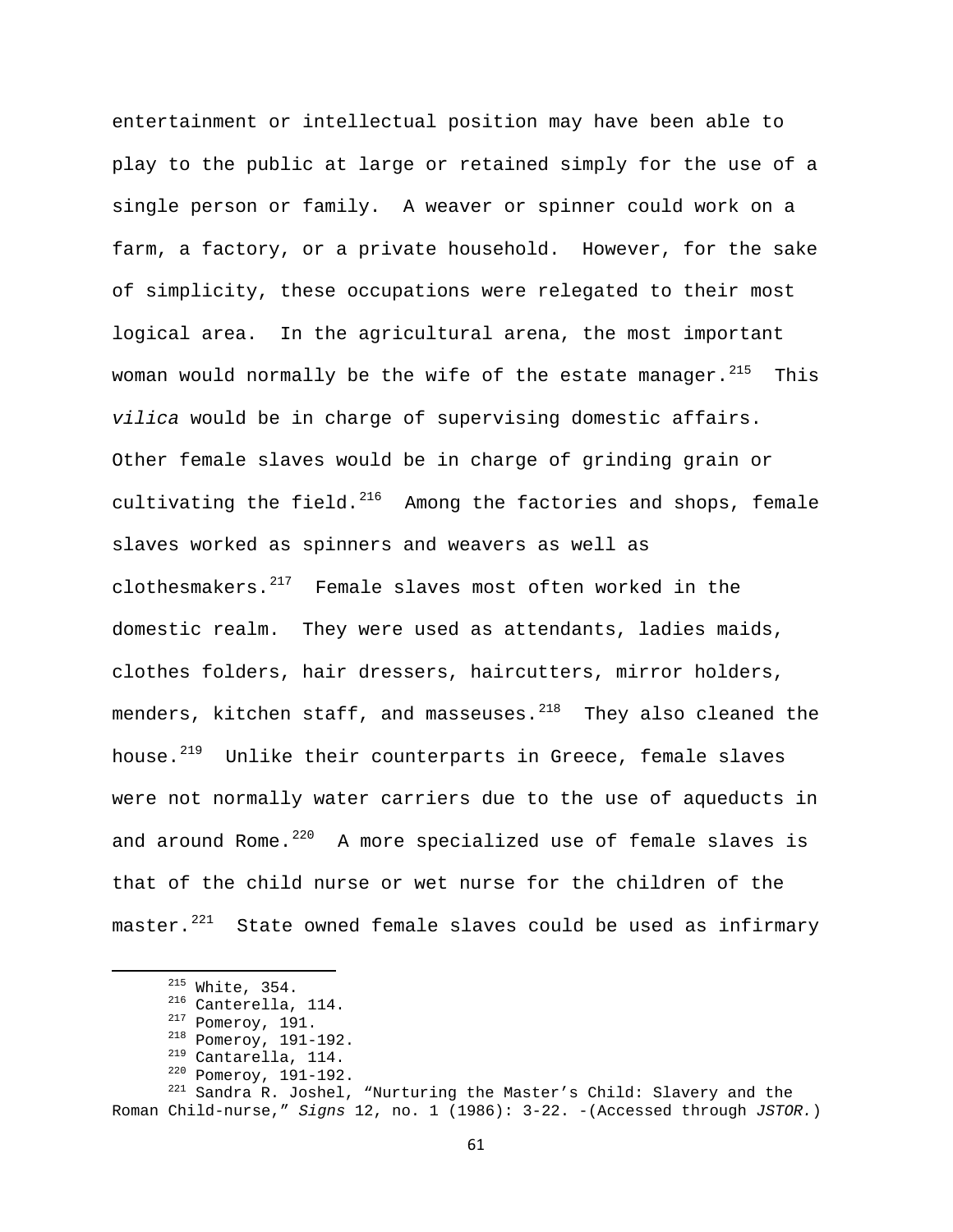entertainment or intellectual position may have been able to play to the public at large or retained simply for the use of a single person or family. A weaver or spinner could work on a farm, a factory, or a private household. However, for the sake of simplicity, these occupations were relegated to their most logical area. In the agricultural arena, the most important woman would normally be the wife of the estate manager.  $215$  This *vilica* would be in charge of supervising domestic affairs. Other female slaves would be in charge of grinding grain or cultivating the field. $^{216}$  $^{216}$  $^{216}$  Among the factories and shops, female slaves worked as spinners and weavers as well as clothesmakers. $217$  Female slaves most often worked in the domestic realm. They were used as attendants, ladies maids, clothes folders, hair dressers, haircutters, mirror holders, menders, kitchen staff, and masseuses. $^{218}$  $^{218}$  $^{218}$  They also cleaned the house.<sup>[219](#page-61-4)</sup> Unlike their counterparts in Greece, female slaves were not normally water carriers due to the use of aqueducts in and around Rome. $^{220}$  $^{220}$  $^{220}$  A more specialized use of female slaves is that of the child nurse or wet nurse for the children of the master. $221$  State owned female slaves could be used as infirmary

<span id="page-61-6"></span><span id="page-61-5"></span><span id="page-61-4"></span><span id="page-61-3"></span><span id="page-61-2"></span><span id="page-61-1"></span><span id="page-61-0"></span><sup>&</sup>lt;sup>215</sup> White, 354.<br><sup>216</sup> Canterella, 114.<br><sup>217</sup> Pomeroy, 191.<br><sup>218</sup> Cantarella, 114.<br><sup>219</sup> Cantarella, 114.<br><sup>220</sup> Pomeroy, 191-192.<br><sup>221</sup> Sandra R. Joshel, "Nurturing the Master's Child: Slavery and the Roman Child-nurse," *Signs* 12, no. 1 (1986): 3-22. -(Accessed through *JSTOR.*)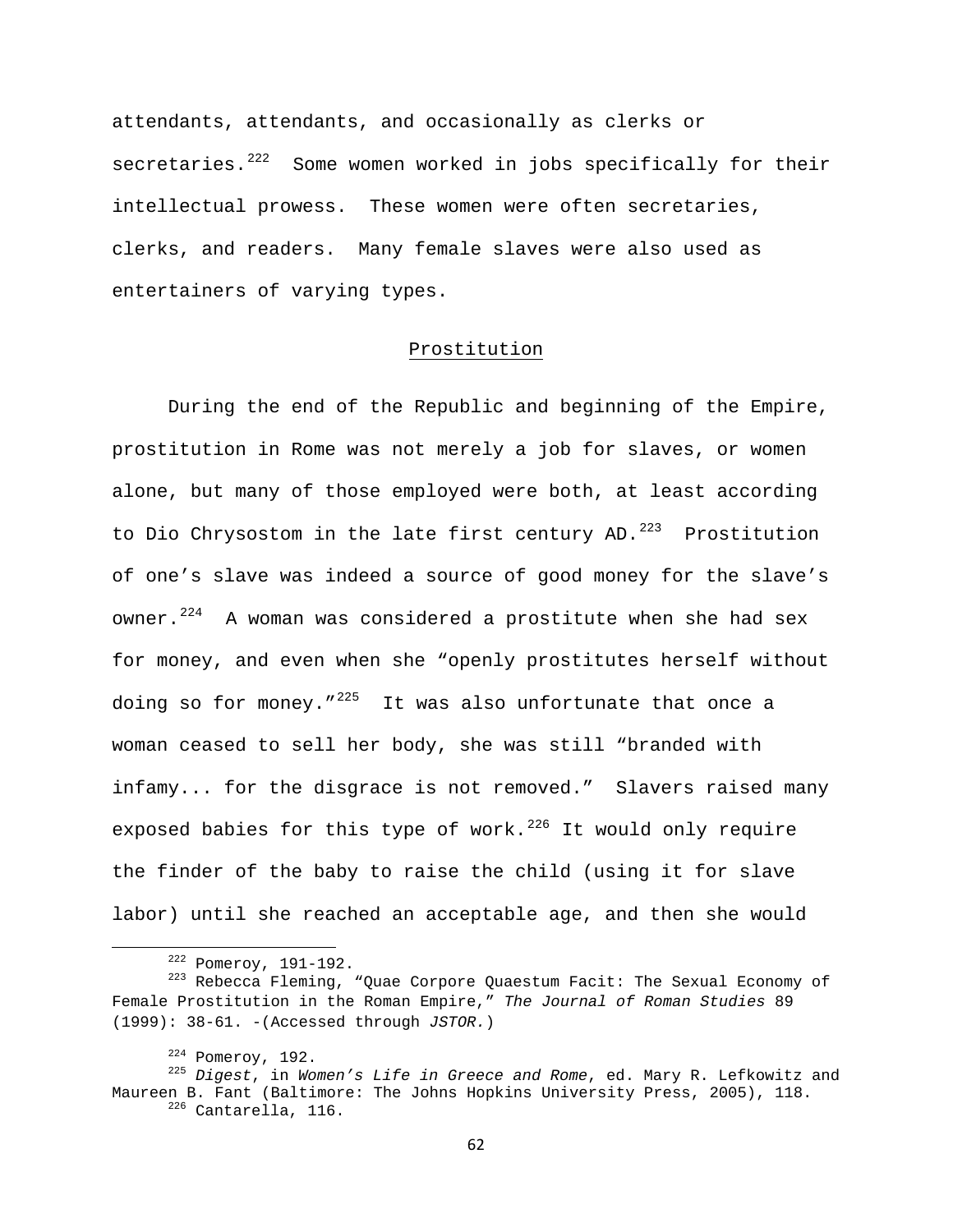attendants, attendants, and occasionally as clerks or secretaries. $222$  Some women worked in jobs specifically for their intellectual prowess. These women were often secretaries, clerks, and readers. Many female slaves were also used as entertainers of varying types.

# Prostitution

During the end of the Republic and beginning of the Empire, prostitution in Rome was not merely a job for slaves, or women alone, but many of those employed were both, at least according to Dio Chrysostom in the late first century AD.<sup>[223](#page-62-1)</sup> Prostitution of one's slave was indeed a source of good money for the slave's owner. $224$  A woman was considered a prostitute when she had sex for money, and even when she "openly prostitutes herself without doing so for money." $^{225}$  $^{225}$  $^{225}$  It was also unfortunate that once a woman ceased to sell her body, she was still "branded with infamy... for the disgrace is not removed." Slavers raised many exposed babies for this type of work.<sup>[226](#page-62-4)</sup> It would only require the finder of the baby to raise the child (using it for slave labor) until she reached an acceptable age, and then she would

62

<span id="page-62-1"></span><span id="page-62-0"></span><sup>&</sup>lt;sup>222</sup> Pomeroy, 191-192.<br><sup>223</sup> Rebecca Fleming, "Quae Corpore Quaestum Facit: The Sexual Economy of Female Prostitution in the Roman Empire," *The Journal of Roman Studies* 89 (1999): 38-61. -(Accessed through *JSTOR.*)

<span id="page-62-4"></span><span id="page-62-3"></span><span id="page-62-2"></span><sup>224</sup> Pomeroy, 192. 225 *Digest*, in *Women's Life in Greece and Rome*, ed. Mary R. Lefkowitz and Maureen B. Fant (Baltimore: The Johns Hopkins University Press, 2005), 118.<br><sup>226</sup> Cantarella, 116.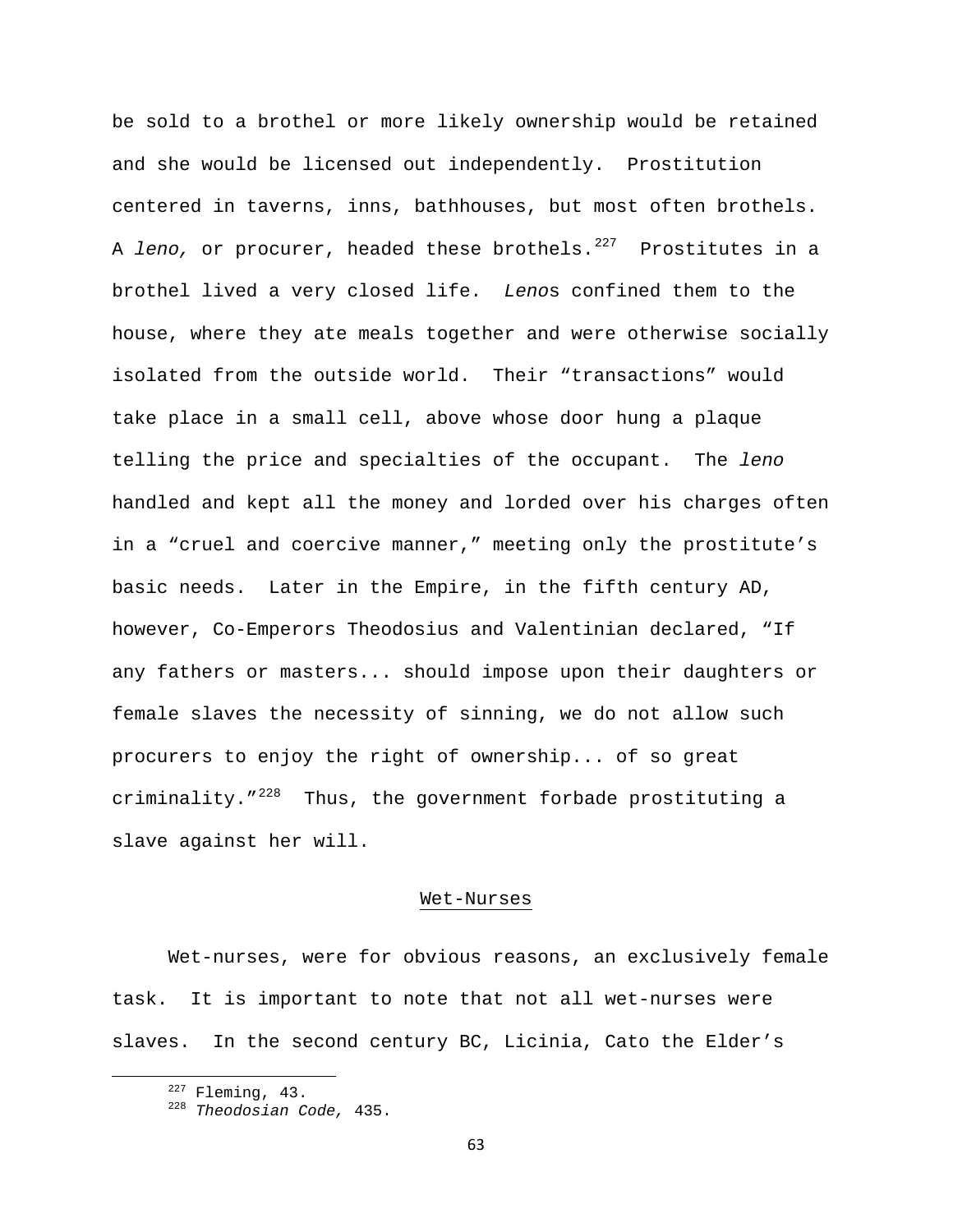be sold to a brothel or more likely ownership would be retained and she would be licensed out independently. Prostitution centered in taverns, inns, bathhouses, but most often brothels. A *leno*, or procurer, headed these brothels.<sup>[227](#page-63-0)</sup> Prostitutes in a brothel lived a very closed life. *Leno*s confined them to the house, where they ate meals together and were otherwise socially isolated from the outside world. Their "transactions" would take place in a small cell, above whose door hung a plaque telling the price and specialties of the occupant. The *leno* handled and kept all the money and lorded over his charges often in a "cruel and coercive manner," meeting only the prostitute's basic needs. Later in the Empire, in the fifth century AD, however, Co-Emperors Theodosius and Valentinian declared, "If any fathers or masters... should impose upon their daughters or female slaves the necessity of sinning, we do not allow such procurers to enjoy the right of ownership... of so great criminality. $1^{228}$  $1^{228}$  $1^{228}$  Thus, the government forbade prostituting a slave against her will.

### Wet-Nurses

Wet-nurses, were for obvious reasons, an exclusively female task. It is important to note that not all wet-nurses were slaves. In the second century BC, Licinia, Cato the Elder's

<span id="page-63-1"></span>

<span id="page-63-0"></span> 227 Fleming, 43. 228 *Theodosian Code,* 435.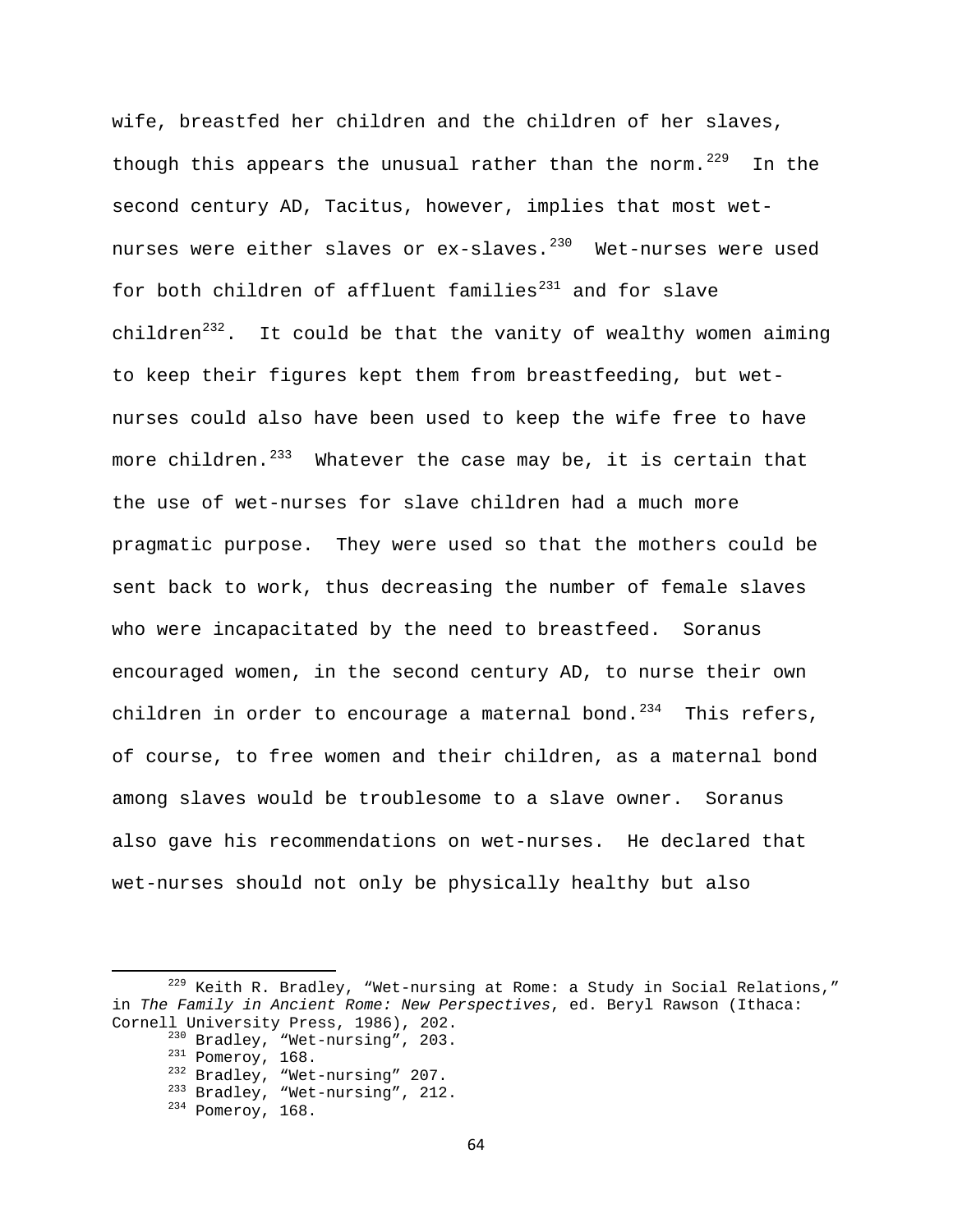wife, breastfed her children and the children of her slaves, though this appears the unusual rather than the norm.<sup>[229](#page-64-0)</sup> In the second century AD, Tacitus, however, implies that most wet-nurses were either slaves or ex-slaves.<sup>[230](#page-64-1)</sup> Wet-nurses were used for both children of affluent families $^{231}$  $^{231}$  $^{231}$  and for slave children $^{232}$  $^{232}$  $^{232}$ . It could be that the vanity of wealthy women aiming to keep their figures kept them from breastfeeding, but wetnurses could also have been used to keep the wife free to have more children. $^{233}$  $^{233}$  $^{233}$  Whatever the case may be, it is certain that the use of wet-nurses for slave children had a much more pragmatic purpose. They were used so that the mothers could be sent back to work, thus decreasing the number of female slaves who were incapacitated by the need to breastfeed. Soranus encouraged women, in the second century AD, to nurse their own children in order to encourage a maternal bond.<sup>[234](#page-64-5)</sup> This refers, of course, to free women and their children, as a maternal bond among slaves would be troublesome to a slave owner. Soranus also gave his recommendations on wet-nurses. He declared that wet-nurses should not only be physically healthy but also

<span id="page-64-5"></span><span id="page-64-4"></span><span id="page-64-3"></span><span id="page-64-2"></span><span id="page-64-1"></span><span id="page-64-0"></span> $229$  Keith R. Bradley, "Wet-nursing at Rome: a Study in Social Relations," in *The Family in Ancient Rome: New Perspectives*, ed. Beryl Rawson (Ithaca:

<sup>&</sup>lt;sup>230</sup> Bradley, "Wet-nursing", 203.<br>
<sup>231</sup> Pomeroy, 168.<br>
<sup>232</sup> Bradley, "Wet-nursing" 207.<br>
<sup>233</sup> Bradley, "Wet-nursing", 212.<br>
<sup>234</sup> Pomeroy, 168.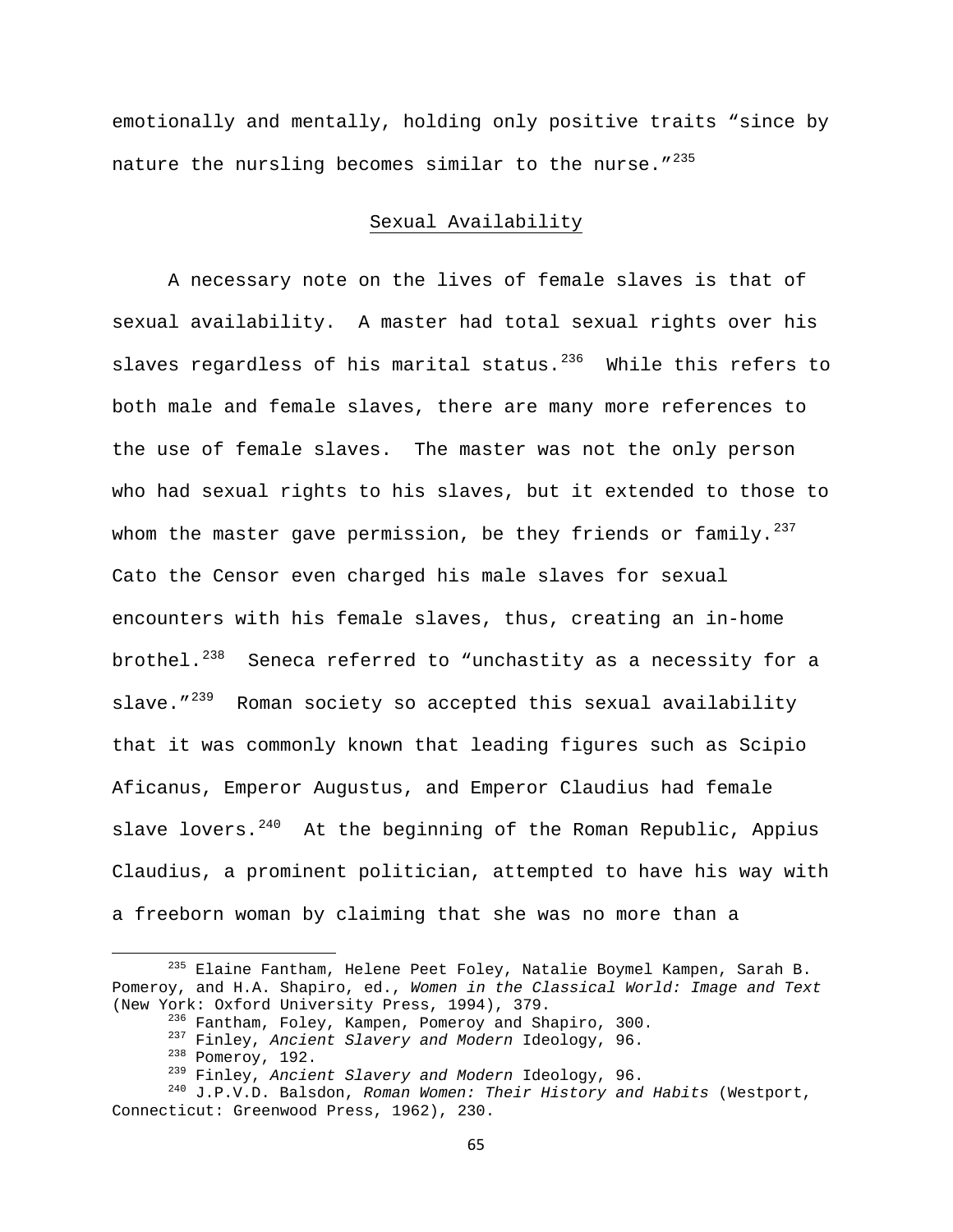emotionally and mentally, holding only positive traits "since by nature the nursling becomes similar to the nurse.  $''^{235}$  $''^{235}$  $''^{235}$ 

# Sexual Availability

A necessary note on the lives of female slaves is that of sexual availability. A master had total sexual rights over his slaves regardless of his marital status. $236$  While this refers to both male and female slaves, there are many more references to the use of female slaves. The master was not the only person who had sexual rights to his slaves, but it extended to those to whom the master gave permission, be they friends or family.  $237$ Cato the Censor even charged his male slaves for sexual encounters with his female slaves, thus, creating an in-home brothel. $^{238}$  $^{238}$  $^{238}$  Seneca referred to "unchastity as a necessity for a slave."<sup>[239](#page-65-4)</sup> Roman society so accepted this sexual availability that it was commonly known that leading figures such as Scipio Aficanus, Emperor Augustus, and Emperor Claudius had female slave lovers. $^{240}$  $^{240}$  $^{240}$  At the beginning of the Roman Republic, Appius Claudius, a prominent politician, attempted to have his way with a freeborn woman by claiming that she was no more than a

<span id="page-65-0"></span> 235 Elaine Fantham, Helene Peet Foley, Natalie Boymel Kampen, Sarah B. Pomeroy, and H.A. Shapiro, ed., *Women in the Classical World: Image and Text*

<span id="page-65-5"></span><span id="page-65-4"></span><span id="page-65-3"></span><span id="page-65-2"></span><span id="page-65-1"></span><sup>(</sup>New York: Oxford University Press, 1994), 379.<br><sup>236</sup> Fantham, Foley, Kampen, Pomeroy and Shapiro, 300.<br><sup>237</sup> Finley, Ancient Slavery and Modern Ideology, 96.<br><sup>238</sup> Pomeroy, 192.<br><sup>239</sup> Finley, Ancient Slavery and Modern Id Connecticut: Greenwood Press, 1962), 230.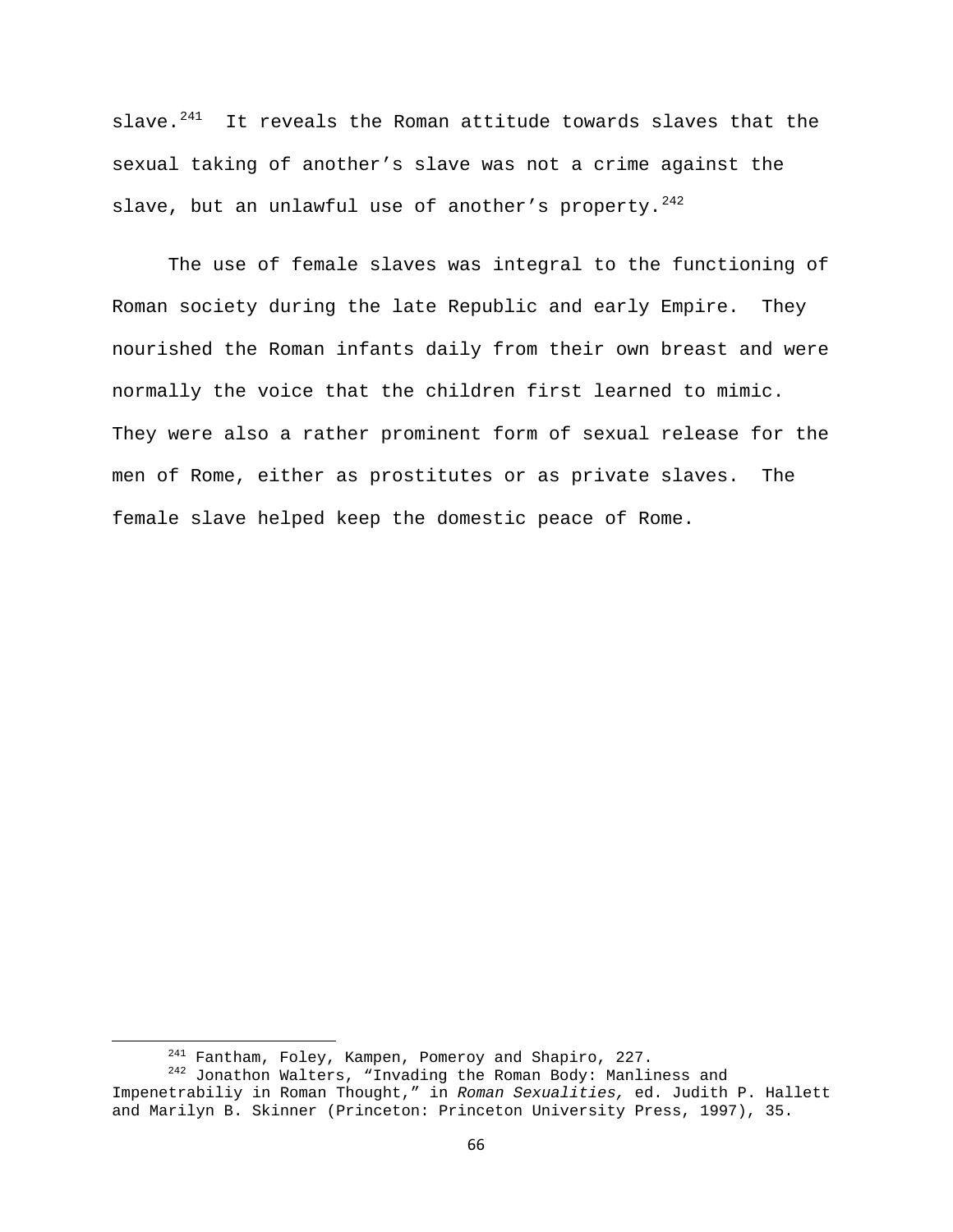slave. $241$  It reveals the Roman attitude towards slaves that the sexual taking of another's slave was not a crime against the slave, but an unlawful use of another's property.  $242$ 

The use of female slaves was integral to the functioning of Roman society during the late Republic and early Empire. They nourished the Roman infants daily from their own breast and were normally the voice that the children first learned to mimic. They were also a rather prominent form of sexual release for the men of Rome, either as prostitutes or as private slaves. The female slave helped keep the domestic peace of Rome.

<span id="page-66-1"></span><span id="page-66-0"></span><sup>&</sup>lt;sup>241</sup> Fantham, Foley, Kampen, Pomeroy and Shapiro, 227.<br><sup>242</sup> Jonathon Walters, "Invading the Roman Body: Manliness and Impenetrabiliy in Roman Thought," in *Roman Sexualities,* ed. Judith P. Hallett and Marilyn B. Skinner (Princeton: Princeton University Press, 1997), 35.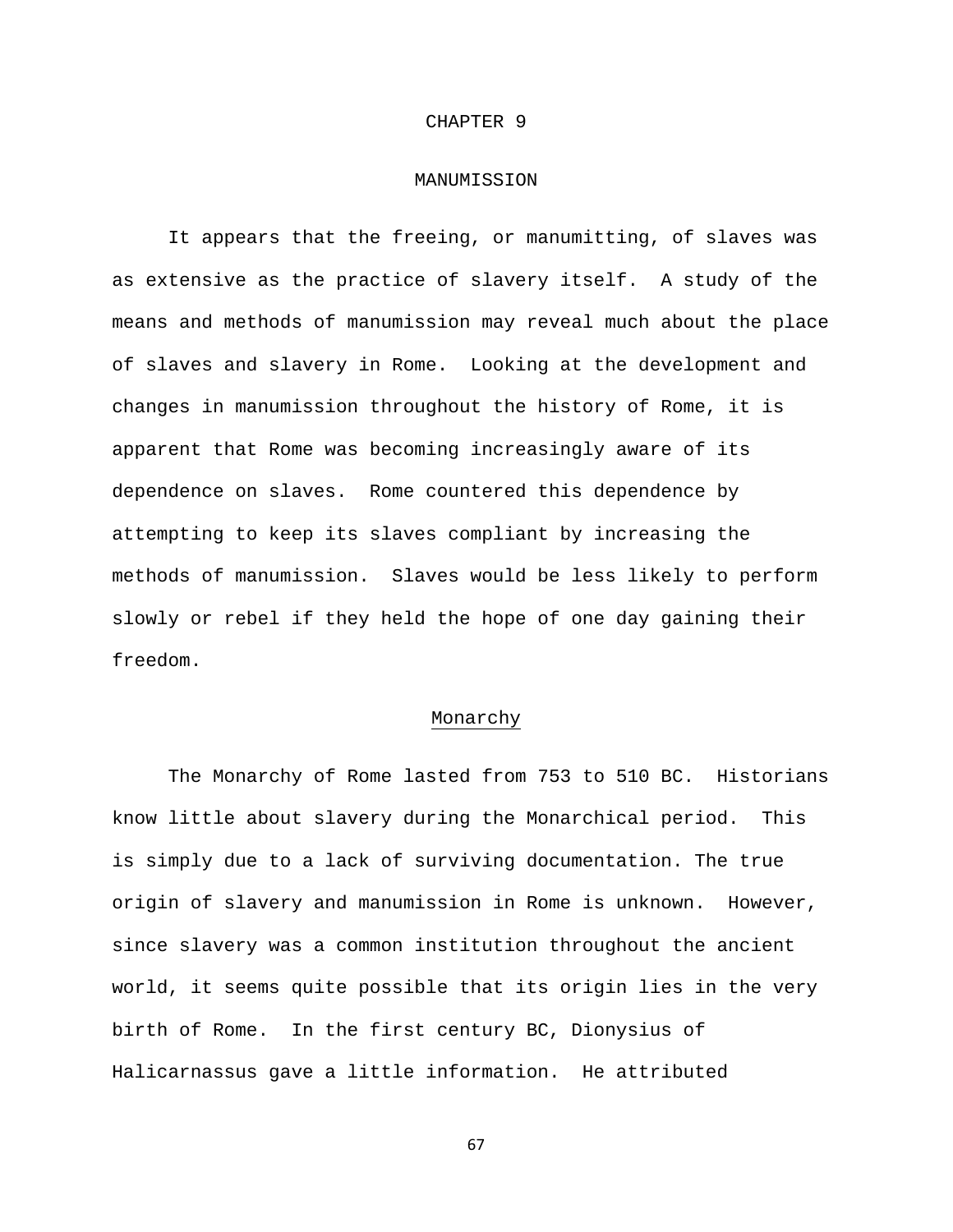### CHAPTER 9

### MANUMISSION

It appears that the freeing, or manumitting, of slaves was as extensive as the practice of slavery itself. A study of the means and methods of manumission may reveal much about the place of slaves and slavery in Rome. Looking at the development and changes in manumission throughout the history of Rome, it is apparent that Rome was becoming increasingly aware of its dependence on slaves. Rome countered this dependence by attempting to keep its slaves compliant by increasing the methods of manumission. Slaves would be less likely to perform slowly or rebel if they held the hope of one day gaining their freedom.

## Monarchy

 The Monarchy of Rome lasted from 753 to 510 BC. Historians know little about slavery during the Monarchical period. This is simply due to a lack of surviving documentation. The true origin of slavery and manumission in Rome is unknown. However, since slavery was a common institution throughout the ancient world, it seems quite possible that its origin lies in the very birth of Rome. In the first century BC, Dionysius of Halicarnassus gave a little information. He attributed

67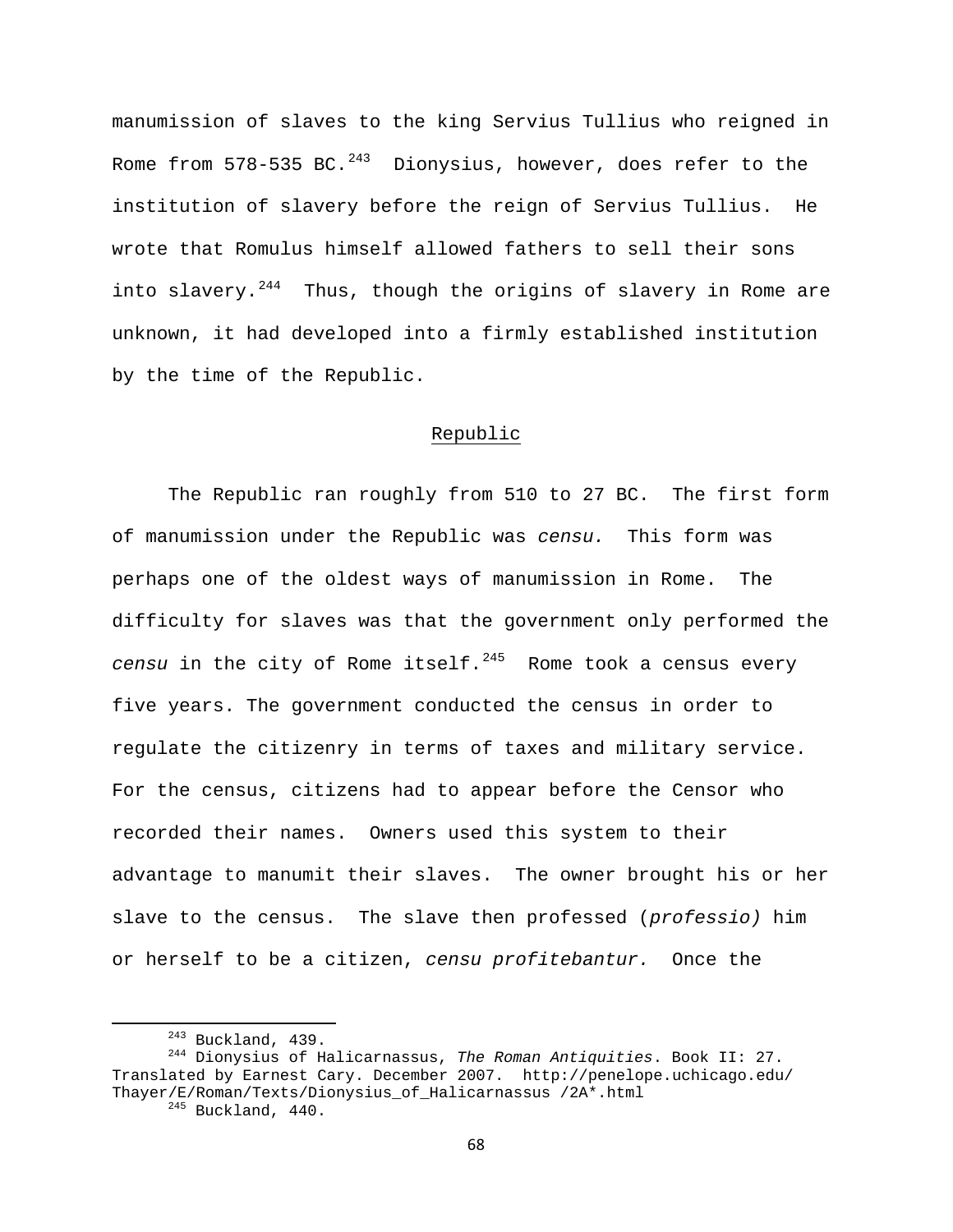manumission of slaves to the king Servius Tullius who reigned in Rome from  $578-535$  BC.<sup>[243](#page-68-0)</sup> Dionysius, however, does refer to the institution of slavery before the reign of Servius Tullius. He wrote that Romulus himself allowed fathers to sell their sons into slavery.<sup>[244](#page-68-1)</sup> Thus, though the origins of slavery in Rome are unknown, it had developed into a firmly established institution by the time of the Republic.

# Republic

 The Republic ran roughly from 510 to 27 BC. The first form of manumission under the Republic was *censu.* This form was perhaps one of the oldest ways of manumission in Rome. The difficulty for slaves was that the government only performed the *censu* in the city of Rome itself.<sup>[245](#page-68-2)</sup> Rome took a census every five years. The government conducted the census in order to regulate the citizenry in terms of taxes and military service. For the census, citizens had to appear before the Censor who recorded their names. Owners used this system to their advantage to manumit their slaves. The owner brought his or her slave to the census. The slave then professed (*professio)* him or herself to be a citizen, *censu profitebantur.* Once the

<span id="page-68-2"></span><span id="page-68-1"></span><span id="page-68-0"></span> 243 Buckland, 439. 244 Dionysius of Halicarnassus, *The Roman Antiquities*. Book II: 27. Translated by Earnest Cary. December 2007. http://penelope.uchicago.edu/ Thayer/E/Roman/Texts/Dionysius\_of\_Halicarnassus /2A\*.html 245 Buckland, 440.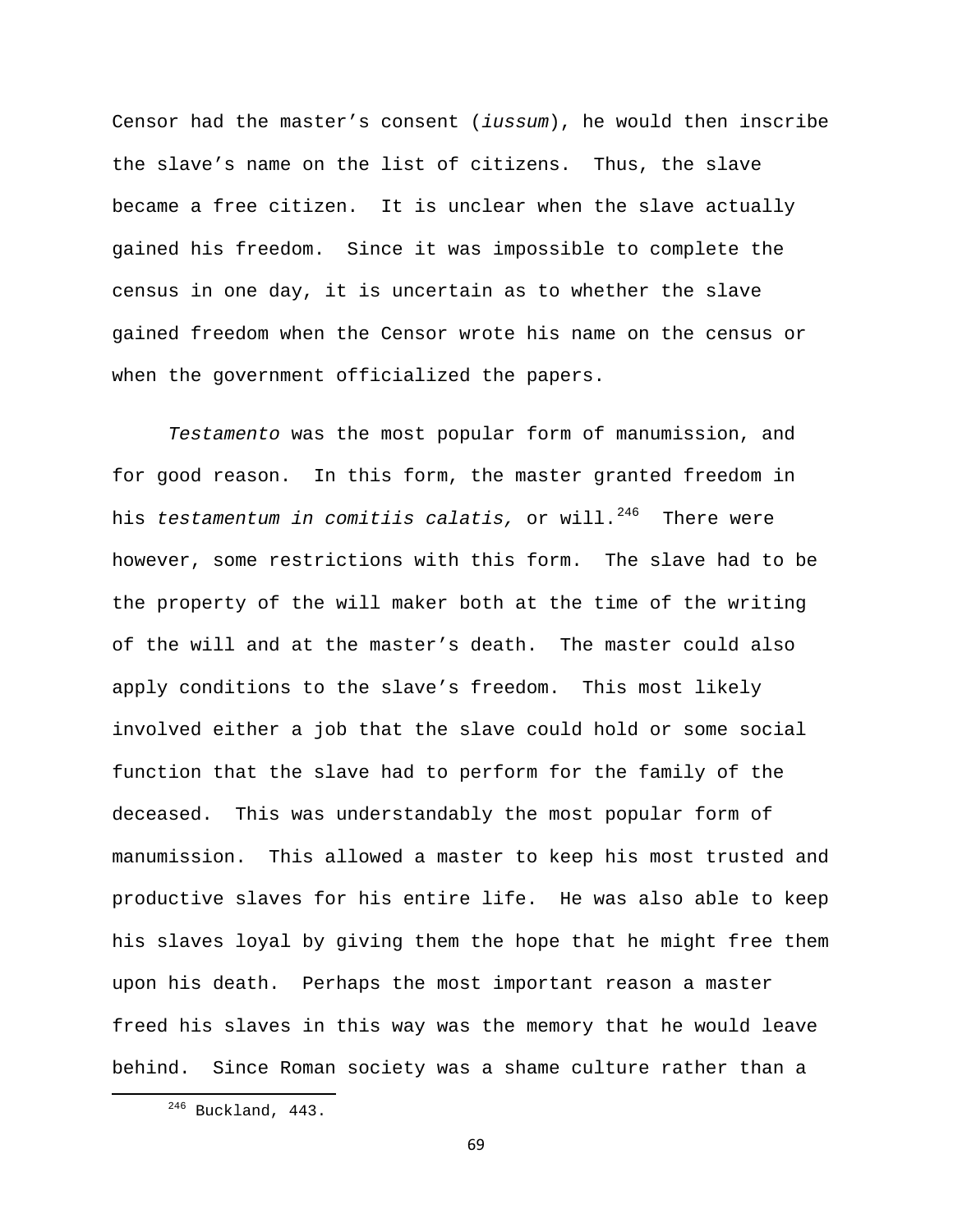Censor had the master's consent (*iussum*), he would then inscribe the slave's name on the list of citizens. Thus, the slave became a free citizen. It is unclear when the slave actually gained his freedom. Since it was impossible to complete the census in one day, it is uncertain as to whether the slave gained freedom when the Censor wrote his name on the census or when the government officialized the papers.

*Testamento* was the most popular form of manumission, and for good reason. In this form, the master granted freedom in his *testamentum in comitiis calatis,* or will.<sup>[246](#page-69-0)</sup> There were however, some restrictions with this form. The slave had to be the property of the will maker both at the time of the writing of the will and at the master's death. The master could also apply conditions to the slave's freedom. This most likely involved either a job that the slave could hold or some social function that the slave had to perform for the family of the deceased. This was understandably the most popular form of manumission. This allowed a master to keep his most trusted and productive slaves for his entire life. He was also able to keep his slaves loyal by giving them the hope that he might free them upon his death. Perhaps the most important reason a master freed his slaves in this way was the memory that he would leave behind. Since Roman society was a shame culture rather than a

69

<span id="page-69-0"></span> 246 Buckland, 443.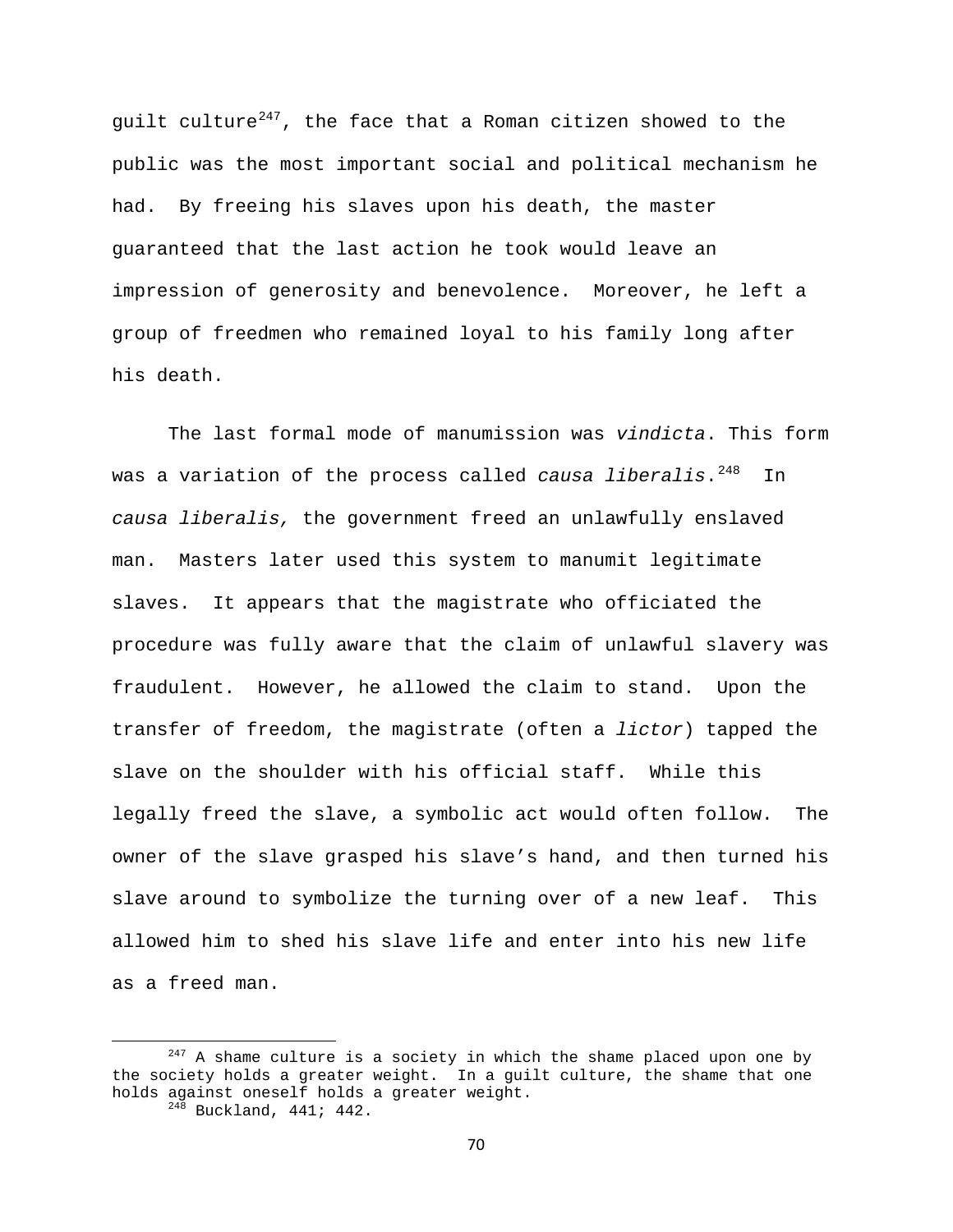guilt culture<sup>[247](#page-70-0)</sup>, the face that a Roman citizen showed to the public was the most important social and political mechanism he had. By freeing his slaves upon his death, the master guaranteed that the last action he took would leave an impression of generosity and benevolence. Moreover, he left a group of freedmen who remained loyal to his family long after his death.

 The last formal mode of manumission was *vindicta*. This form was a variation of the process called *causa liberalis*.<sup>[248](#page-70-1)</sup> In *causa liberalis,* the government freed an unlawfully enslaved man. Masters later used this system to manumit legitimate slaves. It appears that the magistrate who officiated the procedure was fully aware that the claim of unlawful slavery was fraudulent. However, he allowed the claim to stand. Upon the transfer of freedom, the magistrate (often a *lictor*) tapped the slave on the shoulder with his official staff. While this legally freed the slave, a symbolic act would often follow. The owner of the slave grasped his slave's hand, and then turned his slave around to symbolize the turning over of a new leaf. This allowed him to shed his slave life and enter into his new life as a freed man.

<span id="page-70-1"></span><span id="page-70-0"></span> $247$  A shame culture is a society in which the shame placed upon one by the society holds a greater weight. In a guilt culture, the shame that one holds against oneself holds a greater weight.<br><sup>248</sup> Buckland, 441; 442.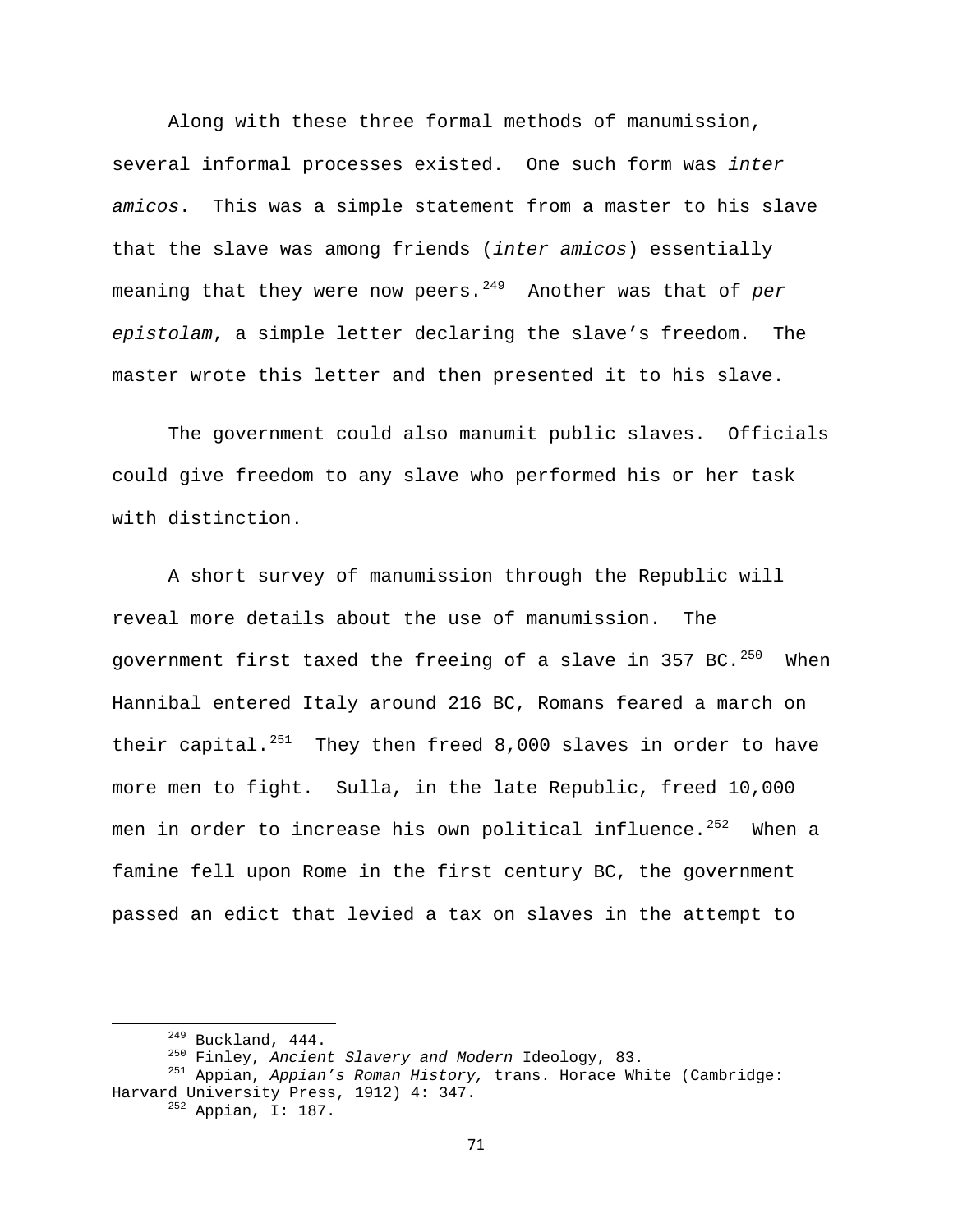Along with these three formal methods of manumission, several informal processes existed. One such form was *inter amicos*. This was a simple statement from a master to his slave that the slave was among friends (*inter amicos*) essentially meaning that they were now peers.<sup>[249](#page-71-0)</sup> Another was that of *per epistolam*, a simple letter declaring the slave's freedom. The master wrote this letter and then presented it to his slave.

 The government could also manumit public slaves. Officials could give freedom to any slave who performed his or her task with distinction.

 A short survey of manumission through the Republic will reveal more details about the use of manumission. The government first taxed the freeing of a slave in 357 BC.<sup>[250](#page-71-1)</sup> When Hannibal entered Italy around 216 BC, Romans feared a march on their capital.<sup>[251](#page-71-2)</sup> They then freed 8,000 slaves in order to have more men to fight. Sulla, in the late Republic, freed 10,000 men in order to increase his own political influence.<sup>[252](#page-71-3)</sup> When a famine fell upon Rome in the first century BC, the government passed an edict that levied a tax on slaves in the attempt to

<span id="page-71-3"></span><span id="page-71-2"></span><span id="page-71-1"></span><span id="page-71-0"></span> 249 Buckland, 444. 250 Finley, *Ancient Slavery and Modern* Ideology, 83. 251 Appian, *Appian's Roman History,* trans. Horace White (Cambridge: Harvard University Press, 1912) 4: 347. 252 Appian, I: 187.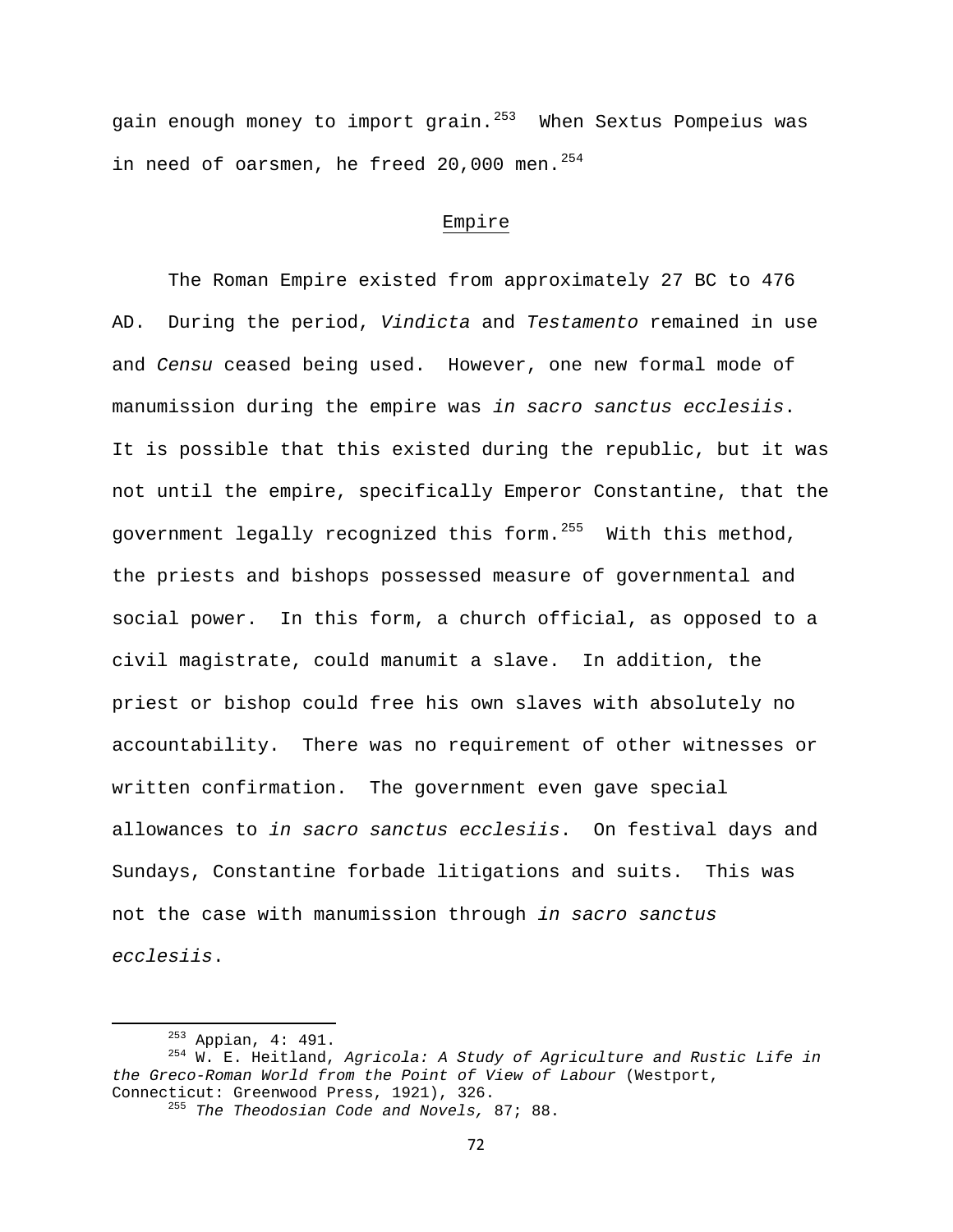gain enough money to import grain. $^{253}$  $^{253}$  $^{253}$  When Sextus Pompeius was in need of oarsmen, he freed 20,000 men.  $254$ 

## Empire

 The Roman Empire existed from approximately 27 BC to 476 AD. During the period, *Vindicta* and *Testamento* remained in use and *Censu* ceased being used. However, one new formal mode of manumission during the empire was *in sacro sanctus ecclesiis*. It is possible that this existed during the republic, but it was not until the empire, specifically Emperor Constantine, that the government legally recognized this form.<sup>[255](#page-72-2)</sup> With this method, the priests and bishops possessed measure of governmental and social power. In this form, a church official, as opposed to a civil magistrate, could manumit a slave. In addition, the priest or bishop could free his own slaves with absolutely no accountability. There was no requirement of other witnesses or written confirmation. The government even gave special allowances to *in sacro sanctus ecclesiis*. On festival days and Sundays, Constantine forbade litigations and suits. This was not the case with manumission through *in sacro sanctus ecclesiis*.

<span id="page-72-1"></span><span id="page-72-0"></span> 253 Appian, 4: 491. 254 W. E. Heitland, *Agricola: A Study of Agriculture and Rustic Life in the Greco-Roman World from the Point of View of Labour* (Westport,

<span id="page-72-2"></span>Connecticut: Greenwood Press, 1921), 326. 255 *The Theodosian Code and Novels,* 87; 88.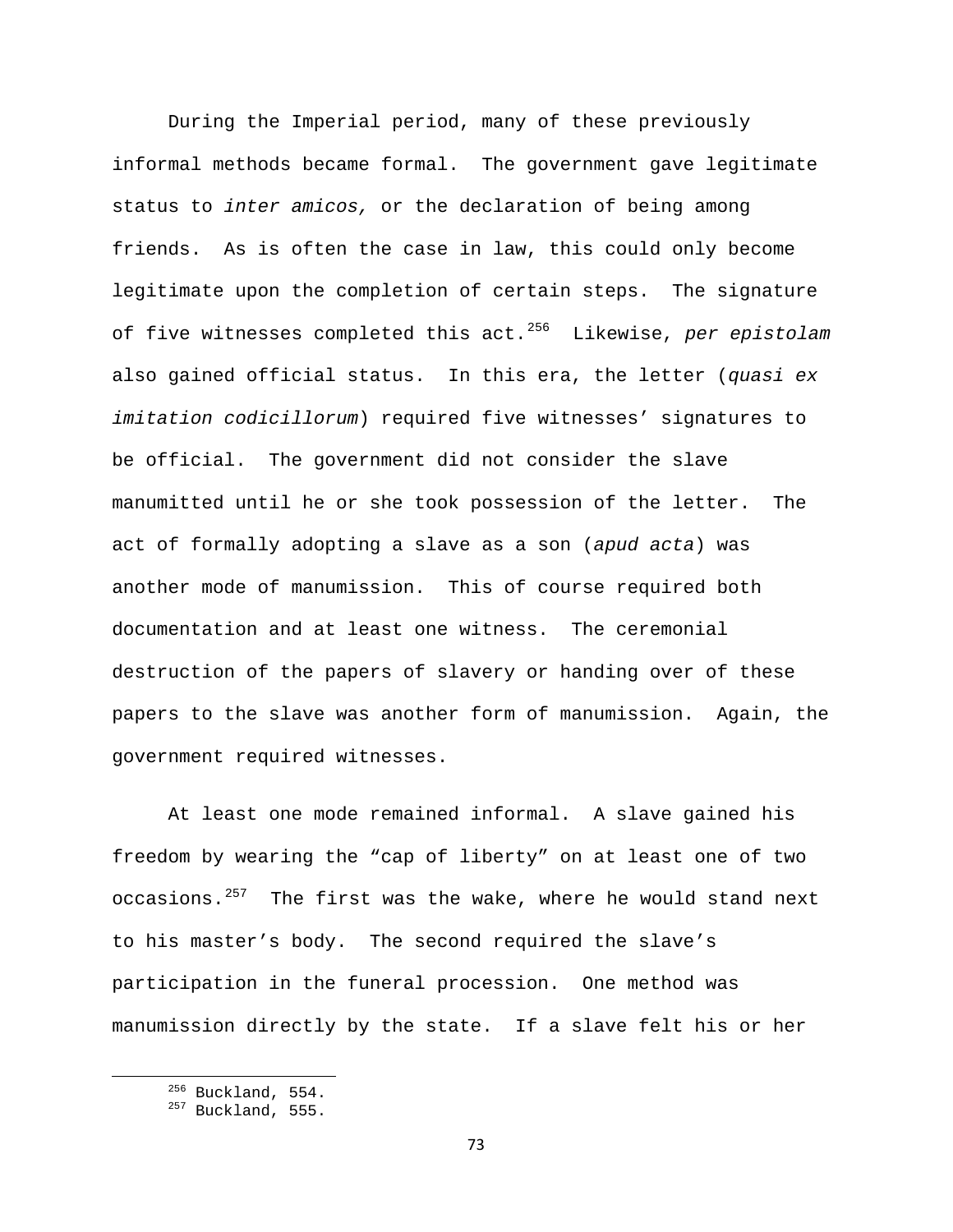During the Imperial period, many of these previously informal methods became formal. The government gave legitimate status to *inter amicos,* or the declaration of being among friends. As is often the case in law, this could only become legitimate upon the completion of certain steps. The signature of five witnesses completed this act.[256](#page-73-0) Likewise, *per epistolam*  also gained official status. In this era, the letter (*quasi ex imitation codicillorum*) required five witnesses' signatures to be official. The government did not consider the slave manumitted until he or she took possession of the letter. The act of formally adopting a slave as a son (*apud acta*) was another mode of manumission. This of course required both documentation and at least one witness. The ceremonial destruction of the papers of slavery or handing over of these papers to the slave was another form of manumission. Again, the government required witnesses.

At least one mode remained informal. A slave gained his freedom by wearing the "cap of liberty" on at least one of two occasions.<sup>[257](#page-73-1)</sup> The first was the wake, where he would stand next to his master's body. The second required the slave's participation in the funeral procession. One method was manumission directly by the state. If a slave felt his or her

<span id="page-73-1"></span><span id="page-73-0"></span> $256$  Buckland, 554.<br> $257$  Buckland, 555.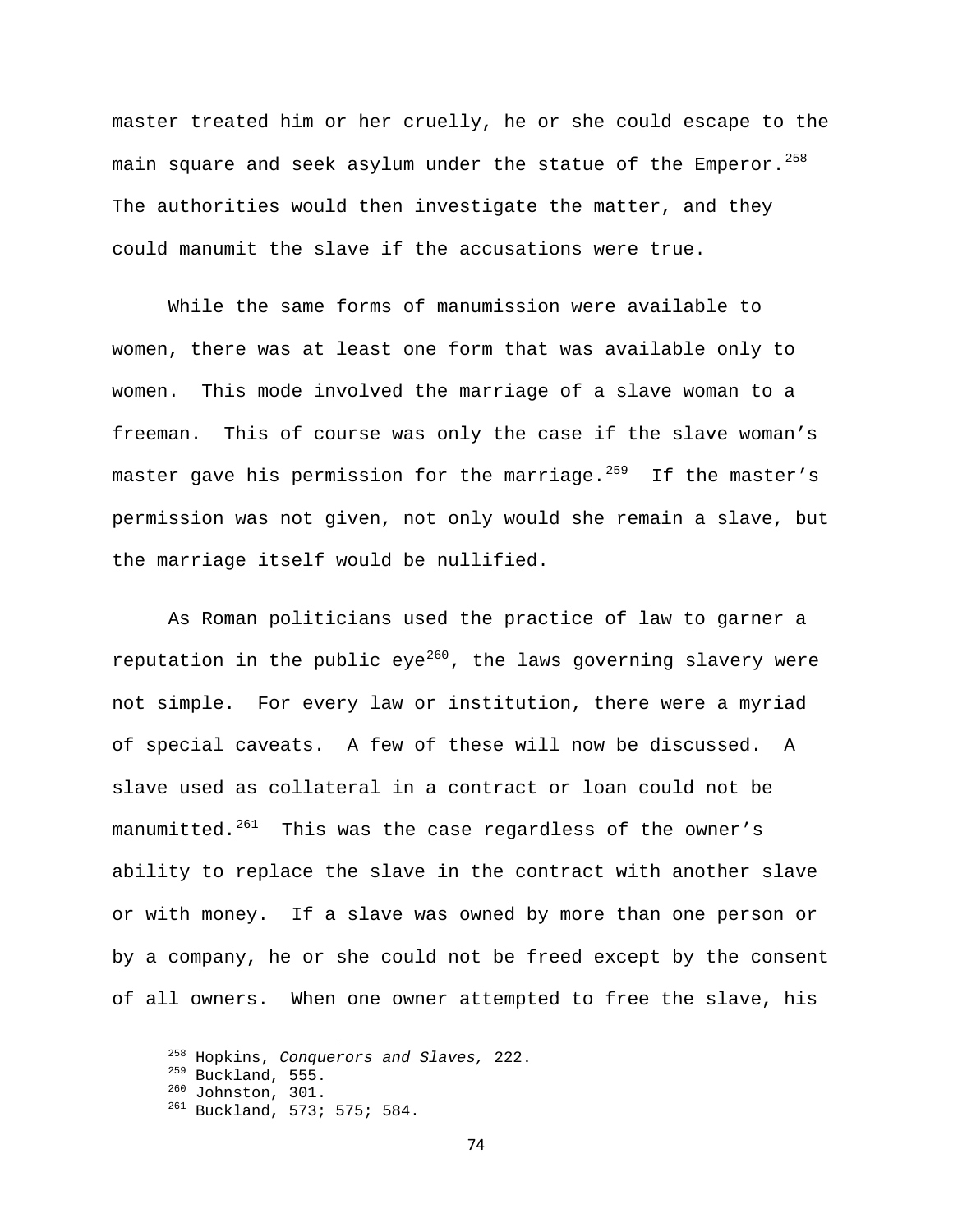master treated him or her cruelly, he or she could escape to the main square and seek asylum under the statue of the Emperor.  $258$ The authorities would then investigate the matter, and they could manumit the slave if the accusations were true.

 While the same forms of manumission were available to women, there was at least one form that was available only to women. This mode involved the marriage of a slave woman to a freeman. This of course was only the case if the slave woman's master gave his permission for the marriage. $^{259}$  $^{259}$  $^{259}$  If the master's permission was not given, not only would she remain a slave, but the marriage itself would be nullified.

 As Roman politicians used the practice of law to garner a reputation in the public eye<sup>[260](#page-74-2)</sup>, the laws governing slavery were not simple. For every law or institution, there were a myriad of special caveats. A few of these will now be discussed. A slave used as collateral in a contract or loan could not be manumitted. $^{261}$  $^{261}$  $^{261}$  This was the case regardless of the owner's ability to replace the slave in the contract with another slave or with money. If a slave was owned by more than one person or by a company, he or she could not be freed except by the consent of all owners. When one owner attempted to free the slave, his

<span id="page-74-1"></span><span id="page-74-0"></span><sup>&</sup>lt;sup>258</sup> Hopkins, *Conquerors and Slaves*, 222.<br><sup>259</sup> Buckland, 555.<br><sup>260</sup> Johnston, 301.<br><sup>261</sup> Buckland, 573; 575; 584.

<span id="page-74-3"></span><span id="page-74-2"></span>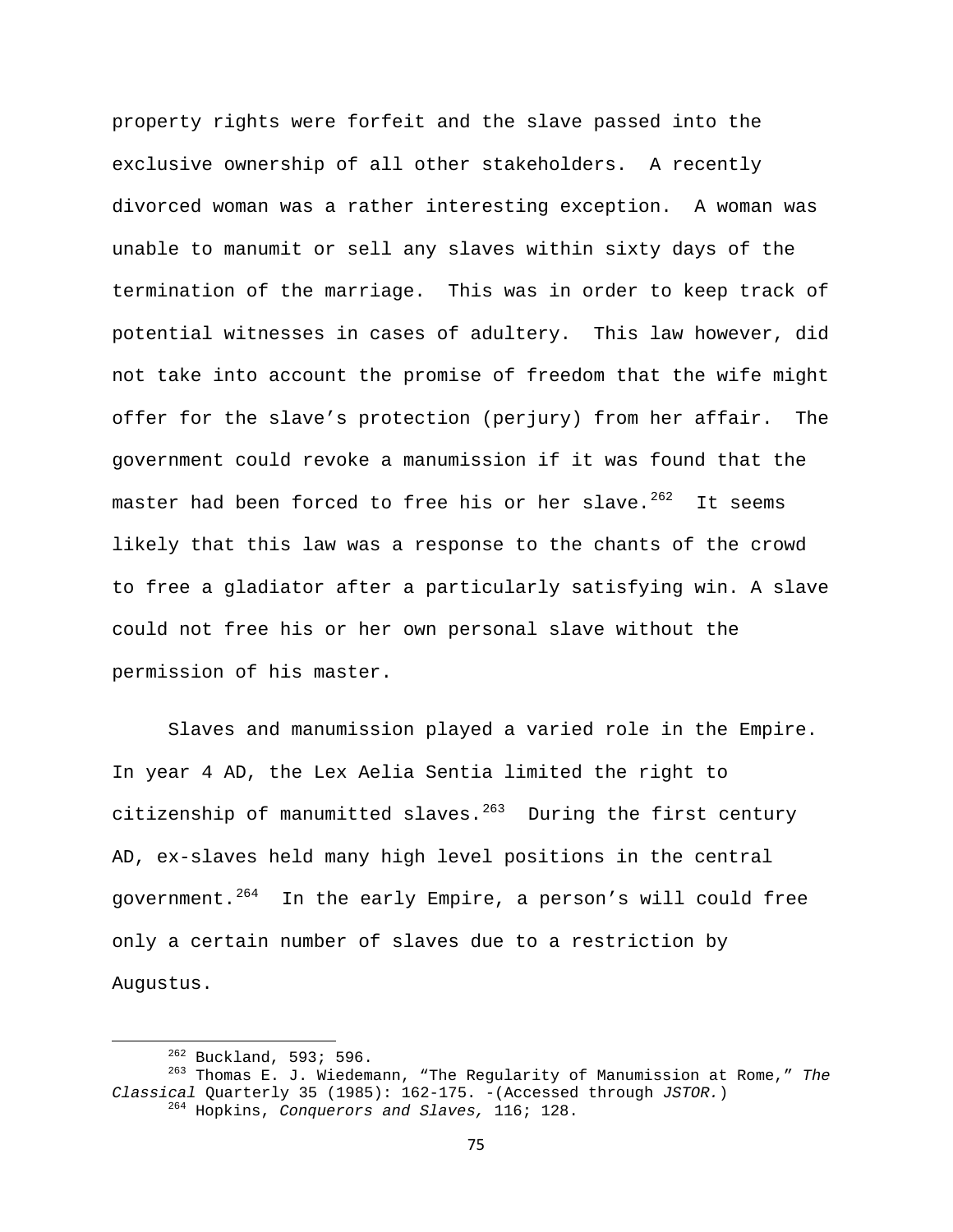property rights were forfeit and the slave passed into the exclusive ownership of all other stakeholders. A recently divorced woman was a rather interesting exception. A woman was unable to manumit or sell any slaves within sixty days of the termination of the marriage. This was in order to keep track of potential witnesses in cases of adultery. This law however, did not take into account the promise of freedom that the wife might offer for the slave's protection (perjury) from her affair. The government could revoke a manumission if it was found that the master had been forced to free his or her slave. $262$  It seems likely that this law was a response to the chants of the crowd to free a gladiator after a particularly satisfying win. A slave could not free his or her own personal slave without the permission of his master.

Slaves and manumission played a varied role in the Empire. In year 4 AD, the Lex Aelia Sentia limited the right to citizenship of manumitted slaves. $263$  During the first century AD, ex-slaves held many high level positions in the central government.<sup>[264](#page-75-2)</sup> In the early Empire, a person's will could free only a certain number of slaves due to a restriction by Augustus.

<span id="page-75-2"></span><span id="page-75-1"></span><span id="page-75-0"></span> 262 Buckland, 593; 596. 263 Thomas E. J. Wiedemann, "The Regularity of Manumission at Rome," *The Classical* Quarterly 35 (1985): 162-175. -(Accessed through *JSTOR.*) 264 Hopkins, *Conquerors and Slaves,* 116; 128.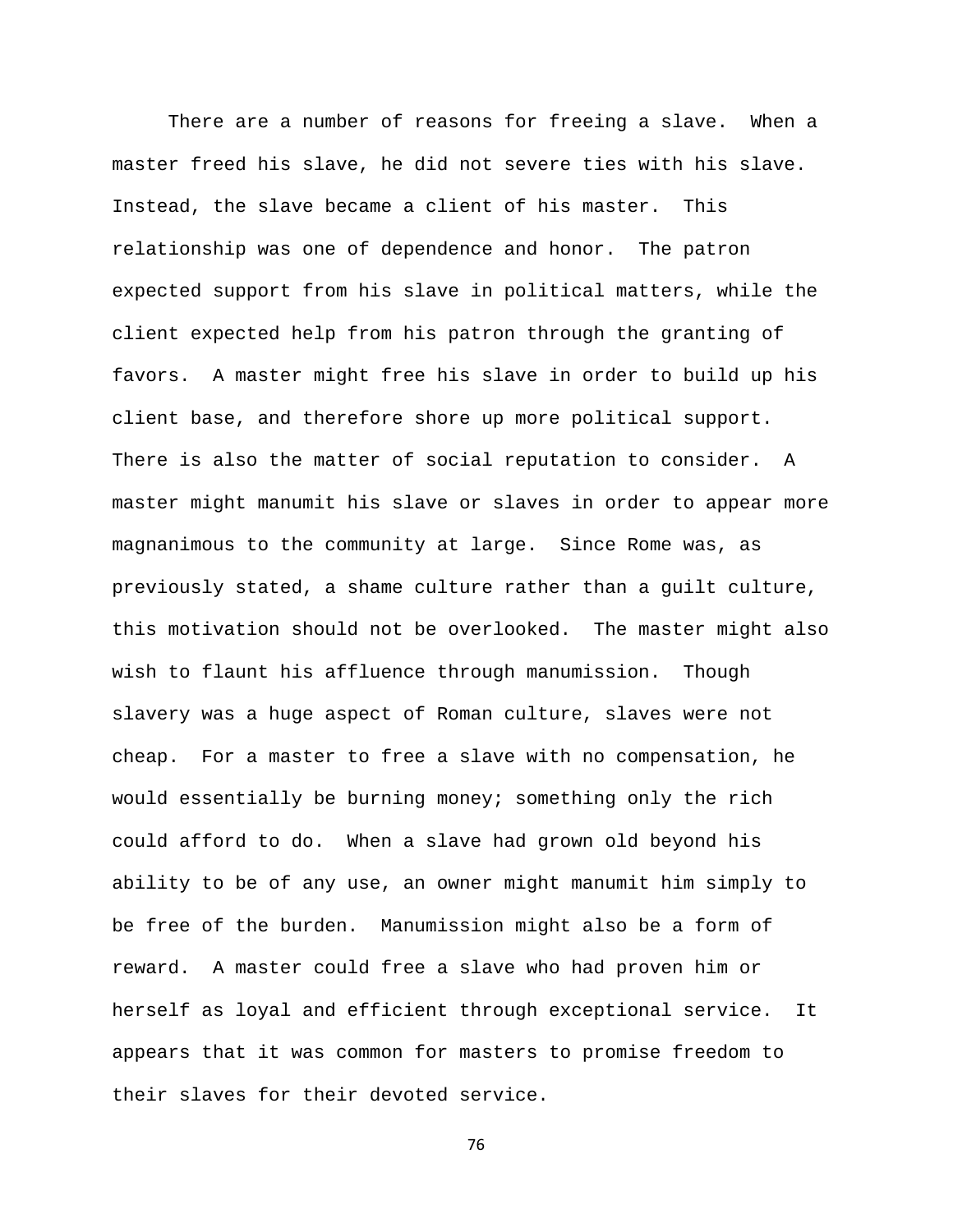There are a number of reasons for freeing a slave. When a master freed his slave, he did not severe ties with his slave. Instead, the slave became a client of his master. This relationship was one of dependence and honor. The patron expected support from his slave in political matters, while the client expected help from his patron through the granting of favors. A master might free his slave in order to build up his client base, and therefore shore up more political support. There is also the matter of social reputation to consider. A master might manumit his slave or slaves in order to appear more magnanimous to the community at large. Since Rome was, as previously stated, a shame culture rather than a guilt culture, this motivation should not be overlooked. The master might also wish to flaunt his affluence through manumission. Though slavery was a huge aspect of Roman culture, slaves were not cheap. For a master to free a slave with no compensation, he would essentially be burning money; something only the rich could afford to do. When a slave had grown old beyond his ability to be of any use, an owner might manumit him simply to be free of the burden. Manumission might also be a form of reward. A master could free a slave who had proven him or herself as loyal and efficient through exceptional service. It appears that it was common for masters to promise freedom to their slaves for their devoted service.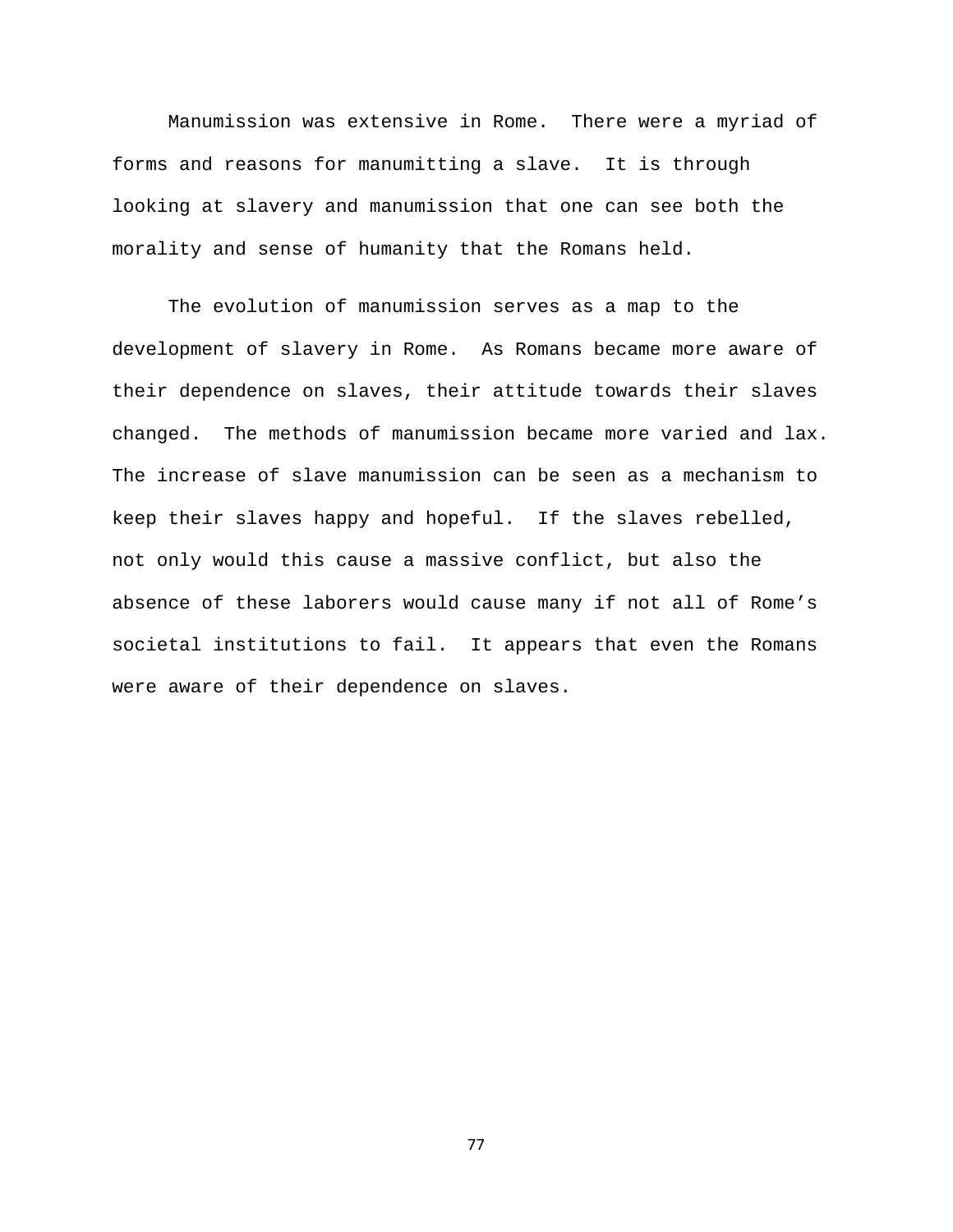Manumission was extensive in Rome. There were a myriad of forms and reasons for manumitting a slave. It is through looking at slavery and manumission that one can see both the morality and sense of humanity that the Romans held.

 The evolution of manumission serves as a map to the development of slavery in Rome. As Romans became more aware of their dependence on slaves, their attitude towards their slaves changed. The methods of manumission became more varied and lax. The increase of slave manumission can be seen as a mechanism to keep their slaves happy and hopeful. If the slaves rebelled, not only would this cause a massive conflict, but also the absence of these laborers would cause many if not all of Rome's societal institutions to fail. It appears that even the Romans were aware of their dependence on slaves.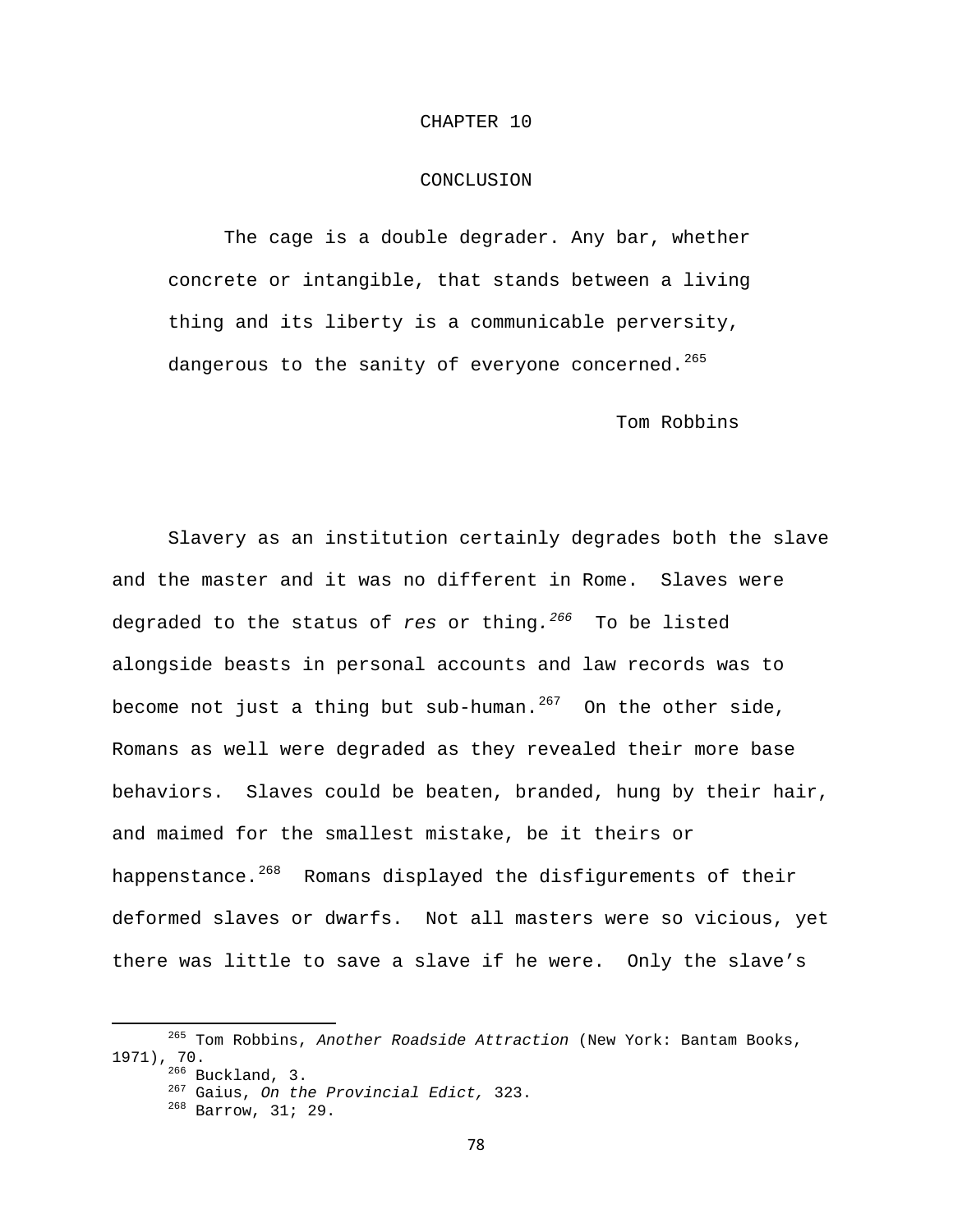### CHAPTER 10

## CONCLUSION

 The cage is a double degrader. Any bar, whether concrete or intangible, that stands between a living thing and its liberty is a communicable perversity, dangerous to the sanity of everyone concerned.<sup>[265](#page-78-0)</sup>

Tom Robbins

 Slavery as an institution certainly degrades both the slave and the master and it was no different in Rome. Slaves were degraded to the status of *res* or thing*.[266](#page-78-1)* To be listed alongside beasts in personal accounts and law records was to become not just a thing but sub-human.<sup>[267](#page-78-2)</sup> On the other side, Romans as well were degraded as they revealed their more base behaviors. Slaves could be beaten, branded, hung by their hair, and maimed for the smallest mistake, be it theirs or happenstance.<sup>[268](#page-78-3)</sup> Romans displayed the disfigurements of their deformed slaves or dwarfs. Not all masters were so vicious, yet there was little to save a slave if he were. Only the slave's

<span id="page-78-3"></span><span id="page-78-2"></span><span id="page-78-1"></span><span id="page-78-0"></span> 265 Tom Robbins, *Another Roadside Attraction* (New York: Bantam Books, 1971), 70. 266 Buckland, 3. 267 Gaius, *On the Provincial Edict,* 323. 268 Barrow, 31; 29.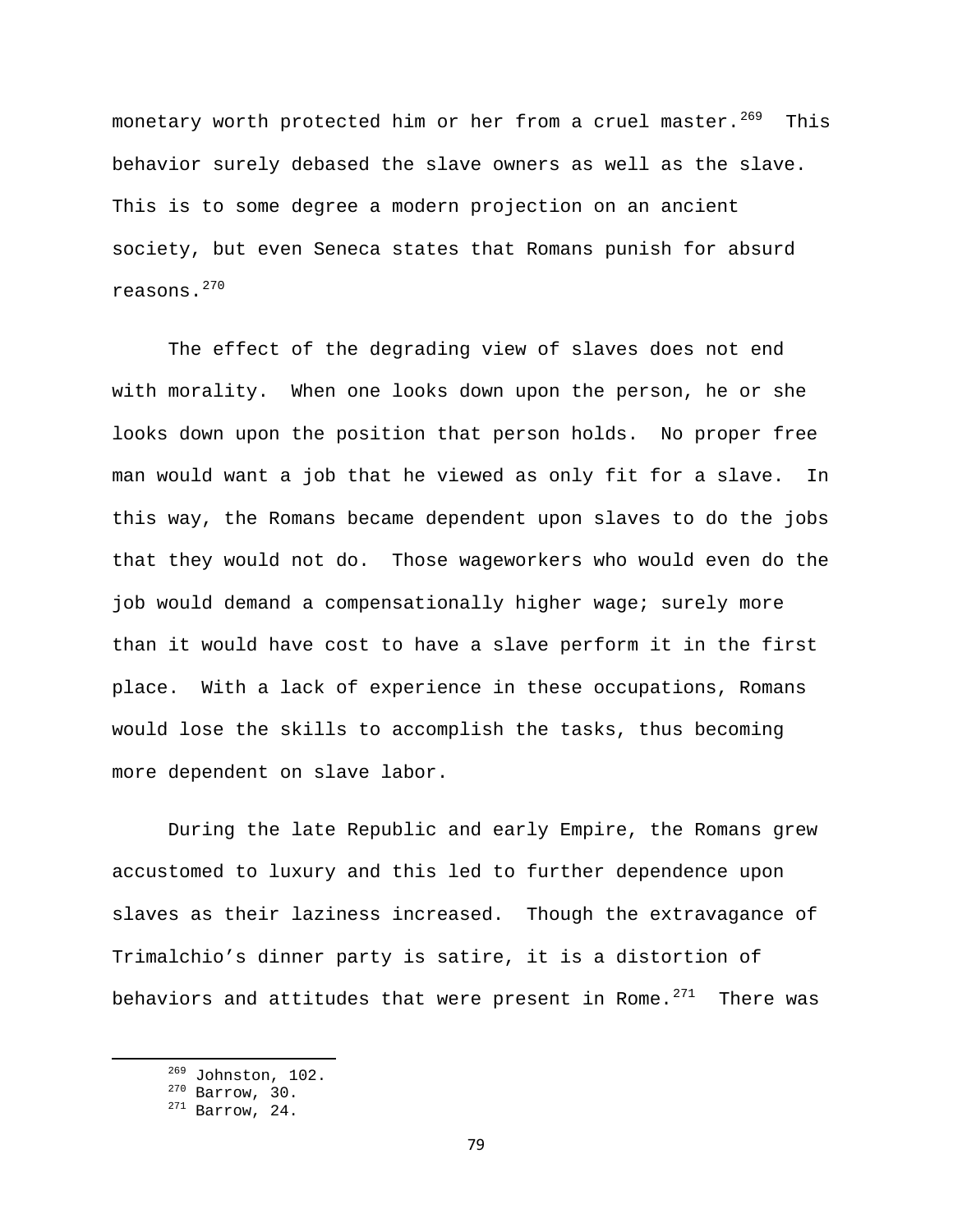monetary worth protected him or her from a cruel master.<sup>[269](#page-79-0)</sup> This behavior surely debased the slave owners as well as the slave. This is to some degree a modern projection on an ancient society, but even Seneca states that Romans punish for absurd reasons.[270](#page-79-1)

The effect of the degrading view of slaves does not end with morality. When one looks down upon the person, he or she looks down upon the position that person holds. No proper free man would want a job that he viewed as only fit for a slave. In this way, the Romans became dependent upon slaves to do the jobs that they would not do. Those wageworkers who would even do the job would demand a compensationally higher wage; surely more than it would have cost to have a slave perform it in the first place. With a lack of experience in these occupations, Romans would lose the skills to accomplish the tasks, thus becoming more dependent on slave labor.

During the late Republic and early Empire, the Romans grew accustomed to luxury and this led to further dependence upon slaves as their laziness increased. Though the extravagance of Trimalchio's dinner party is satire, it is a distortion of behaviors and attitudes that were present in Rome. $271$  There was

<span id="page-79-1"></span><span id="page-79-0"></span> $\frac{^{269}}{^{270}}$  Johnston, 102.<br> $\frac{^{270}}{^{271}}$  Barrow, 24.

<span id="page-79-2"></span>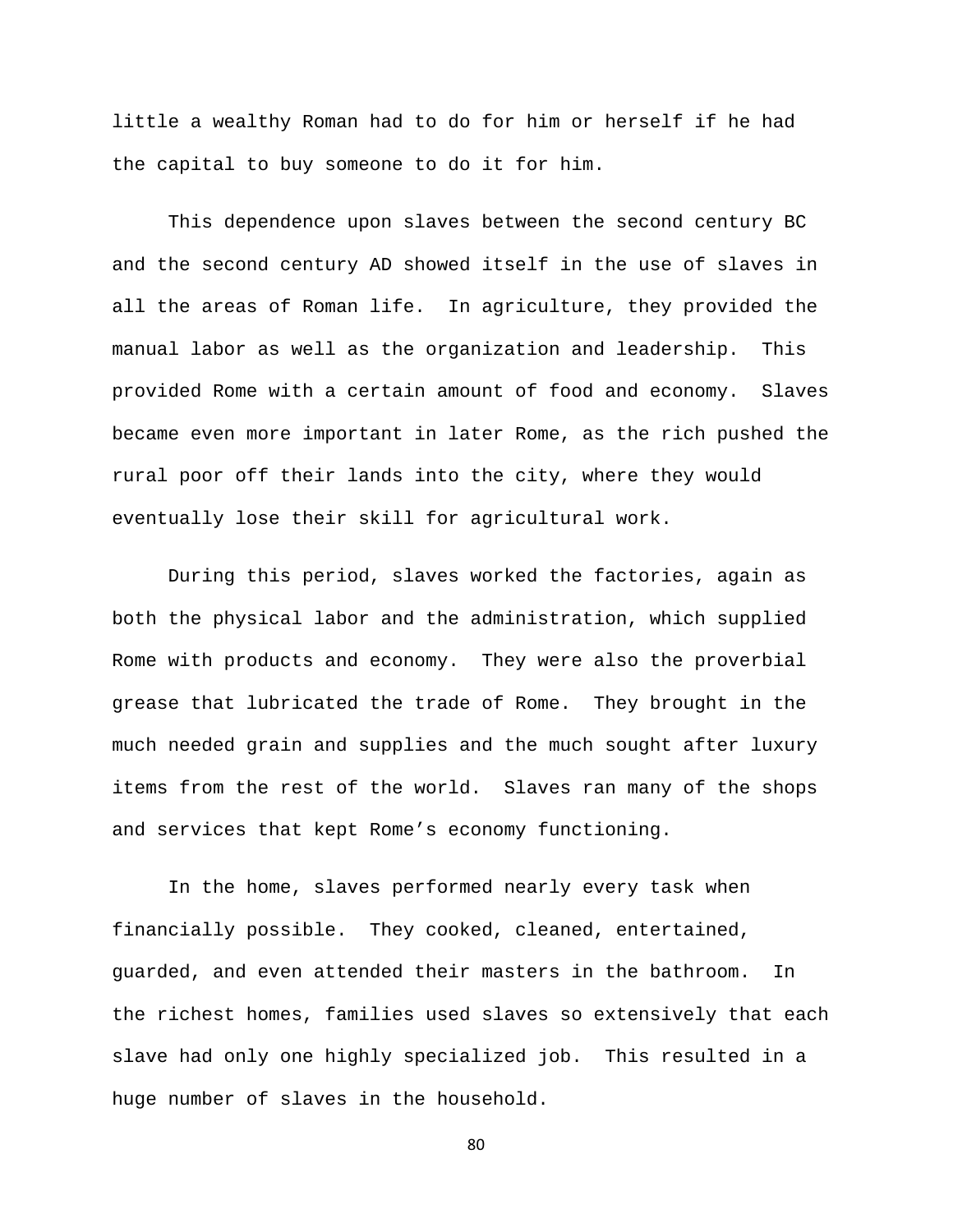little a wealthy Roman had to do for him or herself if he had the capital to buy someone to do it for him.

This dependence upon slaves between the second century BC and the second century AD showed itself in the use of slaves in all the areas of Roman life. In agriculture, they provided the manual labor as well as the organization and leadership. This provided Rome with a certain amount of food and economy. Slaves became even more important in later Rome, as the rich pushed the rural poor off their lands into the city, where they would eventually lose their skill for agricultural work.

 During this period, slaves worked the factories, again as both the physical labor and the administration, which supplied Rome with products and economy. They were also the proverbial grease that lubricated the trade of Rome. They brought in the much needed grain and supplies and the much sought after luxury items from the rest of the world. Slaves ran many of the shops and services that kept Rome's economy functioning.

 In the home, slaves performed nearly every task when financially possible. They cooked, cleaned, entertained, guarded, and even attended their masters in the bathroom. In the richest homes, families used slaves so extensively that each slave had only one highly specialized job. This resulted in a huge number of slaves in the household.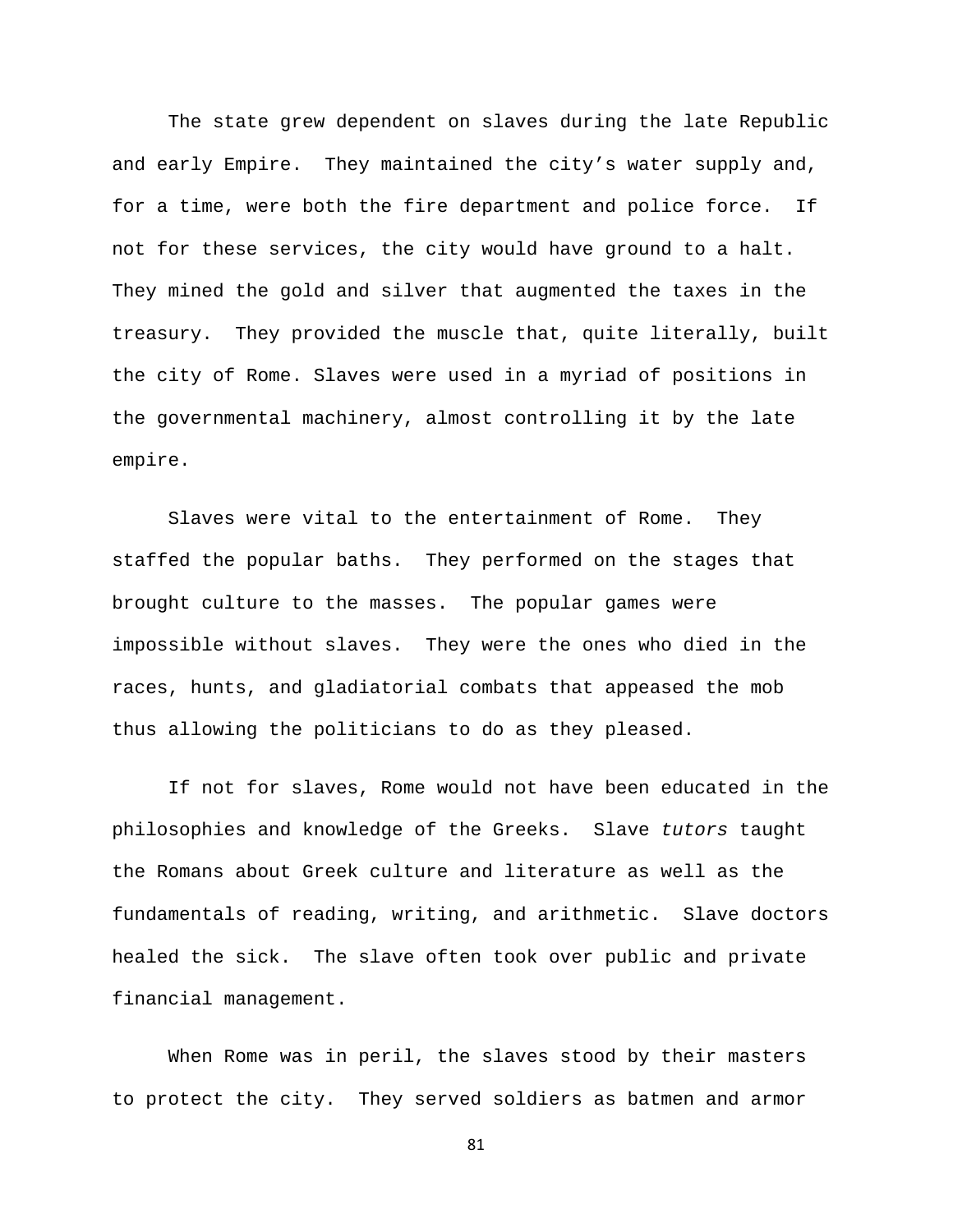The state grew dependent on slaves during the late Republic and early Empire. They maintained the city's water supply and, for a time, were both the fire department and police force. If not for these services, the city would have ground to a halt. They mined the gold and silver that augmented the taxes in the treasury. They provided the muscle that, quite literally, built the city of Rome. Slaves were used in a myriad of positions in the governmental machinery, almost controlling it by the late empire.

 Slaves were vital to the entertainment of Rome. They staffed the popular baths. They performed on the stages that brought culture to the masses. The popular games were impossible without slaves. They were the ones who died in the races, hunts, and gladiatorial combats that appeased the mob thus allowing the politicians to do as they pleased.

 If not for slaves, Rome would not have been educated in the philosophies and knowledge of the Greeks. Slave *tutors* taught the Romans about Greek culture and literature as well as the fundamentals of reading, writing, and arithmetic. Slave doctors healed the sick. The slave often took over public and private financial management.

 When Rome was in peril, the slaves stood by their masters to protect the city. They served soldiers as batmen and armor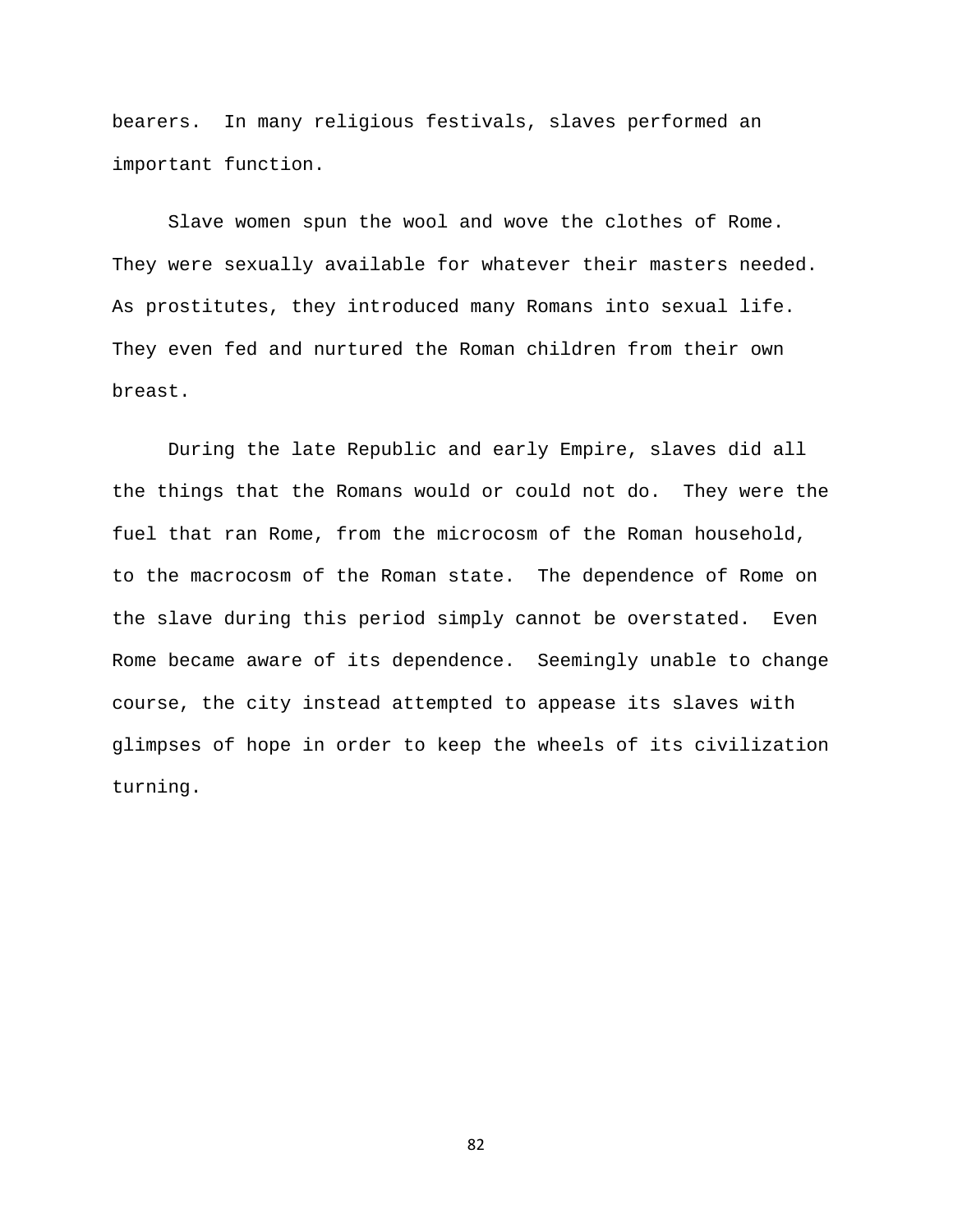bearers. In many religious festivals, slaves performed an important function.

 Slave women spun the wool and wove the clothes of Rome. They were sexually available for whatever their masters needed. As prostitutes, they introduced many Romans into sexual life. They even fed and nurtured the Roman children from their own breast.

 During the late Republic and early Empire, slaves did all the things that the Romans would or could not do. They were the fuel that ran Rome, from the microcosm of the Roman household, to the macrocosm of the Roman state. The dependence of Rome on the slave during this period simply cannot be overstated. Even Rome became aware of its dependence. Seemingly unable to change course, the city instead attempted to appease its slaves with glimpses of hope in order to keep the wheels of its civilization turning.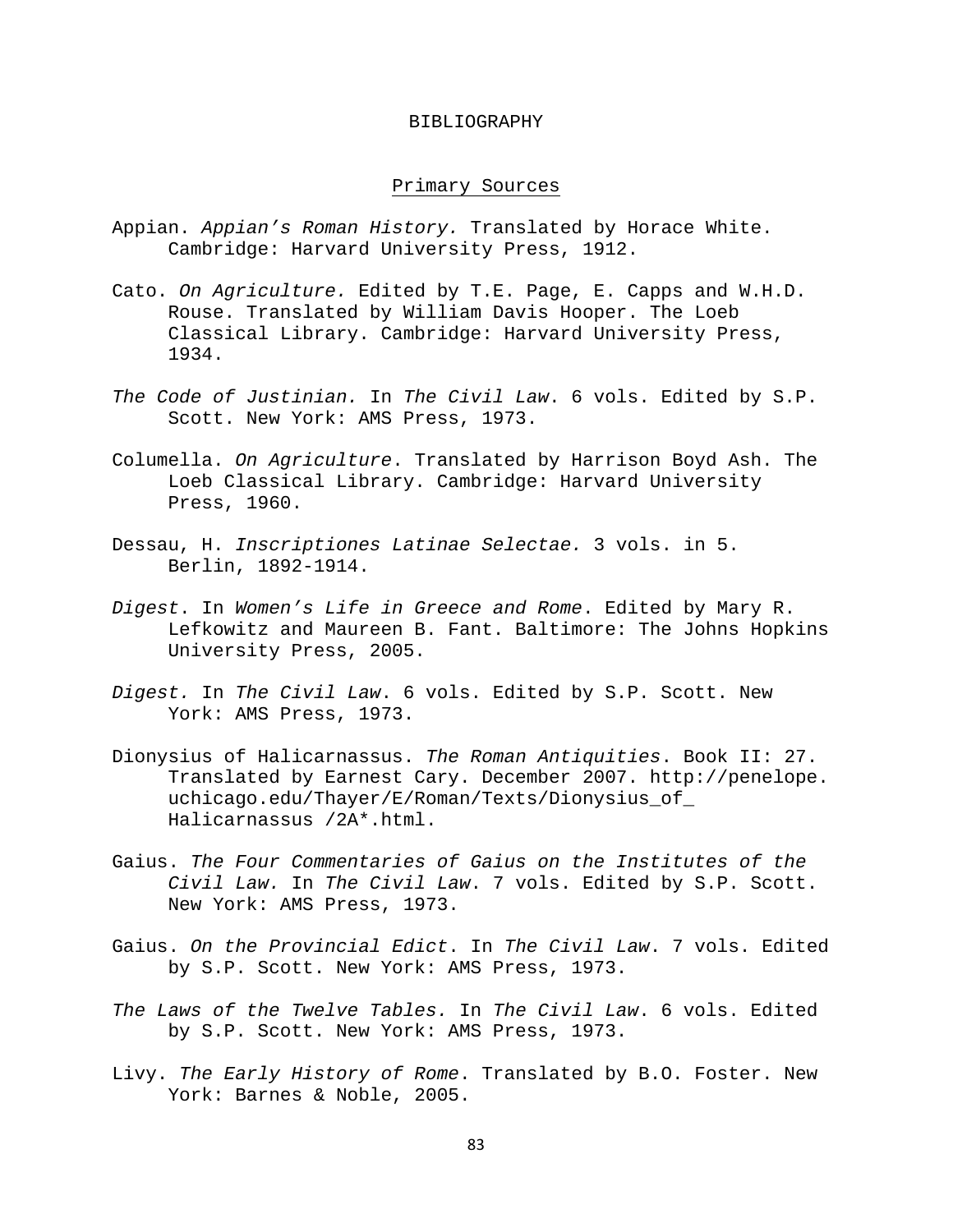#### BIBLIOGRAPHY

## Primary Sources

- Appian. *Appian's Roman History.* Translated by Horace White. Cambridge: Harvard University Press, 1912.
- Cato. *On Agriculture.* Edited by T.E. Page, E. Capps and W.H.D. Rouse. Translated by William Davis Hooper. The Loeb Classical Library. Cambridge: Harvard University Press, 1934.
- *The Code of Justinian.* In *The Civil Law*. 6 vols. Edited by S.P. Scott. New York: AMS Press, 1973.
- Columella. *On Agriculture*. Translated by Harrison Boyd Ash. The Loeb Classical Library. Cambridge: Harvard University Press, 1960.
- Dessau, H. *Inscriptiones Latinae Selectae.* 3 vols. in 5. Berlin, 1892-1914.
- *Digest*. In *Women's Life in Greece and Rome*. Edited by Mary R. Lefkowitz and Maureen B. Fant. Baltimore: The Johns Hopkins University Press, 2005.
- *Digest.* In *The Civil Law*. 6 vols. Edited by S.P. Scott. New York: AMS Press, 1973.
- Dionysius of Halicarnassus. *The Roman Antiquities*. Book II: 27. Translated by Earnest Cary. December 2007. http://penelope. uchicago.edu/Thayer/E/Roman/Texts/Dionysius\_of\_ Halicarnassus /2A\*.html.
- Gaius. *The Four Commentaries of Gaius on the Institutes of the Civil Law.* In *The Civil Law*. 7 vols. Edited by S.P. Scott. New York: AMS Press, 1973.
- Gaius. *On the Provincial Edict*. In *The Civil Law*. 7 vols. Edited by S.P. Scott. New York: AMS Press, 1973.
- *The Laws of the Twelve Tables.* In *The Civil Law*. 6 vols. Edited by S.P. Scott. New York: AMS Press, 1973.
- Livy. *The Early History of Rome*. Translated by B.O. Foster. New York: Barnes & Noble, 2005.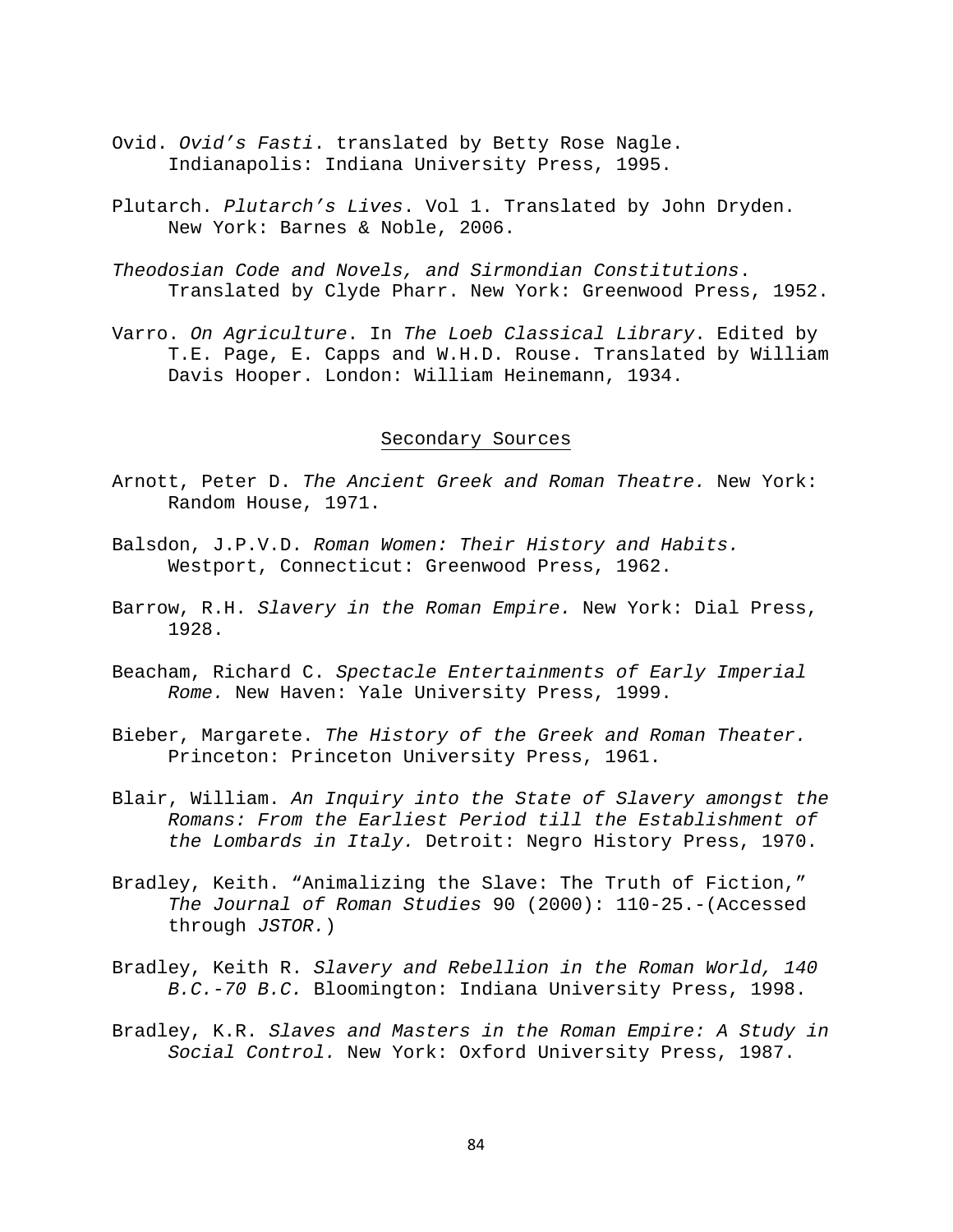- Ovid. *Ovid's Fasti*. translated by Betty Rose Nagle. Indianapolis: Indiana University Press, 1995.
- Plutarch. *Plutarch's Lives*. Vol 1. Translated by John Dryden. New York: Barnes & Noble, 2006.
- *Theodosian Code and Novels, and Sirmondian Constitutions*. Translated by Clyde Pharr. New York: Greenwood Press, 1952.
- Varro. *On Agriculture*. In *The Loeb Classical Library*. Edited by T.E. Page, E. Capps and W.H.D. Rouse. Translated by William Davis Hooper. London: William Heinemann, 1934.

## Secondary Sources

- Arnott, Peter D. *The Ancient Greek and Roman Theatre.* New York: Random House, 1971.
- Balsdon, J.P.V.D. *Roman Women: Their History and Habits.* Westport, Connecticut: Greenwood Press, 1962.
- Barrow, R.H. *Slavery in the Roman Empire.* New York: Dial Press, 1928.
- Beacham, Richard C. *Spectacle Entertainments of Early Imperial Rome.* New Haven: Yale University Press, 1999.
- Bieber, Margarete. *The History of the Greek and Roman Theater.* Princeton: Princeton University Press, 1961.
- Blair, William. *An Inquiry into the State of Slavery amongst the Romans: From the Earliest Period till the Establishment of the Lombards in Italy.* Detroit: Negro History Press, 1970.
- Bradley, Keith. "Animalizing the Slave: The Truth of Fiction," *The Journal of Roman Studies* 90 (2000): 110-25.-(Accessed through *JSTOR.*)
- Bradley, Keith R. *Slavery and Rebellion in the Roman World, 140 B.C.-70 B.C.* Bloomington: Indiana University Press, 1998.
- Bradley, K.R. *Slaves and Masters in the Roman Empire: A Study in Social Control.* New York: Oxford University Press, 1987.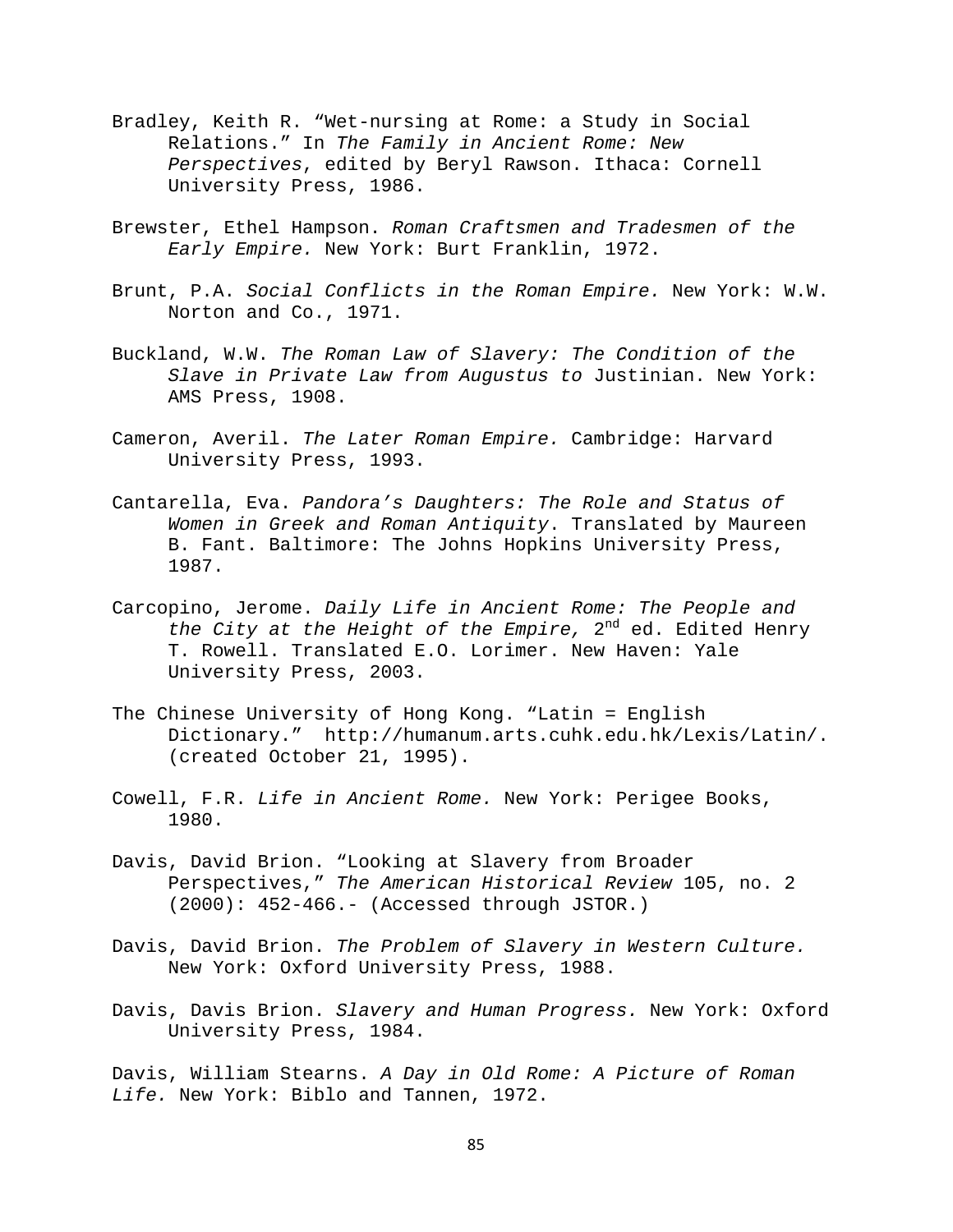- Bradley, Keith R. "Wet-nursing at Rome: a Study in Social Relations." In *The Family in Ancient Rome: New Perspectives*, edited by Beryl Rawson. Ithaca: Cornell University Press, 1986.
- Brewster, Ethel Hampson. *Roman Craftsmen and Tradesmen of the Early Empire.* New York: Burt Franklin, 1972.
- Brunt, P.A. *Social Conflicts in the Roman Empire.* New York: W.W. Norton and Co., 1971.
- Buckland, W.W. *The Roman Law of Slavery: The Condition of the Slave in Private Law from Augustus to* Justinian. New York: AMS Press, 1908.
- Cameron, Averil. *The Later Roman Empire.* Cambridge: Harvard University Press, 1993.
- Cantarella, Eva. *Pandora's Daughters: The Role and Status of Women in Greek and Roman Antiquity*. Translated by Maureen B. Fant. Baltimore: The Johns Hopkins University Press, 1987.
- Carcopino, Jerome. *Daily Life in Ancient Rome: The People and the City at the Height of the Empire,* 2nd ed. Edited Henry T. Rowell. Translated E.O. Lorimer. New Haven: Yale University Press, 2003.
- The Chinese University of Hong Kong. "Latin = English Dictionary." http://humanum.arts.cuhk.edu.hk/Lexis/Latin/. (created October 21, 1995).
- Cowell, F.R. *Life in Ancient Rome.* New York: Perigee Books, 1980.
- Davis, David Brion. "Looking at Slavery from Broader Perspectives," *The American Historical Review* 105, no. 2 (2000): 452-466.- (Accessed through JSTOR.)
- Davis, David Brion. *The Problem of Slavery in Western Culture.*  New York: Oxford University Press, 1988.
- Davis, Davis Brion. *Slavery and Human Progress.* New York: Oxford University Press, 1984.

Davis, William Stearns. *A Day in Old Rome: A Picture of Roman Life.* New York: Biblo and Tannen, 1972.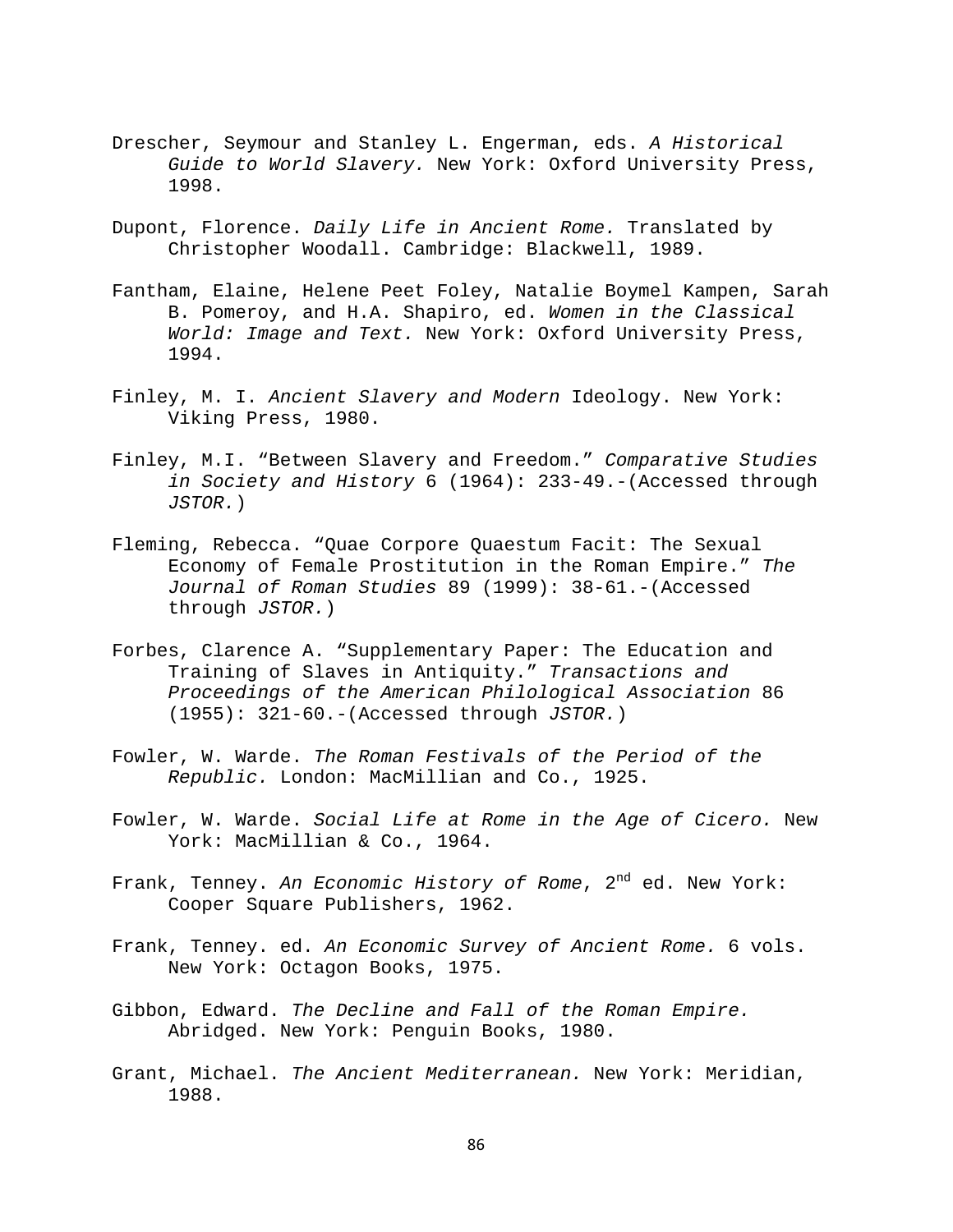- Drescher, Seymour and Stanley L. Engerman, eds. *A Historical Guide to World Slavery.* New York: Oxford University Press, 1998.
- Dupont, Florence. *Daily Life in Ancient Rome.* Translated by Christopher Woodall. Cambridge: Blackwell, 1989.
- Fantham, Elaine, Helene Peet Foley, Natalie Boymel Kampen, Sarah B. Pomeroy, and H.A. Shapiro, ed. *Women in the Classical World: Image and Text.* New York: Oxford University Press, 1994.
- Finley, M. I. *Ancient Slavery and Modern* Ideology. New York: Viking Press, 1980.
- Finley, M.I. "Between Slavery and Freedom." *Comparative Studies in Society and History* 6 (1964): 233-49.-(Accessed through *JSTOR.*)
- Fleming, Rebecca. "Quae Corpore Quaestum Facit: The Sexual Economy of Female Prostitution in the Roman Empire." *The Journal of Roman Studies* 89 (1999): 38-61.-(Accessed through *JSTOR.*)
- Forbes, Clarence A. "Supplementary Paper: The Education and Training of Slaves in Antiquity." *Transactions and Proceedings of the American Philological Association* 86 (1955): 321-60.-(Accessed through *JSTOR.*)
- Fowler, W. Warde. *The Roman Festivals of the Period of the Republic.* London: MacMillian and Co., 1925.
- Fowler, W. Warde. *Social Life at Rome in the Age of Cicero.* New York: MacMillian & Co., 1964.
- Frank, Tenney. An Economic History of Rome, 2<sup>nd</sup> ed. New York: Cooper Square Publishers, 1962.
- Frank, Tenney. ed. *An Economic Survey of Ancient Rome.* 6 vols. New York: Octagon Books, 1975.
- Gibbon, Edward. *The Decline and Fall of the Roman Empire.* Abridged. New York: Penguin Books, 1980.
- Grant, Michael. *The Ancient Mediterranean.* New York: Meridian, 1988.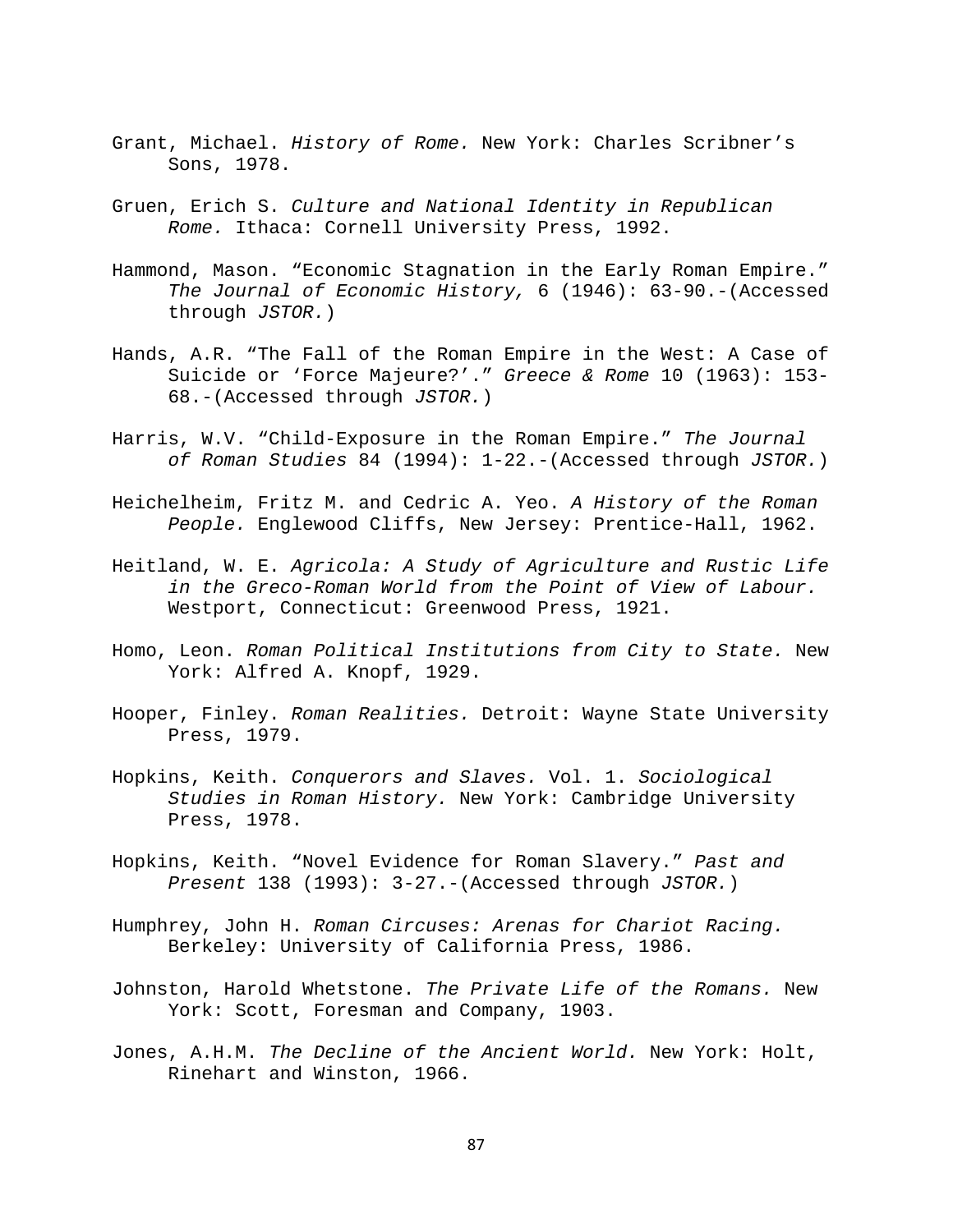- Grant, Michael. *History of Rome.* New York: Charles Scribner's Sons, 1978.
- Gruen, Erich S. *Culture and National Identity in Republican Rome.* Ithaca: Cornell University Press, 1992.
- Hammond, Mason. "Economic Stagnation in the Early Roman Empire." *The Journal of Economic History,* 6 (1946): 63-90.-(Accessed through *JSTOR.*)
- Hands, A.R. "The Fall of the Roman Empire in the West: A Case of Suicide or 'Force Majeure?'." *Greece & Rome* 10 (1963): 153- 68.-(Accessed through *JSTOR.*)
- Harris, W.V. "Child-Exposure in the Roman Empire." *The Journal of Roman Studies* 84 (1994): 1-22.-(Accessed through *JSTOR.*)
- Heichelheim, Fritz M. and Cedric A. Yeo. *A History of the Roman People.* Englewood Cliffs, New Jersey: Prentice-Hall, 1962.
- Heitland, W. E. *Agricola: A Study of Agriculture and Rustic Life in the Greco-Roman World from the Point of View of Labour.* Westport, Connecticut: Greenwood Press, 1921.
- Homo, Leon. *Roman Political Institutions from City to State.* New York: Alfred A. Knopf, 1929.
- Hooper, Finley. *Roman Realities.* Detroit: Wayne State University Press, 1979.
- Hopkins, Keith. *Conquerors and Slaves.* Vol. 1. *Sociological Studies in Roman History.* New York: Cambridge University Press, 1978.
- Hopkins, Keith. "Novel Evidence for Roman Slavery." *Past and Present* 138 (1993): 3-27.-(Accessed through *JSTOR.*)
- Humphrey, John H. *Roman Circuses: Arenas for Chariot Racing.* Berkeley: University of California Press, 1986.
- Johnston, Harold Whetstone. *The Private Life of the Romans.* New York: Scott, Foresman and Company, 1903.
- Jones, A.H.M. *The Decline of the Ancient World.* New York: Holt, Rinehart and Winston, 1966.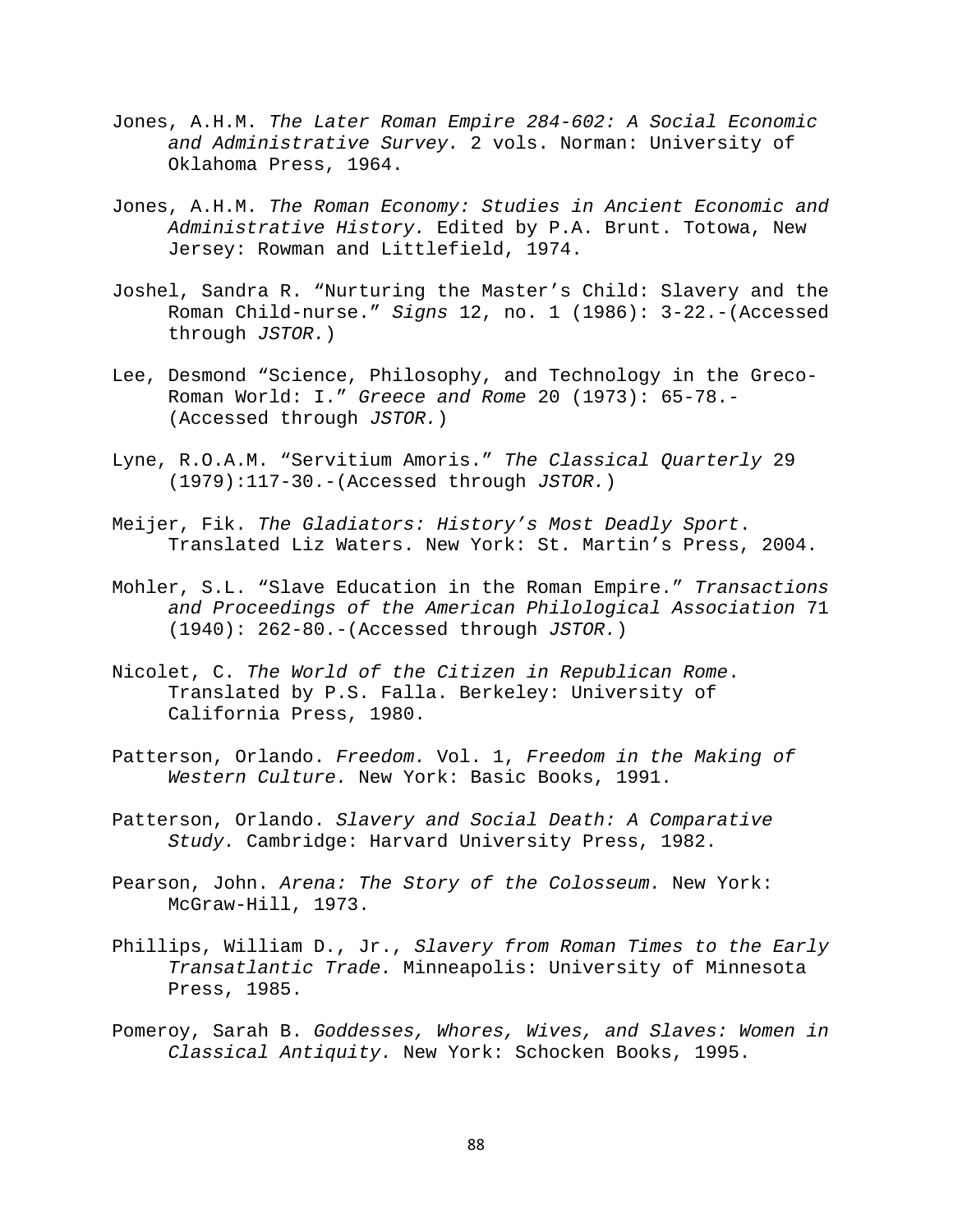- Jones, A.H.M. *The Later Roman Empire 284-602: A Social Economic and Administrative Survey.* 2 vols. Norman: University of Oklahoma Press, 1964.
- Jones, A.H.M. *The Roman Economy: Studies in Ancient Economic and Administrative History.* Edited by P.A. Brunt. Totowa, New Jersey: Rowman and Littlefield, 1974.
- Joshel, Sandra R. "Nurturing the Master's Child: Slavery and the Roman Child-nurse." *Signs* 12, no. 1 (1986): 3-22.-(Accessed through *JSTOR.*)
- Lee, Desmond "Science, Philosophy, and Technology in the Greco-Roman World: I." *Greece and Rome* 20 (1973): 65-78.- (Accessed through *JSTOR.*)
- Lyne, R.O.A.M. "Servitium Amoris." *The Classical Quarterly* 29 (1979):117-30.-(Accessed through *JSTOR.*)
- Meijer, Fik. *The Gladiators: History's Most Deadly Sport*. Translated Liz Waters. New York: St. Martin's Press, 2004.
- Mohler, S.L. "Slave Education in the Roman Empire." *Transactions and Proceedings of the American Philological Association* 71 (1940): 262-80.-(Accessed through *JSTOR.*)
- Nicolet, C. *The World of the Citizen in Republican Rome*. Translated by P.S. Falla. Berkeley: University of California Press, 1980.
- Patterson, Orlando. *Freedom.* Vol. 1, *Freedom in the Making of Western Culture.* New York: Basic Books, 1991.
- Patterson, Orlando. *Slavery and Social Death: A Comparative Study.* Cambridge: Harvard University Press, 1982.
- Pearson, John. *Arena: The Story of the Colosseum.* New York: McGraw-Hill, 1973.
- Phillips, William D., Jr., *Slavery from Roman Times to the Early Transatlantic Trade.* Minneapolis: University of Minnesota Press, 1985.
- Pomeroy, Sarah B. *Goddesses, Whores, Wives, and Slaves: Women in Classical Antiquity.* New York: Schocken Books, 1995.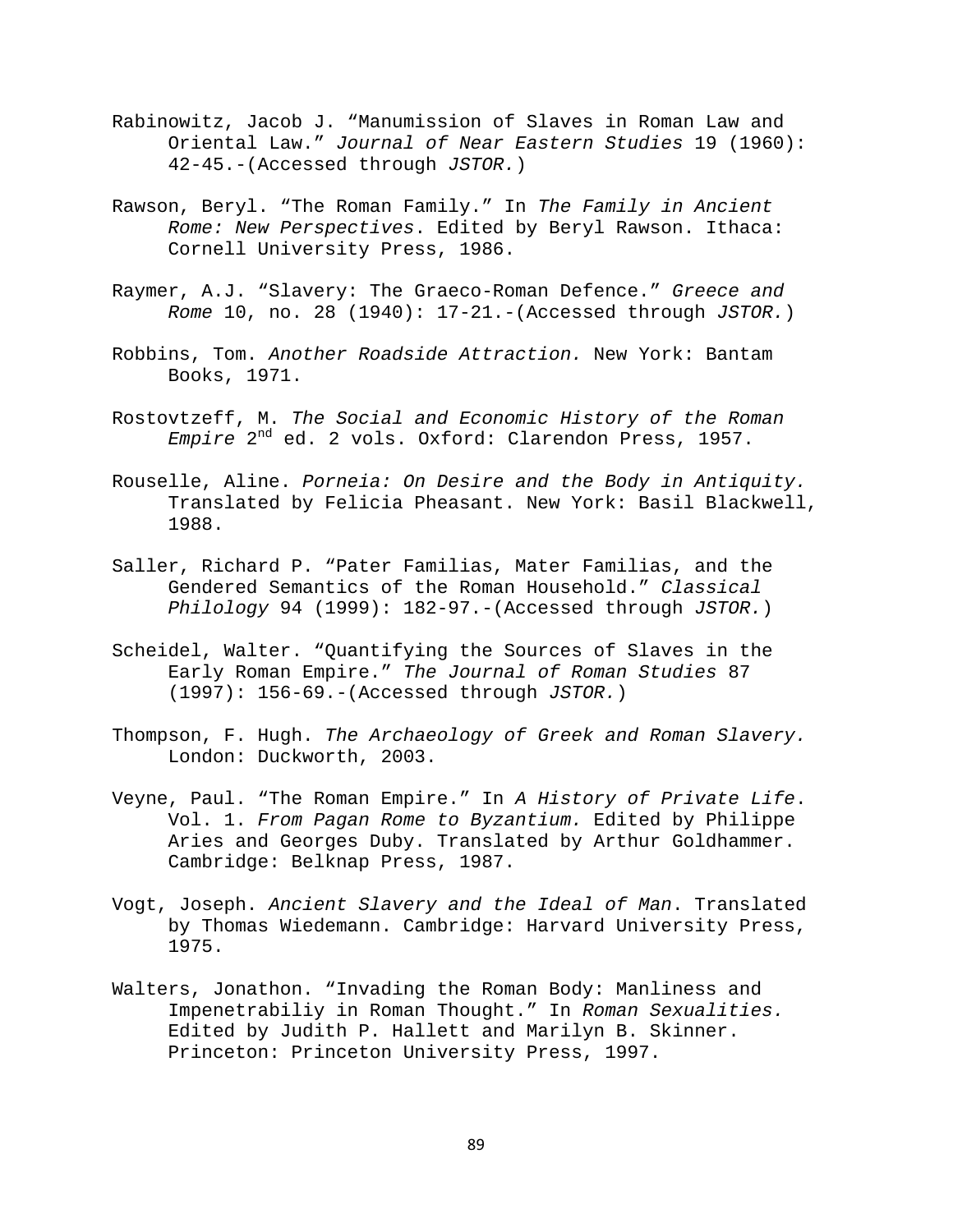- Rabinowitz, Jacob J. "Manumission of Slaves in Roman Law and Oriental Law." *Journal of Near Eastern Studies* 19 (1960): 42-45.-(Accessed through *JSTOR.*)
- Rawson, Beryl. "The Roman Family." In *The Family in Ancient Rome: New Perspectives*. Edited by Beryl Rawson. Ithaca: Cornell University Press, 1986.
- Raymer, A.J. "Slavery: The Graeco-Roman Defence." *Greece and Rome* 10, no. 28 (1940): 17-21.-(Accessed through *JSTOR.*)
- Robbins, Tom. *Another Roadside Attraction.* New York: Bantam Books, 1971.
- Rostovtzeff, M. *The Social and Economic History of the Roman Empire* 2nd ed. 2 vols. Oxford: Clarendon Press, 1957.
- Rouselle, Aline. *Porneia: On Desire and the Body in Antiquity.*  Translated by Felicia Pheasant. New York: Basil Blackwell, 1988.
- Saller, Richard P. "Pater Familias, Mater Familias, and the Gendered Semantics of the Roman Household." *Classical Philology* 94 (1999): 182-97.-(Accessed through *JSTOR.*)
- Scheidel, Walter. "Quantifying the Sources of Slaves in the Early Roman Empire." *The Journal of Roman Studies* 87 (1997): 156-69.-(Accessed through *JSTOR.*)
- Thompson, F. Hugh. *The Archaeology of Greek and Roman Slavery.* London: Duckworth, 2003.
- Veyne, Paul. "The Roman Empire." In *A History of Private Life*. Vol. 1. *From Pagan Rome to Byzantium.* Edited by Philippe Aries and Georges Duby. Translated by Arthur Goldhammer. Cambridge: Belknap Press, 1987.
- Vogt, Joseph. *Ancient Slavery and the Ideal of Man*. Translated by Thomas Wiedemann. Cambridge: Harvard University Press, 1975.
- Walters, Jonathon. "Invading the Roman Body: Manliness and Impenetrabiliy in Roman Thought." In *Roman Sexualities.* Edited by Judith P. Hallett and Marilyn B. Skinner. Princeton: Princeton University Press, 1997.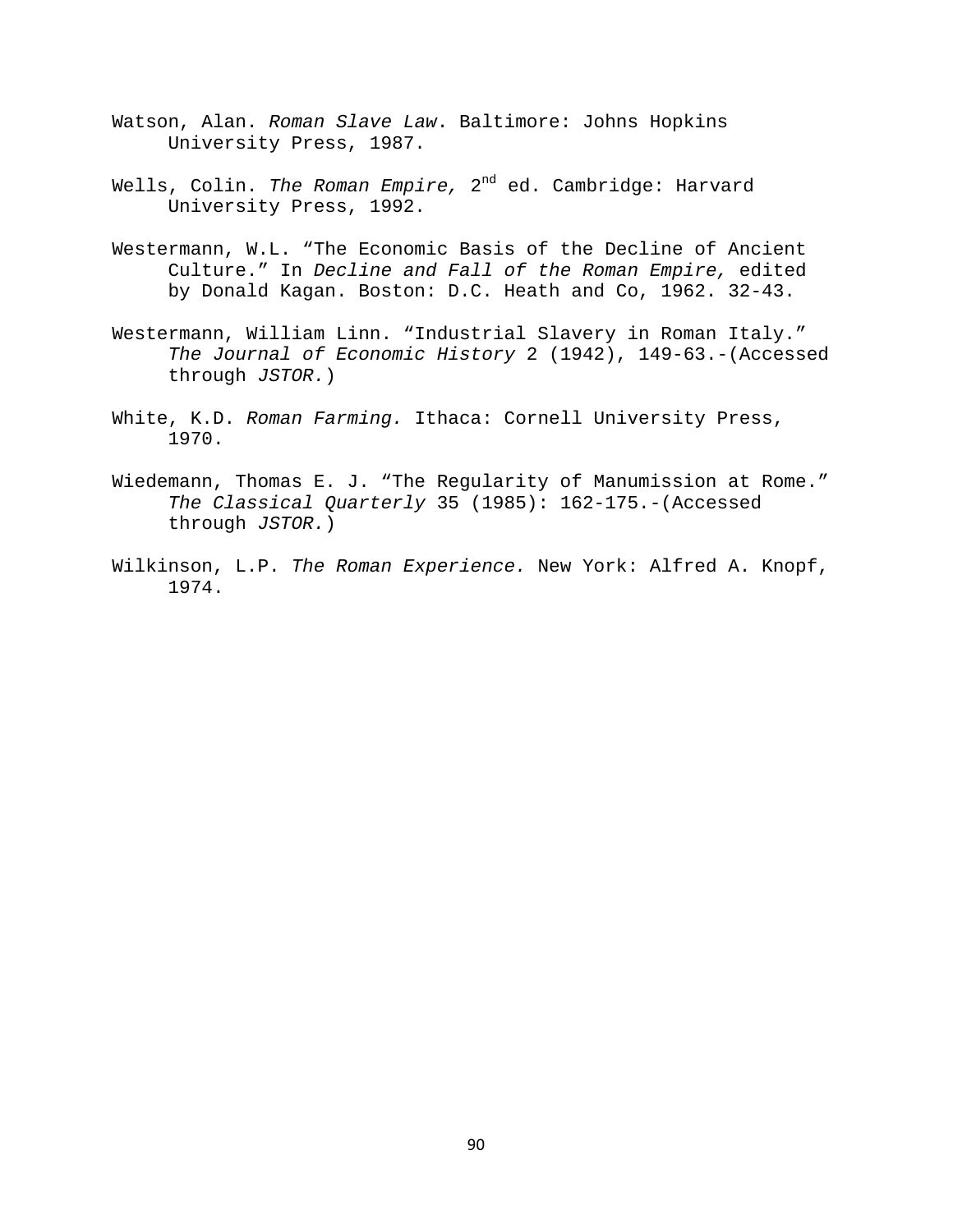- Watson, Alan. *Roman Slave Law*. Baltimore: Johns Hopkins University Press, 1987.
- Wells, Colin. *The Roman Empire,* 2<sup>nd</sup> ed. Cambridge: Harvard University Press, 1992.
- Westermann, W.L. "The Economic Basis of the Decline of Ancient Culture." In *Decline and Fall of the Roman Empire,* edited by Donald Kagan. Boston: D.C. Heath and Co, 1962. 32-43.
- Westermann, William Linn. "Industrial Slavery in Roman Italy." *The Journal of Economic History* 2 (1942), 149-63.-(Accessed through *JSTOR.*)
- White, K.D. *Roman Farming.* Ithaca: Cornell University Press, 1970.
- Wiedemann, Thomas E. J. "The Regularity of Manumission at Rome." *The Classical Quarterly* 35 (1985): 162-175.-(Accessed through *JSTOR.*)
- Wilkinson, L.P. *The Roman Experience.* New York: Alfred A. Knopf, 1974.